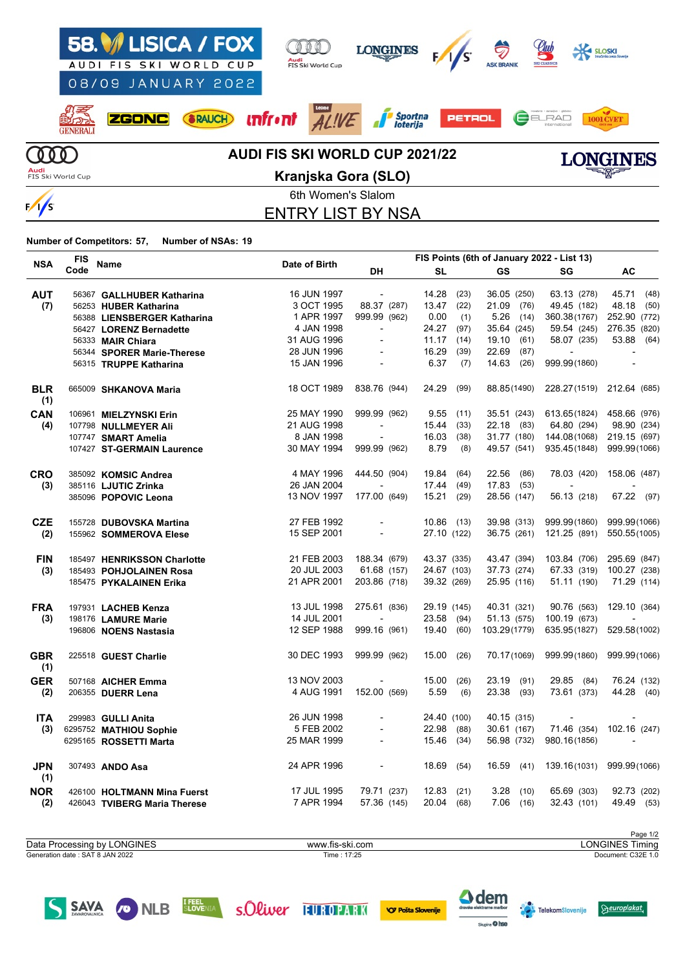

### 6th Women's Slalom ENTRY LIST BY NSA

**Number of Competitors: 57, Number of NSAs: 19**

|                   | <b>FIS</b> |                              |               | FIS Points (6th of January 2022 - List 13) |              |      |               |                |                           |  |  |
|-------------------|------------|------------------------------|---------------|--------------------------------------------|--------------|------|---------------|----------------|---------------------------|--|--|
| <b>NSA</b>        | Code       | Name                         | Date of Birth | DH                                         | <b>SL</b>    |      | <b>GS</b>     | SG             | AC                        |  |  |
| <b>AUT</b>        |            | 56367 GALLHUBER Katharina    | 16 JUN 1997   | $\sim$                                     | 14.28        | (23) | 36.05 (250)   | 63.13 (278)    | 45.71 (48)                |  |  |
| (7)               |            | 56253 HUBER Katharina        | 3 OCT 1995    | 88.37 (287)                                | 13.47        | (22) | 21.09<br>(76) | 49.45 (182)    | 48.18<br>(50)             |  |  |
|                   |            | 56388 LIENSBERGER Katharina  | 1 APR 1997    | 999.99 (962)                               | 0.00         | (1)  | 5.26<br>(14)  | 360.38(1767)   | 252.90 (772)              |  |  |
|                   |            | 56427 LORENZ Bernadette      | 4 JAN 1998    | $\blacksquare$                             | 24.27        | (97) | 35.64 (245)   | 59.54 (245)    | 276.35 (820)              |  |  |
|                   |            | 56333 MAIR Chiara            | 31 AUG 1996   | $\blacksquare$                             | 11.17        | (14) | 19.10<br>(61) | 58.07 (235)    | 53.88 (64)                |  |  |
|                   |            | 56344 SPORER Marie-Therese   | 28 JUN 1996   |                                            | 16.29        | (39) | 22.69<br>(87) | $\sim$         |                           |  |  |
|                   |            | 56315 TRUPPE Katharina       | 15 JAN 1996   | $\overline{\phantom{a}}$                   | 6.37         | (7)  | 14.63 (26)    | 999.99(1860)   | $\overline{\phantom{a}}$  |  |  |
| <b>BLR</b><br>(1) |            | 665009 SHKANOVA Maria        | 18 OCT 1989   | 838.76 (944)                               | 24.29        | (99) | 88.85(1490)   |                | 228.27(1519) 212.64 (685) |  |  |
| CAN               |            | 106961 MIELZYNSKI Erin       | 25 MAY 1990   | 999.99 (962)                               | 9.55         | (11) | 35.51 (243)   | 613.65(1824)   | 458.66 (976)              |  |  |
| (4)               |            | 107798 NULLMEYER Ali         | 21 AUG 1998   |                                            | 15.44        | (33) | 22.18 (83)    | 64.80 (294)    | 98.90 (234)               |  |  |
|                   |            | 107747 SMART Amelia          | 8 JAN 1998    |                                            | 16.03        | (38) | 31.77 (180)   | 144.08(1068)   | 219.15 (697)              |  |  |
|                   |            | 107427 ST-GERMAIN Laurence   | 30 MAY 1994   | 999.99 (962)                               | 8.79         | (8)  | 49.57 (541)   | 935.45(1848)   | 999.99(1066)              |  |  |
| <b>CRO</b>        |            | 385092 KOMSIC Andrea         | 4 MAY 1996    | 444.50 (904)                               | 19.84        | (64) | 22.56<br>(86) | 78.03 (420)    | 158.06 (487)              |  |  |
| (3)               |            | 385116 LJUTIC Zrinka         | 26 JAN 2004   |                                            | 17.44        | (49) | 17.83 (53)    | $\blacksquare$ |                           |  |  |
|                   |            | 385096 POPOVIC Leona         | 13 NOV 1997   | 177.00 (649)                               | 15.21        | (29) | 28.56 (147)   | 56.13 (218)    | 67.22 (97)                |  |  |
| <b>CZE</b>        |            | 155728 DUBOVSKA Martina      | 27 FEB 1992   |                                            | $10.86$ (13) |      | 39.98 (313)   | 999.99(1860)   | 999.99(1066)              |  |  |
| (2)               |            | 155962 SOMMEROVA Elese       | 15 SEP 2001   | $\overline{\phantom{a}}$                   | 27.10 (122)  |      | 36.75 (261)   | 121.25 (891)   | 550.55(1005)              |  |  |
| <b>FIN</b>        |            | 185497 HENRIKSSON Charlotte  | 21 FEB 2003   | 188.34 (679)                               | 43.37 (335)  |      | 43.47 (394)   | 103.84 (706)   | 295.69 (847)              |  |  |
| (3)               |            | 185493 POHJOLAINEN Rosa      | 20 JUL 2003   | 61.68 (157)                                | 24.67 (103)  |      | 37.73 (274)   | 67.33 (319)    | 100.27 (238)              |  |  |
|                   |            | 185475 PYKALAINEN Erika      | 21 APR 2001   | 203.86 (718)                               | 39.32 (269)  |      | 25.95 (116)   | 51.11 (190)    | 71.29 (114)               |  |  |
| <b>FRA</b>        |            | 197931 LACHEB Kenza          | 13 JUL 1998   | 275.61 (836)                               | 29.19 (145)  |      | 40.31 (321)   | 90.76 (563)    | 129.10 (364)              |  |  |
| (3)               |            | 198176 LAMURE Marie          | 14 JUL 2001   |                                            | 23.58        | (94) | 51.13 (575)   | 100.19 (673)   |                           |  |  |
|                   |            | 196806 NOENS Nastasia        | 12 SEP 1988   | 999.16 (961)                               | 19.40        | (60) | 103.29(1779)  | 635.95(1827)   | 529.58(1002)              |  |  |
| <b>GBR</b><br>(1) |            | 225518 GUEST Charlie         | 30 DEC 1993   | 999.99 (962)                               | 15.00        | (26) | 70.17(1069)   | 999.99(1860)   | 999.99(1066)              |  |  |
| <b>GER</b>        |            | 507168 AICHER Emma           | 13 NOV 2003   |                                            | 15.00        | (26) | 23.19<br>(91) | 29.85 (84)     | 76.24 (132)               |  |  |
| (2)               |            | 206355 DUERR Lena            | 4 AUG 1991    | 152.00 (569)                               | 5.59         | (6)  | 23.38 (93)    | 73.61 (373)    | 44.28 (40)                |  |  |
| <b>ITA</b>        |            | 299983 GULLI Anita           | 26 JUN 1998   |                                            | 24.40 (100)  |      | 40.15 (315)   |                |                           |  |  |
| (3)               |            | 6295752 MATHIOU Sophie       | 5 FEB 2002    |                                            | 22.98        | (88) | 30.61 (167)   | 71.46 (354)    | 102.16 (247)              |  |  |
|                   |            | 6295165 ROSSETTI Marta       | 25 MAR 1999   |                                            | 15.46        | (34) | 56.98 (732)   | 980.16(1856)   |                           |  |  |
| <b>JPN</b><br>(1) |            | 307493 ANDO Asa              | 24 APR 1996   | $\overline{\phantom{a}}$                   | 18.69        | (54) | 16.59<br>(41) | 139.16(1031)   | 999.99(1066)              |  |  |
| <b>NOR</b>        |            | 426100 HOLTMANN Mina Fuerst  | 17 JUL 1995   | 79.71 (237)                                | 12.83        | (21) | 3.28<br>(10)  | 65.69 (303)    | 92.73 (202)               |  |  |
| (2)               |            | 426043 TVIBERG Maria Therese | 7 APR 1994    | 57.36 (145)                                | 20.04 (68)   |      | 7.06<br>(16)  | 32.43 (101)    | 49.49 (53)                |  |  |

Page 1/2<br>LONGINES Timing Generation date : SAT 8 JAN 2022 Time : 17:25 Document: C32E 1.0 Data Processing by LONGINES www.fis-ski.com







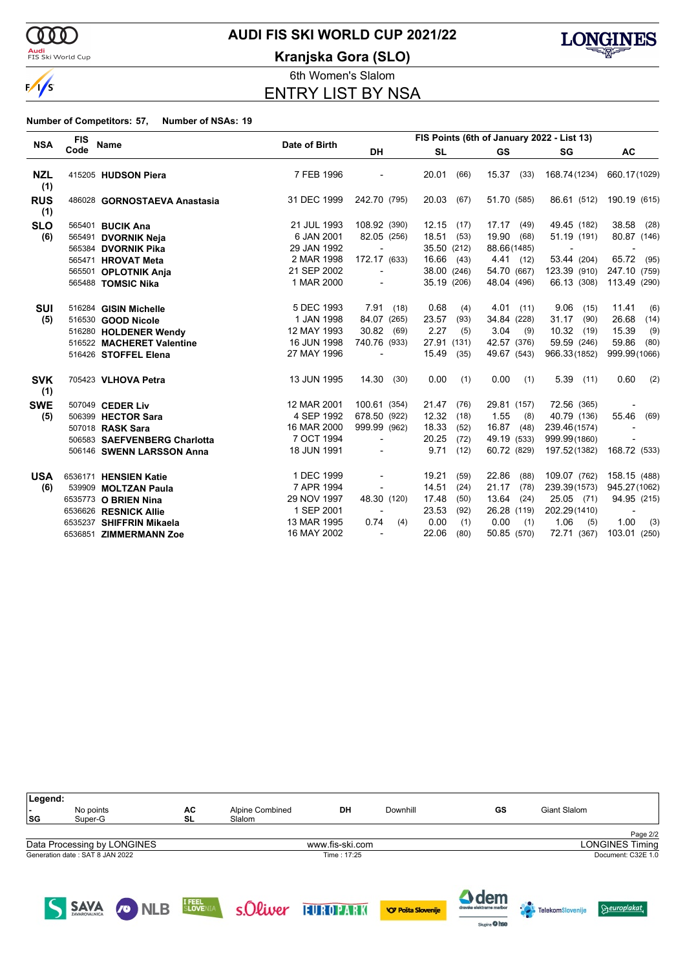

### <mark>Audi</mark><br>FIS Ski World Cup

# **AUDI FIS SKI WORLD CUP 2021/22**

**Kranjska Gora (SLO)**



6th Women's Slalom ENTRY LIST BY NSA

**Number of Competitors: 57, Number of NSAs: 19**

|                   | <b>FIS</b> | <b>Name</b>                  | Date of Birth | FIS Points (6th of January 2022 - List 13) |             |      |               |               |                          |  |  |
|-------------------|------------|------------------------------|---------------|--------------------------------------------|-------------|------|---------------|---------------|--------------------------|--|--|
| <b>NSA</b>        | Code       |                              |               | <b>DH</b>                                  | <b>SL</b>   |      | <b>GS</b>     | SG            | AC                       |  |  |
| <b>NZL</b><br>(1) |            | 415205 HUDSON Piera          | 7 FEB 1996    |                                            | 20.01       | (66) | $15.37$ (33)  | 168.74(1234)  | 660.17(1029)             |  |  |
| <b>RUS</b><br>(1) |            | 486028 GORNOSTAEVA Anastasia | 31 DEC 1999   | 242.70 (795)                               | 20.03       | (67) | 51.70 (585)   | 86.61 (512)   | 190.19 (615)             |  |  |
| <b>SLO</b>        |            | 565401 BUCIK Ana             | 21 JUL 1993   | 108.92 (390)                               | 12.15       | (17) | 17.17<br>(49) | 49.45 (182)   | 38.58 (28)               |  |  |
| (6)               |            | 565491 DVORNIK Neja          | 6 JAN 2001    | 82.05 (256)                                | 18.51       | (53) | 19.90<br>(68) | 51.19 (191)   | 80.87 (146)              |  |  |
|                   |            | 565384 DVORNIK Pika          | 29 JAN 1992   |                                            | 35.50 (212) |      | 88.66(1485)   |               |                          |  |  |
|                   |            | 565471 HROVAT Meta           | 2 MAR 1998    | 172.17 (633)                               | 16.66 (43)  |      | 4.41 (12)     | 53.44 (204)   | 65.72 (95)               |  |  |
|                   |            | 565501 OPLOTNIK Anja         | 21 SEP 2002   |                                            | 38.00 (246) |      | 54.70 (667)   | 123.39 (910)  | 247.10 (759)             |  |  |
|                   |            | 565488 TOMSIC Nika           | 1 MAR 2000    |                                            | 35.19 (206) |      | 48.04 (496)   | 66.13 (308)   | 113.49 (290)             |  |  |
| <b>SUI</b>        |            | 516284 GISIN Michelle        | 5 DEC 1993    | 7.91(18)                                   | 0.68        | (4)  | 4.01<br>(11)  | 9.06<br>(15)  | 11.41<br>(6)             |  |  |
| (5)               |            | 516530 GOOD Nicole           | 1 JAN 1998    | 84.07 (265)                                | 23.57       | (93) | 34.84 (228)   | 31.17<br>(90) | 26.68<br>(14)            |  |  |
|                   |            | 516280 HOLDENER Wendy        | 12 MAY 1993   | 30.82<br>(69)                              | 2.27        | (5)  | 3.04<br>(9)   | 10.32<br>(19) | 15.39<br>(9)             |  |  |
|                   |            | 516522 MACHERET Valentine    | 16 JUN 1998   | 740.76 (933)                               | 27.91 (131) |      | 42.57 (376)   | 59.59 (246)   | 59.86<br>(80)            |  |  |
|                   |            | 516426 STOFFEL Elena         | 27 MAY 1996   | $\blacksquare$                             | 15.49       | (35) | 49.67 (543)   | 966.33(1852)  | 999.99(1066)             |  |  |
| <b>SVK</b><br>(1) |            | 705423 VLHOVA Petra          | 13 JUN 1995   | 14.30<br>(30)                              | 0.00        | (1)  | 0.00<br>(1)   | $5.39$ (11)   | 0.60<br>(2)              |  |  |
| <b>SWE</b>        |            | 507049 CEDER Liv             | 12 MAR 2001   | 100.61 (354)                               | 21.47       | (76) | 29.81 (157)   | 72.56 (365)   |                          |  |  |
| (5)               |            | 506399 HECTOR Sara           | 4 SEP 1992    | 678.50 (922)                               | 12.32       | (18) | 1.55<br>(8)   | 40.79 (136)   | 55.46<br>(69)            |  |  |
|                   |            | 507018 RASK Sara             | 16 MAR 2000   | 999.99 (962)                               | 18.33       | (52) | 16.87<br>(48) | 239.46(1574)  |                          |  |  |
|                   |            | 506583 SAEFVENBERG Charlotta | 7 OCT 1994    | $\overline{\phantom{a}}$                   | 20.25       | (72) | 49.19 (533)   | 999.99(1860)  |                          |  |  |
|                   |            | 506146 SWENN LARSSON Anna    | 18 JUN 1991   |                                            | 9.71        | (12) | 60.72 (829)   | 197.52(1382)  | 168.72 (533)             |  |  |
| <b>USA</b>        |            | 6536171 HENSIEN Katie        | 1 DEC 1999    |                                            | 19.21       | (59) | 22.86<br>(88) | 109.07 (762)  | 158.15 (488)             |  |  |
| (6)               |            | 539909 MOLTZAN Paula         | 7 APR 1994    |                                            | 14.51       | (24) | 21.17<br>(78) | 239.39(1573)  | 945.27(1062)             |  |  |
|                   |            | 6535773 O BRIEN Nina         | 29 NOV 1997   | 48.30 (120)                                | 17.48       | (50) | 13.64<br>(24) | 25.05 (71)    | 94.95 (215)              |  |  |
|                   |            | 6536626 RESNICK Allie        | 1 SEP 2001    |                                            | 23.53       | (92) | 26.28 (119)   | 202.29(1410)  | $\overline{\phantom{a}}$ |  |  |
|                   |            | 6535237 SHIFFRIN Mikaela     | 13 MAR 1995   | 0.74<br>(4)                                | 0.00        | (1)  | 0.00<br>(1)   | 1.06<br>(5)   | 1.00<br>(3)              |  |  |
|                   |            | 6536851 ZIMMERMANN Zoe       | 16 MAY 2002   | $\blacksquare$                             | 22.06       | (80) | 50.85 (570)   | 72.71 (367)   | 103.01 (250)             |  |  |

| Legend:<br>ı –<br> SG | No points<br>Super-G            |                             | АC<br>SL          | Alpine Combined<br>Slalom | DH              | Downhill                  | GS                                         | Giant Slalom     |                        |
|-----------------------|---------------------------------|-----------------------------|-------------------|---------------------------|-----------------|---------------------------|--------------------------------------------|------------------|------------------------|
|                       |                                 |                             |                   |                           |                 |                           |                                            |                  | Page 2/2               |
|                       |                                 | Data Processing by LONGINES |                   |                           | www.fis-ski.com |                           |                                            |                  | <b>LONGINES Timing</b> |
|                       | Generation date: SAT 8 JAN 2022 |                             |                   |                           | Time: 17:25     |                           |                                            |                  | Document: C32E 1.0     |
|                       | <b>SAVA</b>                     | <b>CONLB</b>                | I FEEL<br>SLOVENI | cOliver                   | EUROPARK        | <b>VO Pošta Slovenije</b> | <b>A</b> dem<br>dravske elektrarne maribor | TelekomSlovenije | <b>Seuroplakat</b>     |

Skipine O hee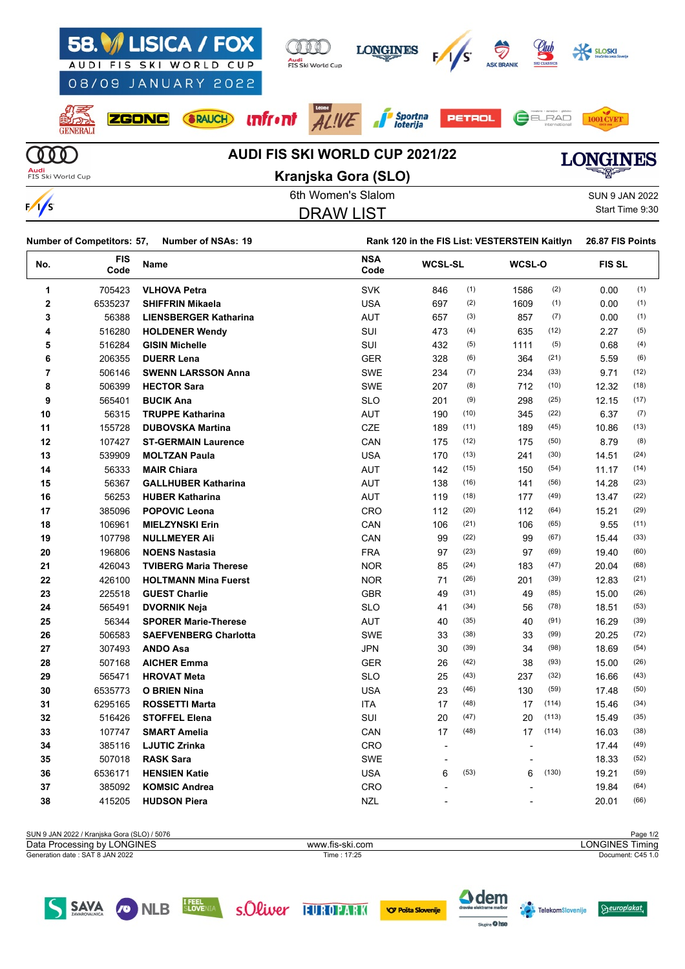|                           |              | 58. ISICA / FOX<br>AUDI FIS SKI WORLD CUP | Audi | FIS Ski World Cup | <b>LONGINES</b>                       |               | S | <u>elub</u><br><b>SKI CLASSIC</b> | <b>SLOSKI</b> |      |
|---------------------------|--------------|-------------------------------------------|------|-------------------|---------------------------------------|---------------|---|-----------------------------------|---------------|------|
|                           |              | 08/09 JANUARY 2022                        |      |                   |                                       |               |   |                                   |               |      |
| <b>GENERALI</b>           | <b>ZGONC</b> | <b>SRAUCH</b>                             |      |                   | <b>unfront</b> $ALIVE$ Sportna        | <b>PETROL</b> |   | ELRAD                             |               |      |
|                           |              |                                           |      |                   | <b>AUDI FIS SKI WORLD CUP 2021/22</b> |               |   |                                   |               | INES |
| Audi<br>FIS Ski World Cup |              |                                           |      |                   | Kranjska Gora (SLO)                   |               |   |                                   | ਵਪੱ∰≡         |      |

| F | ı<br>≤ |
|---|--------|



6th Women's Slalom Sun 9 Sun 9 Sun 9 Sun 9 Sun 9 Sun 9 Sun 9 Sun 9 Sun 9 Sun 9 Sun 9 Sun 9 Sun 9 Sun 9 Sun 9 S DRAW LIST

|  | SUN 9 JAN 2022  |
|--|-----------------|
|  | Start Time 9:30 |

|                | <b>Number of Competitors: 57,</b> | <b>Number of NSAs: 19</b>    |                    | Rank 120 in the FIS List: VESTERSTEIN Kaitlyn |      |        |       |               |      |
|----------------|-----------------------------------|------------------------------|--------------------|-----------------------------------------------|------|--------|-------|---------------|------|
| No.            | FIS<br>Code                       | Name                         | <b>NSA</b><br>Code | <b>WCSL-SL</b>                                |      | WCSL-O |       | <b>FIS SL</b> |      |
| 1              | 705423                            | <b>VLHOVA Petra</b>          | <b>SVK</b>         | 846                                           | (1)  | 1586   | (2)   | 0.00          | (1)  |
| $\mathbf{2}$   | 6535237                           | <b>SHIFFRIN Mikaela</b>      | <b>USA</b>         | 697                                           | (2)  | 1609   | (1)   | 0.00          | (1)  |
| 3              | 56388                             | <b>LIENSBERGER Katharina</b> | <b>AUT</b>         | 657                                           | (3)  | 857    | (7)   | 0.00          | (1)  |
| 4              | 516280                            | <b>HOLDENER Wendy</b>        | SUI                | 473                                           | (4)  | 635    | (12)  | 2.27          | (5)  |
| 5              | 516284                            | <b>GISIN Michelle</b>        | SUI                | 432                                           | (5)  | 1111   | (5)   | 0.68          | (4)  |
| 6              | 206355                            | <b>DUERR Lena</b>            | <b>GER</b>         | 328                                           | (6)  | 364    | (21)  | 5.59          | (6)  |
| $\overline{7}$ | 506146                            | <b>SWENN LARSSON Anna</b>    | <b>SWE</b>         | 234                                           | (7)  | 234    | (33)  | 9.71          | (12) |
| 8              | 506399                            | <b>HECTOR Sara</b>           | <b>SWE</b>         | 207                                           | (8)  | 712    | (10)  | 12.32         | (18) |
| 9              | 565401                            | <b>BUCIK Ana</b>             | <b>SLO</b>         | 201                                           | (9)  | 298    | (25)  | 12.15         | (17) |
| 10             | 56315                             | <b>TRUPPE Katharina</b>      | <b>AUT</b>         | 190                                           | (10) | 345    | (22)  | 6.37          | (7)  |
| 11             | 155728                            | <b>DUBOVSKA Martina</b>      | CZE                | 189                                           | (11) | 189    | (45)  | 10.86         | (13) |
| 12             | 107427                            | <b>ST-GERMAIN Laurence</b>   | CAN                | 175                                           | (12) | 175    | (50)  | 8.79          | (8)  |
| 13             | 539909                            | <b>MOLTZAN Paula</b>         | <b>USA</b>         | 170                                           | (13) | 241    | (30)  | 14.51         | (24) |
| 14             | 56333                             | <b>MAIR Chiara</b>           | AUT                | 142                                           | (15) | 150    | (54)  | 11.17         | (14) |
| 15             | 56367                             | <b>GALLHUBER Katharina</b>   | AUT                | 138                                           | (16) | 141    | (56)  | 14.28         | (23) |
| 16             | 56253                             | <b>HUBER Katharina</b>       | AUT                | 119                                           | (18) | 177    | (49)  | 13.47         | (22) |
| 17             | 385096                            | <b>POPOVIC Leona</b>         | CRO                | 112                                           | (20) | 112    | (64)  | 15.21         | (29) |
| 18             | 106961                            | <b>MIELZYNSKI Erin</b>       | CAN                | 106                                           | (21) | 106    | (65)  | 9.55          | (11) |
| 19             | 107798                            | <b>NULLMEYER Ali</b>         | CAN                | 99                                            | (22) | 99     | (67)  | 15.44         | (33) |
| 20             | 196806                            | <b>NOENS Nastasia</b>        | <b>FRA</b>         | 97                                            | (23) | 97     | (69)  | 19.40         | (60) |
| 21             | 426043                            | <b>TVIBERG Maria Therese</b> | <b>NOR</b>         | 85                                            | (24) | 183    | (47)  | 20.04         | (68) |
| 22             | 426100                            | <b>HOLTMANN Mina Fuerst</b>  | <b>NOR</b>         | 71                                            | (26) | 201    | (39)  | 12.83         | (21) |
| 23             | 225518                            | <b>GUEST Charlie</b>         | <b>GBR</b>         | 49                                            | (31) | 49     | (85)  | 15.00         | (26) |
| 24             | 565491                            | <b>DVORNIK Neja</b>          | <b>SLO</b>         | 41                                            | (34) | 56     | (78)  | 18.51         | (53) |
| 25             | 56344                             | <b>SPORER Marie-Therese</b>  | AUT                | 40                                            | (35) | 40     | (91)  | 16.29         | (39) |
| 26             | 506583                            | <b>SAEFVENBERG Charlotta</b> | <b>SWE</b>         | 33                                            | (38) | 33     | (99)  | 20.25         | (72) |
| 27             | 307493                            | <b>ANDO Asa</b>              | JPN                | 30                                            | (39) | 34     | (98)  | 18.69         | (54) |
| 28             | 507168                            | <b>AICHER Emma</b>           | <b>GER</b>         | 26                                            | (42) | 38     | (93)  | 15.00         | (26) |
| 29             | 565471                            | <b>HROVAT Meta</b>           | <b>SLO</b>         | 25                                            | (43) | 237    | (32)  | 16.66         | (43) |
| 30             | 6535773                           | <b>O BRIEN Nina</b>          | <b>USA</b>         | 23                                            | (46) | 130    | (59)  | 17.48         | (50) |
| 31             | 6295165                           | <b>ROSSETTI Marta</b>        | <b>ITA</b>         | 17                                            | (48) | 17     | (114) | 15.46         | (34) |
| 32             | 516426                            | <b>STOFFEL Elena</b>         | SUI                | 20                                            | (47) | 20     | (113) | 15.49         | (35) |
| 33             | 107747                            | <b>SMART Amelia</b>          | CAN                | 17                                            | (48) | 17     | (114) | 16.03         | (38) |
| 34             | 385116                            | <b>LJUTIC Zrinka</b>         | CRO                | ÷,                                            |      |        |       | 17.44         | (49) |
| 35             | 507018                            | <b>RASK Sara</b>             | <b>SWE</b>         | $\blacksquare$                                |      |        |       | 18.33         | (52) |
| 36             | 6536171                           | <b>HENSIEN Katie</b>         | <b>USA</b>         | 6                                             | (53) | 6      | (130) | 19.21         | (59) |
| 37             | 385092                            | <b>KOMSIC Andrea</b>         | CRO                | $\blacksquare$                                |      |        |       | 19.84         | (64) |
| 38             | 415205                            | <b>HUDSON Piera</b>          | NZL                |                                               |      |        |       | 20.01         | (66) |
|                |                                   |                              |                    |                                               |      |        |       |               |      |

| SUN 9 JAN 2022 / Kraniska Gora (SLO) / 5076 |                 | Page 1/2          |
|---------------------------------------------|-----------------|-------------------|
| Data Processing by LONGINES                 | www.fis-ski.com | _ONGINES Timina   |
| Generation date: SAT 8 JAN 2022             | Time : 17:25    | Document: C45 1.0 |
|                                             |                 |                   |







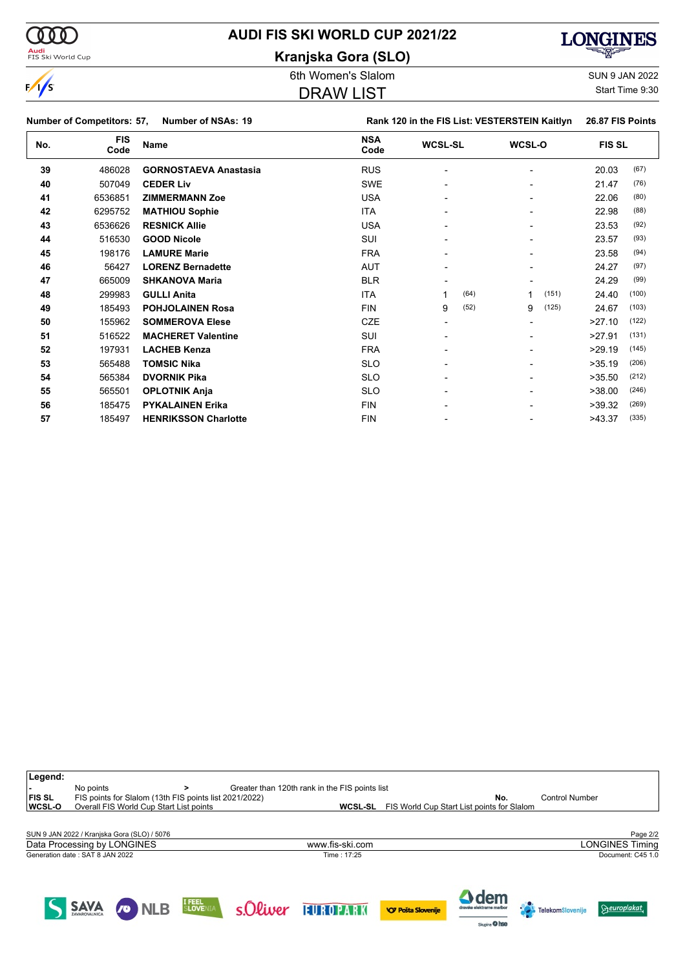

### **AUDI FIS SKI WORLD CUP 2021/22**

**Kranjska Gora (SLO)**



6th Women's Slalom Sun 9 JAN 2022

### DRAW LIST

 $\Theta$ europlakat

**Cole Telekom**Slovenije

Sixpine O hee

Start Time 9:30

|     | <b>Number of Competitors: 57,</b> | <b>Number of NSAs: 19</b>    |                    |                | Rank 120 in the FIS List: VESTERSTEIN Kaitlyn | 26.87 FIS Points |  |
|-----|-----------------------------------|------------------------------|--------------------|----------------|-----------------------------------------------|------------------|--|
| No. | <b>FIS</b><br>Code                | Name                         | <b>NSA</b><br>Code | <b>WCSL-SL</b> | WCSL-O                                        | <b>FIS SL</b>    |  |
| 39  | 486028                            | <b>GORNOSTAEVA Anastasia</b> | <b>RUS</b>         |                |                                               | (67)<br>20.03    |  |
| 40  | 507049                            | <b>CEDER Liv</b>             | <b>SWE</b>         |                |                                               | (76)<br>21.47    |  |
| 41  | 6536851                           | <b>ZIMMERMANN Zoe</b>        | <b>USA</b>         |                |                                               | (80)<br>22.06    |  |
| 42  | 6295752                           | <b>MATHIOU Sophie</b>        | <b>ITA</b>         |                |                                               | (88)<br>22.98    |  |
| 43  | 6536626                           | <b>RESNICK Allie</b>         | <b>USA</b>         |                |                                               | (92)<br>23.53    |  |
| 44  | 516530                            | <b>GOOD Nicole</b>           | SUI                |                |                                               | (93)<br>23.57    |  |
| 45  | 198176                            | <b>LAMURE Marie</b>          | <b>FRA</b>         |                |                                               | (94)<br>23.58    |  |
| 46  | 56427                             | <b>LORENZ Bernadette</b>     | <b>AUT</b>         |                |                                               | (97)<br>24.27    |  |
| 47  | 665009                            | <b>SHKANOVA Maria</b>        | <b>BLR</b>         |                |                                               | (99)<br>24.29    |  |
| 48  | 299983                            | <b>GULLI Anita</b>           | <b>ITA</b>         | (64)           | (151)                                         | (100)<br>24.40   |  |
| 49  | 185493                            | <b>POHJOLAINEN Rosa</b>      | <b>FIN</b>         | (52)<br>9      | (125)<br>9                                    | (103)<br>24.67   |  |
| 50  | 155962                            | <b>SOMMEROVA Elese</b>       | <b>CZE</b>         |                |                                               | (122)<br>>27.10  |  |
| 51  | 516522                            | <b>MACHERET Valentine</b>    | SUI                |                |                                               | (131)<br>>27.91  |  |
| 52  | 197931                            | <b>LACHEB Kenza</b>          | <b>FRA</b>         |                |                                               | (145)<br>>29.19  |  |
| 53  | 565488                            | <b>TOMSIC Nika</b>           | <b>SLO</b>         |                |                                               | (206)<br>>35.19  |  |
| 54  | 565384                            | <b>DVORNIK Pika</b>          | <b>SLO</b>         |                |                                               | (212)<br>>35.50  |  |
| 55  | 565501                            | <b>OPLOTNIK Anja</b>         | <b>SLO</b>         |                |                                               | (246)<br>>38.00  |  |
| 56  | 185475                            | <b>PYKALAINEN Erika</b>      | <b>FIN</b>         |                |                                               | (269)<br>>39.32  |  |
| 57  | 185497                            | <b>HENRIKSSON Charlotte</b>  | <b>FIN</b>         |                |                                               | (335)<br>>43.37  |  |

| Legend:       |                                                                     |                   |                                                |                                            |                        |
|---------------|---------------------------------------------------------------------|-------------------|------------------------------------------------|--------------------------------------------|------------------------|
| <b>FIS SL</b> | No points<br>FIS points for Slalom (13th FIS points list 2021/2022) |                   | Greater than 120th rank in the FIS points list | No.                                        | <b>Control Number</b>  |
| WCSL-O        | Overall FIS World Cup Start List points                             |                   | WCSL-SL                                        | FIS World Cup Start List points for Slalom |                        |
|               |                                                                     |                   |                                                |                                            |                        |
|               | SUN 9 JAN 2022 / Kranjska Gora (SLO) / 5076                         |                   |                                                |                                            | Page 2/2               |
|               | Data Processing by LONGINES                                         |                   | www.fis-ski.com                                |                                            | <b>LONGINES Timing</b> |
|               | Generation date: SAT 8 JAN 2022                                     |                   | Time: 17:25                                    |                                            | Document: C45 1.0      |
|               |                                                                     |                   |                                                |                                            |                        |
|               |                                                                     |                   |                                                |                                            |                        |
|               |                                                                     | <b>Commercial</b> |                                                | <b>Mem</b>                                 |                        |

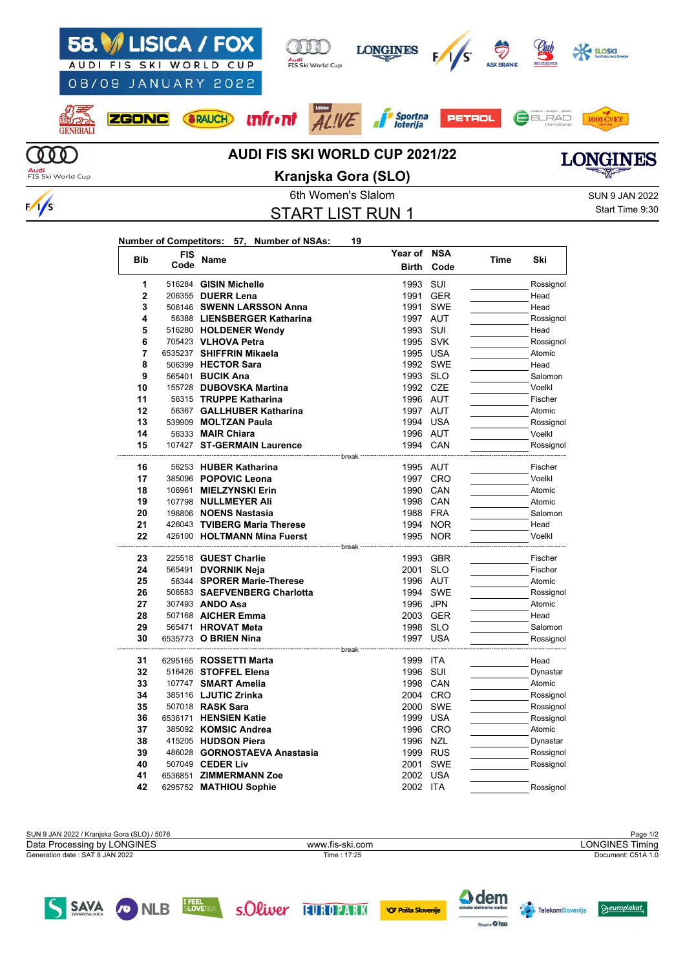

SAVA

**CONLB** 

### 6th Women's Slalom Sun 9 JAN 2022 START LIST RUN 1

Start Time 9:30

#### **Number of Competitors: 57, Number of NSAs: 19**

| <b>Bib</b>     | <b>FIS</b> | Name                                          | Year of          | <b>NSA</b> | Time | Ski       |
|----------------|------------|-----------------------------------------------|------------------|------------|------|-----------|
|                | Code       |                                               | <b>Birth</b>     | Code       |      |           |
| 1              |            | 516284 GISIN Michelle                         | 1993             | SUI        |      | Rossignol |
| $\overline{2}$ |            | 206355 DUERR Lena                             | 1991             | <b>GER</b> |      | Head      |
| 3              |            | 506146 SWENN LARSSON Anna                     | 1991             | <b>SWE</b> |      | Head      |
| 4              |            | 56388 LIENSBERGER Katharina                   | 1997 AUT         |            |      | Rossignol |
| 5              |            | 516280 HOLDENER Wendy                         | 1993             | SUI        |      | Head      |
| 6              |            | 705423 VLHOVA Petra                           | 1995 SVK         |            |      | Rossignol |
| 7              |            | 6535237 SHIFFRIN Mikaela                      | 1995 USA         |            |      | Atomic    |
| 8              |            | 506399 HECTOR Sara                            |                  | 1992 SWE   |      | Head      |
| 9              |            | 565401 <b>BUCIK Ana</b>                       | 1993 SLO         |            |      | Salomon   |
| 10             |            | 155728 DUBOVSKA Martina                       | 1992 CZE         |            |      | Voelkl    |
| 11             |            | 56315 TRUPPE Katharina                        | 1996 AUT         |            |      | Fischer   |
| 12             |            | 56367 GALLHUBER Katharina                     | 1997 AUT         |            |      | Atomic    |
| 13             |            | 539909 MOLTZAN Paula                          | 1994 USA         |            |      | Rossignol |
| 14             |            | 56333 <b>MAIR Chiara</b>                      | 1996 AUT         |            |      | Voelkl    |
| 15             |            | 107427 ST-GERMAIN Laurence                    | 1994 CAN         |            |      | Rossignol |
| 16             |            | -------------- break<br>56253 HUBER Katharina | 1995 AUT         |            |      | Fischer   |
| 17             |            | 385096 POPOVIC Leona                          |                  | 1997 CRO   |      | Voelkl    |
| 18             |            | 106961 MIELZYNSKI Erin                        | 1990 CAN         |            |      | Atomic    |
| 19             |            | 107798 NULLMEYER Ali                          | 1998 CAN         |            |      | Atomic    |
| 20             |            | 196806 NOENS Nastasia                         | 1988 FRA         |            |      | Salomon   |
| 21             |            | 426043 TVIBERG Maria Therese                  |                  | 1994 NOR   |      | Head      |
| 22             |            | 426100 HOLTMANN Mina Fuerst                   | 1995 NOR         |            |      | Voelkl    |
|                |            |                                               |                  |            |      |           |
| 23             |            | 225518 GUEST Charlie                          | 1993 GBR         |            |      | Fischer   |
| 24             |            | 565491 DVORNIK Neja                           | 2001             | <b>SLO</b> |      | Fischer   |
| 25             |            | 56344 SPORER Marie-Therese                    | 1996 AUT         |            |      | Atomic    |
| 26             |            | 506583 SAEFVENBERG Charlotta                  |                  | 1994 SWE   |      | Rossignol |
| 27             |            | 307493 ANDO Asa                               | 1996             | JPN        |      | Atomic    |
| 28             |            | 507168 AICHER Emma                            | 2003 GER         |            |      | Head      |
| 29             |            | 565471 HROVAT Meta                            | 1998 SLO         |            |      | Salomon   |
| 30             |            | 6535773 O BRIEN Nina                          | 1997 USA         |            |      | Rossignol |
|                |            |                                               | ------- break    |            |      |           |
| 31             |            | 6295165 ROSSETTI Marta                        | 1999 ITA         |            |      | Head      |
| 32             |            | 516426 STOFFEL Elena                          | 1996             | SUI        |      | Dynastar  |
| 33<br>34       |            | 107747 SMART Amelia                           | 1998 CAN         |            |      | Atomic    |
|                |            | 385116 LJUTIC Zrinka                          | 2004 CRO         |            |      | Rossignol |
| 35<br>36       |            | 507018 RASK Sara                              | 2000<br>1999 USA | SWE        |      | Rossignol |
|                |            | 6536171 HENSIEN Katie                         |                  |            |      | Rossignol |
| 37             |            | 385092 KOMSIC Andrea                          |                  | 1996 CRO   |      | Atomic    |
| 38             |            | 415205 HUDSON Piera                           | 1996             | <b>NZL</b> |      | Dynastar  |
| 39             |            | 486028 GORNOSTAEVA Anastasia                  | 1999 RUS         |            |      | Rossignol |
| 40             |            | 507049 CEDER Liv                              | 2001             | <b>SWE</b> |      | Rossignol |
| 41             |            | 6536851 ZIMMERMANN Zoe                        | 2002 USA         |            |      |           |
| 42             |            | 6295752 MATHIOU Sophie                        | 2002 ITA         |            |      | Rossignol |

SUN 9 JAN 2022 / Kranjska Gora (SLO) / 5076 Page 1/2<br>Data Processing by LONGINES **Page 1/2**<br>Data Processing by LONGINES Timing Generation date : SAT 8 JAN 2022 Time : 17:25 Document: C51A 1.0 Data Processing by LONGINES www.fis-ski.com





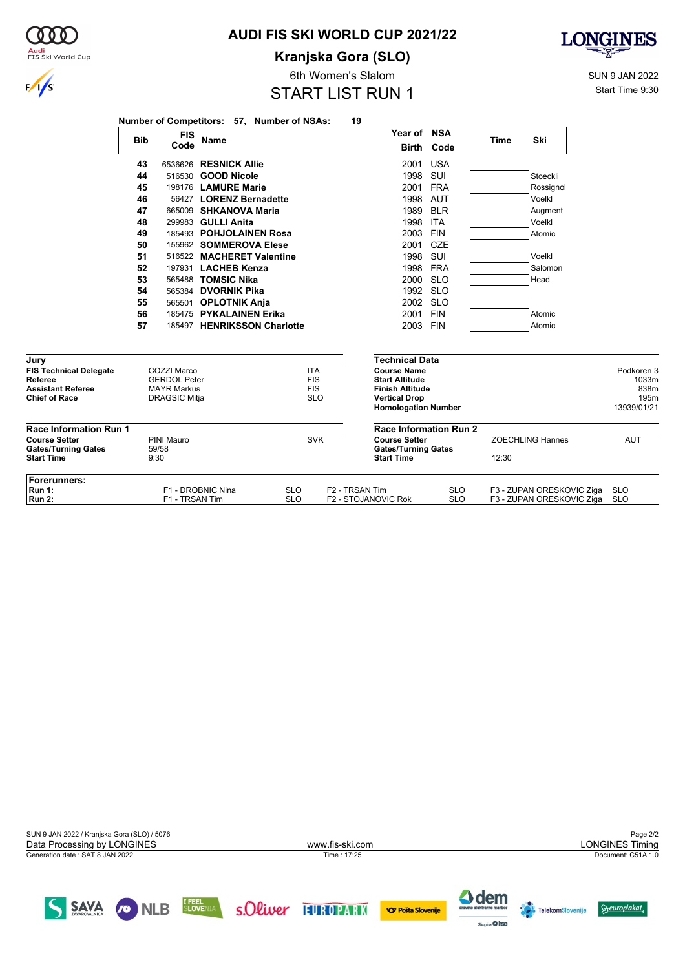

**Kranjska Gora (SLO)**



Start Time 9:30

**LONGINES** 

দ্ম

|                                                 |            |                                           | Number of Competitors: 57, Number of NSAs: |                          |                          | 19                         |                                                 |                          |       |                                                        |                   |
|-------------------------------------------------|------------|-------------------------------------------|--------------------------------------------|--------------------------|--------------------------|----------------------------|-------------------------------------------------|--------------------------|-------|--------------------------------------------------------|-------------------|
|                                                 |            | <b>FIS</b>                                |                                            |                          |                          |                            | Year of NSA                                     |                          |       |                                                        |                   |
|                                                 | <b>Bib</b> | Code                                      | <b>Name</b>                                |                          |                          |                            | <b>Birth</b>                                    | Code                     | Time  | Ski                                                    |                   |
|                                                 | 43         |                                           | 6536626 RESNICK Allie                      |                          |                          |                            | 2001                                            | <b>USA</b>               |       |                                                        |                   |
|                                                 | 44         | 516530                                    | <b>GOOD Nicole</b>                         |                          |                          |                            | 1998                                            | SUI                      |       | Stoeckli                                               |                   |
|                                                 | 45         |                                           | 198176 LAMURE Marie                        |                          |                          |                            | 2001                                            | <b>FRA</b>               |       | Rossignol                                              |                   |
|                                                 | 46         |                                           | 56427 LORENZ Bernadette                    |                          |                          |                            | 1998                                            | AUT                      |       | Voelkl                                                 |                   |
|                                                 | 47         | 665009                                    | <b>SHKANOVA Maria</b>                      |                          |                          |                            | 1989                                            | <b>BLR</b>               |       | Augment                                                |                   |
|                                                 | 48         | 299983                                    | <b>GULLI Anita</b>                         |                          |                          |                            | 1998                                            | <b>ITA</b>               |       | Voelkl                                                 |                   |
|                                                 | 49         |                                           | 185493 POHJOLAINEN Rosa                    |                          |                          |                            | 2003                                            | <b>FIN</b>               |       | Atomic                                                 |                   |
|                                                 | 50         |                                           | 155962 SOMMEROVA Elese                     |                          |                          |                            | 2001                                            | <b>CZE</b>               |       |                                                        |                   |
|                                                 | 51         |                                           | 516522 MACHERET Valentine                  |                          |                          |                            | 1998                                            | SUI                      |       | Voelkl                                                 |                   |
|                                                 | 52         |                                           | 197931 LACHEB Kenza                        |                          |                          |                            | 1998                                            | <b>FRA</b>               |       | Salomon                                                |                   |
|                                                 | 53         |                                           | 565488 TOMSIC Nika                         |                          |                          |                            | 2000                                            | <b>SLO</b>               |       | Head                                                   |                   |
|                                                 | 54         |                                           | 565384 DVORNIK Pika                        |                          |                          |                            | 1992                                            | <b>SLO</b>               |       |                                                        |                   |
|                                                 | 55         |                                           | 565501 OPLOTNIK Anja                       |                          |                          |                            | 2002 SLO                                        |                          |       |                                                        |                   |
|                                                 | 56         |                                           | 185475 PYKALAINEN Erika                    |                          |                          |                            | 2001                                            | <b>FIN</b>               |       | Atomic                                                 |                   |
|                                                 | 57         | 185497                                    | <b>HENRIKSSON Charlotte</b>                |                          |                          |                            | 2003 FIN                                        |                          |       | Atomic                                                 |                   |
|                                                 |            |                                           |                                            |                          |                          |                            |                                                 |                          |       |                                                        |                   |
| Jury                                            |            |                                           |                                            |                          |                          |                            | <b>Technical Data</b>                           |                          |       |                                                        |                   |
| <b>FIS Technical Delegate</b>                   |            | COZZI Marco                               |                                            |                          | <b>ITA</b>               |                            | <b>Course Name</b>                              |                          |       |                                                        | Podkoren 3        |
| Referee<br><b>Assistant Referee</b>             |            | <b>GERDOL Peter</b><br><b>MAYR Markus</b> |                                            |                          | <b>FIS</b><br><b>FIS</b> |                            | <b>Start Altitude</b><br><b>Finish Altitude</b> |                          |       |                                                        | 1033m<br>838m     |
| <b>Chief of Race</b>                            |            | <b>DRAGSIC Mitja</b>                      |                                            |                          | <b>SLO</b>               |                            | <b>Vertical Drop</b>                            |                          |       |                                                        | 195m              |
|                                                 |            |                                           |                                            |                          |                          |                            | <b>Homologation Number</b>                      |                          |       |                                                        | 13939/01/21       |
| <b>Race Information Run 1</b>                   |            |                                           |                                            |                          |                          |                            | <b>Race Information Run 2</b>                   |                          |       |                                                        |                   |
| <b>Course Setter</b>                            |            | PINI Mauro                                |                                            |                          | <b>SVK</b>               |                            | <b>Course Setter</b>                            |                          |       | <b>ZOECHLING Hannes</b>                                | <b>AUT</b>        |
| <b>Gates/Turning Gates</b><br><b>Start Time</b> |            | 59/58<br>9:30                             |                                            |                          |                          |                            | <b>Gates/Turning Gates</b><br><b>Start Time</b> |                          | 12:30 |                                                        |                   |
| Forerunners:                                    |            |                                           |                                            |                          |                          |                            |                                                 |                          |       |                                                        |                   |
| <b>Run 1:</b><br><b>Run 2:</b>                  |            | F1 - TRSAN Tim                            | F1 - DROBNIC Nina                          | <b>SLO</b><br><b>SLO</b> |                          | F <sub>2</sub> - TRSAN Tim | F2 - STOJANOVIC Rok                             | <b>SLO</b><br><b>SLO</b> |       | F3 - ZUPAN ORESKOVIC Ziga<br>F3 - ZUPAN ORESKOVIC Ziga | <b>SLO</b><br>SLO |

000

 $\frac{1}{s}$ 

**Audi**<br>FIS Ski World Cup



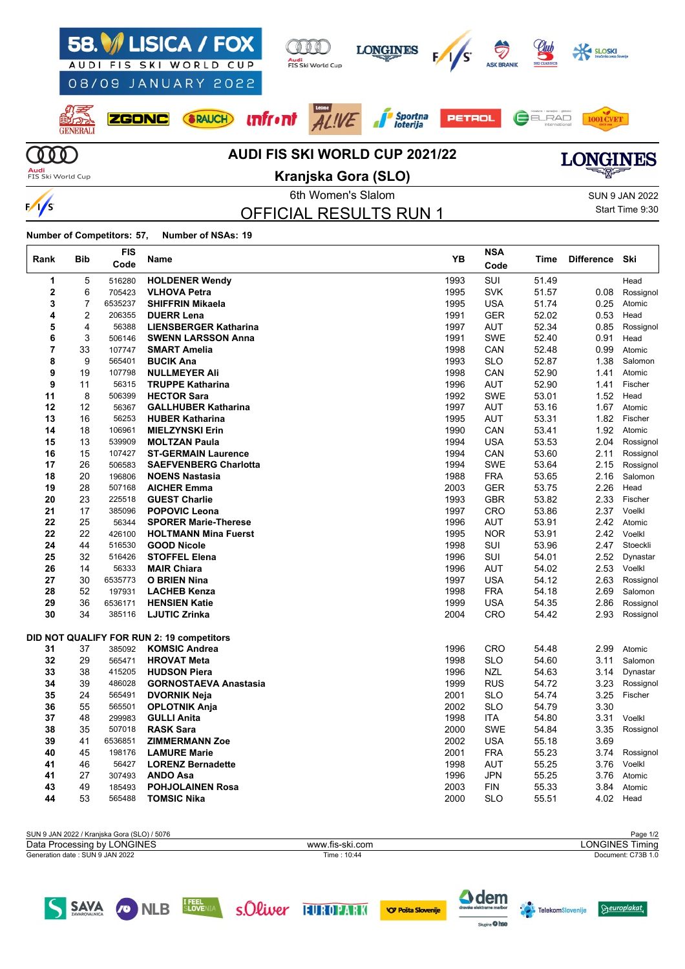

OFFICIAL RESULTS RUN 1

Start Time 9:30

**Number of Competitors: 57, Number of NSAs: 19**

 $\frac{1}{s}$ 

| Rank        | Bib | FIS<br>Code | Name                                      | YB   | <b>NSA</b><br>Code | Time  | <b>Difference</b> | Ski       |
|-------------|-----|-------------|-------------------------------------------|------|--------------------|-------|-------------------|-----------|
| 1           | 5   | 516280      | <b>HOLDENER Wendy</b>                     | 1993 | SUI                | 51.49 |                   | Head      |
| $\mathbf 2$ | 6   | 705423      | <b>VLHOVA Petra</b>                       | 1995 | <b>SVK</b>         | 51.57 | 0.08              | Rossignol |
| 3           | 7   | 6535237     | <b>SHIFFRIN Mikaela</b>                   | 1995 | <b>USA</b>         | 51.74 | 0.25              | Atomic    |
| 4           | 2   | 206355      | <b>DUERR Lena</b>                         | 1991 | <b>GER</b>         | 52.02 | 0.53              | Head      |
| 5           | 4   | 56388       | <b>LIENSBERGER Katharina</b>              | 1997 | <b>AUT</b>         | 52.34 | 0.85              | Rossignol |
| 6           | 3   | 506146      | <b>SWENN LARSSON Anna</b>                 | 1991 | <b>SWE</b>         | 52.40 | 0.91              | Head      |
| 7           | 33  | 107747      | <b>SMART Amelia</b>                       | 1998 | CAN                | 52.48 | 0.99              | Atomic    |
| 8           | 9   | 565401      | <b>BUCIK Ana</b>                          | 1993 | <b>SLO</b>         | 52.87 | 1.38              | Salomon   |
| 9           | 19  | 107798      | <b>NULLMEYER Ali</b>                      | 1998 | CAN                | 52.90 | 1.41              | Atomic    |
| 9           | 11  | 56315       | <b>TRUPPE Katharina</b>                   | 1996 | <b>AUT</b>         | 52.90 | 1.41              | Fischer   |
| 11          | 8   | 506399      | <b>HECTOR Sara</b>                        | 1992 | <b>SWE</b>         | 53.01 | 1.52              | Head      |
| 12          | 12  | 56367       | <b>GALLHUBER Katharina</b>                | 1997 | AUT                | 53.16 | 1.67              | Atomic    |
| 13          | 16  | 56253       | <b>HUBER Katharina</b>                    | 1995 | <b>AUT</b>         | 53.31 | 1.82              | Fischer   |
| 14          | 18  | 106961      | <b>MIELZYNSKI Erin</b>                    | 1990 | CAN                | 53.41 | 1.92              | Atomic    |
| 15          | 13  | 539909      | <b>MOLTZAN Paula</b>                      | 1994 | <b>USA</b>         | 53.53 | 2.04              | Rossignol |
| 16          | 15  | 107427      | <b>ST-GERMAIN Laurence</b>                | 1994 | CAN                | 53.60 | 2.11              | Rossignol |
| 17          | 26  | 506583      | <b>SAEFVENBERG Charlotta</b>              | 1994 | <b>SWE</b>         | 53.64 | 2.15              | Rossignol |
| 18          | 20  | 196806      | <b>NOENS Nastasia</b>                     | 1988 | <b>FRA</b>         | 53.65 | 2.16              | Salomon   |
| 19          | 28  | 507168      | <b>AICHER Emma</b>                        | 2003 | <b>GER</b>         | 53.75 | 2.26              | Head      |
| 20          | 23  | 225518      | <b>GUEST Charlie</b>                      | 1993 | <b>GBR</b>         | 53.82 | 2.33              | Fischer   |
| 21          | 17  | 385096      | <b>POPOVIC Leona</b>                      | 1997 | CRO                | 53.86 | 2.37              | Voelkl    |
| 22          | 25  | 56344       | <b>SPORER Marie-Therese</b>               | 1996 | AUT                | 53.91 | 2.42              | Atomic    |
| 22          | 22  | 426100      | <b>HOLTMANN Mina Fuerst</b>               | 1995 | <b>NOR</b>         | 53.91 | 2.42              | Voelkl    |
| 24          | 44  | 516530      | <b>GOOD Nicole</b>                        | 1998 | SUI                | 53.96 | 2.47              | Stoeckli  |
| 25          | 32  | 516426      | <b>STOFFEL Elena</b>                      | 1996 | SUI                | 54.01 | 2.52              | Dynastar  |
| 26          | 14  | 56333       | <b>MAIR Chiara</b>                        | 1996 | <b>AUT</b>         | 54.02 | 2.53              | Voelkl    |
| 27          | 30  | 6535773     | <b>O BRIEN Nina</b>                       | 1997 | <b>USA</b>         | 54.12 | 2.63              | Rossignol |
| 28          | 52  | 197931      | <b>LACHEB Kenza</b>                       | 1998 | <b>FRA</b>         | 54.18 | 2.69              | Salomon   |
| 29          | 36  | 6536171     | <b>HENSIEN Katie</b>                      | 1999 | <b>USA</b>         | 54.35 | 2.86              | Rossignol |
| 30          | 34  | 385116      | <b>LJUTIC Zrinka</b>                      | 2004 | CRO                | 54.42 | 2.93              | Rossignol |
|             |     |             | DID NOT QUALIFY FOR RUN 2: 19 competitors |      |                    |       |                   |           |
| 31          | 37  | 385092      | <b>KOMSIC Andrea</b>                      | 1996 | <b>CRO</b>         | 54.48 | 2.99              | Atomic    |
| 32          | 29  | 565471      | <b>HROVAT Meta</b>                        | 1998 | <b>SLO</b>         | 54.60 | 3.11              | Salomon   |
| 33          | 38  | 415205      | <b>HUDSON Piera</b>                       | 1996 | <b>NZL</b>         | 54.63 | 3.14              | Dynastar  |
| 34          | 39  | 486028      | <b>GORNOSTAEVA Anastasia</b>              | 1999 | <b>RUS</b>         | 54.72 | 3.23              | Rossignol |
| 35          | 24  | 565491      | <b>DVORNIK Neja</b>                       | 2001 | <b>SLO</b>         | 54.74 | 3.25              | Fischer   |
| 36          | 55  | 565501      | <b>OPLOTNIK Anja</b>                      | 2002 | <b>SLO</b>         | 54.79 | 3.30              |           |
| 37          | 48  | 299983      | <b>GULLI Anita</b>                        | 1998 | <b>ITA</b>         | 54.80 | 3.31              | Voelkl    |
| 38          | 35  | 507018      | <b>RASK Sara</b>                          | 2000 | <b>SWE</b>         | 54.84 | 3.35              | Rossignol |
| 39          | 41  | 6536851     | <b>ZIMMERMANN Zoe</b>                     | 2002 | <b>USA</b>         | 55.18 | 3.69              |           |
| 40          | 45  | 198176      | <b>LAMURE Marie</b>                       | 2001 | <b>FRA</b>         | 55.23 | 3.74              | Rossignol |
| 41          | 46  | 56427       | <b>LORENZ Bernadette</b>                  | 1998 | AUT                | 55.25 | 3.76              | Voelkl    |
| 41          | 27  | 307493      | <b>ANDO Asa</b>                           | 1996 | JPN                | 55.25 | 3.76              | Atomic    |
| 43          | 49  | 185493      | <b>POHJOLAINEN Rosa</b>                   | 2003 | <b>FIN</b>         | 55.33 | 3.84              | Atomic    |
| 44          | 53  | 565488      | <b>TOMSIC Nika</b>                        | 2000 | SLO                | 55.51 | 4.02              | Head      |

| SUN 9 JAN 2022 / Kranjska Gora (SLO) / 5076 |                 | Page 1/2           |
|---------------------------------------------|-----------------|--------------------|
| Data Processing by LONGINES                 | www.fis-ski.com | _ONGINES Timina    |
| Generation date : SUN 9 JAN 2022            | Time: 10:44     | Document: C73B 1.0 |
|                                             |                 |                    |

SAVA ONLB **ELECTED** SOLWEY FURDPARK **OPPORTS OF DESCRIPTION** 

**A** dem

 $\overline{\mathbf{a}}$  on  $\overline{\mathbf{a}}$ 

**Seuroplakat** 

**Telekom**Slovenije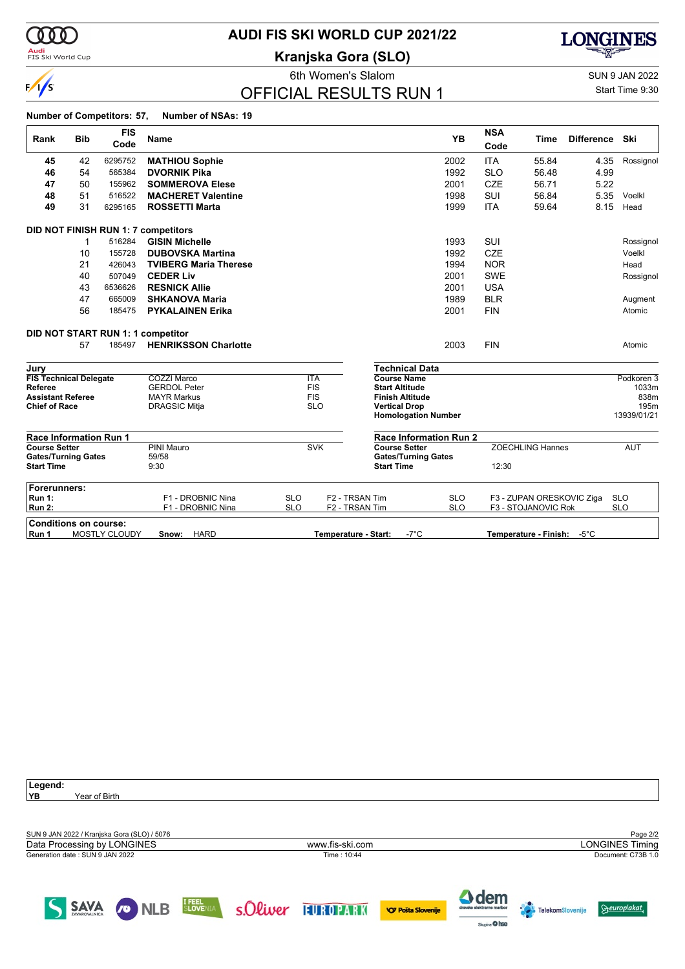

# **AUDI FIS SKI WORLD CUP 2021/22**

**Kranjska Gora (SLO)**



Figure 1.5 State of the Women's State of Sun 9 JAN 2022

### OFFICIAL RESULTS RUN 1

Start Time 9:30

#### **Number of Competitors: 57, Number of NSAs: 19**

| Rank                                             | <b>Bib</b> | <b>FIS</b>           | <b>Name</b>                                |            |                            |                                                | <b>YB</b>                     | <b>NSA</b> | <b>Difference</b><br><b>Time</b>        |            | Ski          |
|--------------------------------------------------|------------|----------------------|--------------------------------------------|------------|----------------------------|------------------------------------------------|-------------------------------|------------|-----------------------------------------|------------|--------------|
|                                                  |            | Code                 |                                            |            |                            |                                                |                               | Code       |                                         |            |              |
| 45                                               | 42         | 6295752              | <b>MATHIOU Sophie</b>                      |            |                            |                                                | 2002                          | <b>ITA</b> | 55.84                                   | 4.35       | Rossignol    |
| 46                                               | 54         | 565384               | <b>DVORNIK Pika</b>                        |            |                            |                                                | 1992                          | <b>SLO</b> | 56.48                                   | 4.99       |              |
| 47                                               | 50         | 155962               | <b>SOMMEROVA Elese</b>                     |            |                            |                                                | 2001                          | <b>CZE</b> | 56.71                                   | 5.22       |              |
| 48                                               | 51         | 516522               | <b>MACHERET Valentine</b>                  |            |                            |                                                | 1998                          | <b>SUI</b> | 56.84                                   | 5.35       | Voelkl       |
| 49                                               | 31         | 6295165              | <b>ROSSETTI Marta</b>                      |            |                            |                                                | 1999                          | <b>ITA</b> | 59.64                                   | 8.15       | Head         |
|                                                  |            |                      | <b>DID NOT FINISH RUN 1: 7 competitors</b> |            |                            |                                                |                               |            |                                         |            |              |
|                                                  | 1          | 516284               | <b>GISIN Michelle</b>                      |            |                            |                                                | 1993                          | SUI        |                                         |            | Rossignol    |
|                                                  | 10         | 155728               | <b>DUBOVSKA Martina</b>                    |            |                            |                                                | 1992                          | <b>CZE</b> |                                         |            | Voelkl       |
|                                                  | 21         | 426043               | <b>TVIBERG Maria Therese</b>               |            |                            |                                                | 1994                          | <b>NOR</b> |                                         |            | Head         |
|                                                  | 40         | 507049               | <b>CEDER Liv</b>                           |            |                            |                                                | 2001                          | <b>SWE</b> |                                         |            | Rossignol    |
|                                                  | 43         | 6536626              | <b>RESNICK Allie</b>                       |            |                            |                                                | 2001                          | <b>USA</b> |                                         |            |              |
|                                                  | 47         | 665009               | <b>SHKANOVA Maria</b>                      |            |                            |                                                | 1989                          | <b>BLR</b> |                                         |            | Augment      |
|                                                  | 56         | 185475               | <b>PYKALAINEN Erika</b>                    |            |                            |                                                | 2001                          | <b>FIN</b> |                                         |            | Atomic       |
|                                                  |            |                      | DID NOT START RUN 1: 1 competitor          |            |                            |                                                |                               |            |                                         |            |              |
|                                                  | 57         | 185497               | <b>HENRIKSSON Charlotte</b>                |            |                            |                                                | 2003                          | <b>FIN</b> |                                         |            | Atomic       |
| Jury                                             |            |                      |                                            |            |                            | <b>Technical Data</b>                          |                               |            |                                         |            |              |
| <b>FIS Technical Delegate</b>                    |            |                      | <b>COZZI Marco</b>                         | <b>ITA</b> |                            | <b>Course Name</b>                             |                               |            |                                         |            | Podkoren 3   |
| Referee                                          |            |                      | <b>GERDOL Peter</b>                        | <b>FIS</b> |                            | <b>Start Altitude</b>                          |                               |            |                                         |            | 1033m        |
| <b>Assistant Referee</b><br><b>Chief of Race</b> |            |                      | <b>MAYR Markus</b><br><b>DRAGSIC Mitja</b> | <b>FIS</b> | <b>SLO</b>                 | <b>Finish Altitude</b><br><b>Vertical Drop</b> |                               |            |                                         |            | 838m<br>195m |
|                                                  |            |                      |                                            |            |                            |                                                | <b>Homologation Number</b>    |            |                                         |            | 13939/01/21  |
| <b>Race Information Run 1</b>                    |            |                      |                                            |            |                            |                                                | <b>Race Information Run 2</b> |            |                                         |            |              |
| <b>Course Setter</b>                             |            |                      | <b>PINI Mauro</b>                          |            | <b>SVK</b>                 | <b>Course Setter</b>                           |                               |            | <b>ZOECHLING Hannes</b>                 |            | <b>AUT</b>   |
| <b>Gates/Turning Gates</b><br><b>Start Time</b>  |            |                      | 59/58<br>9:30                              |            |                            | <b>Start Time</b>                              | <b>Gates/Turning Gates</b>    | 12:30      |                                         |            |              |
| Forerunners:                                     |            |                      |                                            |            |                            |                                                |                               |            |                                         |            |              |
| <b>Run 1:</b>                                    |            |                      | F1 - DROBNIC Nina                          | <b>SLO</b> | F <sub>2</sub> - TRSAN Tim |                                                | <b>SLO</b>                    |            | F3 - ZUPAN ORESKOVIC Ziga               |            | <b>SLO</b>   |
| <b>Run 2:</b>                                    |            |                      | F1 - DROBNIC Nina                          | <b>SLO</b> | F2 - TRSAN Tim             |                                                | <b>SLO</b>                    |            | F3 - STOJANOVIC Rok                     | <b>SLO</b> |              |
| <b>Conditions on course:</b>                     |            |                      |                                            |            |                            |                                                |                               |            |                                         |            |              |
| Run 1                                            |            | <b>MOSTLY CLOUDY</b> | <b>HARD</b><br>Snow:                       |            | Temperature - Start:       |                                                | $-7^{\circ}$ C                |            | $-5^{\circ}$ C<br>Temperature - Finish: |            |              |

| Legend:                                     |                                                 |          |                 |                           |                            |                  |                    |
|---------------------------------------------|-------------------------------------------------|----------|-----------------|---------------------------|----------------------------|------------------|--------------------|
| YB<br>Year of Birth                         |                                                 |          |                 |                           |                            |                  |                    |
|                                             |                                                 |          |                 |                           |                            |                  |                    |
|                                             |                                                 |          |                 |                           |                            |                  |                    |
|                                             |                                                 |          |                 |                           |                            |                  |                    |
| SUN 9 JAN 2022 / Kranjska Gora (SLO) / 5076 |                                                 |          |                 |                           |                            |                  | Page 2/2           |
| Data Processing by LONGINES                 |                                                 |          | www.fis-ski.com |                           |                            |                  | LONGINES Timing    |
| Generation date: SUN 9 JAN 2022             |                                                 |          | Time: 10:44     |                           |                            |                  | Document: C73B 1.0 |
|                                             |                                                 |          |                 |                           |                            |                  |                    |
|                                             |                                                 |          |                 |                           |                            |                  |                    |
|                                             |                                                 |          |                 |                           |                            |                  |                    |
|                                             |                                                 |          |                 |                           | <b>A</b> dem               |                  |                    |
| <b>SAVA</b><br>$\sqrt{2}$                   | <b>I FEEL</b><br>S <b>LOVEN!/</b><br><b>NLB</b> | s.Oliver | EUROPARK        |                           | dravske elektrarne maribor |                  | <b>Seuroplakat</b> |
|                                             |                                                 |          |                 | <b>VO Pošta Slovenije</b> |                            | TelekomSlovenije |                    |

Skipine O hee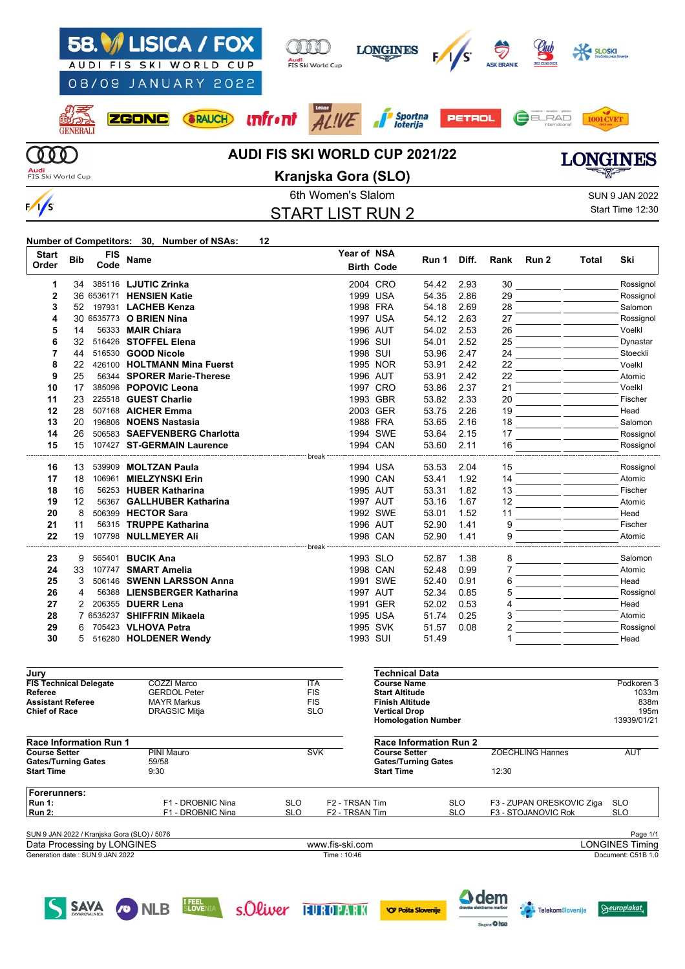

**Number of Competitors: 30, Number of NSAs: 12**

| <b>Start</b> | <b>Bib</b> | <b>FIS</b> |                                     | Year of NSA |                   |       |       |      |       |       |           |
|--------------|------------|------------|-------------------------------------|-------------|-------------------|-------|-------|------|-------|-------|-----------|
| Order        |            | Code       | Name                                |             | <b>Birth Code</b> | Run 1 | Diff. | Rank | Run 2 | Total | Ski       |
| 1            | 34         |            | 385116 LJUTIC Zrinka                |             | 2004 CRO          | 54.42 | 2.93  | 30   |       |       | Rossignol |
| $\mathbf 2$  |            |            | 36 6536171 HENSIEN Katie            |             | 1999 USA          | 54.35 | 2.86  | 29   |       |       | Rossignol |
| 3            | 52         |            | 197931 LACHEB Kenza                 |             | 1998 FRA          | 54.18 | 2.69  | 28   |       |       | Salomon   |
| 4            |            |            | 30 6535773 O BRIEN Nina             |             | 1997 USA          | 54.12 | 2.63  | 27   |       |       | Rossignol |
| 5            | 14         |            | 56333 MAIR Chiara                   |             | 1996 AUT          | 54.02 | 2.53  | 26   |       |       | Voelkl    |
| 6            | 32         |            | 516426 STOFFEL Elena                | 1996 SUI    |                   | 54.01 | 2.52  | 25   |       |       | Dynastar  |
| 7            | 44         |            | 516530 <b>GOOD Nicole</b>           | 1998 SUI    |                   | 53.96 | 2.47  | 24   |       |       | Stoeckli  |
| 8            | 22         |            | 426100 HOLTMANN Mina Fuerst         |             | 1995 NOR          | 53.91 | 2.42  | 22   |       |       | Voelkl    |
| 9            | 25         |            | 56344 SPORER Marie-Therese          |             | 1996 AUT          | 53.91 | 2.42  | 22   |       |       | Atomic    |
| 10           | 17         | 385096     | <b>POPOVIC Leona</b>                |             | 1997 CRO          | 53.86 | 2.37  | 21   |       |       | Voelkl    |
| 11           | 23         |            | 225518 GUEST Charlie                |             | 1993 GBR          | 53.82 | 2.33  | 20   |       |       | Fischer   |
| 12           | 28         |            | 507168 AICHER Emma                  |             | 2003 GER          | 53.75 | 2.26  | 19   |       |       | Head      |
| 13           | 20         | 196806     | <b>NOENS Nastasia</b>               |             | 1988 FRA          | 53.65 | 2.16  | 18   |       |       | Salomon   |
| 14           | 26         | 506583     | <b>SAEFVENBERG Charlotta</b>        |             | 1994 SWE          | 53.64 | 2.15  | 17   |       |       | Rossignol |
| 15           | 15         |            | 107427 ST-GERMAIN Laurence          |             | 1994 CAN          | 53.60 | 2.11  | 16   |       |       | Rossignol |
|              |            |            | break                               |             |                   |       |       |      |       |       |           |
| 16           | 13         | 539909     | <b>MOLTZAN Paula</b>                |             | 1994 USA          | 53.53 | 2.04  | 15   |       |       | Rossignol |
| 17           | 18         | 106961     | <b>MIELZYNSKI Erin</b>              |             | 1990 CAN          | 53.41 | 1.92  | 14   |       |       | Atomic    |
| 18           | 16         |            | 56253 HUBER Katharina               |             | 1995 AUT          | 53.31 | 1.82  | 13   |       |       | Fischer   |
| 19           | 12         | 56367      | <b>GALLHUBER Katharina</b>          |             | 1997 AUT          | 53.16 | 1.67  | 12   |       |       | Atomic    |
| 20           | 8          |            | 506399 HECTOR Sara                  |             | 1992 SWE          | 53.01 | 1.52  | 11   |       |       | Head      |
| 21           | 11         |            | 56315 TRUPPE Katharina              |             | 1996 AUT          | 52.90 | 1.41  | 9    |       |       | Fischer   |
| 22           | 19         |            | 107798 NULLMEYER Ali                |             | 1998 CAN          | 52.90 | 1.41  | 9    |       |       | Atomic    |
|              |            |            | ------------------------ break ---- |             |                   |       |       |      |       |       |           |
| 23           | 9          |            | 565401 BUCIK Ana                    |             | 1993 SLO          | 52.87 | 1.38  | 8    |       |       | Salomon   |
| 24           | 33         |            | 107747 SMART Amelia                 |             | 1998 CAN          | 52.48 | 0.99  |      |       |       | Atomic    |
| 25           | 3          |            | 506146 SWENN LARSSON Anna           |             | 1991 SWE          | 52.40 | 0.91  | 6    |       |       | Head      |
| 26           | 4          |            | 56388 LIENSBERGER Katharina         |             | 1997 AUT          | 52.34 | 0.85  | 5    |       |       | Rossignol |
| 27           | 2          | 206355     | <b>DUERR Lena</b>                   |             | 1991 GER          | 52.02 | 0.53  | Δ    |       |       | Head      |
| 28           |            |            | 7 6535237 SHIFFRIN Mikaela          |             | 1995 USA          | 51.74 | 0.25  | 3    |       |       | Atomic    |
| 29           | 6          |            | 705423 VLHOVA Petra                 |             | 1995 SVK          | 51.57 | 0.08  |      |       |       | Rossignol |
| 30           |            |            | 516280 HOLDENER Wendy               | 1993 SUI    |                   | 51.49 |       |      |       |       | Head      |
|              |            |            |                                     |             |                   |       |       |      |       |       |           |

| Jury                                        |                      |            |                            | Technical Data                |            |                           |                        |
|---------------------------------------------|----------------------|------------|----------------------------|-------------------------------|------------|---------------------------|------------------------|
| <b>FIS Technical Delegate</b>               | COZZI Marco          | <b>ITA</b> |                            | <b>Course Name</b>            |            |                           | Podkoren 3             |
| Referee                                     | <b>GERDOL Peter</b>  | <b>FIS</b> |                            | <b>Start Altitude</b>         |            |                           | 1033m                  |
| <b>Assistant Referee</b>                    | <b>MAYR Markus</b>   | <b>FIS</b> |                            | <b>Finish Altitude</b>        |            |                           | 838m                   |
| <b>Chief of Race</b>                        | <b>DRAGSIC Mitja</b> |            | <b>SLO</b>                 | <b>Vertical Drop</b>          |            |                           | 195 <sub>m</sub>       |
|                                             |                      |            |                            | <b>Homologation Number</b>    |            |                           | 13939/01/21            |
| <b>Race Information Run 1</b>               |                      |            |                            | <b>Race Information Run 2</b> |            |                           |                        |
| <b>Course Setter</b>                        | PINI Mauro           |            | <b>SVK</b>                 | <b>Course Setter</b>          |            | <b>ZOECHLING Hannes</b>   | <b>AUT</b>             |
| <b>Gates/Turning Gates</b>                  | 59/58                |            |                            | <b>Gates/Turning Gates</b>    |            |                           |                        |
| <b>Start Time</b>                           | 9:30                 |            |                            | <b>Start Time</b>             |            | 12:30                     |                        |
| <b>Forerunners:</b>                         |                      |            |                            |                               |            |                           |                        |
| <b>Run 1:</b>                               | F1 - DROBNIC Nina    | <b>SLO</b> | F <sub>2</sub> - TRSAN Tim |                               | <b>SLO</b> | F3 - ZUPAN ORESKOVIC Ziga | <b>SLO</b>             |
| <b>Run 2:</b>                               | F1 - DROBNIC Nina    | <b>SLO</b> | F <sub>2</sub> - TRSAN Tim |                               | <b>SLO</b> | F3 - STOJANOVIC Rok       | <b>SLO</b>             |
| SUN 9 JAN 2022 / Kranjska Gora (SLO) / 5076 |                      |            |                            |                               |            |                           | Page 1/1               |
| Data Processing by LONGINES                 |                      |            | www.fis-ski.com            |                               |            |                           | <b>LONGINES Timing</b> |
| Generation date: SUN 9 JAN 2022             |                      |            | Time: 10:46                |                               |            |                           | Document: C51B 1.0     |
|                                             |                      |            |                            |                               |            |                           |                        |

SAVA ONLB **ELECTED SOLUT FUROPARK OPOSTAS SOME** 

**A** dem

 $\overline{\mathbf{a}}$  bes

 $Beuroplakat$ 

**Telekom**Slovenije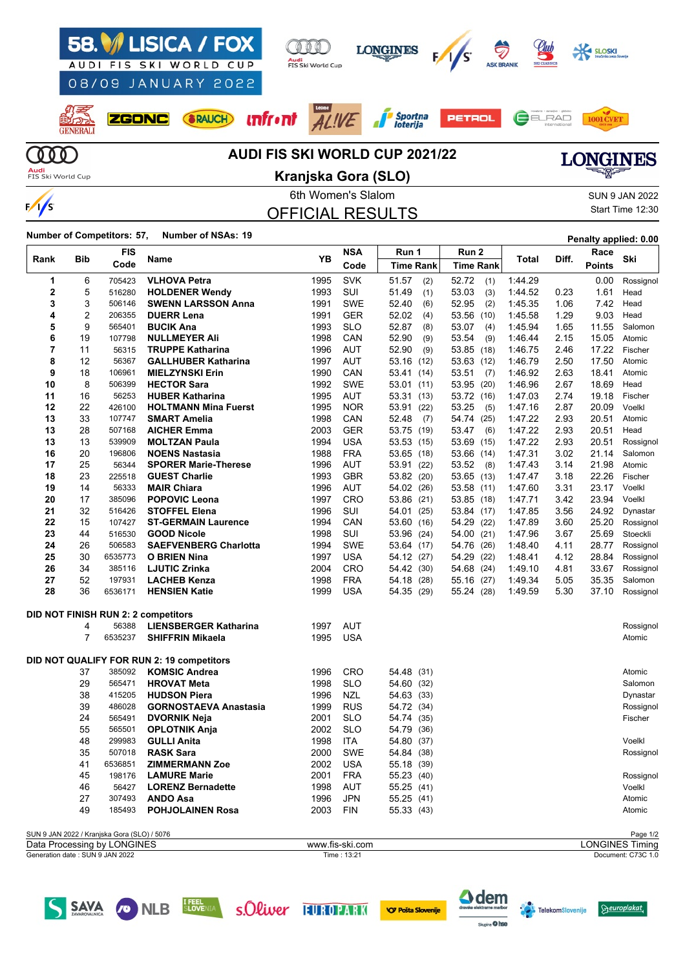

### 6th Women's Slalom Sun 9 JAN 2022 OFFICIAL RESULTS

Start Time 12:30

### **Number of Competitors: 57, Number of NSAs: <sup>19</sup> Penalty applied: 0.00**

| Bib<br>Rank |                | <b>FIS</b>                                  | Name                                      |          | <b>NSA</b><br>YΒ | Run 1            | Run 2            | Total   | Diff. | Race          | Ski                    |
|-------------|----------------|---------------------------------------------|-------------------------------------------|----------|------------------|------------------|------------------|---------|-------|---------------|------------------------|
|             |                | Code                                        |                                           |          | Code             | <b>Time Rank</b> | <b>Time Rank</b> |         |       | <b>Points</b> |                        |
| 1           | 6              | 705423                                      | <b>VLHOVA Petra</b>                       | 1995     | <b>SVK</b>       | 51.57<br>(2)     | 52.72<br>(1)     | 1:44.29 |       | 0.00          | Rossignol              |
| 2           | 5              | 516280                                      | <b>HOLDENER Wendy</b>                     | 1993     | SUI              | 51.49<br>(1)     | 53.03<br>(3)     | 1:44.52 | 0.23  | 1.61          | Head                   |
| 3           | 3              | 506146                                      | <b>SWENN LARSSON Anna</b>                 | 1991     | <b>SWE</b>       | 52.40<br>(6)     | 52.95<br>(2)     | 1:45.35 | 1.06  | 7.42          | Head                   |
| 4           | $\overline{c}$ | 206355                                      | <b>DUERR Lena</b>                         | 1991     | <b>GER</b>       | 52.02<br>(4)     | 53.56<br>(10)    | 1:45.58 | 1.29  | 9.03          | Head                   |
| 5           | 9              | 565401                                      | <b>BUCIK Ana</b>                          | 1993     | <b>SLO</b>       | 52.87<br>(8)     | 53.07<br>(4)     | 1:45.94 | 1.65  | 11.55         | Salomon                |
| 6           | 19             | 107798                                      | <b>NULLMEYER Ali</b>                      | 1998     | CAN              | 52.90<br>(9)     | 53.54<br>(9)     | 1:46.44 | 2.15  | 15.05         | Atomic                 |
| 7           | 11             | 56315                                       | <b>TRUPPE Katharina</b>                   | 1996     | <b>AUT</b>       | 52.90<br>(9)     | 53.85 (18)       | 1:46.75 | 2.46  | 17.22         | Fischer                |
| 8           | 12             | 56367                                       | <b>GALLHUBER Katharina</b>                | 1997     | AUT              | 53.16 (12)       | 53.63 (12)       | 1:46.79 | 2.50  | 17.50         | Atomic                 |
| 9           | 18             | 106961                                      | <b>MIELZYNSKI Erin</b>                    | 1990     | CAN              | 53.41<br>(14)    | 53.51<br>(7)     | 1:46.92 | 2.63  | 18.41         | Atomic                 |
| 10          | 8              | 506399                                      | <b>HECTOR Sara</b>                        | 1992     | <b>SWE</b>       | 53.01<br>(11)    | 53.95 (20)       | 1:46.96 | 2.67  | 18.69         | Head                   |
| 11          | 16             | 56253                                       | <b>HUBER Katharina</b>                    | 1995     | AUT              | 53.31<br>(13)    | 53.72 (16)       | 1:47.03 | 2.74  | 19.18         | Fischer                |
| 12          | 22             | 426100                                      | <b>HOLTMANN Mina Fuerst</b>               | 1995     | <b>NOR</b>       | 53.91<br>(22)    | 53.25<br>(5)     | 1:47.16 | 2.87  | 20.09         | Voelkl                 |
| 13          | 33             | 107747                                      | <b>SMART Amelia</b>                       | 1998     | CAN              | 52.48<br>(7)     | 54.74 (25)       | 1:47.22 | 2.93  | 20.51         | Atomic                 |
| 13          | 28             | 507168                                      | <b>AICHER Emma</b>                        | 2003     | GER              | 53.75 (19)       | 53.47<br>(6)     | 1:47.22 | 2.93  | 20.51         | Head                   |
| 13          | 13             | 539909                                      | <b>MOLTZAN Paula</b>                      | 1994     | <b>USA</b>       | 53.53 (15)       | 53.69 (15)       | 1:47.22 | 2.93  | 20.51         | Rossignol              |
| 16          | 20             | 196806                                      | <b>NOENS Nastasia</b>                     | 1988     | <b>FRA</b>       | 53.65<br>(18)    | 53.66 (14)       | 1:47.31 | 3.02  | 21.14         | Salomon                |
| 17          | 25             | 56344                                       | <b>SPORER Marie-Therese</b>               | 1996     | AUT              | 53.91<br>(22)    | 53.52<br>(8)     | 1:47.43 | 3.14  | 21.98         | Atomic                 |
| 18          | 23             | 225518                                      | <b>GUEST Charlie</b>                      | 1993     | <b>GBR</b>       | 53.82 (20)       | 53.65 (13)       | 1:47.47 | 3.18  | 22.26         | Fischer                |
| 19          | 14             | 56333                                       | <b>MAIR Chiara</b>                        | 1996     | AUT              | 54.02<br>(26)    | 53.58 (11)       | 1:47.60 | 3.31  | 23.17         | Voelkl                 |
| 20          | 17             | 385096                                      | <b>POPOVIC Leona</b>                      | 1997     | CRO              | 53.86<br>(21)    | 53.85 (18)       | 1:47.71 | 3.42  | 23.94         | Voelkl                 |
| 21          | 32             | 516426                                      | <b>STOFFEL Elena</b>                      | 1996     | SUI              | 54.01<br>(25)    | 53.84 (17)       | 1:47.85 | 3.56  | 24.92         | Dynastar               |
| 22          | 15             | 107427                                      | <b>ST-GERMAIN Laurence</b>                | 1994     | CAN              | 53.60<br>(16)    | 54.29 (22)       | 1:47.89 | 3.60  | 25.20         | Rossignol              |
| 23          | 44             | 516530                                      | <b>GOOD Nicole</b>                        | 1998     | SUI              | 53.96<br>(24)    | 54.00 (21)       | 1:47.96 | 3.67  | 25.69         | Stoeckli               |
| 24          | 26             | 506583                                      | <b>SAEFVENBERG Charlotta</b>              | 1994     | <b>SWE</b>       | 53.64 (17)       | 54.76 (26)       | 1:48.40 | 4.11  | 28.77         | Rossignol              |
| 25          | 30             | 6535773                                     | <b>O BRIEN Nina</b>                       | 1997     | <b>USA</b>       | 54.12<br>(27)    | 54.29 (22)       | 1:48.41 | 4.12  | 28.84         | Rossignol              |
| 26          | 34             | 385116                                      | <b>LJUTIC Zrinka</b>                      | 2004     | CRO              | 54.42<br>(30)    | 54.68 (24)       | 1:49.10 | 4.81  | 33.67         | Rossignol              |
| 27          | 52             | 197931                                      | <b>LACHEB Kenza</b>                       | 1998     | <b>FRA</b>       | 54.18<br>(28)    | 55.16 (27)       | 1.49.34 | 5.05  | 35.35         | Salomon                |
| 28          | 36             | 6536171                                     | <b>HENSIEN Katie</b>                      | 1999     | <b>USA</b>       | 54.35<br>(29)    | 55.24 (28)       | 1:49.59 | 5.30  | 37.10         | Rossignol              |
|             |                |                                             | DID NOT FINISH RUN 2: 2 competitors       |          |                  |                  |                  |         |       |               |                        |
|             | 4              | 56388                                       | <b>LIENSBERGER Katharina</b>              | 1997     | AUT              |                  |                  |         |       |               | Rossignol              |
|             | 7              | 6535237                                     | <b>SHIFFRIN Mikaela</b>                   | 1995     | <b>USA</b>       |                  |                  |         |       |               | Atomic                 |
|             |                |                                             | DID NOT QUALIFY FOR RUN 2: 19 competitors |          |                  |                  |                  |         |       |               |                        |
|             | 37             | 385092                                      | <b>KOMSIC Andrea</b>                      | 1996     | CRO              | 54.48 (31)       |                  |         |       |               | Atomic                 |
|             | 29             | 565471                                      | <b>HROVAT Meta</b>                        | 1998     | <b>SLO</b>       | 54.60<br>(32)    |                  |         |       |               | Salomon                |
|             | 38             | 415205                                      | <b>HUDSON Piera</b>                       | 1996     | <b>NZL</b>       | 54.63 (33)       |                  |         |       |               | Dynastar               |
|             | 39             | 486028                                      | <b>GORNOSTAEVA Anastasia</b>              | 1999     | <b>RUS</b>       | 54.72 (34)       |                  |         |       |               | Rossignol              |
|             | 24             | 565491                                      | <b>DVORNIK Neja</b>                       | 2001     | <b>SLO</b>       | 54.74 (35)       |                  |         |       |               | Fischer                |
|             | 55             | 565501                                      | <b>OPLOTNIK Anja</b>                      | 2002     | <b>SLO</b>       | 54.79<br>(36)    |                  |         |       |               |                        |
|             | 48             | 299983                                      | <b>GULLI Anita</b>                        | 1998     | <b>ITA</b>       | 54.80 (37)       |                  |         |       |               | Voelkl                 |
|             | 35             | 507018                                      | <b>RASK Sara</b>                          | 2000     | <b>SWE</b>       | 54.84 (38)       |                  |         |       |               | Rossignol              |
|             | 41             | 6536851                                     | <b>ZIMMERMANN Zoe</b>                     |          | 2002 USA         | 55.18 (39)       |                  |         |       |               |                        |
|             | 45             | 198176                                      | <b>LAMURE Marie</b>                       | 2001 FRA |                  | 55.23 (40)       |                  |         |       |               | Rossignol              |
|             | 46             | 56427                                       | <b>LORENZ Bernadette</b>                  | 1998     | AUT              | 55.25 (41)       |                  |         |       |               | Voelkl                 |
|             | 27             | 307493                                      | <b>ANDO Asa</b>                           | 1996     | <b>JPN</b>       | 55.25 (41)       |                  |         |       |               | Atomic                 |
|             | 49             | 185493                                      | <b>POHJOLAINEN Rosa</b>                   | 2003     | <b>FIN</b>       | 55.33 (43)       |                  |         |       |               | Atomic                 |
|             |                | SUN 9 JAN 2022 / Kranjska Gora (SLO) / 5076 |                                           |          |                  |                  |                  |         |       |               | Page 1/2               |
|             |                | Data Processing by LONGINES                 |                                           |          | www.fis-ski.com  |                  |                  |         |       |               | <b>LONGINES Timing</b> |
|             |                | Generation date: SUN 9 JAN 2022             |                                           |          | Time: 13:21      |                  |                  |         |       |               | Document: C73C 1.0     |

SAVA CONLEB FORENTA SOLLIVER FUROPARK







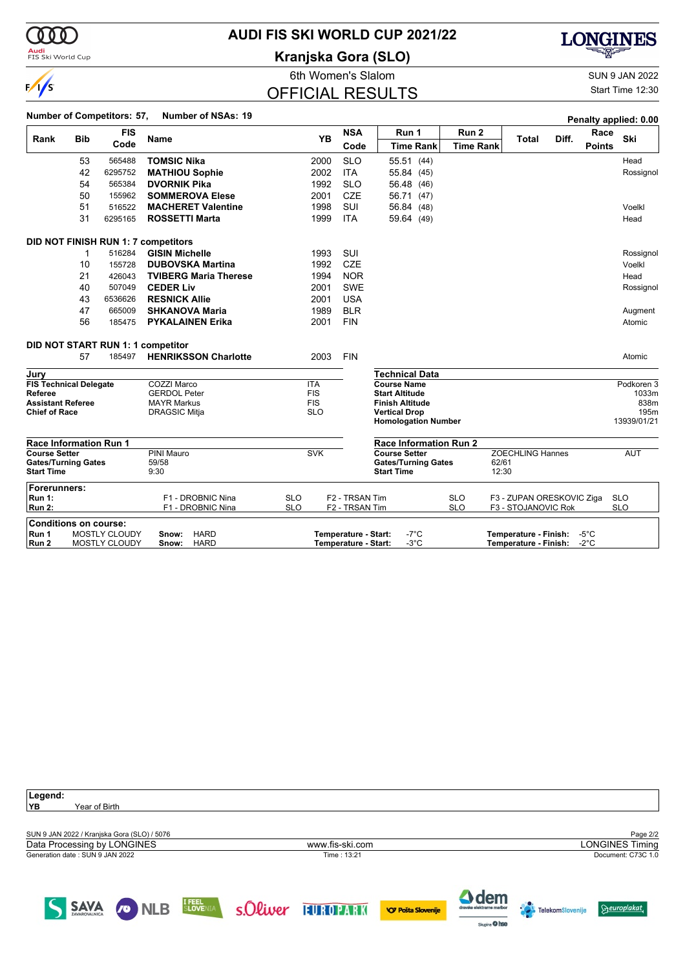000

**Audi**<br>FIS Ski World Cup

### **AUDI FIS SKI WORLD CUP 2021/22**

**Kranjska Gora (SLO)**



|                                                  |            |                                       |                                              | 6th Women's Slalom       |                                              |                                                 |                          |                                                  |                                  | <b>SUN 9 JAN 2022</b>    |
|--------------------------------------------------|------------|---------------------------------------|----------------------------------------------|--------------------------|----------------------------------------------|-------------------------------------------------|--------------------------|--------------------------------------------------|----------------------------------|--------------------------|
| $\frac{1}{s}$                                    |            |                                       |                                              | <b>OFFICIAL RESULTS</b>  |                                              |                                                 |                          |                                                  |                                  | Start Time 12:30         |
|                                                  |            | Number of Competitors: 57,            | <b>Number of NSAs: 19</b>                    |                          |                                              |                                                 |                          |                                                  |                                  | Penalty applied: 0.00    |
| Rank                                             | <b>Bib</b> | <b>FIS</b>                            | Name                                         | <b>YB</b>                | <b>NSA</b>                                   | Run 1                                           | Run 2                    | <b>Total</b>                                     | Race<br>Diff.                    | Ski                      |
|                                                  |            | Code                                  |                                              |                          | Code                                         | <b>Time Rank</b>                                | <b>Time Rank</b>         |                                                  | <b>Points</b>                    |                          |
|                                                  | 53         | 565488                                | <b>TOMSIC Nika</b>                           | 2000                     | <b>SLO</b>                                   | 55.51 (44)                                      |                          |                                                  |                                  | Head                     |
|                                                  | 42         | 6295752                               | <b>MATHIOU Sophie</b>                        | 2002                     | <b>ITA</b>                                   | 55.84 (45)                                      |                          |                                                  |                                  | Rossignol                |
|                                                  | 54         | 565384                                | <b>DVORNIK Pika</b>                          | 1992                     | <b>SLO</b>                                   | 56.48 (46)                                      |                          |                                                  |                                  |                          |
|                                                  | 50         | 155962                                | <b>SOMMEROVA Elese</b>                       | 2001                     | <b>CZE</b>                                   | 56.71 (47)                                      |                          |                                                  |                                  |                          |
|                                                  | 51         | 516522                                | <b>MACHERET Valentine</b>                    | 1998                     | SUI                                          | 56.84 (48)                                      |                          |                                                  |                                  | Voelkl                   |
|                                                  | 31         | 6295165                               | <b>ROSSETTI Marta</b>                        | 1999                     | <b>ITA</b>                                   | 59.64 (49)                                      |                          |                                                  |                                  | Head                     |
|                                                  |            |                                       | DID NOT FINISH RUN 1: 7 competitors          |                          |                                              |                                                 |                          |                                                  |                                  |                          |
|                                                  | 1          | 516284                                | <b>GISIN Michelle</b>                        | 1993                     | SUI                                          |                                                 |                          |                                                  |                                  | Rossignol                |
|                                                  | 10         | 155728                                | <b>DUBOVSKA Martina</b>                      | 1992                     | <b>CZE</b>                                   |                                                 |                          |                                                  |                                  | Voelkl                   |
|                                                  | 21         | 426043                                | <b>TVIBERG Maria Therese</b>                 | 1994                     | <b>NOR</b>                                   |                                                 |                          |                                                  |                                  | Head                     |
|                                                  | 40         | 507049                                | <b>CEDER Liv</b>                             | 2001                     | <b>SWE</b>                                   |                                                 |                          |                                                  |                                  | Rossignol                |
|                                                  | 43         | 6536626                               | <b>RESNICK Allie</b>                         | 2001                     | <b>USA</b>                                   |                                                 |                          |                                                  |                                  |                          |
|                                                  | 47         | 665009                                | <b>SHKANOVA Maria</b>                        | 1989                     | <b>BLR</b>                                   |                                                 |                          |                                                  |                                  | Augment                  |
|                                                  | 56         | 185475                                | <b>PYKALAINEN Erika</b>                      | 2001                     | <b>FIN</b>                                   |                                                 |                          |                                                  |                                  | Atomic                   |
|                                                  |            |                                       | DID NOT START RUN 1: 1 competitor            |                          |                                              |                                                 |                          |                                                  |                                  |                          |
|                                                  | 57         | 185497                                | <b>HENRIKSSON Charlotte</b>                  | 2003                     | <b>FIN</b>                                   |                                                 |                          |                                                  |                                  | Atomic                   |
| Jurv                                             |            |                                       |                                              |                          |                                              | <b>Technical Data</b>                           |                          |                                                  |                                  |                          |
| <b>FIS Technical Delegate</b>                    |            |                                       | COZZI Marco                                  | <b>ITA</b>               |                                              | <b>Course Name</b>                              |                          |                                                  |                                  | Podkoren 3               |
| Referee                                          |            |                                       | <b>GERDOL Peter</b>                          | <b>FIS</b><br><b>FIS</b> |                                              | <b>Start Altitude</b>                           |                          |                                                  |                                  | 1033m                    |
| <b>Assistant Referee</b><br><b>Chief of Race</b> |            |                                       | <b>MAYR Markus</b><br><b>DRAGSIC Mitja</b>   | <b>SLO</b>               |                                              | <b>Finish Altitude</b><br><b>Vertical Drop</b>  |                          |                                                  |                                  | 838m<br>195m             |
|                                                  |            |                                       |                                              |                          |                                              | <b>Homologation Number</b>                      |                          |                                                  |                                  | 13939/01/21              |
| <b>Race Information Run 1</b>                    |            |                                       |                                              |                          |                                              | <b>Race Information Run 2</b>                   |                          |                                                  |                                  |                          |
| <b>Course Setter</b>                             |            |                                       | PINI Mauro                                   | <b>SVK</b>               |                                              | <b>Course Setter</b>                            |                          | <b>ZOECHLING Hannes</b>                          |                                  | AUT                      |
| <b>Gates/Turning Gates</b><br><b>Start Time</b>  |            |                                       | 59/58<br>9:30                                |                          |                                              | <b>Gates/Turning Gates</b><br><b>Start Time</b> |                          | 62/61<br>12:30                                   |                                  |                          |
| Forerunners:                                     |            |                                       |                                              |                          |                                              |                                                 |                          |                                                  |                                  |                          |
| <b>Run 1:</b><br><b>Run 2:</b>                   |            |                                       | F1 - DROBNIC Nina<br>F1 - DROBNIC Nina       | <b>SLO</b><br><b>SLO</b> | F <sub>2</sub> - TRSAN Tim<br>F2 - TRSAN Tim |                                                 | <b>SLO</b><br><b>SLO</b> | F3 - ZUPAN ORESKOVIC Ziga<br>F3 - STOJANOVIC Rok |                                  | <b>SLO</b><br><b>SLO</b> |
| <b>Conditions on course:</b>                     |            |                                       |                                              |                          |                                              |                                                 |                          |                                                  |                                  |                          |
| Run 1<br>Run 2                                   |            | <b>MOSTLY CLOUDY</b><br>MOSTLY CLOUDY | <b>HARD</b><br>Snow:<br>Snow:<br><b>HARD</b> |                          | Temperature - Start:<br>Temperature - Start: | -7°C<br>$-3^{\circ}$ C                          |                          | Temperature - Finish:<br>Temperature - Finish:   | $-5^{\circ}$ C<br>$-2^{\circ}$ C |                          |

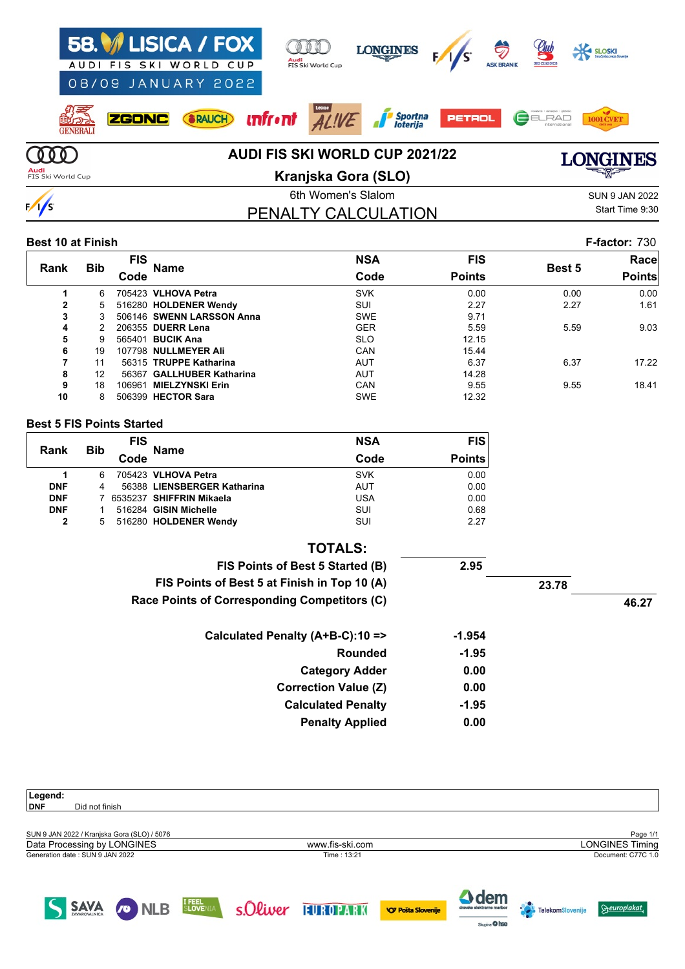| AUDI                      | 58. ISICA / FOX<br>08/09 JANUARY 2022 | FIS SKI WORLD CUP | Audi                                  | FIS Ski World Cup  | <b>LONGINES</b>                       |               | <b>G</b><br><b>ASK BRANI</b> | Llub                   | SLOSKI<br>Stračarska zveza Slovenije |
|---------------------------|---------------------------------------|-------------------|---------------------------------------|--------------------|---------------------------------------|---------------|------------------------------|------------------------|--------------------------------------|
| <b>GENERALI</b>           | <b>ZGONC</b>                          | RAUCH             | $\pi$ fr $\cdot$ nt $\overline{ALWE}$ |                    | <i>A Športna</i>                      | <b>PETROL</b> |                              | ELRAD<br>International |                                      |
|                           |                                       |                   |                                       |                    | <b>AUDI FIS SKI WORLD CUP 2021/22</b> |               |                              |                        | <b>VGINES</b>                        |
| Audi<br>FIS Ski World Cup |                                       |                   |                                       |                    | Kranjska Gora (SLO)                   |               |                              |                        | <del>ॾ</del> ॷॹॾ                     |
|                           |                                       |                   |                                       | 6th Women's Slalom |                                       |               |                              |                        | <b>SUN 9 JAN 2022</b>                |
|                           |                                       |                   |                                       |                    | PENALTY CALCULATION                   |               |                              |                        | Start Time 9:30                      |

#### **Best 10 at Finish F-factor:** 730

|                |            | <b>FIS</b> |                           | <b>NSA</b> | <b>FIS</b>    |        | Racel         |
|----------------|------------|------------|---------------------------|------------|---------------|--------|---------------|
| Rank           | <b>Bib</b> | Code       | <b>Name</b>               | Code       | <b>Points</b> | Best 5 | <b>Points</b> |
|                | 6          |            | 705423 VLHOVA Petra       | <b>SVK</b> | 0.00          | 0.00   | 0.00          |
| $\overline{2}$ | 5.         |            | 516280 HOLDENER Wendy     | <b>SUI</b> | 2.27          | 2.27   | 1.61          |
| 3              | 3          |            | 506146 SWENN LARSSON Anna | <b>SWE</b> | 9.71          |        |               |
| 4              |            |            | 206355 DUERR Lena         | <b>GER</b> | 5.59          | 5.59   | 9.03          |
| 5              | Й          |            | 565401 <b>BUCIK Ana</b>   | <b>SLO</b> | 12.15         |        |               |
| 6              | 19         |            | 107798 NULLMEYER Ali      | <b>CAN</b> | 15.44         |        |               |
|                | 11         |            | 56315 TRUPPE Katharina    | <b>AUT</b> | 6.37          | 6.37   | 17.22         |
| 8              | 12         |            | 56367 GALLHUBER Katharina | AUT        | 14.28         |        |               |
| 9              | 18         | 106961     | <b>MIELZYNSKI Erin</b>    | <b>CAN</b> | 9.55          | 9.55   | 18.41         |
| 10             | 8          | 506399     | <b>HECTOR Sara</b>        | <b>SWE</b> | 12.32         |        |               |

#### **Best 5 FIS Points Started**

| Rank       |            | <b>FIS</b> | <b>Name</b>                 | <b>NSA</b> | <b>FIS</b>    |
|------------|------------|------------|-----------------------------|------------|---------------|
|            | <b>Bib</b> | Code       |                             | Code       | <b>Points</b> |
|            | 6          |            | 705423 VLHOVA Petra         | <b>SVK</b> | 0.00          |
| <b>DNF</b> | 4          |            | 56388 LIENSBERGER Katharina | AUT        | 0.00          |
| <b>DNF</b> |            |            | 6535237 SHIFFRIN Mikaela    | USA        | 0.00          |
| <b>DNF</b> |            |            | 516284 GISIN Michelle       | SUI        | 0.68          |
| 2          | 5          |            | 516280 HOLDENER Wendy       | SUI        | 2.27          |

| <b>TOTALS:</b>                               |          |       |       |
|----------------------------------------------|----------|-------|-------|
| FIS Points of Best 5 Started (B)             | 2.95     |       |       |
| FIS Points of Best 5 at Finish in Top 10 (A) |          | 23.78 |       |
| Race Points of Corresponding Competitors (C) |          |       | 46.27 |
| Calculated Penalty (A+B-C):10 =>             | $-1.954$ |       |       |
| <b>Rounded</b>                               | $-1.95$  |       |       |
| <b>Category Adder</b>                        | 0.00     |       |       |
| <b>Correction Value (Z)</b>                  | 0.00     |       |       |
| <b>Calculated Penalty</b>                    | $-1.95$  |       |       |
| <b>Penalty Applied</b>                       | 0.00     |       |       |

| Legend:                                     |                                    |                   |                           |                                            |                         |                        |
|---------------------------------------------|------------------------------------|-------------------|---------------------------|--------------------------------------------|-------------------------|------------------------|
| <b>DNF</b><br>Did not finish                |                                    |                   |                           |                                            |                         |                        |
|                                             |                                    |                   |                           |                                            |                         |                        |
| SUN 9 JAN 2022 / Kranjska Gora (SLO) / 5076 |                                    |                   |                           |                                            |                         | Page 1/1               |
| Data Processing by LONGINES                 |                                    | www.fis-ski.com   |                           |                                            |                         | <b>LONGINES Timing</b> |
| Generation date: SUN 9 JAN 2022             |                                    | Time: 13:21       |                           |                                            |                         | Document: C77C 1.0     |
|                                             |                                    |                   |                           |                                            |                         |                        |
|                                             |                                    |                   |                           |                                            |                         |                        |
| <b>SAVA</b><br><b>CO</b> NLB                | <b>I FEEL</b><br>S <b>LOVE</b> NIA | s.Oliver HUROPARK | <b>VO Pošta Slovenije</b> | <b>A</b> dem<br>dravske elektrarne maribor | . .<br>TelekomSlovenije | <b>Sheuroplakat</b>    |

Skiping O hee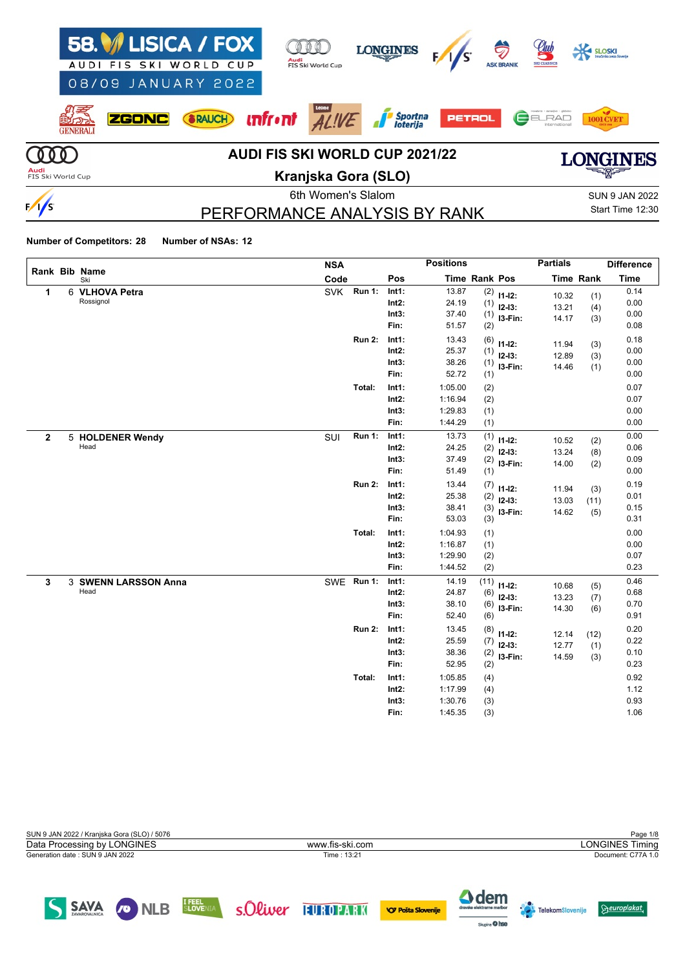| AUDI                      | 58. ISICA / FOX<br>FIS SKI WORLD CUP<br>08/09 JANUARY 2022 | Audi<br>FIS Ski World Cup             | <b>LONGINES</b>            |               | Ş<br><b>ASK BRANII</b> | <u>etut</u><br><b>SKI CLASSIC</b> |                       |
|---------------------------|------------------------------------------------------------|---------------------------------------|----------------------------|---------------|------------------------|-----------------------------------|-----------------------|
| <b>GENERALI</b>           | <b>SRAUCH</b><br><b>ZGONC</b>                              | <b>unfr•nt</b><br>ALIVE               | <b>Sportna</b><br>Ioterija | <b>PETROL</b> |                        | ELRAD<br>Internationa             |                       |
|                           |                                                            | <b>AUDI FIS SKI WORLD CUP 2021/22</b> |                            |               |                        |                                   | CINIBS                |
| Audi<br>FIS Ski World Cup |                                                            | Kranjska Gora (SLO)                   |                            |               |                        |                                   | ਵਖਸ਼ਵ                 |
|                           |                                                            | 6th Women's Slalom                    |                            |               |                        |                                   | <b>SUN 9 JAN 2022</b> |
|                           |                                                            | PERFORMANCE ANALYSIS BY RANK          |                            |               |                        |                                   | Start Time 12:30      |

# PERFORMANCE ANALYSIS BY RANK

# Start Time 12:30

#### **Number of Competitors: 28 Number of NSAs: 12**

|                | Rank Bib Name        | <b>NSA</b> |               |          | <b>Positions</b> |                      |             | <b>Partials</b> |                  | <b>Difference</b> |
|----------------|----------------------|------------|---------------|----------|------------------|----------------------|-------------|-----------------|------------------|-------------------|
|                | Ski                  | Code       |               | Pos      |                  | <b>Time Rank Pos</b> |             |                 | <b>Time Rank</b> | <b>Time</b>       |
| 1              | 6 VLHOVA Petra       | <b>SVK</b> | <b>Run 1:</b> | Int1:    | 13.87            | (2)                  | $11-12:$    | 10.32           | (1)              | 0.14              |
|                | Rossignol            |            |               | $Int2$ : | 24.19            | (1)                  | $12-13:$    | 13.21           | (4)              | 0.00              |
|                |                      |            |               | Int3:    | 37.40            | (1)                  | I3-Fin:     | 14.17           | (3)              | 0.00              |
|                |                      |            |               | Fin:     | 51.57            | (2)                  |             |                 |                  | 0.08              |
|                |                      |            | <b>Run 2:</b> | Int1:    | 13.43            | (6)                  | $11 - 12$ : | 11.94           | (3)              | 0.18              |
|                |                      |            |               | Int2:    | 25.37            | (1)                  | $12 - 13$ : | 12.89           | (3)              | 0.00              |
|                |                      |            |               | Int3:    | 38.26            | (1)                  | I3-Fin:     | 14.46           | (1)              | 0.00              |
|                |                      |            |               | Fin:     | 52.72            | (1)                  |             |                 |                  | 0.00              |
|                |                      |            | Total:        | Int1:    | 1:05.00          | (2)                  |             |                 |                  | 0.07              |
|                |                      |            |               | $Int2$ : | 1:16.94          | (2)                  |             |                 |                  | 0.07              |
|                |                      |            |               | Int3:    | 1:29.83          | (1)                  |             |                 |                  | 0.00              |
|                |                      |            |               | Fin:     | 1:44.29          | (1)                  |             |                 |                  | 0.00              |
| $\overline{2}$ | 5 HOLDENER Wendy     | SUI        | Run 1:        | Int1:    | 13.73            | (1)                  | $11 - 12$ : | 10.52           | (2)              | 0.00              |
|                | Head                 |            |               | Int2:    | 24.25            | (2)                  | $12 - 13$ : | 13.24           | (8)              | 0.06              |
|                |                      |            |               | Int3:    | 37.49            | (2)                  | I3-Fin:     | 14.00           | (2)              | 0.09              |
|                |                      |            |               | Fin:     | 51.49            | (1)                  |             |                 |                  | 0.00              |
|                |                      |            | <b>Run 2:</b> | Int1:    | 13.44            | (7)                  | $11 - 12$ : | 11.94           | (3)              | 0.19              |
|                |                      |            |               | $Int2$ : | 25.38            | (2)                  | $12-13:$    | 13.03           | (11)             | 0.01              |
|                |                      |            |               | Int3:    | 38.41            | (3)                  | I3-Fin:     | 14.62           | (5)              | 0.15              |
|                |                      |            |               | Fin:     | 53.03            | (3)                  |             |                 |                  | 0.31              |
|                |                      |            | Total:        | Int1:    | 1:04.93          | (1)                  |             |                 |                  | 0.00              |
|                |                      |            |               | Int2:    | 1:16.87          | (1)                  |             |                 |                  | 0.00              |
|                |                      |            |               | Int3:    | 1:29.90          | (2)                  |             |                 |                  | 0.07              |
|                |                      |            |               | Fin:     | 1:44.52          | (2)                  |             |                 |                  | 0.23              |
| $\mathbf{3}$   | 3 SWENN LARSSON Anna | SWE        | <b>Run 1:</b> | Int1:    | 14.19            | (11)                 | $11 - 12$ : | 10.68           | (5)              | 0.46              |
|                | Head                 |            |               | $Int2$ : | 24.87            | (6)                  | $12 - 13:$  | 13.23           | (7)              | 0.68              |
|                |                      |            |               | Int3:    | 38.10            | (6)                  | I3-Fin:     | 14.30           | (6)              | 0.70              |
|                |                      |            |               | Fin:     | 52.40            | (6)                  |             |                 |                  | 0.91              |
|                |                      |            | <b>Run 2:</b> | Int1:    | 13.45            | (8)                  | $11 - 12$ : | 12.14           | (12)             | 0.20              |
|                |                      |            |               | $Int2$ : | 25.59            | (7)                  | $12 - 13$ : | 12.77           | (1)              | 0.22              |
|                |                      |            |               | Int3:    | 38.36            | (2)                  | I3-Fin:     | 14.59           | (3)              | 0.10              |
|                |                      |            |               | Fin:     | 52.95            | (2)                  |             |                 |                  | 0.23              |
|                |                      |            | Total:        | Int1:    | 1:05.85          | (4)                  |             |                 |                  | 0.92              |
|                |                      |            |               | Int2:    | 1:17.99          | (4)                  |             |                 |                  | 1.12              |
|                |                      |            |               | Int3:    | 1:30.76          | (3)                  |             |                 |                  | 0.93              |
|                |                      |            |               | Fin:     | 1:45.35          | (3)                  |             |                 |                  | 1.06              |

| SUN 9 JAN 2022 / Kranjska Gora (SLO) / 5076 |                 | Page 1/8               |
|---------------------------------------------|-----------------|------------------------|
| Data Processing by LONGINES                 | www.fis-ski.com | <b>LONGINES Timing</b> |
| Generation date: SUN 9 JAN 2022             | Time: 13:21     | Document: C77A 1.0     |
|                                             |                 |                        |
|                                             |                 |                        |

SAVA CONLEB SLOVENIA SOLWEY FURDPARK OPPOSES SLOVENIE

 $\Delta$  dem

**Agine** O hee

 $\Theta$ europlakat

**Telekom**Slovenije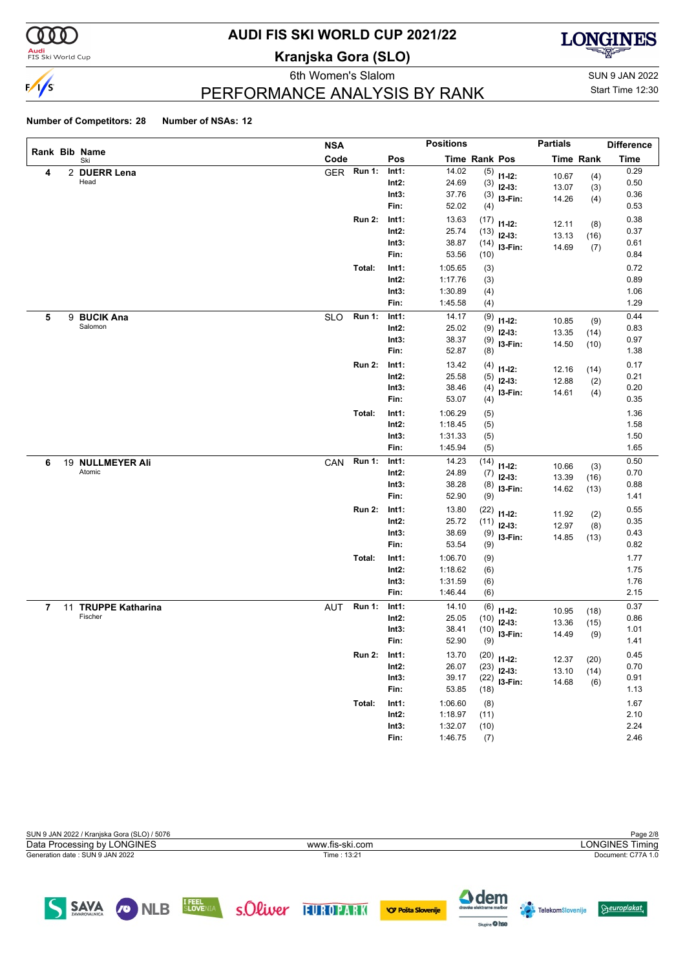

# **AUDI FIS SKI WORLD CUP 2021/22**

**Kranjska Gora (SLO)**



eth Women's Slalom Sun 9 JAN 2022 PERFORMANCE ANALYSIS BY RANK

Start Time 12:30

#### **Number of Competitors: 28 Number of NSAs: 12**

|   |   |                      | <b>NSA</b> |               |          | <b>Positions</b> |               |               | <b>Partials</b> |                  | <b>Difference</b> |
|---|---|----------------------|------------|---------------|----------|------------------|---------------|---------------|-----------------|------------------|-------------------|
|   |   | Rank Bib Name<br>Ski | Code       |               | Pos      |                  | Time Rank Pos |               |                 | <b>Time Rank</b> | <b>Time</b>       |
| 4 |   | 2 DUERR Lena         | <b>GER</b> | Run 1:        | Int1:    | 14.02            |               | $(5)$ 11-12:  | 10.67           | (4)              | 0.29              |
|   |   | Head                 |            |               | $Int2$ : | 24.69            | (3)           | $12-13:$      | 13.07           | (3)              | 0.50              |
|   |   |                      |            |               | Int3:    | 37.76            | (3)           | I3-Fin:       | 14.26           | (4)              | 0.36              |
|   |   |                      |            |               | Fin:     | 52.02            | (4)           |               |                 |                  | 0.53              |
|   |   |                      |            | <b>Run 2:</b> | Int1:    | 13.63            | (17)          | $11 - 12$ :   | 12.11           | (8)              | 0.38              |
|   |   |                      |            |               | $Int2$ : | 25.74            | (13)          | $12-13:$      | 13.13           | (16)             | 0.37              |
|   |   |                      |            |               | Int3:    | 38.87            | (14)          | I3-Fin:       | 14.69           | (7)              | 0.61              |
|   |   |                      |            |               | Fin:     | 53.56            | (10)          |               |                 |                  | 0.84              |
|   |   |                      |            | Total:        | Int1:    | 1:05.65          | (3)           |               |                 |                  | 0.72              |
|   |   |                      |            |               | $Int2$ : | 1:17.76          | (3)           |               |                 |                  | 0.89              |
|   |   |                      |            |               | Int3:    | 1:30.89          | (4)           |               |                 |                  | 1.06              |
|   |   |                      |            |               | Fin:     | 1:45.58          | (4)           |               |                 |                  | 1.29              |
| 5 | 9 | <b>BUCIK Ana</b>     | <b>SLO</b> | <b>Run 1:</b> | Int1:    | 14.17            | (9)           | $11 - 12$ :   | 10.85           | (9)              | 0.44              |
|   |   | Salomon              |            |               | Int2:    | 25.02            | (9)           | $12-13:$      | 13.35           | (14)             | 0.83              |
|   |   |                      |            |               | Int3:    | 38.37            | (9)           | I3-Fin:       | 14.50           | (10)             | 0.97              |
|   |   |                      |            |               | Fin:     | 52.87            | (8)           |               |                 |                  | 1.38              |
|   |   |                      |            | <b>Run 2:</b> | Int1:    | 13.42            | (4)           | $11 - 12$ :   | 12.16           | (14)             | 0.17              |
|   |   |                      |            |               | $Int2$ : | 25.58            | (5)           | $12 - 13:$    | 12.88           | (2)              | 0.21              |
|   |   |                      |            |               | Int3:    | 38.46            | (4)           | I3-Fin:       | 14.61           | (4)              | 0.20              |
|   |   |                      |            |               | Fin:     | 53.07            | (4)           |               |                 |                  | 0.35              |
|   |   |                      |            | Total:        | Int1:    | 1:06.29          | (5)           |               |                 |                  | 1.36              |
|   |   |                      |            |               | Int2:    | 1:18.45          | (5)           |               |                 |                  | 1.58              |
|   |   |                      |            |               | Int3:    | 1:31.33          | (5)           |               |                 |                  | 1.50              |
|   |   |                      |            |               | Fin:     | 1:45.94          | (5)           |               |                 |                  | 1.65              |
| 6 |   | 19 NULLMEYER Ali     | CAN        | <b>Run 1:</b> | Int1:    | 14.23            | (14)          | $11 - 12$ :   | 10.66           | (3)              | 0.50              |
|   |   | Atomic               |            |               | Int2:    | 24.89            | (7)           | $12-13:$      | 13.39           | (16)             | 0.70              |
|   |   |                      |            |               | Int3:    | 38.28            | (8)           | I3-Fin:       | 14.62           | (13)             | 0.88              |
|   |   |                      |            |               | Fin:     | 52.90            | (9)           |               |                 |                  | 1.41              |
|   |   |                      |            | <b>Run 2:</b> | Int1:    | 13.80            | (22)          | $11 - 12$ :   | 11.92           | (2)              | 0.55              |
|   |   |                      |            |               | Int2:    | 25.72            | (11)          | $12-13:$      | 12.97           | (8)              | 0.35              |
|   |   |                      |            |               | Int3:    | 38.69            | (9)           | I3-Fin:       | 14.85           | (13)             | 0.43              |
|   |   |                      |            |               | Fin:     | 53.54            | (9)           |               |                 |                  | 0.82              |
|   |   |                      |            | Total:        | Int1:    | 1:06.70          | (9)           |               |                 |                  | 1.77              |
|   |   |                      |            |               | $Int2$ : | 1:18.62          | (6)           |               |                 |                  | 1.75              |
|   |   |                      |            |               | Int3:    | 1:31.59          | (6)           |               |                 |                  | 1.76              |
|   |   |                      |            |               | Fin:     | 1:46.44          | (6)           |               |                 |                  | 2.15              |
| 7 |   | 11 TRUPPE Katharina  | AUT        | <b>Run 1:</b> | Int1:    | 14.10            | (6)           | $11 - 12$ :   | 10.95           | (18)             | 0.37              |
|   |   | Fischer              |            |               | Int2:    | 25.05            | (10)          | $12 - 13:$    | 13.36           | (15)             | 0.86              |
|   |   |                      |            |               | Int3:    | 38.41            | (10)          | I3-Fin:       | 14.49           | (9)              | 1.01              |
|   |   |                      |            |               | Fin:     | 52.90            | (9)           |               |                 |                  | 1.41              |
|   |   |                      |            | <b>Run 2:</b> | Int1:    | 13.70            |               | $(20)$ 11-12: | 12.37           | (20)             | 0.45              |
|   |   |                      |            |               | Int2:    | 26.07            | (23)          | $12-13:$      | 13.10           | (14)             | 0.70              |
|   |   |                      |            |               | Int3:    | 39.17            | (22)          | $13-Fin:$     | 14.68           | (6)              | 0.91              |
|   |   |                      |            |               | Fin:     | 53.85            | (18)          |               |                 |                  | 1.13              |
|   |   |                      |            | Total:        | Int1:    | 1:06.60          | (8)           |               |                 |                  | 1.67              |
|   |   |                      |            |               | $Int2$ : | 1:18.97          | (11)          |               |                 |                  | 2.10              |
|   |   |                      |            |               | Int3:    | 1:32.07          | (10)          |               |                 |                  | 2.24              |
|   |   |                      |            |               | Fin:     | 1:46.75          | (7)           |               |                 |                  | 2.46              |

| SUN 9 JAN 2022 / Kranjska Gora (SLO) / 5076 |                 | Page 2/8               |
|---------------------------------------------|-----------------|------------------------|
| Data Processing by LONGINES                 | www.fis-ski.com | <b>LONGINES Timing</b> |
| Generation date: SUN 9 JAN 2022             | Time: 13:21     | Document: C77A 1.0     |
|                                             |                 |                        |

SAVA ONLB SLOVENIA SOLWEY TUROPARK OPPSTASIONERIE

 $\Delta$  dem

Sapire **O** hee

**Constantine Constant** 

 $\Theta$ europlakat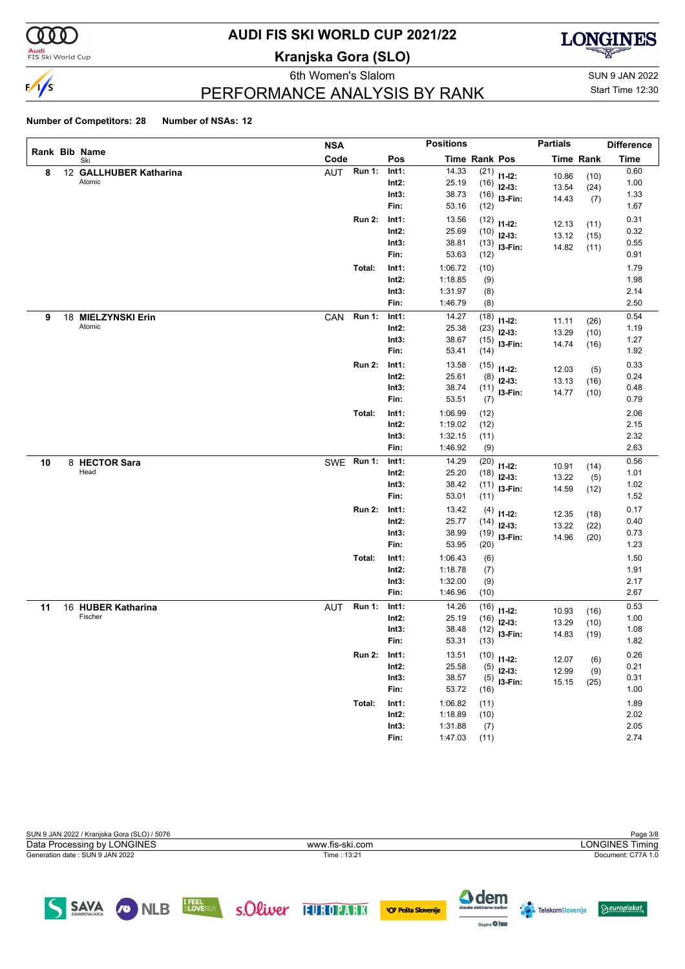

# **AUDI FIS SKI WORLD CUP 2021/22**

**Kranjska Gora (SLO)**



eth Women's Slalom Sun 9 JAN 2022

Start Time 12:30

# PERFORMANCE ANALYSIS BY RANK

#### **Number of Competitors: 28 Number of NSAs: 12**

|    |                        | <b>NSA</b>           |                   | <b>Positions</b> |                      |                            | <b>Partials</b> |                  | <b>Difference</b> |
|----|------------------------|----------------------|-------------------|------------------|----------------------|----------------------------|-----------------|------------------|-------------------|
|    | Rank Bib Name<br>Ski   | Code                 | Pos               |                  | <b>Time Rank Pos</b> |                            |                 | <b>Time Rank</b> | <b>Time</b>       |
| 8  | 12 GALLHUBER Katharina | <b>Run 1:</b><br>AUT | Int1:             | 14.33            | (21)                 | $11-12:$                   | 10.86           | (10)             | 0.60              |
|    | Atomic                 |                      | $Int2$ :          | 25.19            | (16)                 | $12-13:$                   | 13.54           | (24)             | 1.00              |
|    |                        |                      | Int3:             | 38.73            |                      | $(16)$ 13-Fin:             | 14.43           | (7)              | 1.33              |
|    |                        |                      | Fin:              | 53.16            | (12)                 |                            |                 |                  | 1.67              |
|    |                        | <b>Run 2:</b>        | Int1:             | 13.56            | (12)                 | $11 - 12$ :                | 12.13           | (11)             | 0.31              |
|    |                        |                      | $Int2$ :          | 25.69            | (10)                 | $12-13:$                   | 13.12           | (15)             | 0.32              |
|    |                        |                      | Int3:             | 38.81            |                      | $(13)$ 13-Fin:             | 14.82           | (11)             | 0.55              |
|    |                        |                      | Fin:              | 53.63            | (12)                 |                            |                 |                  | 0.91              |
|    |                        | Total:               | Int1:             | 1:06.72          | (10)                 |                            |                 |                  | 1.79              |
|    |                        |                      | $Int2$ :          | 1:18.85          | (9)                  |                            |                 |                  | 1.98              |
|    |                        |                      | Int3:             | 1:31.97          | (8)                  |                            |                 |                  | 2.14              |
|    |                        |                      | Fin:              | 1:46.79          | (8)                  |                            |                 |                  | 2.50              |
| 9  | 18 MIELZYNSKI Erin     | Run 1:<br>CAN        | Int1:             | 14.27            | (18)                 | $11 - 12$ :                | 11.11           | (26)             | 0.54              |
|    | Atomic                 |                      | $Int2$ :          | 25.38            | (23)                 | $12-13:$                   | 13.29           | (10)             | 1.19              |
|    |                        |                      | Int3:             | 38.67            | (15)                 | $13-Fin:$                  | 14.74           | (16)             | 1.27              |
|    |                        |                      | Fin:              | 53.41            | (14)                 |                            |                 |                  | 1.92              |
|    |                        | <b>Run 2:</b>        | Int1:             | 13.58            | (15)                 | $11 - 12$ :                | 12.03           | (5)              | 0.33              |
|    |                        |                      | $Int2$ :          | 25.61            | (8)                  | $12-13:$                   | 13.13           | (16)             | 0.24              |
|    |                        |                      | Int3:             | 38.74            |                      | $(11)$ 13-Fin:             | 14.77           | (10)             | 0.48              |
|    |                        |                      | Fin:              | 53.51            | (7)                  |                            |                 |                  | 0.79              |
|    |                        | Total:               | Int1:             | 1:06.99          | (12)                 |                            |                 |                  | 2.06              |
|    |                        |                      | $Int2$ :          | 1:19.02          | (12)                 |                            |                 |                  | 2.15              |
|    |                        |                      | Int3:             | 1:32.15          | (11)                 |                            |                 |                  | 2.32              |
|    |                        |                      | Fin:              | 1:46.92          | (9)                  |                            |                 |                  | 2.63              |
| 10 | 8 HECTOR Sara<br>Head  | SWE Run 1:           | Int1:             | 14.29            | (20)                 | $11 - 12$ :                | 10.91           | (14)             | 0.56              |
|    |                        |                      | $Int2$ :          | 25.20            | (18)                 | $12-13:$                   | 13.22           | (5)              | 1.01              |
|    |                        |                      | Int3:<br>Fin:     | 38.42<br>53.01   | (11)<br>(11)         | I3-Fin:                    | 14.59           | (12)             | 1.02<br>1.52      |
|    |                        |                      |                   |                  |                      |                            |                 |                  |                   |
|    |                        | <b>Run 2:</b>        | Int1:<br>$Int2$ : | 13.42<br>25.77   | (4)                  | $11 - 12$ :                | 12.35           | (18)             | 0.17<br>0.40      |
|    |                        |                      | Int3:             | 38.99            | (14)<br>(19)         | $12-13:$                   | 13.22           | (22)             | 0.73              |
|    |                        |                      | Fin:              | 53.95            | (20)                 | I3-Fin:                    | 14.96           | (20)             | 1.23              |
|    |                        | Total:               | Int1:             | 1:06.43          | (6)                  |                            |                 |                  | 1.50              |
|    |                        |                      | $Int2$ :          | 1:18.78          | (7)                  |                            |                 |                  | 1.91              |
|    |                        |                      | Int3:             | 1:32.00          | (9)                  |                            |                 |                  | 2.17              |
|    |                        |                      | Fin:              | 1:46.96          | (10)                 |                            |                 |                  | 2.67              |
| 11 | 16 HUBER Katharina     | <b>Run 1:</b><br>AUT | Int1:             | 14.26            | (16)                 |                            |                 |                  | 0.53              |
|    | Fischer                |                      | Int2:             | 25.19            | (16)                 | $11 - 12$ :<br>$12 - 13$ : | 10.93           | (16)             | 1.00              |
|    |                        |                      | Int3:             | 38.48            | (12)                 | I3-Fin:                    | 13.29           | (10)             | 1.08              |
|    |                        |                      | Fin:              | 53.31            | (13)                 |                            | 14.83           | (19)             | 1.82              |
|    |                        | <b>Run 2:</b>        | Int1:             | 13.51            | (10)                 |                            |                 |                  | 0.26              |
|    |                        |                      | Int2:             | 25.58            | (5)                  | $11 - 12$ :<br>$12-13:$    | 12.07           | (6)              | 0.21              |
|    |                        |                      | Int3:             | 38.57            | (5)                  | $13-Fin:$                  | 12.99           | (9)              | 0.31              |
|    |                        |                      | Fin:              | 53.72            | (16)                 |                            | 15.15           | (25)             | 1.00              |
|    |                        | Total:               | Int1:             | 1:06.82          | (11)                 |                            |                 |                  | 1.89              |
|    |                        |                      | $Int2$ :          | 1:18.89          | (10)                 |                            |                 |                  | 2.02              |
|    |                        |                      | Int3:             | 1:31.88          | (7)                  |                            |                 |                  | $2.05\,$          |
|    |                        |                      | Fin:              | 1:47.03          | (11)                 |                            |                 |                  | 2.74              |

| SUN 9 JAN 2022 / Kranjska Gora (SLO) / 5076 |                 | Page 3/8               |
|---------------------------------------------|-----------------|------------------------|
| Data Processing by LONGINES                 | www.fis-ski.com | <b>LONGINES Timing</b> |
| Generation date: SUN 9 JAN 2022             | Time: 13:21     | Document: C77A 1.0     |
|                                             |                 |                        |
|                                             |                 |                        |



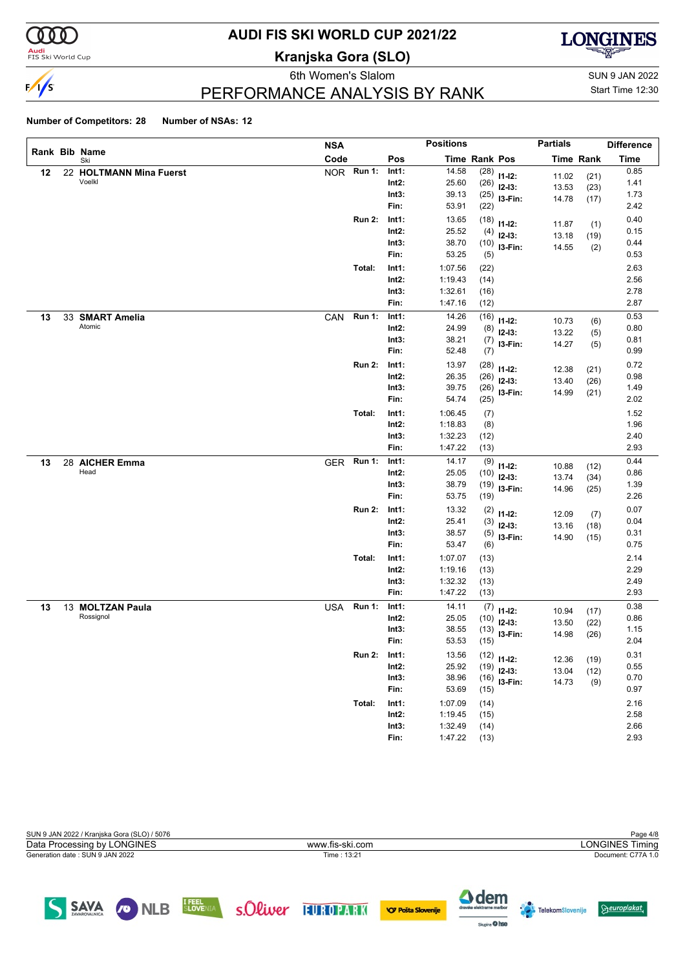

# **AUDI FIS SKI WORLD CUP 2021/22**

**Kranjska Gora (SLO)**



6th Women's Slalom Sun 9 JAN 2022 PERFORMANCE ANALYSIS BY RANK

Start Time 12:30

#### **Number of Competitors: 28 Number of NSAs: 12**

|    |                         | <b>NSA</b> |               |                   | <b>Positions</b> |               |                         | <b>Partials</b> |                  | <b>Difference</b> |
|----|-------------------------|------------|---------------|-------------------|------------------|---------------|-------------------------|-----------------|------------------|-------------------|
|    | Rank Bib Name<br>Ski    | Code       |               | Pos               |                  | Time Rank Pos |                         |                 | <b>Time Rank</b> | <b>Time</b>       |
| 12 | 22 HOLTMANN Mina Fuerst |            | NOR Run 1:    | Int1:             | 14.58            | (28)          | $11 - 12$ :             | 11.02           | (21)             | 0.85              |
|    | Voelkl                  |            |               | $Int2$ :          | 25.60            | (26)          | $12-13:$                | 13.53           | (23)             | 1.41              |
|    |                         |            |               | Int3:             | 39.13            | (25)          | I3-Fin:                 | 14.78           | (17)             | 1.73              |
|    |                         |            |               | Fin:              | 53.91            | (22)          |                         |                 |                  | 2.42              |
|    |                         |            | <b>Run 2:</b> | Int1:             | 13.65            | (18)          | $11 - 12$ :             | 11.87           | (1)              | 0.40              |
|    |                         |            |               | $Int2$ :          | 25.52            | (4)           | $12 - 13:$              | 13.18           | (19)             | 0.15              |
|    |                         |            |               | Int3:             | 38.70            | (10)          | I3-Fin:                 | 14.55           | (2)              | 0.44              |
|    |                         |            |               | Fin:              | 53.25            | (5)           |                         |                 |                  | 0.53              |
|    |                         |            | Total:        | Int1:             | 1:07.56          | (22)          |                         |                 |                  | 2.63              |
|    |                         |            |               | $Int2$ :          | 1:19.43          | (14)          |                         |                 |                  | 2.56              |
|    |                         |            |               | Int3:             | 1:32.61          | (16)          |                         |                 |                  | 2.78              |
|    |                         |            |               | Fin:              | 1:47.16          | (12)          |                         |                 |                  | 2.87              |
| 13 | 33 SMART Amelia         | CAN        | <b>Run 1:</b> | Int1:             | 14.26            | (16)          | $11 - 12$ :             | 10.73           | (6)              | 0.53              |
|    | Atomic                  |            |               | $Int2$ :          | 24.99            | (8)           | $12 - 13:$              | 13.22           | (5)              | 0.80              |
|    |                         |            |               | Int3:             | 38.21            | (7)           | I3-Fin:                 | 14.27           | (5)              | 0.81              |
|    |                         |            |               | Fin:              | 52.48            | (7)           |                         |                 |                  | 0.99              |
|    |                         |            | <b>Run 2:</b> | Int1:             | 13.97            | (28)          | $11 - 12$ :             | 12.38           | (21)             | 0.72              |
|    |                         |            |               | $Int2$ :          | 26.35            | (26)          | $12-13:$                | 13.40           | (26)             | 0.98              |
|    |                         |            |               | Int3:             | 39.75            | (26)          | I3-Fin:                 | 14.99           | (21)             | 1.49              |
|    |                         |            |               | Fin:              | 54.74            | (25)          |                         |                 |                  | 2.02              |
|    |                         |            | Total:        | Int1:             | 1:06.45          | (7)           |                         |                 |                  | 1.52              |
|    |                         |            |               | $Int2$ :          | 1:18.83          | (8)           |                         |                 |                  | 1.96              |
|    |                         |            |               | Int3:             | 1:32.23          | (12)          |                         |                 |                  | 2.40              |
|    |                         |            |               | Fin:              | 1:47.22          | (13)          |                         |                 |                  | 2.93              |
| 13 | 28 AICHER Emma<br>Head  | <b>GER</b> | <b>Run 1:</b> | Int1:             | 14.17            | (9)           | $11 - 12$ :             | 10.88           | (12)             | 0.44              |
|    |                         |            |               | $Int2$ :          | 25.05            | (10)          | $12-13:$                | 13.74           | (34)             | 0.86              |
|    |                         |            |               | Int3:<br>Fin:     | 38.79<br>53.75   | (19)<br>(19)  | I3-Fin:                 | 14.96           | (25)             | 1.39<br>2.26      |
|    |                         |            |               |                   |                  |               |                         |                 |                  | 0.07              |
|    |                         |            | <b>Run 2:</b> | Int1:<br>$Int2$ : | 13.32<br>25.41   | (2)           | $11 - 12$ :             | 12.09           | (7)              | 0.04              |
|    |                         |            |               | Int3:             | 38.57            | (3)           | $12-13:$                | 13.16           | (18)             | 0.31              |
|    |                         |            |               | Fin:              | 53.47            | (5)<br>(6)    | I3-Fin:                 | 14.90           | (15)             | 0.75              |
|    |                         |            | Total:        | Int1:             | 1:07.07          | (13)          |                         |                 |                  | 2.14              |
|    |                         |            |               | $Int2$ :          | 1:19.16          | (13)          |                         |                 |                  | 2.29              |
|    |                         |            |               | Int3:             | 1:32.32          | (13)          |                         |                 |                  | 2.49              |
|    |                         |            |               | Fin:              | 1:47.22          | (13)          |                         |                 |                  | 2.93              |
| 13 | 13 MOLTZAN Paula        | USA        | <b>Run 1:</b> | Int1:             | 14.11            | (7)           |                         |                 |                  | 0.38              |
|    | Rossignol               |            |               | Int2:             | 25.05            | (10)          | $11 - 12$ :<br>$12-13:$ | 10.94           | (17)             | 0.86              |
|    |                         |            |               | Int3:             | 38.55            | (13)          | I3-Fin:                 | 13.50           | (22)             | 1.15              |
|    |                         |            |               | Fin:              | 53.53            | (15)          |                         | 14.98           | (26)             | 2.04              |
|    |                         |            | <b>Run 2:</b> | Int1:             | 13.56            |               | $(12)$ 11-12:           |                 |                  | 0.31              |
|    |                         |            |               | $Int2$ :          | 25.92            |               | $(19)$ 12-13:           | 12.36           | (19)             | 0.55              |
|    |                         |            |               | Int3:             | 38.96            | (16)          | I3-Fin:                 | 13.04<br>14.73  | (12)             | 0.70              |
|    |                         |            |               | Fin:              | 53.69            | (15)          |                         |                 | (9)              | 0.97              |
|    |                         |            | Total:        | Int1:             | 1:07.09          | (14)          |                         |                 |                  | 2.16              |
|    |                         |            |               | $Int2$ :          | 1:19.45          | (15)          |                         |                 |                  | 2.58              |
|    |                         |            |               | Int3:             | 1:32.49          | (14)          |                         |                 |                  | 2.66              |
|    |                         |            |               | Fin:              | 1:47.22          | (13)          |                         |                 |                  | 2.93              |

| SUN 9 JAN 2022 / Kranjska Gora (SLO) / 5076 |                 | Page 4/8               |
|---------------------------------------------|-----------------|------------------------|
| Data Processing by LONGINES                 | www.fis-ski.com | <b>LONGINES Timing</b> |
| Generation date: SUN 9 JAN 2022             | Time: 13:21     | Document: C77A 1.0     |
|                                             |                 |                        |





 $\Theta$ europlakat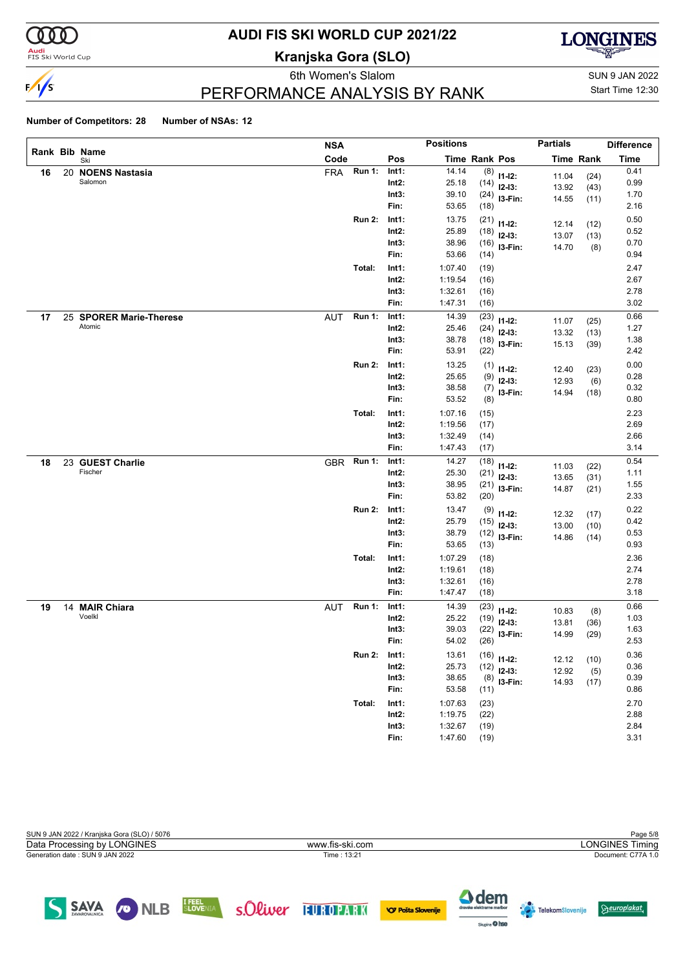

# **AUDI FIS SKI WORLD CUP 2021/22**

**Kranjska Gora (SLO)**



eth Women's Slalom Sun 9 JAN 2022 PERFORMANCE ANALYSIS BY RANK

Start Time 12:30

#### **Number of Competitors: 28 Number of NSAs: 12**

|    |                         | <b>NSA</b> |               |          | <b>Positions</b> |                      |                                | <b>Partials</b> |                  | <b>Difference</b> |
|----|-------------------------|------------|---------------|----------|------------------|----------------------|--------------------------------|-----------------|------------------|-------------------|
|    | Rank Bib Name<br>Ski    | Code       |               | Pos      |                  | <b>Time Rank Pos</b> |                                |                 | <b>Time Rank</b> | <b>Time</b>       |
| 16 | 20 NOENS Nastasia       | <b>FRA</b> | Run 1:        | Int1:    | 14.14            | (8)                  | $11 - 12$ :                    | 11.04           | (24)             | 0.41              |
|    | Salomon                 |            |               | $Int2$ : | 25.18            | (14)                 | $12-13:$                       | 13.92           | (43)             | 0.99              |
|    |                         |            |               | Int3:    | 39.10            |                      | $(24)$ 13-Fin:                 | 14.55           | (11)             | 1.70              |
|    |                         |            |               | Fin:     | 53.65            | (18)                 |                                |                 |                  | 2.16              |
|    |                         |            | <b>Run 2:</b> | Int1:    | 13.75            | (21)                 | $11 - 12$ :                    | 12.14           | (12)             | 0.50              |
|    |                         |            |               | $Int2$ : | 25.89            | (18)                 | $12-13:$                       | 13.07           | (13)             | 0.52              |
|    |                         |            |               | Int3:    | 38.96            |                      | $(16)$ 13-Fin:                 | 14.70           | (8)              | 0.70              |
|    |                         |            |               | Fin:     | 53.66            | (14)                 |                                |                 |                  | 0.94              |
|    |                         |            | Total:        | Int1:    | 1:07.40          | (19)                 |                                |                 |                  | 2.47              |
|    |                         |            |               | $Int2$ : | 1:19.54          | (16)                 |                                |                 |                  | 2.67              |
|    |                         |            |               | Int3:    | 1:32.61          | (16)                 |                                |                 |                  | 2.78              |
|    |                         |            |               | Fin:     | 1:47.31          | (16)                 |                                |                 |                  | 3.02              |
| 17 | 25 SPORER Marie-Therese | <b>AUT</b> | <b>Run 1:</b> | Int1:    | 14.39            | (23)                 | $11 - 12$ :                    | 11.07           | (25)             | 0.66              |
|    | Atomic                  |            |               | Int2:    | 25.46            | (24)                 | $12-13:$                       | 13.32           | (13)             | 1.27              |
|    |                         |            |               | Int3:    | 38.78            | (18)                 | I3-Fin:                        | 15.13           | (39)             | 1.38              |
|    |                         |            |               | Fin:     | 53.91            | (22)                 |                                |                 |                  | 2.42              |
|    |                         |            | <b>Run 2:</b> | Int1:    | 13.25            | (1)                  | $11 - 12$ :                    | 12.40           | (23)             | 0.00              |
|    |                         |            |               | $Int2$ : | 25.65            | (9)                  | $12-13:$                       | 12.93           | (6)              | 0.28              |
|    |                         |            |               | Int3:    | 38.58            |                      | $(7)$ 13-Fin:                  | 14.94           | (18)             | 0.32              |
|    |                         |            |               | Fin:     | 53.52            | (8)                  |                                |                 |                  | 0.80              |
|    |                         |            | Total:        | Int1:    | 1:07.16          | (15)                 |                                |                 |                  | 2.23              |
|    |                         |            |               | Int2:    | 1:19.56          | (17)                 |                                |                 |                  | 2.69              |
|    |                         |            |               | Int3:    | 1:32.49          | (14)                 |                                |                 |                  | 2.66              |
|    |                         |            |               | Fin:     | 1:47.43          | (17)                 |                                |                 |                  | 3.14              |
| 18 | 23 GUEST Charlie        | <b>GBR</b> | Run 1:        | Int1:    | 14.27            | (18)                 | $11 - 12$ :                    | 11.03           | (22)             | 0.54              |
|    | Fischer                 |            |               | $Int2$ : | 25.30            | (21)                 | $12-13:$                       | 13.65           | (31)             | 1.11              |
|    |                         |            |               | Int3:    | 38.95            |                      | $(21)$ 13-Fin:                 | 14.87           | (21)             | 1.55              |
|    |                         |            |               | Fin:     | 53.82            | (20)                 |                                |                 |                  | 2.33              |
|    |                         |            | <b>Run 2:</b> | Int1:    | 13.47            | (9)                  | $11 - 12$ :                    |                 |                  | 0.22              |
|    |                         |            |               | Int2:    | 25.79            | (15)                 | $12-13:$                       | 12.32<br>13.00  | (17)<br>(10)     | 0.42              |
|    |                         |            |               | Int3:    | 38.79            |                      | $(12)$ 13-Fin:                 | 14.86           | (14)             | 0.53              |
|    |                         |            |               | Fin:     | 53.65            | (13)                 |                                |                 |                  | 0.93              |
|    |                         |            | Total:        | Int1:    | 1:07.29          | (18)                 |                                |                 |                  | 2.36              |
|    |                         |            |               | $Int2$ : | 1:19.61          | (18)                 |                                |                 |                  | 2.74              |
|    |                         |            |               | Int3:    | 1:32.61          | (16)                 |                                |                 |                  | 2.78              |
|    |                         |            |               | Fin:     | 1:47.47          | (18)                 |                                |                 |                  | 3.18              |
| 19 | 14 MAIR Chiara          |            | AUT Run 1:    | Int1:    | 14.39            | (23)                 |                                |                 |                  | 0.66              |
|    | Voelkl                  |            |               | Int2:    | 25.22            | (19)                 | $11 - 12$ :<br>$12-13:$        | 10.83           | (8)              | 1.03              |
|    |                         |            |               | Int3:    | 39.03            | (22)                 | I3-Fin:                        | 13.81           | (36)             | 1.63              |
|    |                         |            |               | Fin:     | 54.02            | (26)                 |                                | 14.99           | (29)             | 2.53              |
|    |                         |            | <b>Run 2:</b> | Int1:    | 13.61            |                      |                                |                 |                  | 0.36              |
|    |                         |            |               | $Int2$ : | 25.73            |                      | $(16)$ 11-12:<br>$(12)$ 12-13: | 12.12           | (10)             | 0.36              |
|    |                         |            |               | Int3:    | 38.65            |                      | $(8)$ 13-Fin:                  | 12.92           | (5)              | 0.39              |
|    |                         |            |               | Fin:     | 53.58            | (11)                 |                                | 14.93           | (17)             | 0.86              |
|    |                         |            | Total:        | Int1:    | 1:07.63          | (23)                 |                                |                 |                  | 2.70              |
|    |                         |            |               | $Int2$ : | 1:19.75          | (22)                 |                                |                 |                  | 2.88              |
|    |                         |            |               | Int3:    | 1:32.67          | (19)                 |                                |                 |                  | 2.84              |
|    |                         |            |               | Fin:     | 1:47.60          | (19)                 |                                |                 |                  | 3.31              |
|    |                         |            |               |          |                  |                      |                                |                 |                  |                   |

| SUN 9 JAN 2022 / Kranjska Gora (SLO) / 5076 | Page 5/8        |                        |  |  |  |
|---------------------------------------------|-----------------|------------------------|--|--|--|
| Data Processing by LONGINES                 | www.fis-ski.com | <b>LONGINES Timing</b> |  |  |  |
| Generation date: SUN 9 JAN 2022             | Time: 13:21     | Document: C77A 1.0     |  |  |  |
|                                             |                 |                        |  |  |  |
|                                             |                 |                        |  |  |  |

SAVA ONLB SLOVENIA SOLWEY TUROPARK OPPSTASIONERIE

**A** dem

**Agine** O hee

**TelekomSlovenije** 

 $\Theta$ europlakat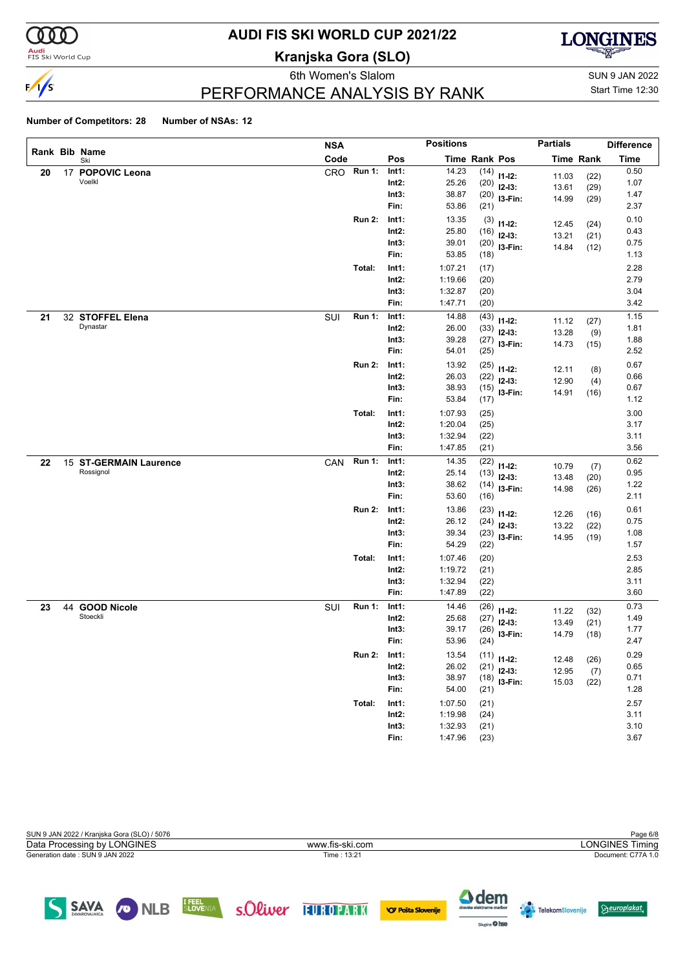

# **AUDI FIS SKI WORLD CUP 2021/22**

**Kranjska Gora (SLO)**



eth Women's Slalom Sun 9 JAN 2022 PERFORMANCE ANALYSIS BY RANK

Start Time 12:30

#### **Number of Competitors: 28 Number of NSAs: 12**

|    |                        | <b>NSA</b> |               |          | <b>Positions</b>     |      |                | <b>Partials</b> |                  | <b>Difference</b> |
|----|------------------------|------------|---------------|----------|----------------------|------|----------------|-----------------|------------------|-------------------|
|    | Rank Bib Name<br>Ski   | Code       |               | Pos      | <b>Time Rank Pos</b> |      |                |                 | <b>Time Rank</b> | <b>Time</b>       |
| 20 | 17 POPOVIC Leona       | CRO        | <b>Run 1:</b> | Int1:    | 14.23                | (14) | $11 - 12$ :    | 11.03           | (22)             | 0.50              |
|    | Voelkl                 |            |               | $Int2$ : | 25.26                | (20) | $12-13:$       | 13.61           | (29)             | 1.07              |
|    |                        |            |               | Int3:    | 38.87                | (20) | I3-Fin:        | 14.99           | (29)             | 1.47              |
|    |                        |            |               | Fin:     | 53.86                | (21) |                |                 |                  | 2.37              |
|    |                        |            | <b>Run 2:</b> | Int1:    | 13.35                | (3)  | $11 - 12$ :    | 12.45           | (24)             | 0.10              |
|    |                        |            |               | $Int2$ : | 25.80                | (16) | $12-13:$       | 13.21           | (21)             | 0.43              |
|    |                        |            |               | Int3:    | 39.01                | (20) | I3-Fin:        | 14.84           | (12)             | 0.75              |
|    |                        |            |               | Fin:     | 53.85                | (18) |                |                 |                  | 1.13              |
|    |                        |            | Total:        | Int1:    | 1:07.21              | (17) |                |                 |                  | 2.28              |
|    |                        |            |               | $Int2$ : | 1:19.66              | (20) |                |                 |                  | 2.79              |
|    |                        |            |               | Int3:    | 1:32.87              | (20) |                |                 |                  | 3.04              |
|    |                        |            |               | Fin:     | 1:47.71              | (20) |                |                 |                  | 3.42              |
| 21 | 32 STOFFEL Elena       | SUI        | <b>Run 1:</b> | Int1:    | 14.88                | (43) | $11 - 12$ :    | 11.12           | (27)             | 1.15              |
|    | Dynastar               |            |               | $Int2$ : | 26.00                | (33) | $12-13:$       | 13.28           | (9)              | 1.81              |
|    |                        |            |               | Int3:    | 39.28                | (27) | I3-Fin:        | 14.73           | (15)             | 1.88              |
|    |                        |            |               | Fin:     | 54.01                | (25) |                |                 |                  | 2.52              |
|    |                        |            | <b>Run 2:</b> | Int1:    | 13.92                | (25) | $11 - 12$ :    | 12.11           | (8)              | 0.67              |
|    |                        |            |               | $Int2$ : | 26.03                | (22) | $12-13:$       | 12.90           | (4)              | 0.66              |
|    |                        |            |               | Int3:    | 38.93                | (15) | I3-Fin:        | 14.91           | (16)             | 0.67              |
|    |                        |            |               | Fin:     | 53.84                | (17) |                |                 |                  | 1.12              |
|    |                        |            | Total:        | Int1:    | 1:07.93              | (25) |                |                 |                  | 3.00              |
|    |                        |            |               | $Int2$ : | 1:20.04              | (25) |                |                 |                  | 3.17              |
|    |                        |            |               | Int3:    | 1:32.94              | (22) |                |                 |                  | 3.11              |
|    |                        |            |               | Fin:     | 1:47.85              | (21) |                |                 |                  | 3.56              |
| 22 | 15 ST-GERMAIN Laurence | CAN        | <b>Run 1:</b> | Int1:    | 14.35                | (22) | $11 - 12$ :    | 10.79           | (7)              | 0.62              |
|    | Rossignol              |            |               | $Int2$ : | 25.14                | (13) | $12-13:$       | 13.48           | (20)             | 0.95              |
|    |                        |            |               | Int3:    | 38.62                | (14) | I3-Fin:        | 14.98           | (26)             | 1.22              |
|    |                        |            |               | Fin:     | 53.60                | (16) |                |                 |                  | 2.11              |
|    |                        |            | <b>Run 2:</b> | Int1:    | 13.86                | (23) | $11 - 12$ :    | 12.26           | (16)             | 0.61              |
|    |                        |            |               | $Int2$ : | 26.12                | (24) | $12-13:$       | 13.22           | (22)             | 0.75              |
|    |                        |            |               | Int3:    | 39.34                | (23) | I3-Fin:        | 14.95           | (19)             | 1.08              |
|    |                        |            |               | Fin:     | 54.29                | (22) |                |                 |                  | 1.57              |
|    |                        |            | Total:        | Int1:    | 1:07.46              | (20) |                |                 |                  | 2.53              |
|    |                        |            |               | $Int2$ : | 1:19.72              | (21) |                |                 |                  | 2.85              |
|    |                        |            |               | Int3:    | 1:32.94              | (22) |                |                 |                  | 3.11              |
|    |                        |            |               | Fin:     | 1:47.89              | (22) |                |                 |                  | 3.60              |
| 23 | 44 GOOD Nicole         | SUI        | <b>Run 1:</b> | Int1:    | 14.46                | (26) | $11 - 12$ :    | 11.22           | (32)             | 0.73              |
|    | Stoeckli               |            |               | Int2:    | 25.68                | (27) | $12-13:$       | 13.49           | (21)             | 1.49              |
|    |                        |            |               | Int3:    | 39.17                | (26) | I3-Fin:        | 14.79           | (18)             | 1.77              |
|    |                        |            |               | Fin:     | 53.96                | (24) |                |                 |                  | 2.47              |
|    |                        |            | <b>Run 2:</b> | Int1:    | 13.54                |      | $(11)$ 11-12:  | 12.48           | (26)             | 0.29              |
|    |                        |            |               | Int2:    | 26.02                | (21) | $12-13:$       | 12.95           | (7)              | 0.65              |
|    |                        |            |               | Int3:    | 38.97                |      | $(18)$ 13-Fin: | 15.03           | (22)             | 0.71              |
|    |                        |            |               | Fin:     | 54.00                | (21) |                |                 |                  | 1.28              |
|    |                        |            | Total:        | Int1:    | 1:07.50              | (21) |                |                 |                  | 2.57              |
|    |                        |            |               | $Int2$ : | 1:19.98              | (24) |                |                 |                  | 3.11              |
|    |                        |            |               | Int3:    | 1:32.93              | (21) |                |                 |                  | 3.10              |
|    |                        |            |               | Fin:     | 1:47.96              | (23) |                |                 |                  | 3.67              |

| SUN 9 JAN 2022 / Kranjska Gora (SLO) / 5076 |                 | Page 6/8               |
|---------------------------------------------|-----------------|------------------------|
| Data Processing by LONGINES                 | www.fis-ski.com | <b>LONGINES Timing</b> |
| Generation date: SUN 9 JAN 2022             | Time: 13:21     | Document: C77A 1.0     |
|                                             |                 |                        |
|                                             |                 |                        |
|                                             |                 |                        |

SAVA ONLB ELOVENIA SOLWEY FUROPARK OF POSTS SLOWER



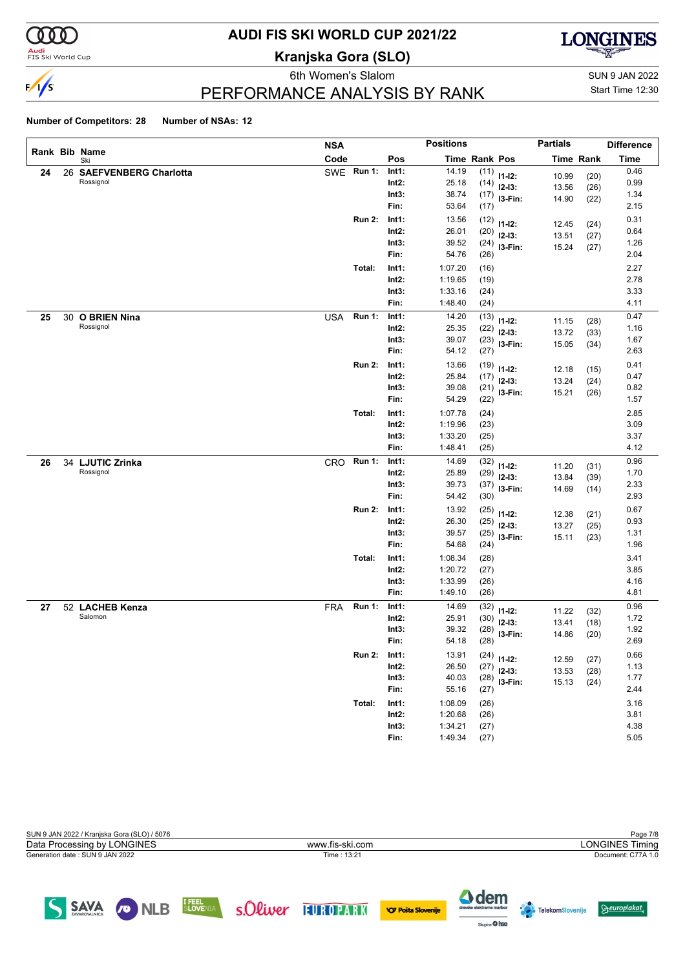

## **AUDI FIS SKI WORLD CUP 2021/22**

**Kranjska Gora (SLO)**



eth Women's Slalom Sun 9 JAN 2022 PERFORMANCE ANALYSIS BY RANK

Start Time 12:30

### **Number of Competitors: 28 Number of NSAs: 12**

|    |    |                              | <b>NSA</b> |               |          | <b>Positions</b> |                      |                | <b>Partials</b> |                  | <b>Difference</b> |
|----|----|------------------------------|------------|---------------|----------|------------------|----------------------|----------------|-----------------|------------------|-------------------|
|    |    | Rank Bib Name<br>Ski         | Code       |               | Pos      |                  | <b>Time Rank Pos</b> |                |                 | <b>Time Rank</b> | Time              |
| 24 | 26 | <b>SAEFVENBERG Charlotta</b> | SWE        | <b>Run 1:</b> | Int1:    | 14.19            | (11)                 | $11 - 12$ :    | 10.99           | (20)             | 0.46              |
|    |    | Rossignol                    |            |               | $Int2$ : | 25.18            | (14)                 | $12-13:$       | 13.56           | (26)             | 0.99              |
|    |    |                              |            |               | Int3:    | 38.74            | (17)                 | I3-Fin:        | 14.90           | (22)             | 1.34              |
|    |    |                              |            |               | Fin:     | 53.64            | (17)                 |                |                 |                  | 2.15              |
|    |    |                              |            | <b>Run 2:</b> | Int1:    | 13.56            | (12)                 | $11 - 12$ :    | 12.45           | (24)             | 0.31              |
|    |    |                              |            |               | Int2:    | 26.01            | (20)                 | $12-13:$       | 13.51           | (27)             | 0.64              |
|    |    |                              |            |               | Int3:    | 39.52            | (24)                 | I3-Fin:        | 15.24           | (27)             | 1.26              |
|    |    |                              |            |               | Fin:     | 54.76            | (26)                 |                |                 |                  | 2.04              |
|    |    |                              |            | Total:        | Int1:    | 1:07.20          | (16)                 |                |                 |                  | 2.27              |
|    |    |                              |            |               | $Int2$ : | 1:19.65          | (19)                 |                |                 |                  | 2.78              |
|    |    |                              |            |               | Int3:    | 1:33.16          | (24)                 |                |                 |                  | 3.33              |
|    |    |                              |            |               | Fin:     | 1:48.40          | (24)                 |                |                 |                  | 4.11              |
| 25 | 30 | <b>O BRIEN Nina</b>          | <b>USA</b> | <b>Run 1:</b> | Int1:    | 14.20            | (13)                 | $11 - 12$ :    | 11.15           | (28)             | 0.47              |
|    |    | Rossignol                    |            |               | Int2:    | 25.35            | (22)                 | $12 - 13:$     | 13.72           | (33)             | 1.16              |
|    |    |                              |            |               | Int3:    | 39.07            | (23)                 | I3-Fin:        | 15.05           | (34)             | 1.67              |
|    |    |                              |            |               | Fin:     | 54.12            | (27)                 |                |                 |                  | 2.63              |
|    |    |                              |            | <b>Run 2:</b> | Int1:    | 13.66            | (19)                 | $11 - 12$ :    | 12.18           | (15)             | 0.41              |
|    |    |                              |            |               | Int2:    | 25.84            | (17)                 | $12 - 13:$     | 13.24           | (24)             | 0.47              |
|    |    |                              |            |               | Int3:    | 39.08            | (21)                 | I3-Fin:        | 15.21           | (26)             | 0.82              |
|    |    |                              |            |               | Fin:     | 54.29            | (22)                 |                |                 |                  | 1.57              |
|    |    |                              |            | Total:        | Int1:    | 1:07.78          | (24)                 |                |                 |                  | 2.85              |
|    |    |                              |            |               | Int2:    | 1:19.96          | (23)                 |                |                 |                  | 3.09              |
|    |    |                              |            |               | Int3:    | 1:33.20          | (25)                 |                |                 |                  | 3.37              |
|    |    |                              |            |               | Fin:     | 1:48.41          | (25)                 |                |                 |                  | 4.12              |
| 26 | 34 | <b>LJUTIC Zrinka</b>         | CRO        | <b>Run 1:</b> | Int1:    | 14.69            | (32)                 | $11 - 12$ :    | 11.20           | (31)             | 0.96              |
|    |    | Rossignol                    |            |               | Int2:    | 25.89            | (29)                 | $12-13:$       | 13.84           | (39)             | 1.70              |
|    |    |                              |            |               | Int3:    | 39.73            | (37)                 | I3-Fin:        | 14.69           | (14)             | 2.33              |
|    |    |                              |            |               | Fin:     | 54.42            | (30)                 |                |                 |                  | 2.93              |
|    |    |                              |            | <b>Run 2:</b> | Int1:    | 13.92            | (25)                 | $11 - 12$ :    | 12.38           | (21)             | 0.67              |
|    |    |                              |            |               | Int2:    | 26.30            | (25)                 | $12 - 13:$     | 13.27           | (25)             | 0.93              |
|    |    |                              |            |               | Int3:    | 39.57            | (25)                 | I3-Fin:        | 15.11           | (23)             | 1.31              |
|    |    |                              |            |               | Fin:     | 54.68            | (24)                 |                |                 |                  | 1.96              |
|    |    |                              |            | Total:        | Int1:    | 1:08.34          | (28)                 |                |                 |                  | 3.41              |
|    |    |                              |            |               | Int2:    | 1:20.72          | (27)                 |                |                 |                  | 3.85              |
|    |    |                              |            |               | Int3:    | 1:33.99          | (26)                 |                |                 |                  | 4.16              |
|    |    |                              |            |               | Fin:     | 1:49.10          | (26)                 |                |                 |                  | 4.81              |
| 27 |    | 52 LACHEB Kenza              | <b>FRA</b> | <b>Run 1:</b> | Int1:    | 14.69            | (32)                 | $11 - 12$ :    |                 |                  | 0.96              |
|    |    | Salomon                      |            |               | Int2:    | 25.91            | (30)                 | $12 - 13:$     | 11.22<br>13.41  | (32)             | 1.72              |
|    |    |                              |            |               | Int3:    | 39.32            | (28)                 | I3-Fin:        | 14.86           | (18)             | 1.92              |
|    |    |                              |            |               | Fin:     | 54.18            | (28)                 |                |                 | (20)             | 2.69              |
|    |    |                              |            | <b>Run 2:</b> | Int1:    | 13.91            |                      | $(24)$ 11-12:  |                 |                  | 0.66              |
|    |    |                              |            |               | Int2:    | 26.50            |                      | $(27)$ 12-13:  | 12.59           | (27)             | 1.13              |
|    |    |                              |            |               | Int3:    | 40.03            |                      | $(28)$ 13-Fin: | 13.53           | (28)             | 1.77              |
|    |    |                              |            |               | Fin:     | 55.16            | (27)                 |                | 15.13           | (24)             | 2.44              |
|    |    |                              |            | Total:        | Int1:    | 1:08.09          | (26)                 |                |                 |                  | 3.16              |
|    |    |                              |            |               | $Int2$ : | 1:20.68          | (26)                 |                |                 |                  | 3.81              |
|    |    |                              |            |               | Int3:    | 1:34.21          | (27)                 |                |                 |                  | 4.38              |
|    |    |                              |            |               | Fin:     | 1:49.34          | (27)                 |                |                 |                  | 5.05              |

| SUN 9 JAN 2022 / Kranjska Gora (SLO) / 5076 |                 | Page 7/8               |
|---------------------------------------------|-----------------|------------------------|
| Data Processing by LONGINES                 | www.fis-ski.com | <b>LONGINES Timing</b> |
| Generation date: SUN 9 JAN 2022             | Time: 13:21     | Document: C77A 1.0     |
|                                             |                 |                        |
|                                             |                 |                        |
|                                             |                 |                        |

SAVA ONLB ELOVENIA SOLWEY FUROPARK OF POSTS SLOWER

4 dem

**Agine** O hee

**TelekomSlovenije** 

 $\Theta$ europlakat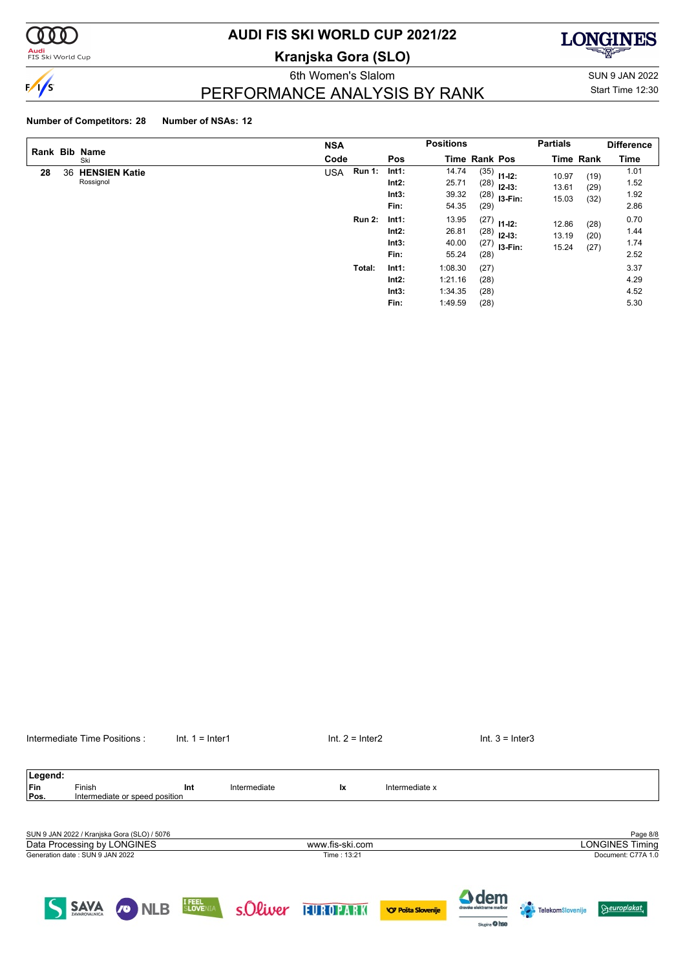

#### **Audi**<br>FIS Ski World Cup

# **AUDI FIS SKI WORLD CUP 2021/22**

**Kranjska Gora (SLO)**

**LONGINES** 

# $\sqrt{s}$

### PERFORMANCE ANALYSIS BY RANK

Figure 1.5 States of the Women's States of the Momen's Sun 9 JAN 2022 Start Time 12:30

### **Number of Competitors: 28 Number of NSAs: 12**

|    |    | Rank Bib Name                     | <b>NSA</b>                  |                                 | <b>Positions</b>                         |                              |                                               | <b>Partials</b>         |                      | <b>Difference</b>            |
|----|----|-----------------------------------|-----------------------------|---------------------------------|------------------------------------------|------------------------------|-----------------------------------------------|-------------------------|----------------------|------------------------------|
|    |    | Ski                               | Code                        | Pos                             | <b>Time Rank Pos</b>                     |                              |                                               |                         | <b>Time Rank</b>     | <b>Time</b>                  |
| 28 | 36 | <b>HENSIEN Katie</b><br>Rossignol | <b>Run 1:</b><br><b>USA</b> | Int1:<br>Int2:<br>Int3:<br>Fin: | 14.74<br>25.71<br>39.32<br>54.35         | (28)<br>(29)                 | $(35)$ 11-12:<br>$12 - 13:$<br>$(28)$ 13-Fin: | 10.97<br>13.61<br>15.03 | (19)<br>(29)<br>(32) | 1.01<br>1.52<br>1.92<br>2.86 |
|    |    |                                   | <b>Run 2:</b>               | Int1:<br>Int2:<br>Int3:<br>Fin: | 13.95<br>26.81<br>40.00<br>55.24         | (28)<br>(27)<br>(28)         | $(27)$ 11-12:<br>$12 - 13:$<br>I3-Fin:        | 12.86<br>13.19<br>15.24 | (28)<br>(20)<br>(27) | 0.70<br>1.44<br>1.74<br>2.52 |
|    |    |                                   | Total:                      | Int1:<br>Int2:<br>Int3:<br>Fin: | 1:08.30<br>1:21.16<br>1:34.35<br>1:49.59 | (27)<br>(28)<br>(28)<br>(28) |                                               |                         |                      | 3.37<br>4.29<br>4.52<br>5.30 |

| Legend: |                                                                            |                                |                  |              |                 |                           |                                            |                        |                                    |
|---------|----------------------------------------------------------------------------|--------------------------------|------------------|--------------|-----------------|---------------------------|--------------------------------------------|------------------------|------------------------------------|
| Fin     | Finish                                                                     |                                | Int              | Intermediate | <b>Ix</b>       | Intermediate x            |                                            |                        |                                    |
| Pos.    |                                                                            | Intermediate or speed position |                  |              |                 |                           |                                            |                        |                                    |
|         | SUN 9 JAN 2022 / Kranjska Gora (SLO) / 5076<br>Data Processing by LONGINES |                                |                  |              | www.fis-ski.com |                           |                                            |                        | Page 8/8<br><b>LONGINES Timing</b> |
|         | Generation date: SUN 9 JAN 2022                                            |                                |                  |              | Time: 13:21     |                           |                                            |                        | Document: C77A 1.0                 |
|         | <b>SAVA</b>                                                                | <b>NLB</b><br><b>s</b>         | I FEEL<br>SLOVEN | s.Oliver     | EUROPARK        | <b>VO Pošta Slovenije</b> | $\Delta$ dem<br>dravske elektrarne maribor | 19<br>TelekomSlovenije | <b>Seuroplakat</b>                 |

Sixpire O hee

Intermediate Time Positions : Int. 1 = Inter1 Internetiate Time Positions : Int. 1 = Inter1 Int. 2 = Inter2 Int. 3 = Inter3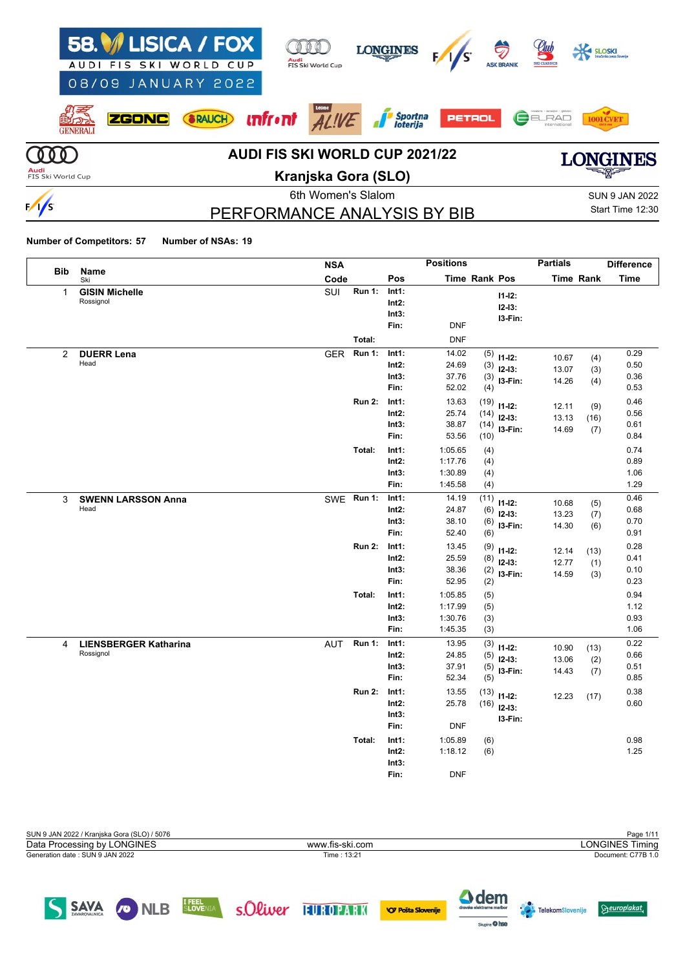| AUDI                      | 58. ISICA / FOX<br>FIS SKI WORLD CUP<br>08/09 JANUARY 2022 | Audi<br>FIS Ski World Cup             | <b>LONGINES</b>                     |               | €<br><b>ASK BRANI</b> | <u>elul</u><br><b>SKI CLASSICS</b> |                       |
|---------------------------|------------------------------------------------------------|---------------------------------------|-------------------------------------|---------------|-----------------------|------------------------------------|-----------------------|
| GENERALI                  | RAUCH<br><b>ZGONC</b>                                      | <u><b>unfront</b></u><br>ALIVE        | <i>Sportna</i><br><i>I loterija</i> | <b>PETROL</b> |                       | ELRAD<br>Internationa              |                       |
|                           |                                                            | <b>AUDI FIS SKI WORLD CUP 2021/22</b> |                                     |               |                       |                                    | CINDS                 |
| Audi<br>FIS Ski World Cup |                                                            | Kranjska Gora (SLO)                   |                                     |               |                       |                                    | ▀▀▓▛ <i>ᡔ</i>         |
|                           |                                                            | 6th Women's Slalom                    |                                     |               |                       |                                    | <b>SUN 9 JAN 2022</b> |
| $\sqrt{5}$                |                                                            | PERFORMANCE ANALYSIS BY BIB           |                                     |               |                       |                                    | Start Time 12:30      |

# PERFORMANCE ANALYSIS BY BIB

 $\Theta$ europlakat

**Telekom**Slovenije

Sapire O hee

**Number of Competitors: 57 Number of NSAs: 19**

|                |                                           | <b>NSA</b> |               |                                    | <b>Positions</b>                         |                              |                                      | <b>Partials</b>         |                    | <b>Difference</b>            |
|----------------|-------------------------------------------|------------|---------------|------------------------------------|------------------------------------------|------------------------------|--------------------------------------|-------------------------|--------------------|------------------------------|
| <b>Bib</b>     | Name<br>Ski                               | Code       |               | Pos                                |                                          | Time Rank Pos                |                                      |                         | <b>Time Rank</b>   | <b>Time</b>                  |
| $\mathbf{1}$   | <b>GISIN Michelle</b><br>Rossignol        | SUI        | <b>Run 1:</b> | Int1:<br>$Int2$ :<br>Int3:<br>Fin: | <b>DNF</b>                               |                              | $11 - 12$ :<br>$12 - 13:$<br>I3-Fin: |                         |                    |                              |
|                |                                           |            | Total:        |                                    | <b>DNF</b>                               |                              |                                      |                         |                    |                              |
| $\overline{2}$ | <b>DUERR Lena</b><br>Head                 | <b>GER</b> | <b>Run 1:</b> | Int1:<br>$Int2$ :<br>Int3:<br>Fin: | 14.02<br>24.69<br>37.76<br>52.02         | (5)<br>(3)<br>(3)<br>(4)     | $11 - 12$ :<br>$12-13:$<br>I3-Fin:   | 10.67<br>13.07<br>14.26 | (4)<br>(3)<br>(4)  | 0.29<br>0.50<br>0.36<br>0.53 |
|                |                                           |            | <b>Run 2:</b> | Int1:<br>$Int2$ :<br>Int3:<br>Fin: | 13.63<br>25.74<br>38.87<br>53.56         | (19)<br>(14)<br>(14)<br>(10) | $11 - 12$ :<br>$12-13:$<br>$13-Fin:$ | 12.11<br>13.13<br>14.69 | (9)<br>(16)<br>(7) | 0.46<br>0.56<br>0.61<br>0.84 |
|                |                                           |            | Total:        | Int1:<br>Int2:<br>Int3:<br>Fin:    | 1:05.65<br>1:17.76<br>1:30.89<br>1:45.58 | (4)<br>(4)<br>(4)<br>(4)     |                                      |                         |                    | 0.74<br>0.89<br>1.06<br>1.29 |
| 3              | <b>SWENN LARSSON Anna</b><br>Head         |            | SWE Run 1:    | Int1:<br>Int2:<br>Int3:<br>Fin:    | 14.19<br>24.87<br>38.10<br>52.40         | (11)<br>(6)<br>(6)<br>(6)    | $11-12:$<br>$12-13:$<br>I3-Fin:      | 10.68<br>13.23<br>14.30 | (5)<br>(7)<br>(6)  | 0.46<br>0.68<br>0.70<br>0.91 |
|                |                                           |            | <b>Run 2:</b> | Int1:<br>$Int2$ :<br>Int3:<br>Fin: | 13.45<br>25.59<br>38.36<br>52.95         | (9)<br>(8)<br>(2)<br>(2)     | $11 - 12$ :<br>$12-13:$<br>I3-Fin:   | 12.14<br>12.77<br>14.59 | (13)<br>(1)<br>(3) | 0.28<br>0.41<br>0.10<br>0.23 |
|                |                                           |            | Total:        | Int1:<br>$Int2$ :<br>Int3:<br>Fin: | 1:05.85<br>1:17.99<br>1:30.76<br>1:45.35 | (5)<br>(5)<br>(3)<br>(3)     |                                      |                         |                    | 0.94<br>1.12<br>0.93<br>1.06 |
| 4              | <b>LIENSBERGER Katharina</b><br>Rossignol | <b>AUT</b> | <b>Run 1:</b> | Int1:<br>$Int2$ :<br>Int3:<br>Fin: | 13.95<br>24.85<br>37.91<br>52.34         | (3)<br>(5)<br>(5)<br>(5)     | $11-12:$<br>$12-13:$<br>I3-Fin:      | 10.90<br>13.06<br>14.43 | (13)<br>(2)<br>(7) | 0.22<br>0.66<br>0.51<br>0.85 |
|                |                                           |            | <b>Run 2:</b> | Int1:<br>Int2:<br>Int3:<br>Fin:    | 13.55<br>25.78<br><b>DNF</b>             | (13)                         | $11-12:$<br>$(16)$ 12-13:<br>I3-Fin: | 12.23                   | (17)               | 0.38<br>0.60                 |
|                |                                           |            | Total:        | Int1:<br>Int2:<br>Int3:<br>Fin:    | 1:05.89<br>1:18.12<br><b>DNF</b>         | (6)<br>(6)                   |                                      |                         |                    | 0.98<br>1.25                 |

| SUN 9 JAN 2022 / Kranjska Gora (SLO) / 5076 |                 | Page 1/11              |
|---------------------------------------------|-----------------|------------------------|
| Data Processing by LONGINES                 | www.fis-ski.com | <b>LONGINES Timing</b> |
| Generation date : SUN 9 JAN 2022            | Time: 13:21     | Document: C77B 1.0     |
|                                             |                 |                        |
|                                             |                 |                        |
| <b>TEEFL</b><br>$-1111$                     | $\sim$ $\sim$   |                        |

SAVA CONLEB SLOVENIA SOLWEY THURUPARK OPASASONERIE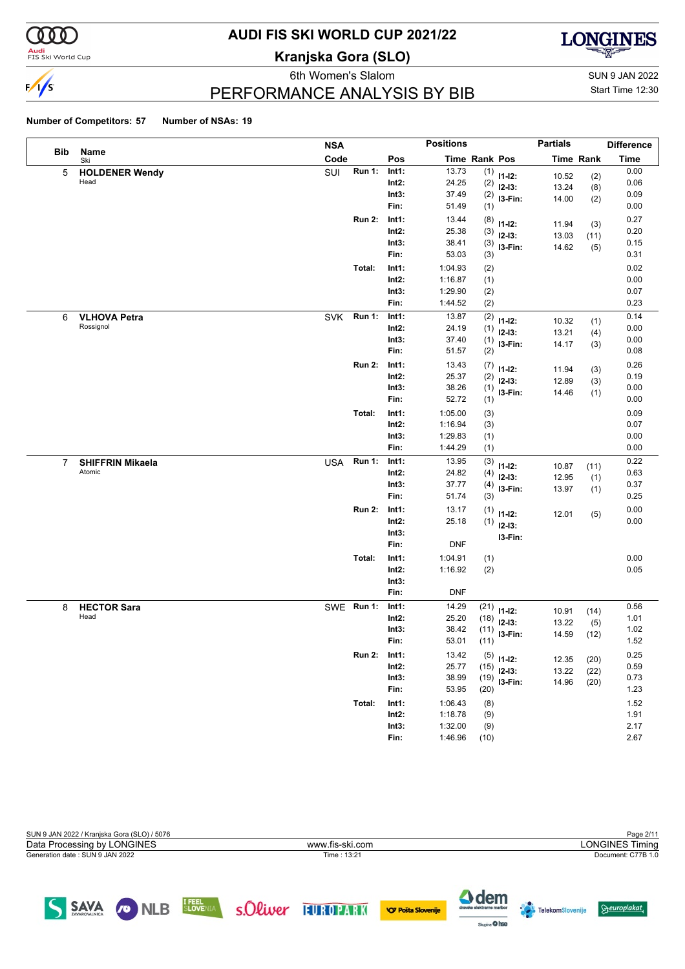

#### **Audi**<br>FIS Ski World Cup

# **AUDI FIS SKI WORLD CUP 2021/22**

**Kranjska Gora (SLO)**



6th Women's Slalom Sun 9 JAN 2022 PERFORMANCE ANALYSIS BY BIB

Start Time 12:30

#### **Number of Competitors: 57 Number of NSAs: 19**

|             |                         | <b>NSA</b> |               |          | <b>Positions</b> |      |                         | <b>Partials</b> |                  | <b>Difference</b> |
|-------------|-------------------------|------------|---------------|----------|------------------|------|-------------------------|-----------------|------------------|-------------------|
| <b>Bib</b>  | Name<br>Ski             | Code       |               | Pos      | Time Rank Pos    |      |                         |                 | <b>Time Rank</b> | <b>Time</b>       |
| 5           | <b>HOLDENER Wendy</b>   | SUI        | <b>Run 1:</b> | Int1:    | 13.73            | (1)  | $11 - 12$ :             | 10.52           | (2)              | 0.00              |
|             | Head                    |            |               | $Int2$ : | 24.25            | (2)  | $12-13:$                | 13.24           | (8)              | 0.06              |
|             |                         |            |               | Int3:    | 37.49            | (2)  | I3-Fin:                 | 14.00           | (2)              | 0.09              |
|             |                         |            |               | Fin:     | 51.49            | (1)  |                         |                 |                  | 0.00              |
|             |                         |            | <b>Run 2:</b> | Int1:    | 13.44            | (8)  | $11 - 12$ :             | 11.94           | (3)              | 0.27              |
|             |                         |            |               | $Int2$ : | 25.38            | (3)  | $12-13:$                | 13.03           | (11)             | 0.20              |
|             |                         |            |               | Int3:    | 38.41            | (3)  | I3-Fin:                 | 14.62           | (5)              | 0.15              |
|             |                         |            |               | Fin:     | 53.03            | (3)  |                         |                 |                  | 0.31              |
|             |                         |            | Total:        | Int1:    | 1:04.93          | (2)  |                         |                 |                  | 0.02              |
|             |                         |            |               | $Int2$ : | 1:16.87          | (1)  |                         |                 |                  | 0.00              |
|             |                         |            |               | Int3:    | 1:29.90          | (2)  |                         |                 |                  | 0.07              |
|             |                         |            |               | Fin:     | 1:44.52          | (2)  |                         |                 |                  | 0.23              |
| 6           | <b>VLHOVA Petra</b>     | <b>SVK</b> | <b>Run 1:</b> | Int1:    | 13.87            | (2)  | $11 - 12$ :             | 10.32           | (1)              | 0.14              |
|             | Rossignol               |            |               | $Int2$ : | 24.19            | (1)  | $12-13:$                | 13.21           | (4)              | 0.00              |
|             |                         |            |               | Int3:    | 37.40            | (1)  | I3-Fin:                 | 14.17           | (3)              | 0.00              |
|             |                         |            |               | Fin:     | 51.57            | (2)  |                         |                 |                  | 0.08              |
|             |                         |            | <b>Run 2:</b> | Int1:    | 13.43            | (7)  | $11 - 12$ :             | 11.94           | (3)              | 0.26              |
|             |                         |            |               | $Int2$ : | 25.37            | (2)  | $12-13:$                | 12.89           | (3)              | 0.19              |
|             |                         |            |               | Int3:    | 38.26            | (1)  | I3-Fin:                 | 14.46           | (1)              | 0.00              |
|             |                         |            |               | Fin:     | 52.72            | (1)  |                         |                 |                  | 0.00              |
|             |                         |            | Total:        | Int1:    | 1:05.00          | (3)  |                         |                 |                  | 0.09              |
|             |                         |            |               | $Int2$ : | 1:16.94          | (3)  |                         |                 |                  | 0.07              |
|             |                         |            |               | Int3:    | 1:29.83          | (1)  |                         |                 |                  | 0.00              |
|             |                         |            |               | Fin:     | 1:44.29          | (1)  |                         |                 |                  | 0.00              |
| $7^{\circ}$ | <b>SHIFFRIN Mikaela</b> | <b>USA</b> | Run 1:        | Int1:    | 13.95            | (3)  | $11 - 12$ :             |                 |                  | 0.22              |
|             | Atomic                  |            |               | $Int2$ : | 24.82            | (4)  | $12-13:$                | 10.87           | (11)             | 0.63              |
|             |                         |            |               | Int3:    | 37.77            | (4)  | I3-Fin:                 | 12.95<br>13.97  | (1)<br>(1)       | 0.37              |
|             |                         |            |               | Fin:     | 51.74            | (3)  |                         |                 |                  | 0.25              |
|             |                         |            | <b>Run 2:</b> | Int1:    | 13.17            | (1)  | $11 - 12$ :             |                 |                  | 0.00              |
|             |                         |            |               | $Int2$ : | 25.18            | (1)  | $12 - 13$ :             | 12.01           | (5)              | 0.00              |
|             |                         |            |               | Int3:    |                  |      |                         |                 |                  |                   |
|             |                         |            |               | Fin:     | <b>DNF</b>       |      | I3-Fin:                 |                 |                  |                   |
|             |                         |            | Total:        | Int1:    | 1:04.91          | (1)  |                         |                 |                  | 0.00              |
|             |                         |            |               | $Int2$ : | 1:16.92          | (2)  |                         |                 |                  | 0.05              |
|             |                         |            |               | Int3:    |                  |      |                         |                 |                  |                   |
|             |                         |            |               | Fin:     | <b>DNF</b>       |      |                         |                 |                  |                   |
| 8           | <b>HECTOR Sara</b>      | SWE Run 1: |               | Int1:    | 14.29            | (21) |                         |                 |                  | 0.56              |
|             | Head                    |            |               | Int2:    | 25.20            | (18) | $11 - 12$ :<br>$12-13:$ | 10.91           | (14)             | 1.01              |
|             |                         |            |               | Int3:    | 38.42            | (11) |                         | 13.22           | (5)              | 1.02              |
|             |                         |            |               | Fin:     | 53.01            | (11) | I3-Fin:                 | 14.59           | (12)             | 1.52              |
|             |                         |            | <b>Run 2:</b> | Int1:    | 13.42            |      |                         |                 |                  | 0.25              |
|             |                         |            |               | Int2:    | 25.77            | (15) | $(5)$ 11-12:            | 12.35           | (20)             | 0.59              |
|             |                         |            |               | Int3:    | 38.99            | (19) | $12-13:$                | 13.22           | (22)             | 0.73              |
|             |                         |            |               | Fin:     | 53.95            | (20) | I3-Fin:                 | 14.96           | (20)             | 1.23              |
|             |                         |            | Total:        | Int1:    | 1:06.43          | (8)  |                         |                 |                  | 1.52              |
|             |                         |            |               | $Int2$ : | 1:18.78          | (9)  |                         |                 |                  | 1.91              |
|             |                         |            |               | Int3:    | 1:32.00          | (9)  |                         |                 |                  | 2.17              |
|             |                         |            |               | Fin:     | 1:46.96          | (10) |                         |                 |                  | 2.67              |
|             |                         |            |               |          |                  |      |                         |                 |                  |                   |

| SUN 9 JAN 2022 / Kranjska Gora (SLO) / 5076 |                 | Page 2/11              |
|---------------------------------------------|-----------------|------------------------|
| Data Processing by LONGINES                 | www.fis-ski.com | <b>LONGINES Timing</b> |
| Generation date: SUN 9 JAN 2022             | Time: 13:21     | Document: C77B 1.0     |
|                                             |                 |                        |

SAVA ONLB SLOVENIA SOLWEY FUROPARK OPPSTASIONERIE



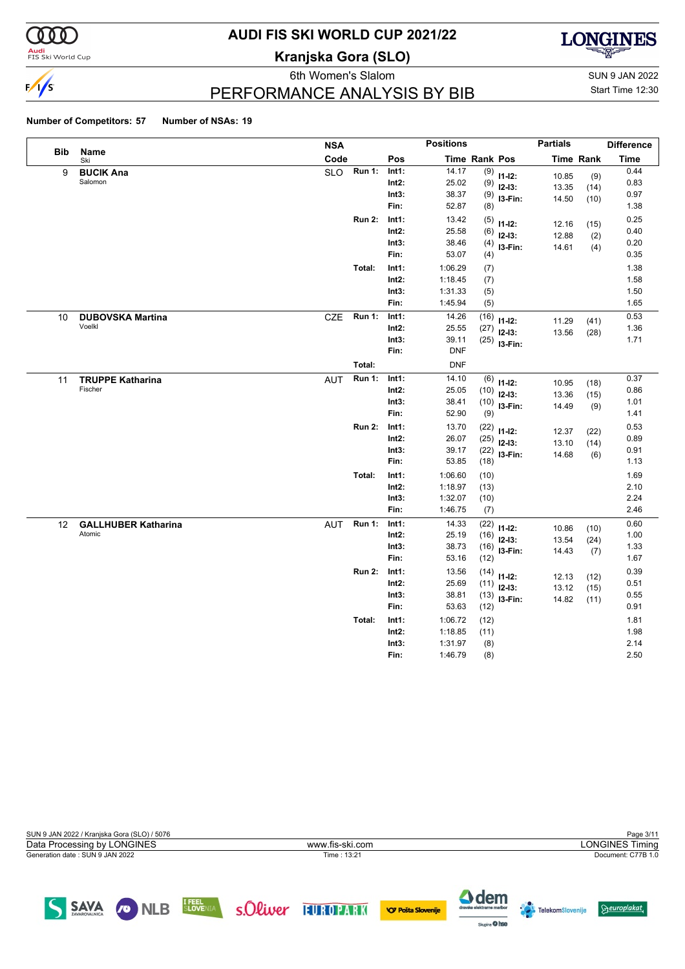

#### **Audi**<br>FIS Ski World Cup

# **AUDI FIS SKI WORLD CUP 2021/22**

**Kranjska Gora (SLO)**



PERFORMANCE ANALYSIS BY BIB

6th Women's Slalom Sun 9 JAN 2022 Start Time 12:30

#### **Number of Competitors: 57 Number of NSAs: 19**

|            |                                      | <b>NSA</b>                  |                                    | <b>Positions</b>                         |                              |                                           | <b>Partials</b>         |                      | <b>Difference</b>            |
|------------|--------------------------------------|-----------------------------|------------------------------------|------------------------------------------|------------------------------|-------------------------------------------|-------------------------|----------------------|------------------------------|
| <b>Bib</b> | Name<br>Ski                          | Code                        | Pos                                | <b>Time Rank Pos</b>                     |                              |                                           |                         | <b>Time Rank</b>     | <b>Time</b>                  |
| 9          | <b>BUCIK Ana</b><br>Salomon          | Run 1:<br><b>SLO</b>        | Int1:<br>$Int2$ :<br>Int3:<br>Fin: | 14.17<br>25.02<br>38.37<br>52.87         | (9)<br>(9)<br>(8)            | $11 - 12$ :<br>$12-13:$<br>$(9)$ 13-Fin:  | 10.85<br>13.35<br>14.50 | (9)<br>(14)<br>(10)  | 0.44<br>0.83<br>0.97<br>1.38 |
|            |                                      | <b>Run 2:</b>               | Int1:<br>$Int2$ :<br>Int3:<br>Fin: | 13.42<br>25.58<br>38.46<br>53.07         | (5)<br>(6)<br>(4)<br>(4)     | $11-12:$<br>$12-13:$<br>I3-Fin:           | 12.16<br>12.88<br>14.61 | (15)<br>(2)<br>(4)   | 0.25<br>0.40<br>0.20<br>0.35 |
|            |                                      | Total:                      | Int1:<br>$Int2$ :<br>Int3:<br>Fin: | 1:06.29<br>1:18.45<br>1:31.33<br>1:45.94 | (7)<br>(7)<br>(5)<br>(5)     |                                           |                         |                      | 1.38<br>1.58<br>1.50<br>1.65 |
| 10         | <b>DUBOVSKA Martina</b><br>Voelkl    | <b>Run 1:</b><br>CZE        | Int1:<br>$Int2$ :<br>Int3:<br>Fin: | 14.26<br>25.55<br>39.11<br><b>DNF</b>    | (16)<br>(27)                 | $11 - 12$ :<br>$12-13:$<br>$(25)$ 13-Fin: | 11.29<br>13.56          | (41)<br>(28)         | 0.53<br>1.36<br>1.71         |
|            |                                      | Total:                      |                                    | <b>DNF</b>                               |                              |                                           |                         |                      |                              |
| 11         | <b>TRUPPE Katharina</b><br>Fischer   | <b>Run 1:</b><br><b>AUT</b> | Int1:<br>$Int2$ :<br>Int3:<br>Fin: | 14.10<br>25.05<br>38.41<br>52.90         | (6)<br>(10)<br>(10)<br>(9)   | $11 - 12$ :<br>$12-13:$<br>I3-Fin:        | 10.95<br>13.36<br>14.49 | (18)<br>(15)<br>(9)  | 0.37<br>0.86<br>1.01<br>1.41 |
|            |                                      | <b>Run 2:</b>               | Int1:<br>$Int2$ :<br>Int3:<br>Fin: | 13.70<br>26.07<br>39.17<br>53.85         | (22)<br>(25)<br>(18)         | $11 - 12$ :<br>$12-13:$<br>$(22)$ 13-Fin: | 12.37<br>13.10<br>14.68 | (22)<br>(14)<br>(6)  | 0.53<br>0.89<br>0.91<br>1.13 |
|            |                                      | Total:                      | Int1:<br>$Int2$ :<br>Int3:<br>Fin: | 1:06.60<br>1:18.97<br>1:32.07<br>1:46.75 | (10)<br>(13)<br>(10)<br>(7)  |                                           |                         |                      | 1.69<br>2.10<br>2.24<br>2.46 |
| 12         | <b>GALLHUBER Katharina</b><br>Atomic | <b>Run 1:</b><br><b>AUT</b> | Int1:<br>$Int2$ :<br>Int3:<br>Fin: | 14.33<br>25.19<br>38.73<br>53.16         | (22)<br>(16)<br>(16)<br>(12) | $11 - 12$ :<br>$12-13:$<br>I3-Fin:        | 10.86<br>13.54<br>14.43 | (10)<br>(24)<br>(7)  | 0.60<br>1.00<br>1.33<br>1.67 |
|            |                                      | <b>Run 2:</b>               | Int1:<br>$Int2$ :<br>Int3:<br>Fin: | 13.56<br>25.69<br>38.81<br>53.63         | (14)<br>(11)<br>(12)         | $11-12:$<br>$12-13:$<br>$(13)$ 13-Fin:    | 12.13<br>13.12<br>14.82 | (12)<br>(15)<br>(11) | 0.39<br>0.51<br>0.55<br>0.91 |
|            |                                      | Total:                      | Int1:<br>$Int2$ :<br>Int3:<br>Fin: | 1:06.72<br>1:18.85<br>1:31.97<br>1:46.79 | (12)<br>(11)<br>(8)<br>(8)   |                                           |                         |                      | 1.81<br>1.98<br>2.14<br>2.50 |

| SUN 9 JAN 2022 / Kranjska Gora (SLO) / 5076 |                                                                                | Page 3/11                                                                      |
|---------------------------------------------|--------------------------------------------------------------------------------|--------------------------------------------------------------------------------|
| Data Processing by LONGINES                 | www.fis-ski.com                                                                | <b>LONGINES Timing</b>                                                         |
| Generation date: SUN 9 JAN 2022             | Time: 13:21                                                                    | Document: C77B 1.0                                                             |
| SAVA<br><b>CO</b> NLB                       | I FEEL<br>SLOVENIA<br>s Oliver<br><b>EUROPARK</b><br><b>VO Pošta Slovenije</b> | <b>4</b> dem<br>Geuroplakat,<br>dravske elektrarne maribor<br>TelekomSlovenije |

Staring O hee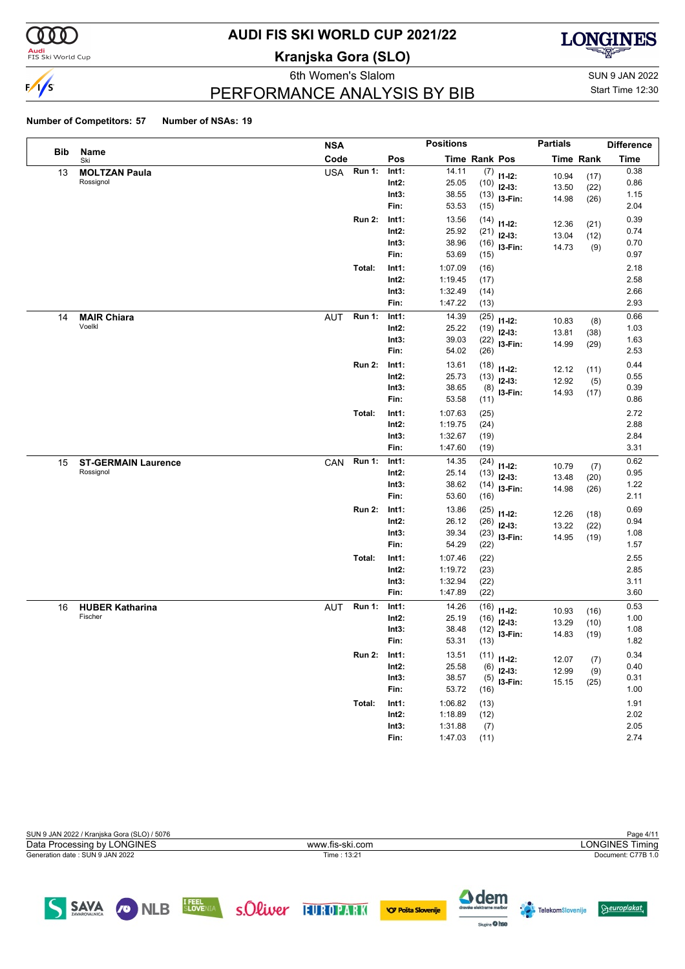

#### **Audi**<br>FIS Ski World Cup

## **AUDI FIS SKI WORLD CUP 2021/22**

**Kranjska Gora (SLO)**



6th Women's Slalom Sun 9 JAN 2022 PERFORMANCE ANALYSIS BY BIB

Start Time 12:30

#### **Number of Competitors: 57 Number of NSAs: 19**

S SAVA O NLB

|            |                                   | <b>NSA</b> |               |                   | <b>Positions</b>   |              |                  | <b>Partials</b> |                  | <b>Difference</b> |
|------------|-----------------------------------|------------|---------------|-------------------|--------------------|--------------|------------------|-----------------|------------------|-------------------|
| <b>Bib</b> | Name<br>Ski                       | Code       |               | Pos               | Time Rank Pos      |              |                  |                 | <b>Time Rank</b> | <b>Time</b>       |
| 13         | <b>MOLTZAN Paula</b>              | <b>USA</b> | <b>Run 1:</b> | Int1:             | 14.11              |              | $(7)$ 11-12:     | 10.94           | (17)             | 0.38              |
|            | Rossignol                         |            |               | $Int2$ :          | 25.05              | (10)         | $12-13:$         | 13.50           | (22)             | 0.86              |
|            |                                   |            |               | Int3:             | 38.55              |              | $(13)$ 13-Fin:   | 14.98           | (26)             | 1.15              |
|            |                                   |            |               | Fin:              | 53.53              | (15)         |                  |                 |                  | 2.04              |
|            |                                   |            | <b>Run 2:</b> | Int1:             | 13.56              | (14)         | $11 - 12$ :      | 12.36           | (21)             | 0.39              |
|            |                                   |            |               | $Int2$ :          | 25.92              | (21)         | $12-13:$         | 13.04           | (12)             | 0.74              |
|            |                                   |            |               | Int3:             | 38.96              | (16)         | I3-Fin:          | 14.73           | (9)              | 0.70              |
|            |                                   |            |               | Fin:              | 53.69              | (15)         |                  |                 |                  | 0.97              |
|            |                                   |            | Total:        | Int1:             | 1:07.09            | (16)         |                  |                 |                  | 2.18              |
|            |                                   |            |               | $Int2$ :          | 1:19.45            | (17)         |                  |                 |                  | 2.58              |
|            |                                   |            |               | Int3:             | 1:32.49            | (14)         |                  |                 |                  | 2.66              |
|            |                                   |            |               | Fin:              | 1:47.22            | (13)         |                  |                 |                  | 2.93              |
| 14         | <b>MAIR Chiara</b>                | <b>AUT</b> | <b>Run 1:</b> | Int1:             | 14.39              | (25)         | $11 - 12$ :      | 10.83           | (8)              | 0.66              |
|            | Voelkl                            |            |               | $Int2$ :          | 25.22              | (19)         | $12-13:$         | 13.81           | (38)             | 1.03              |
|            |                                   |            |               | Int3:             | 39.03              | (22)         | I3-Fin:          | 14.99           | (29)             | 1.63              |
|            |                                   |            |               | Fin:              | 54.02              | (26)         |                  |                 |                  | 2.53              |
|            |                                   |            | <b>Run 2:</b> | Int1:             | 13.61              | (18)         | $11 - 12$ :      | 12.12           | (11)             | 0.44              |
|            |                                   |            |               | $Int2$ :          | 25.73              | (13)         | $12-13:$         | 12.92           | (5)              | 0.55              |
|            |                                   |            |               | Int3:             | 38.65              | (8)          | I3-Fin:          | 14.93           | (17)             | 0.39              |
|            |                                   |            |               | Fin:              | 53.58              | (11)         |                  |                 |                  | 0.86              |
|            |                                   |            | Total:        | Int1:             | 1:07.63            | (25)         |                  |                 |                  | 2.72              |
|            |                                   |            |               | $Int2$ :          | 1:19.75            | (24)         |                  |                 |                  | 2.88              |
|            |                                   |            |               | Int3:             | 1:32.67            | (19)         |                  |                 |                  | 2.84              |
|            |                                   |            |               | Fin:              | 1:47.60            | (19)         |                  |                 |                  | 3.31              |
| 15         | <b>ST-GERMAIN Laurence</b>        | CAN        | <b>Run 1:</b> | Int1:             | 14.35              | (24)         | $11 - 12$ :      | 10.79           | (7)              | 0.62              |
|            | Rossignol                         |            |               | $Int2$ :          | 25.14              | (13)         | $12-13:$         | 13.48           | (20)             | 0.95              |
|            |                                   |            |               | Int3:             | 38.62              | (14)         | I3-Fin:          | 14.98           | (26)             | 1.22              |
|            |                                   |            |               | Fin:              | 53.60              | (16)         |                  |                 |                  | 2.11              |
|            |                                   |            | <b>Run 2:</b> | Int1:             | 13.86              | (25)         | $11 - 12$ :      | 12.26           | (18)             | 0.69              |
|            |                                   |            |               | $Int2$ :          | 26.12              | (26)         | $12-13:$         | 13.22           | (22)             | 0.94              |
|            |                                   |            |               | Int3:             | 39.34              | (23)         | I3-Fin:          | 14.95           | (19)             | 1.08              |
|            |                                   |            |               | Fin:              | 54.29              | (22)         |                  |                 |                  | 1.57              |
|            |                                   |            | Total:        | Int1:             | 1:07.46            | (22)         |                  |                 |                  | 2.55              |
|            |                                   |            |               | $Int2$ :          | 1:19.72            | (23)         |                  |                 |                  | 2.85              |
|            |                                   |            |               | Int3:<br>Fin:     | 1:32.94<br>1:47.89 | (22)         |                  |                 |                  | 3.11<br>3.60      |
|            |                                   |            |               |                   |                    | (22)         |                  |                 |                  |                   |
| 16         | <b>HUBER Katharina</b><br>Fischer | <b>AUT</b> | <b>Run 1:</b> | Int1:             | 14.26              | (16)         | $11 - 12$ :      | 10.93           | (16)             | 0.53              |
|            |                                   |            |               | Int2:<br>Int3:    | 25.19<br>38.48     | (16)         | $12 - 13$ :      | 13.29           | (10)             | 1.00<br>1.08      |
|            |                                   |            |               | Fin:              | 53.31              | (12)<br>(13) | $13-Fin:$        | 14.83           | (19)             | 1.82              |
|            |                                   |            |               |                   |                    |              |                  |                 |                  |                   |
|            |                                   |            | <b>Run 2:</b> | Int1:<br>$Int2$ : | 13.51<br>25.58     |              | $(11)$ $11$ -12: | 12.07           | (7)              | 0.34<br>0.40      |
|            |                                   |            |               | Int3:             | 38.57              | (6)          | $12-13:$         | 12.99           | (9)              | 0.31              |
|            |                                   |            |               | Fin:              | 53.72              | (5)          | $13-Fin:$        | 15.15           | (25)             | 1.00              |
|            |                                   |            |               |                   |                    | (16)         |                  |                 |                  |                   |
|            |                                   |            | Total:        | Int1:             | 1:06.82            | (13)         |                  |                 |                  | 1.91              |
|            |                                   |            |               | $Int2$ :          | 1:18.89            | (12)         |                  |                 |                  | 2.02              |
|            |                                   |            |               | Int3:             | 1:31.88            | (7)          |                  |                 |                  | 2.05<br>2.74      |
|            |                                   |            |               | Fin:              | 1:47.03            | (11)         |                  |                 |                  |                   |

SUN 9 JAN 2022 / Kranjska Gora (SLO) / 5076 Page 4/11<br>Data Processing by LONGINES **Page 4/11** Www.fis-ski.com **Page 4/11** Data Processing by LONGINES Timing Generation date : SUN 9 JAN 2022 Time : 13:21 Document: C77B 1.0 Data Processing by LONGINES www.fis-ski.com





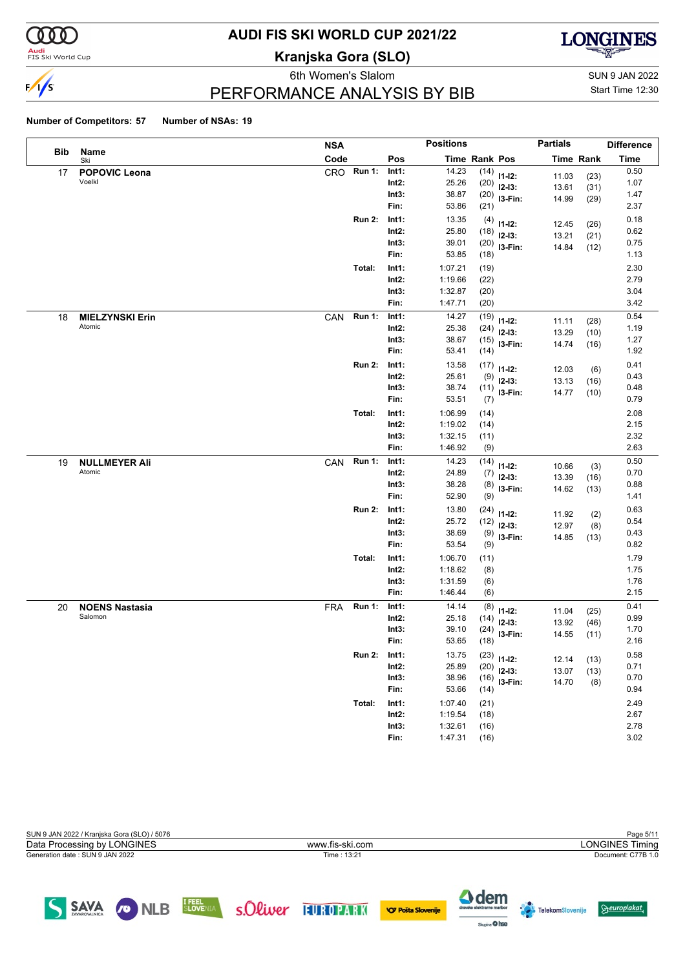

#### **Audi**<br>FIS Ski World Cup

# **AUDI FIS SKI WORLD CUP 2021/22**

**Kranjska Gora (SLO)**



eth Women's Slalom Sun 9 JAN 2022

Start Time 12:30

### PERFORMANCE ANALYSIS BY BIB

#### **Number of Competitors: 57 Number of NSAs: 19**

|     |                                | <b>NSA</b> |               |                | <b>Positions</b> |             |                         | <b>Partials</b> |                  | <b>Difference</b> |
|-----|--------------------------------|------------|---------------|----------------|------------------|-------------|-------------------------|-----------------|------------------|-------------------|
| Bib | Name<br>Ski                    | Code       |               | Pos            | Time Rank Pos    |             |                         |                 | <b>Time Rank</b> | <b>Time</b>       |
| 17  | <b>POPOVIC Leona</b>           | CRO        | <b>Run 1:</b> | Int1:          | 14.23            | (14)        | $11-12:$                | 11.03           | (23)             | 0.50              |
|     | Voelkl                         |            |               | Int2:          | 25.26            | (20)        | $12-13:$                | 13.61           | (31)             | 1.07              |
|     |                                |            |               | Int3:          | 38.87            |             | $(20)$ 13-Fin:          | 14.99           | (29)             | 1.47              |
|     |                                |            |               | Fin:           | 53.86            | (21)        |                         |                 |                  | 2.37              |
|     |                                |            | <b>Run 2:</b> | Int1:          | 13.35            | (4)         | $11 - 12$ :             | 12.45           | (26)             | 0.18              |
|     |                                |            |               | Int2:          | 25.80            | (18)        | $12-13:$                | 13.21           | (21)             | 0.62              |
|     |                                |            |               | Int3:          | 39.01            |             | $(20)$ 13-Fin:          | 14.84           | (12)             | 0.75              |
|     |                                |            |               | Fin:           | 53.85            | (18)        |                         |                 |                  | 1.13              |
|     |                                |            | Total:        | Int1:          | 1:07.21          | (19)        |                         |                 |                  | 2.30              |
|     |                                |            |               | Int2:          | 1:19.66          | (22)        |                         |                 |                  | 2.79              |
|     |                                |            |               | Int3:          | 1:32.87          | (20)        |                         |                 |                  | 3.04              |
|     |                                |            |               | Fin:           | 1:47.71          | (20)        |                         |                 |                  | 3.42              |
| 18  | <b>MIELZYNSKI Erin</b>         | CAN        | <b>Run 1:</b> | Int1:          | 14.27            | (19)        | $11 - 12$ :             | 11.11           | (28)             | 0.54              |
|     | Atomic                         |            |               | Int2:          | 25.38            | (24)        | $12-13:$                | 13.29           | (10)             | 1.19              |
|     |                                |            |               | Int3:          | 38.67            | (15)        | $13-Fin:$               | 14.74           | (16)             | 1.27              |
|     |                                |            |               | Fin:           | 53.41            | (14)        |                         |                 |                  | 1.92              |
|     |                                |            | <b>Run 2:</b> | Int1:          | 13.58            | (17)        | $11 - 12$ :             | 12.03           | (6)              | 0.41              |
|     |                                |            |               | Int2:          | 25.61            | (9)         | $12-13:$                | 13.13           | (16)             | 0.43              |
|     |                                |            |               | Int3:          | 38.74            |             | $(11)$ 13-Fin:          | 14.77           | (10)             | 0.48              |
|     |                                |            |               | Fin:           | 53.51            | (7)         |                         |                 |                  | 0.79              |
|     |                                |            | Total:        | Int1:          | 1:06.99          | (14)        |                         |                 |                  | 2.08              |
|     |                                |            |               | $Int2$ :       | 1:19.02          | (14)        |                         |                 |                  | 2.15              |
|     |                                |            |               | Int3:          | 1:32.15          | (11)        |                         |                 |                  | 2.32              |
|     |                                |            |               | Fin:           | 1:46.92          | (9)         |                         |                 |                  | 2.63              |
| 19  | <b>NULLMEYER Ali</b><br>Atomic | CAN        | <b>Run 1:</b> | Int1:          | 14.23            | (14)        | $11 - 12$ :             | 10.66           | (3)              | 0.50              |
|     |                                |            |               | Int2:<br>Int3: | 24.89<br>38.28   | (7)         | $12-13:$                | 13.39           | (16)             | 0.70<br>0.88      |
|     |                                |            |               | Fin:           | 52.90            | (8)<br>(9)  | I3-Fin:                 | 14.62           | (13)             | 1.41              |
|     |                                |            | <b>Run 2:</b> |                | 13.80            |             |                         |                 |                  | 0.63              |
|     |                                |            |               | Int1:<br>Int2: | 25.72            | (24)        | $11 - 12$ :             | 11.92           | (2)              | 0.54              |
|     |                                |            |               | Int3:          | 38.69            | (12)<br>(9) | $12-13:$                | 12.97           | (8)              | 0.43              |
|     |                                |            |               | Fin:           | 53.54            | (9)         | I3-Fin:                 | 14.85           | (13)             | 0.82              |
|     |                                |            | Total:        | Int1:          | 1:06.70          | (11)        |                         |                 |                  | 1.79              |
|     |                                |            |               | Int2:          | 1:18.62          | (8)         |                         |                 |                  | 1.75              |
|     |                                |            |               | Int3:          | 1:31.59          | (6)         |                         |                 |                  | 1.76              |
|     |                                |            |               | Fin:           | 1:46.44          | (6)         |                         |                 |                  | 2.15              |
| 20  | <b>NOENS Nastasia</b>          | <b>FRA</b> | <b>Run 1:</b> | Int1:          | 14.14            | (8)         |                         |                 |                  | 0.41              |
|     | Salomon                        |            |               | Int2:          | 25.18            | (14)        | $11 - 12$ :<br>$12-13:$ | 11.04           | (25)             | 0.99              |
|     |                                |            |               | Int3:          | 39.10            | (24)        | I3-Fin:                 | 13.92<br>14.55  | (46)<br>(11)     | 1.70              |
|     |                                |            |               | Fin:           | 53.65            | (18)        |                         |                 |                  | 2.16              |
|     |                                |            | <b>Run 2:</b> | Int1:          | 13.75            | (23)        | $11 - 12$ :             | 12.14           |                  | 0.58              |
|     |                                |            |               | $Int2$ :       | 25.89            | (20)        | $12-13:$                | 13.07           | (13)<br>(13)     | 0.71              |
|     |                                |            |               | Int3:          | 38.96            | (16)        | $13-Fin:$               | 14.70           | (8)              | 0.70              |
|     |                                |            |               | Fin:           | 53.66            | (14)        |                         |                 |                  | 0.94              |
|     |                                |            | Total:        | Int1:          | 1:07.40          | (21)        |                         |                 |                  | 2.49              |
|     |                                |            |               | $Int2$ :       | 1:19.54          | (18)        |                         |                 |                  | 2.67              |
|     |                                |            |               | Int3:          | 1:32.61          | (16)        |                         |                 |                  | 2.78              |
|     |                                |            |               | Fin:           | 1:47.31          | (16)        |                         |                 |                  | 3.02              |

| SUN 9 JAN 2022 / Kranjska Gora (SLO) / 5076 |                 |    | Page 5/11              |
|---------------------------------------------|-----------------|----|------------------------|
| Data Processing by LONGINES                 | www.fis-ski.com |    | <b>LONGINES Timing</b> |
| Generation date: SUN 9 JAN 2022             | Time: 13:21     |    | Document: C77B 1.0     |
|                                             |                 |    |                        |
|                                             |                 |    |                        |
|                                             |                 | __ |                        |

SAVA ONLB ELOVENIA SOLWEY FUROPARK OF POSTS SLOWER

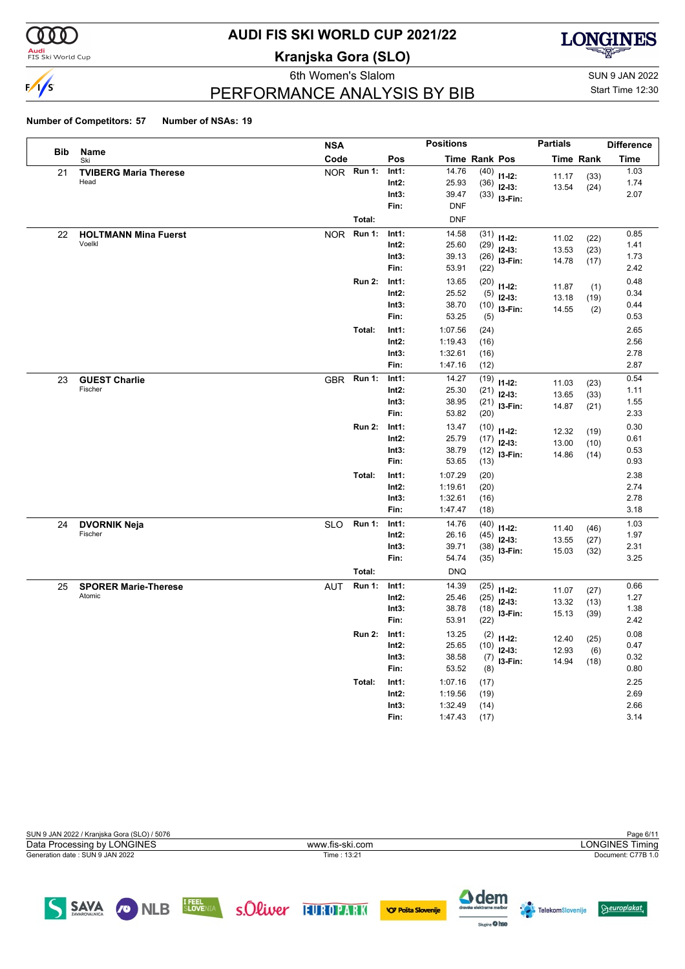

#### **Audi**<br>FIS Ski World Cup

# **AUDI FIS SKI WORLD CUP 2021/22**

**Kranjska Gora (SLO)**



eth Women's Slalom Sun 9 JAN 2022 PERFORMANCE ANALYSIS BY BIB

Start Time 12:30

#### **Number of Competitors: 57 Number of NSAs: 19**

|            |                                 | <b>NSA</b> |               |                   | <b>Positions</b>   |               |                          | <b>Partials</b>  |      | <b>Difference</b> |
|------------|---------------------------------|------------|---------------|-------------------|--------------------|---------------|--------------------------|------------------|------|-------------------|
| <b>Bib</b> | Name<br>Ski                     | Code       |               | Pos               |                    | Time Rank Pos |                          | <b>Time Rank</b> |      | Time              |
| 21         | <b>TVIBERG Maria Therese</b>    |            | NOR Run 1:    | Int1:             | 14.76              | (40)          | $11-12:$                 | 11.17            | (33) | 1.03              |
|            | Head                            |            |               | $Int2$ :          | 25.93              | (36)          | $12-13:$                 | 13.54            | (24) | 1.74              |
|            |                                 |            |               | Int3:             | 39.47              | (33)          | I3-Fin:                  |                  |      | 2.07              |
|            |                                 |            |               | Fin:              | <b>DNF</b>         |               |                          |                  |      |                   |
|            |                                 |            | Total:        |                   | <b>DNF</b>         |               |                          |                  |      |                   |
| 22         | <b>HOLTMANN Mina Fuerst</b>     | <b>NOR</b> | <b>Run 1:</b> | Int1:             | 14.58              | (31)          | $11-12:$                 | 11.02            | (22) | 0.85              |
|            | Voelkl                          |            |               | $Int2$ :          | 25.60              | (29)          | $12-13:$                 | 13.53            | (23) | 1.41              |
|            |                                 |            |               | Int3:             | 39.13              | (26)          | I3-Fin:                  | 14.78            | (17) | 1.73              |
|            |                                 |            |               | Fin:              | 53.91              | (22)          |                          |                  |      | 2.42              |
|            |                                 |            | <b>Run 2:</b> | Int1:             | 13.65              | (20)          | $11 - 12$ :              | 11.87            | (1)  | 0.48              |
|            |                                 |            |               | Int2:             | 25.52              | (5)           | $12-13:$                 | 13.18            | (19) | 0.34              |
|            |                                 |            |               | Int3:             | 38.70              | (10)          | I3-Fin:                  | 14.55            | (2)  | 0.44              |
|            |                                 |            |               | Fin:              | 53.25              | (5)           |                          |                  |      | 0.53              |
|            |                                 |            | Total:        | Int1:             | 1:07.56            | (24)          |                          |                  |      | 2.65              |
|            |                                 |            |               | $Int2$ :          | 1:19.43            | (16)          |                          |                  |      | 2.56              |
|            |                                 |            |               | Int3:<br>Fin:     | 1:32.61<br>1:47.16 | (16)          |                          |                  |      | 2.78<br>2.87      |
|            |                                 |            |               |                   |                    | (12)          |                          |                  |      |                   |
| 23         | <b>GUEST Charlie</b><br>Fischer | <b>GBR</b> | <b>Run 1:</b> | Int1:             | 14.27              | (19)          | $11 - 12$ :              | 11.03            | (23) | 0.54              |
|            |                                 |            |               | Int2:             | 25.30              | (21)          | $12 - 13:$               | 13.65            | (33) | 1.11              |
|            |                                 |            |               | Int3:<br>Fin:     | 38.95<br>53.82     | (21)<br>(20)  | I3-Fin:                  | 14.87            | (21) | 1.55<br>2.33      |
|            |                                 |            |               |                   |                    |               |                          |                  |      |                   |
|            |                                 |            | <b>Run 2:</b> | Int1:             | 13.47              | (10)          | $11 - 12$ :              | 12.32            | (19) | 0.30              |
|            |                                 |            |               | $Int2$ :<br>Int3: | 25.79<br>38.79     | (17)          | $12-13:$                 | 13.00            | (10) | 0.61<br>0.53      |
|            |                                 |            |               | Fin:              | 53.65              | (12)<br>(13)  | I3-Fin:                  | 14.86            | (14) | 0.93              |
|            |                                 |            | Total:        | Int1:             | 1:07.29            |               |                          |                  |      | 2.38              |
|            |                                 |            |               | Int2:             | 1:19.61            | (20)<br>(20)  |                          |                  |      | 2.74              |
|            |                                 |            |               | Int3:             | 1:32.61            | (16)          |                          |                  |      | 2.78              |
|            |                                 |            |               | Fin:              | 1:47.47            | (18)          |                          |                  |      | 3.18              |
| 24         | <b>DVORNIK Neja</b>             | <b>SLO</b> | <b>Run 1:</b> | Int1:             | 14.76              | (40)          |                          |                  |      | 1.03              |
|            | Fischer                         |            |               | Int2:             | 26.16              | (45)          | $11-12:$                 | 11.40            | (46) | 1.97              |
|            |                                 |            |               | Int3:             | 39.71              | (38)          | $12-13:$                 | 13.55            | (27) | 2.31              |
|            |                                 |            |               | Fin:              | 54.74              | (35)          | I3-Fin:                  | 15.03            | (32) | 3.25              |
|            |                                 |            | Total:        |                   | <b>DNQ</b>         |               |                          |                  |      |                   |
| 25         | <b>SPORER Marie-Therese</b>     | <b>AUT</b> | <b>Run 1:</b> | Int1:             | 14.39              | (25)          |                          |                  |      | 0.66              |
|            | Atomic                          |            |               | Int2:             | 25.46              | (25)          | $11-12:$<br>$12-13:$     | 11.07            | (27) | 1.27              |
|            |                                 |            |               | Int3:             | 38.78              | (18)          | I3-Fin:                  | 13.32            | (13) | 1.38              |
|            |                                 |            |               | Fin:              | 53.91              | (22)          |                          | 15.13            | (39) | 2.42              |
|            |                                 |            | <b>Run 2:</b> | Int1:             | 13.25              |               |                          |                  |      | 0.08              |
|            |                                 |            |               | $Int2$ :          | 25.65              | (10)          | $(2)$ 11-12:<br>$12-13:$ | 12.40            | (25) | 0.47              |
|            |                                 |            |               | Int3:             | 38.58              | (7)           |                          | 12.93            | (6)  | 0.32              |
|            |                                 |            |               | Fin:              | 53.52              | (8)           | I3-Fin:                  | 14.94            | (18) | 0.80              |
|            |                                 |            | Total:        | Int1:             | 1:07.16            | (17)          |                          |                  |      | 2.25              |
|            |                                 |            |               | Int2:             | 1:19.56            | (19)          |                          |                  |      | 2.69              |
|            |                                 |            |               | Int3:             | 1:32.49            | (14)          |                          |                  |      | 2.66              |
|            |                                 |            |               | Fin:              | 1:47.43            | (17)          |                          |                  |      | 3.14              |

| SUN 9 JAN 2022 / Kranjska Gora (SLO) / 5076 |                 | Page 6/11              |
|---------------------------------------------|-----------------|------------------------|
| Data Processing by LONGINES                 | www.fis-ski.com | <b>LONGINES Timing</b> |
| Generation date : SUN 9 JAN 2022            | Time: 13:21     | Document: C77B 1.0     |
|                                             |                 |                        |
|                                             |                 |                        |
|                                             |                 |                        |





 $\Theta$ europlakat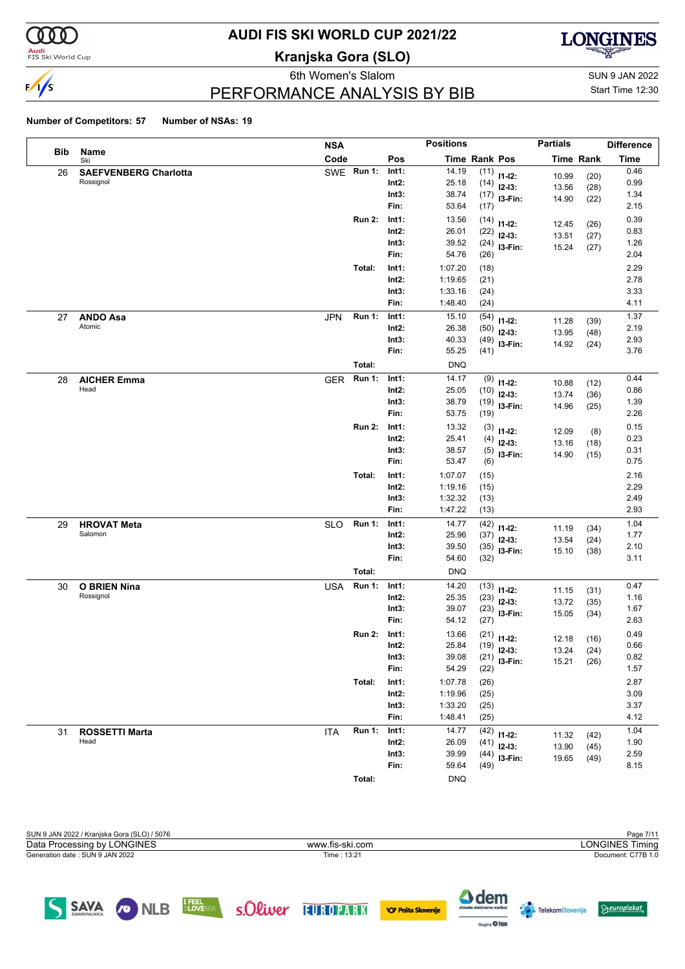

#### **Audi**<br>FIS Ski World Cup

### **AUDI FIS SKI WORLD CUP 2021/22**

**Kranjska Gora (SLO)**



6th Women's Slalom Sun 9 JAN 2022

Start Time 12:30

### PERFORMANCE ANALYSIS BY BIB

#### **Number of Competitors: 57 Number of NSAs: 19**

|     |                                  | <b>NSA</b> |               |                   | <b>Positions</b>   |                      |                  | <b>Partials</b>  |              | <b>Difference</b> |
|-----|----------------------------------|------------|---------------|-------------------|--------------------|----------------------|------------------|------------------|--------------|-------------------|
| Bib | Name<br>Ski                      | Code       |               | Pos               |                    | <b>Time Rank Pos</b> |                  | <b>Time Rank</b> |              | <b>Time</b>       |
| 26  | <b>SAEFVENBERG Charlotta</b>     |            | SWE Run 1:    | Int1:             | 14.19              |                      | $(11)$ 11-12:    | 10.99            | (20)         | 0.46              |
|     | Rossignol                        |            |               | $Int2$ :          | 25.18              |                      | $(14)$ 12-13:    | 13.56            | (28)         | 0.99              |
|     |                                  |            |               | Int3:             | 38.74              |                      | $(17)$ 13-Fin:   | 14.90            | (22)         | 1.34              |
|     |                                  |            |               | Fin:              | 53.64              | (17)                 |                  |                  |              | 2.15              |
|     |                                  |            | <b>Run 2:</b> | Int1:             | 13.56              | (14)                 | $11-12:$         | 12.45            | (26)         | 0.39              |
|     |                                  |            |               | $Int2$ :          | 26.01              | (22)                 | $12-13:$         | 13.51            | (27)         | 0.83              |
|     |                                  |            |               | Int3:<br>Fin:     | 39.52<br>54.76     | (24)                 | I3-Fin:          | 15.24            | (27)         | 1.26<br>2.04      |
|     |                                  |            |               |                   |                    | (26)                 |                  |                  |              |                   |
|     |                                  |            | Total:        | Int1:<br>$Int2$ : | 1:07.20<br>1:19.65 | (18)                 |                  |                  |              | 2.29<br>2.78      |
|     |                                  |            |               | Int3:             | 1:33.16            | (21)<br>(24)         |                  |                  |              | 3.33              |
|     |                                  |            |               | Fin:              | 1:48.40            | (24)                 |                  |                  |              | 4.11              |
| 27  | <b>ANDO Asa</b>                  | <b>JPN</b> | <b>Run 1:</b> | Int1:             | 15.10              | (54)                 |                  |                  |              | 1.37              |
|     | Atomic                           |            |               | $Int2$ :          | 26.38              | (50)                 | $11 - 12$ :      | 11.28            | (39)         | 2.19              |
|     |                                  |            |               | Int3:             | 40.33              | (49)                 | $12-13:$         | 13.95            | (48)         | 2.93              |
|     |                                  |            |               | Fin:              | 55.25              | (41)                 | 13-Fin:          | 14.92            | (24)         | 3.76              |
|     |                                  |            | Total:        |                   | <b>DNQ</b>         |                      |                  |                  |              |                   |
| 28  | <b>AICHER Emma</b>               | <b>GER</b> | <b>Run 1:</b> | Int1:             | 14.17              | (9)                  | $11 - 12$ :      |                  |              | 0.44              |
|     | Head                             |            |               | $Int2$ :          | 25.05              | (10)                 | $12-13:$         | 10.88<br>13.74   | (12)<br>(36) | 0.86              |
|     |                                  |            |               | Int3:             | 38.79              | (19)                 | I3-Fin:          | 14.96            | (25)         | 1.39              |
|     |                                  |            |               | Fin:              | 53.75              | (19)                 |                  |                  |              | 2.26              |
|     |                                  |            | <b>Run 2:</b> | Int1:             | 13.32              | (3)                  | $11 - 12$ :      | 12.09            | (8)          | 0.15              |
|     |                                  |            |               | $Int2$ :          | 25.41              | (4)                  | $12-13:$         | 13.16            | (18)         | 0.23              |
|     |                                  |            |               | Int3:             | 38.57              | (5)                  | I3-Fin:          | 14.90            | (15)         | 0.31              |
|     |                                  |            |               | Fin:              | 53.47              | (6)                  |                  |                  |              | 0.75              |
|     |                                  |            | Total:        | Int1:             | 1:07.07            | (15)                 |                  |                  |              | 2.16              |
|     |                                  |            |               | $Int2$ :          | 1:19.16            | (15)                 |                  |                  |              | 2.29              |
|     |                                  |            |               | Int3:             | 1:32.32            | (13)                 |                  |                  |              | 2.49              |
|     |                                  |            |               | Fin:              | 1:47.22            | (13)                 |                  |                  |              | 2.93              |
| 29  | <b>HROVAT Meta</b>               | <b>SLO</b> | <b>Run 1:</b> | Int1:             | 14.77              | (42)                 | $11 - 12$ :      | 11.19            | (34)         | 1.04              |
|     | Salomon                          |            |               | $Int2$ :          | 25.96              | (37)                 | $12-13:$         | 13.54            | (24)         | 1.77              |
|     |                                  |            |               | Int3:<br>Fin:     | 39.50<br>54.60     | (35)<br>(32)         | I3-Fin:          | 15.10            | (38)         | 2.10<br>3.11      |
|     |                                  |            |               |                   |                    |                      |                  |                  |              |                   |
|     |                                  |            | Total:        |                   | <b>DNQ</b>         |                      |                  |                  |              |                   |
| 30  | <b>O BRIEN Nina</b><br>Rossignol | <b>USA</b> | Run 1:        | Int1:<br>$Int2$ : | 14.20<br>25.35     |                      | $(13)$ $11-12$ : | 11.15            | (31)         | 0.47<br>1.16      |
|     |                                  |            |               | Int3:             | 39.07              | (23)<br>(23)         | $12-13:$         | 13.72            | (35)         | 1.67              |
|     |                                  |            |               | Fin:              | 54.12              | (27)                 | I3-Fin:          | 15.05            | (34)         | 2.63              |
|     |                                  |            | <b>Run 2:</b> | Int1:             | 13.66              |                      | $(21)$ 11-12:    |                  |              | 0.49              |
|     |                                  |            |               | $Int2$ :          | 25.84              |                      | $(19)$ 12-13:    | 12.18            | (16)         | 0.66              |
|     |                                  |            |               | Int3:             | 39.08              |                      | $(21)$ 13-Fin:   | 13.24            | (24)         | 0.82              |
|     |                                  |            |               | Fin:              | 54.29              | (22)                 |                  | 15.21            | (26)         | 1.57              |
|     |                                  |            | Total:        | Int1:             | 1:07.78            | (26)                 |                  |                  |              | 2.87              |
|     |                                  |            |               | $Int2$ :          | 1:19.96            | (25)                 |                  |                  |              | 3.09              |
|     |                                  |            |               | Int3:             | 1:33.20            | (25)                 |                  |                  |              | 3.37              |
|     |                                  |            |               | Fin:              | 1:48.41            | (25)                 |                  |                  |              | 4.12              |
| 31  | <b>ROSSETTI Marta</b>            | <b>ITA</b> | <b>Run 1:</b> | Int1:             | 14.77              |                      | $(42)$ 11-12:    | 11.32            | (42)         | 1.04              |
|     | Head                             |            |               | $Int2$ :          | 26.09              | (41)                 | $12-13:$         | 13.90            | (45)         | 1.90              |
|     |                                  |            |               | Int3:             | 39.99              |                      | $(44)$ 13-Fin:   | 19.65            | (49)         | 2.59              |
|     |                                  |            |               | Fin:              | 59.64              | (49)                 |                  |                  |              | 8.15              |
|     |                                  |            | Total:        |                   | <b>DNQ</b>         |                      |                  |                  |              |                   |



Sixpine O hee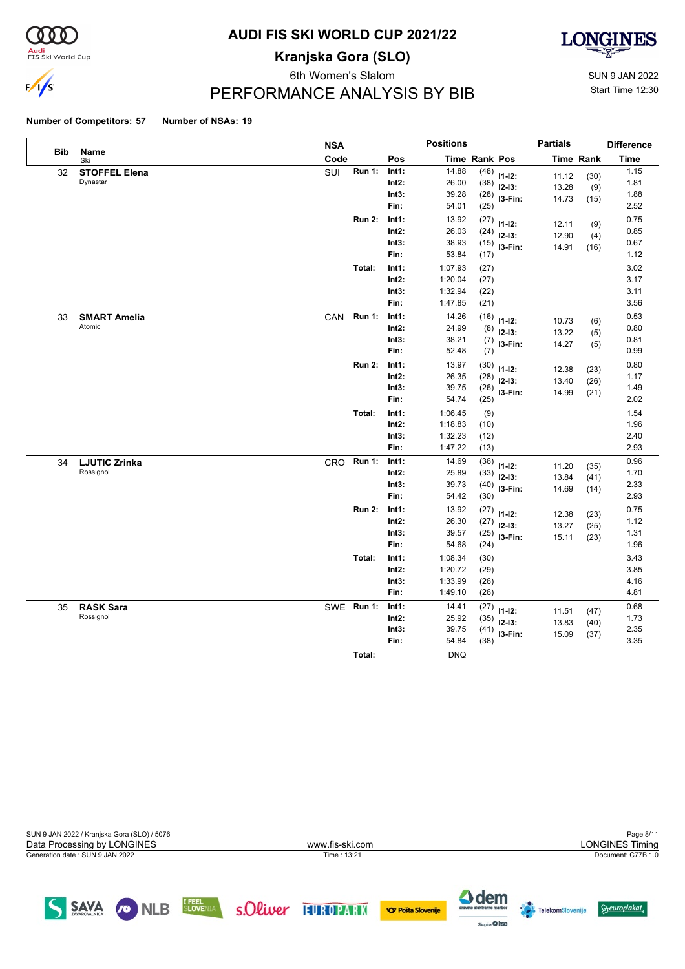

#### **Audi**<br>FIS Ski World Cup

# **AUDI FIS SKI WORLD CUP 2021/22**

**Kranjska Gora (SLO)**



6th Women's Slalom Sun 9 JAN 2022

Start Time 12:30

## PERFORMANCE ANALYSIS BY BIB

#### **Number of Competitors: 57 Number of NSAs: 19**

|            |                                   | <b>NSA</b> |               |                | <b>Positions</b>   |               |             | <b>Partials</b> |                  | <b>Difference</b> |
|------------|-----------------------------------|------------|---------------|----------------|--------------------|---------------|-------------|-----------------|------------------|-------------------|
| <b>Bib</b> | Name<br>Ski                       | Code       |               | Pos            |                    | Time Rank Pos |             |                 | <b>Time Rank</b> | <b>Time</b>       |
| 32         | <b>STOFFEL Elena</b>              | SUI        | Run 1:        | Int1:          | 14.88              | (48)          | $11 - 12$ : | 11.12           | (30)             | 1.15              |
|            | Dynastar                          |            |               | $Int2$ :       | 26.00              | (38)          | $12-13:$    | 13.28           | (9)              | 1.81              |
|            |                                   |            |               | Int3:          | 39.28              | (28)          | I3-Fin:     | 14.73           | (15)             | 1.88              |
|            |                                   |            |               | Fin:           | 54.01              | (25)          |             |                 |                  | 2.52              |
|            |                                   |            | <b>Run 2:</b> | Int1:          | 13.92              | (27)          | $11 - 12$ : | 12.11           | (9)              | 0.75              |
|            |                                   |            |               | Int2:          | 26.03              | (24)          | $12-13:$    | 12.90           | (4)              | 0.85              |
|            |                                   |            |               | Int3:          | 38.93              | (15)          | I3-Fin:     | 14.91           | (16)             | 0.67              |
|            |                                   |            |               | Fin:           | 53.84              | (17)          |             |                 |                  | 1.12              |
|            |                                   |            | Total:        | Int1:          | 1:07.93            | (27)          |             |                 |                  | 3.02              |
|            |                                   |            |               | Int2:          | 1:20.04            | (27)          |             |                 |                  | 3.17              |
|            |                                   |            |               | Int3:          | 1:32.94            | (22)          |             |                 |                  | 3.11              |
|            |                                   |            |               | Fin:           | 1:47.85            | (21)          |             |                 |                  | 3.56              |
| 33         | <b>SMART Amelia</b>               | CAN        | <b>Run 1:</b> | Int1:          | 14.26              | (16)          | $11 - 12$ : | 10.73           | (6)              | 0.53              |
|            | Atomic                            |            |               | Int2:          | 24.99              | (8)           | $12-13:$    | 13.22           | (5)              | 0.80              |
|            |                                   |            |               | Int3:          | 38.21              | (7)           | I3-Fin:     | 14.27           | (5)              | 0.81              |
|            |                                   |            |               | Fin:           | 52.48              | (7)           |             |                 |                  | 0.99              |
|            |                                   |            | <b>Run 2:</b> | Int1:          | 13.97              | (30)          | $11-12:$    | 12.38           | (23)             | 0.80              |
|            |                                   |            |               | Int2:          | 26.35              | (28)          | $12-13:$    | 13.40           | (26)             | 1.17              |
|            |                                   |            |               | Int3:          | 39.75              | (26)          | I3-Fin:     | 14.99           | (21)             | 1.49              |
|            |                                   |            |               | Fin:           | 54.74              | (25)          |             |                 |                  | 2.02              |
|            |                                   |            | Total:        | Int1:          | 1:06.45            | (9)           |             |                 |                  | 1.54              |
|            |                                   |            |               | $Int2$ :       | 1:18.83            | (10)          |             |                 |                  | 1.96              |
|            |                                   |            |               | Int3:<br>Fin:  | 1:32.23<br>1:47.22 | (12)          |             |                 |                  | 2.40<br>2.93      |
|            |                                   |            |               |                |                    | (13)          |             |                 |                  |                   |
| 34         | <b>LJUTIC Zrinka</b><br>Rossignol | CRO        | <b>Run 1:</b> | Int1:<br>Int2: | 14.69<br>25.89     | (36)          | $11 - 12$ : | 11.20           | (35)             | 0.96<br>1.70      |
|            |                                   |            |               | Int3:          | 39.73              | (33)<br>(40)  | $12-13:$    | 13.84           | (41)             | 2.33              |
|            |                                   |            |               | Fin:           | 54.42              | (30)          | I3-Fin:     | 14.69           | (14)             | 2.93              |
|            |                                   |            | <b>Run 2:</b> | Int1:          | 13.92              | (27)          |             |                 |                  | 0.75              |
|            |                                   |            |               | Int2:          | 26.30              | (27)          | $11 - 12$ : | 12.38           | (23)             | 1.12              |
|            |                                   |            |               | Int3:          | 39.57              | (25)          | $12-13:$    | 13.27           | (25)             | 1.31              |
|            |                                   |            |               | Fin:           | 54.68              | (24)          | I3-Fin:     | 15.11           | (23)             | 1.96              |
|            |                                   |            | Total:        | Int1:          | 1:08.34            | (30)          |             |                 |                  | 3.43              |
|            |                                   |            |               | $Int2$ :       | 1:20.72            | (29)          |             |                 |                  | 3.85              |
|            |                                   |            |               | Int3:          | 1:33.99            | (26)          |             |                 |                  | 4.16              |
|            |                                   |            |               | Fin:           | 1:49.10            | (26)          |             |                 |                  | 4.81              |
| 35         | <b>RASK Sara</b>                  |            | SWE Run 1:    | Int1:          | 14.41              | (27)          | $11 - 12$ : | 11.51           |                  | 0.68              |
|            | Rossignol                         |            |               | $Int2$ :       | 25.92              | (35)          | $12-13:$    | 13.83           | (47)<br>(40)     | 1.73              |
|            |                                   |            |               | Int3:          | 39.75              | (41)          | I3-Fin:     | 15.09           | (37)             | 2.35              |
|            |                                   |            |               | Fin:           | 54.84              | (38)          |             |                 |                  | 3.35              |
|            |                                   |            | Total:        |                | <b>DNQ</b>         |               |             |                 |                  |                   |

| SUN 9 JAN 2022 / Kranjska Gora (SLO) / 5076 |               |                 | Page 8/11              |
|---------------------------------------------|---------------|-----------------|------------------------|
| Data Processing by LONGINES                 |               | www.fis-ski.com | <b>LONGINES Timing</b> |
| Generation date: SUN 9 JAN 2022             |               | Time: 13:21     | Document: C77B 1.0     |
|                                             |               |                 |                        |
| <b>I FEEL</b>                               | $\sim$ $\sim$ |                 |                        |

**Telekom**Slovenije

Sapire O hee

 $\Theta$ europlakat

SAVA ONLB SLOVENIA SOLWEY FUROPARK OPPSTASIONERIE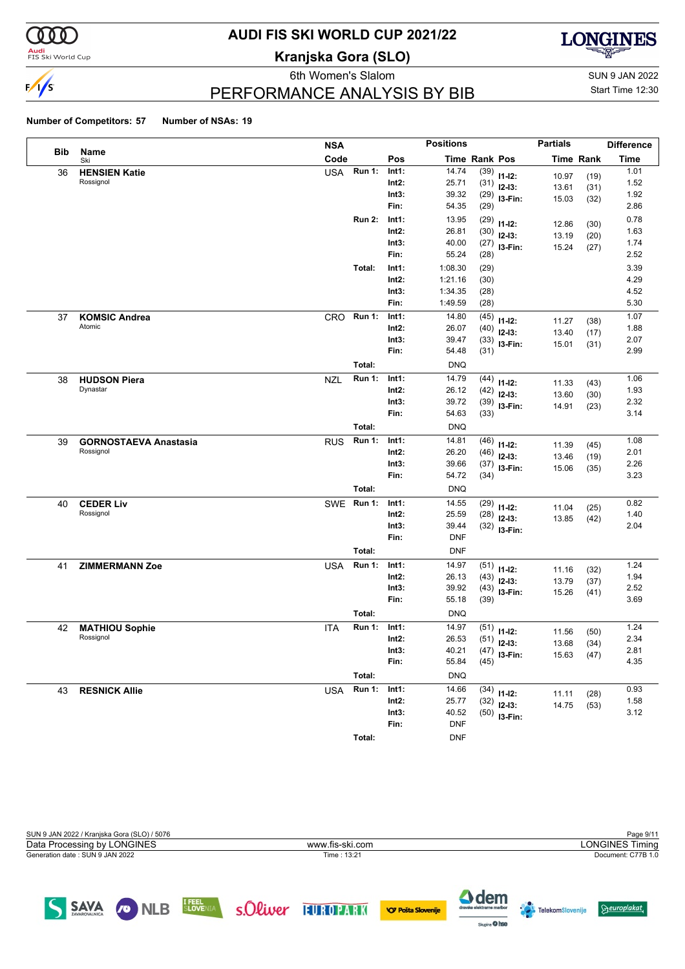

#### **Audi**<br>FIS Ski World Cup

## **AUDI FIS SKI WORLD CUP 2021/22**

**Kranjska Gora (SLO)**



## PERFORMANCE ANALYSIS BY BIB

6th Women's Slalom Sun 9 JAN 2022 Start Time 12:30

#### **Number of Competitors: 57 Number of NSAs: 19**

|     |                              | <b>NSA</b> |               |          | <b>Positions</b> |                      |                | <b>Partials</b> |                  | <b>Difference</b> |
|-----|------------------------------|------------|---------------|----------|------------------|----------------------|----------------|-----------------|------------------|-------------------|
| Bib | Name<br>Ski                  | Code       |               | Pos      |                  | <b>Time Rank Pos</b> |                |                 | <b>Time Rank</b> | <b>Time</b>       |
| 36  | <b>HENSIEN Katie</b>         | <b>USA</b> | <b>Run 1:</b> | Int1:    | 14.74            |                      | $(39)$ 11-12:  | 10.97           | (19)             | 1.01              |
|     | Rossignol                    |            |               | $Int2$ : | 25.71            |                      | $(31)$ 12-13:  | 13.61           | (31)             | 1.52              |
|     |                              |            |               | Int3:    | 39.32            |                      | $(29)$ 13-Fin: | 15.03           | (32)             | 1.92              |
|     |                              |            |               | Fin:     | 54.35            | (29)                 |                |                 |                  | 2.86              |
|     |                              |            | <b>Run 2:</b> | Int1:    | 13.95            | (29)                 | $11 - 12$ :    | 12.86           | (30)             | 0.78              |
|     |                              |            |               | $Int2$ : | 26.81            |                      | $(30)$ 12-13:  | 13.19           | (20)             | 1.63              |
|     |                              |            |               | Int3:    | 40.00            |                      | $(27)$ 13-Fin: | 15.24           | (27)             | 1.74              |
|     |                              |            |               | Fin:     | 55.24            | (28)                 |                |                 |                  | 2.52              |
|     |                              |            | Total:        | Int1:    | 1:08.30          | (29)                 |                |                 |                  | 3.39              |
|     |                              |            |               | $Int2$ : | 1:21.16          | (30)                 |                |                 |                  | 4.29              |
|     |                              |            |               | Int3:    | 1:34.35          | (28)                 |                |                 |                  | 4.52              |
|     |                              |            |               | Fin:     | 1:49.59          | (28)                 |                |                 |                  | 5.30              |
| 37  | <b>KOMSIC Andrea</b>         | CRO        | <b>Run 1:</b> | Int1:    | 14.80            | (45)                 | $11 - 12$ :    |                 |                  | 1.07              |
|     | Atomic                       |            |               | $Int2$ : | 26.07            | (40)                 | $12-13:$       | 11.27           | (38)             | 1.88              |
|     |                              |            |               | Int3:    | 39.47            |                      | $(33)$ 13-Fin: | 13.40<br>15.01  | (17)             | 2.07              |
|     |                              |            |               | Fin:     | 54.48            | (31)                 |                |                 | (31)             | 2.99              |
|     |                              |            | Total:        |          | <b>DNQ</b>       |                      |                |                 |                  |                   |
| 38  | <b>HUDSON Piera</b>          | <b>NZL</b> | <b>Run 1:</b> | Int1:    | 14.79            | (44)                 | $11 - 12$ :    | 11.33           | (43)             | 1.06              |
|     | Dynastar                     |            |               | $Int2$ : | 26.12            | (42)                 | $12-13:$       | 13.60           | (30)             | 1.93              |
|     |                              |            |               | Int3:    | 39.72            |                      | $(39)$ 13-Fin: | 14.91           | (23)             | 2.32              |
|     |                              |            |               | Fin:     | 54.63            | (33)                 |                |                 |                  | 3.14              |
|     |                              |            | Total:        |          | <b>DNQ</b>       |                      |                |                 |                  |                   |
| 39  | <b>GORNOSTAEVA Anastasia</b> | <b>RUS</b> | <b>Run 1:</b> | Int1:    | 14.81            | (46)                 | $11 - 12$ :    | 11.39           | (45)             | 1.08              |
|     | Rossignol                    |            |               | $Int2$ : | 26.20            | (46)                 | $12-13:$       | 13.46           | (19)             | 2.01              |
|     |                              |            |               | Int3:    | 39.66            |                      | $(37)$ 13-Fin: | 15.06           | (35)             | 2.26              |
|     |                              |            |               | Fin:     | 54.72            | (34)                 |                |                 |                  | 3.23              |
|     |                              |            | Total:        |          | <b>DNQ</b>       |                      |                |                 |                  |                   |
| 40  | <b>CEDER Liv</b>             | <b>SWE</b> | <b>Run 1:</b> | Int1:    | 14.55            | (29)                 | $11 - 12$ :    | 11.04           | (25)             | 0.82              |
|     | Rossignol                    |            |               | $Int2$ : | 25.59            | (28)                 | $12-13:$       | 13.85           | (42)             | 1.40              |
|     |                              |            |               | Int3:    | 39.44            |                      | $(32)$ 13-Fin: |                 |                  | 2.04              |
|     |                              |            |               | Fin:     | <b>DNF</b>       |                      |                |                 |                  |                   |
|     |                              |            | Total:        |          | <b>DNF</b>       |                      |                |                 |                  |                   |
| 41  | <b>ZIMMERMANN Zoe</b>        | <b>USA</b> | <b>Run 1:</b> | Int1:    | 14.97            |                      | $(51)$ 11-12:  | 11.16           | (32)             | 1.24              |
|     |                              |            |               | $Int2$ : | 26.13            | (43)                 | $12-13:$       | 13.79           | (37)             | 1.94              |
|     |                              |            |               | Int3:    | 39.92            | (43)                 | I3-Fin:        | 15.26           | (41)             | 2.52              |
|     |                              |            |               | Fin:     | 55.18            | (39)                 |                |                 |                  | 3.69              |
|     |                              |            | Total:        |          | <b>DNQ</b>       |                      |                |                 |                  |                   |
| 42  | <b>MATHIOU Sophie</b>        | <b>ITA</b> | <b>Run 1:</b> | Int1:    | 14.97            |                      | $(51)$ 11-12:  | 11.56           | (50)             | 1.24              |
|     | Rossignol                    |            |               | $Int2$ : | 26.53            |                      | $(51)$ 12-13:  | 13.68           | (34)             | 2.34              |
|     |                              |            |               | Int3:    | 40.21            |                      | $(47)$ 13-Fin: |                 | 15.63 (47)       | 2.81              |
|     |                              |            |               | Fin:     | 55.84            | (45)                 |                |                 |                  | 4.35              |
|     |                              |            | Total:        |          | <b>DNQ</b>       |                      |                |                 |                  |                   |
| 43  | <b>RESNICK Allie</b>         | <b>USA</b> | <b>Run 1:</b> | Int1:    | 14.66            |                      | $(34)$ 11-12:  |                 |                  | 0.93              |
|     |                              |            |               | $Int2$ : | 25.77            |                      | $(32)$ 12-13:  | 11.11<br>14.75  | (28)             | 1.58              |
|     |                              |            |               | Int3:    | 40.52            |                      | $(50)$ 13-Fin: |                 | (53)             | 3.12              |
|     |                              |            |               | Fin:     | <b>DNF</b>       |                      |                |                 |                  |                   |
|     |                              |            | Total:        |          | <b>DNF</b>       |                      |                |                 |                  |                   |



SLOVENIA S.Oliver 11 ROPARK

SAVA ONLB

4 dem

Sixpire O hse

**VOF Pošta Slovenije** 

 $\Theta$ europlakat

**Telekom**Slovenije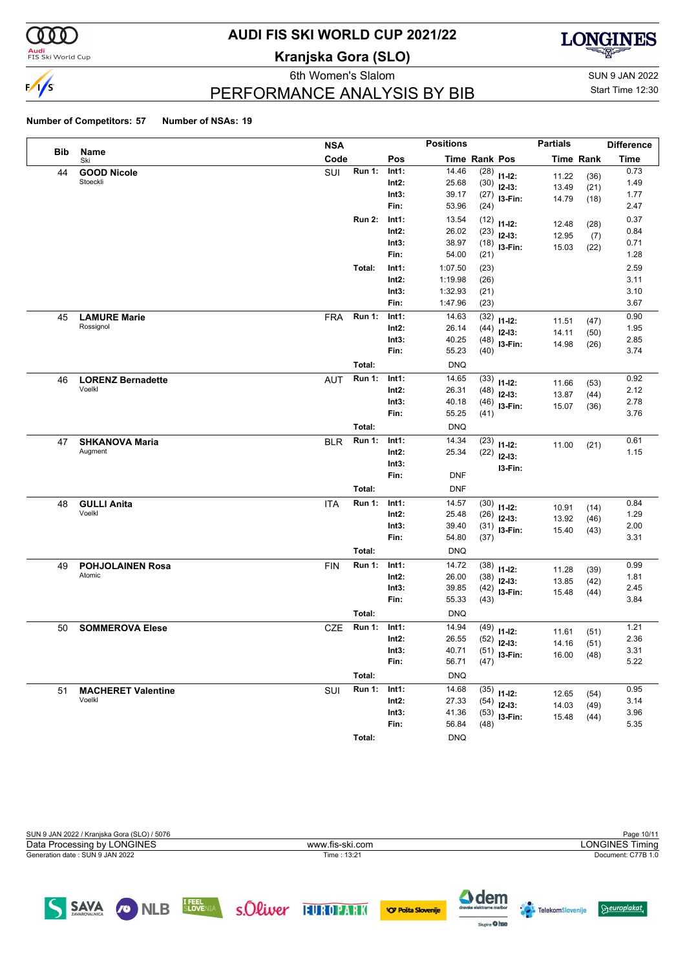

#### **Audi**<br>FIS Ski World Cup

## **AUDI FIS SKI WORLD CUP 2021/22**

**Kranjska Gora (SLO)**



# PERFORMANCE ANALYSIS BY BIB

6th Women's Slalom Sun 9 JAN 2022 Start Time 12:30

#### **Number of Competitors: 57 Number of NSAs: 19**

SAVA CONLB

|            |                           | <b>NSA</b>                  |          | <b>Positions</b>     |      |                | <b>Partials</b> |                  | <b>Difference</b> |
|------------|---------------------------|-----------------------------|----------|----------------------|------|----------------|-----------------|------------------|-------------------|
| <b>Bib</b> | Name<br>Ski               | Code                        | Pos      | <b>Time Rank Pos</b> |      |                |                 | <b>Time Rank</b> | <b>Time</b>       |
| 44         | <b>GOOD Nicole</b>        | <b>Run 1:</b><br>SUI        | Int1:    | 14.46                | (28) | $11 - 12$ :    | 11.22           | (36)             | 0.73              |
|            | Stoeckli                  |                             | $Int2$ : | 25.68                | (30) | $12-13:$       | 13.49           | (21)             | 1.49              |
|            |                           |                             | Int3:    | 39.17                | (27) | I3-Fin:        | 14.79           | (18)             | 1.77              |
|            |                           |                             | Fin:     | 53.96                | (24) |                |                 |                  | 2.47              |
|            |                           | <b>Run 2:</b>               | Int1:    | 13.54                | (12) | $11 - 12$ :    | 12.48           | (28)             | 0.37              |
|            |                           |                             | Int2:    | 26.02                | (23) | $12-13:$       | 12.95           | (7)              | 0.84              |
|            |                           |                             | Int3:    | 38.97                | (18) | I3-Fin:        | 15.03           | (22)             | 0.71              |
|            |                           |                             | Fin:     | 54.00                | (21) |                |                 |                  | 1.28              |
|            |                           | Total:                      | Int1:    | 1:07.50              | (23) |                |                 |                  | 2.59              |
|            |                           |                             | Int2:    | 1:19.98              | (26) |                |                 |                  | 3.11              |
|            |                           |                             | Int3:    | 1:32.93              | (21) |                |                 |                  | 3.10              |
|            |                           |                             | Fin:     | 1:47.96              | (23) |                |                 |                  | 3.67              |
| 45         | <b>LAMURE Marie</b>       | <b>Run 1:</b><br><b>FRA</b> | Int1:    | 14.63                | (32) | $11 - 12$ :    | 11.51           | (47)             | 0.90              |
|            | Rossignol                 |                             | $Int2$ : | 26.14                | (44) | $12-13:$       | 14.11           | (50)             | 1.95              |
|            |                           |                             | Int3:    | 40.25                | (48) | I3-Fin:        | 14.98           | (26)             | 2.85              |
|            |                           |                             | Fin:     | 55.23                | (40) |                |                 |                  | 3.74              |
|            |                           | Total:                      |          | <b>DNQ</b>           |      |                |                 |                  |                   |
| 46         | <b>LORENZ Bernadette</b>  | <b>Run 1:</b><br><b>AUT</b> | Int1:    | 14.65                | (33) | $11 - 12$ :    | 11.66           | (53)             | 0.92              |
|            | Voelkl                    |                             | $Int2$ : | 26.31                | (48) | $12-13:$       | 13.87           | (44)             | 2.12              |
|            |                           |                             | Int3:    | 40.18                | (46) | I3-Fin:        | 15.07           | (36)             | 2.78              |
|            |                           |                             | Fin:     | 55.25                | (41) |                |                 |                  | 3.76              |
|            |                           | Total:                      |          | <b>DNQ</b>           |      |                |                 |                  |                   |
| 47         | <b>SHKANOVA Maria</b>     | <b>Run 1:</b><br><b>BLR</b> | Int1:    | 14.34                | (23) | $11 - 12$ :    | 11.00           | (21)             | 0.61              |
|            | Augment                   |                             | $Int2$ : | 25.34                | (22) | $12-13:$       |                 |                  | 1.15              |
|            |                           |                             | Int3:    |                      |      | I3-Fin:        |                 |                  |                   |
|            |                           |                             | Fin:     | <b>DNF</b>           |      |                |                 |                  |                   |
|            |                           | Total:                      |          | <b>DNF</b>           |      |                |                 |                  |                   |
| 48         | <b>GULLI Anita</b>        | <b>Run 1:</b><br><b>ITA</b> | Int1:    | 14.57                | (30) | $11 - 12$ :    | 10.91           | (14)             | 0.84              |
|            | Voelkl                    |                             | $Int2$ : | 25.48                | (26) | $12-13:$       | 13.92           | (46)             | 1.29              |
|            |                           |                             | Int3:    | 39.40                | (31) | I3-Fin:        | 15.40           | (43)             | 2.00              |
|            |                           |                             | Fin:     | 54.80                | (37) |                |                 |                  | 3.31              |
|            |                           | Total:                      |          | <b>DNQ</b>           |      |                |                 |                  |                   |
| 49         | <b>POHJOLAINEN Rosa</b>   | <b>FIN</b><br><b>Run 1:</b> | Int1:    | 14.72                | (38) | $11 - 12$ :    | 11.28           | (39)             | 0.99              |
|            | Atomic                    |                             | $Int2$ : | 26.00                | (38) | $12-13:$       | 13.85           | (42)             | 1.81              |
|            |                           |                             | Int3:    | 39.85                | (42) | I3-Fin:        | 15.48           | (44)             | 2.45              |
|            |                           |                             | Fin:     | 55.33                | (43) |                |                 |                  | 3.84              |
|            |                           | Total:                      |          | <b>DNQ</b>           |      |                |                 |                  |                   |
| 50         | <b>SOMMEROVA Elese</b>    | <b>Run 1:</b><br><b>CZE</b> | Int1:    | 14.94                | (49) | $11 - 12$ :    | 11.61           | (51)             | 1.21              |
|            |                           |                             | $Int2$ : | 26.55                | (52) | $12 - 13:$     | 14.16           | (51)             | 2.36              |
|            |                           |                             | Int3:    | 40.71                |      | $(51)$ 13-Fin: |                 | 16.00 (48)       | 3.31              |
|            |                           |                             | Fin:     | 56.71                | (47) |                |                 |                  | 5.22              |
|            |                           | Total:                      |          | <b>DNQ</b>           |      |                |                 |                  |                   |
| 51         | <b>MACHERET Valentine</b> | <b>Run 1:</b><br>SUI        | Int1:    | 14.68                |      | $(35)$ 11-12:  | 12.65           | (54)             | 0.95              |
|            | Voelkl                    |                             | $Int2$ : | 27.33                | (54) | $12-13:$       | 14.03           | (49)             | 3.14              |
|            |                           |                             | Int3:    | 41.36                |      | $(53)$ 13-Fin: | 15.48           | (44)             | 3.96              |
|            |                           |                             | Fin:     | 56.84                | (48) |                |                 |                  | 5.35              |
|            |                           | Total:                      |          | <b>DNQ</b>           |      |                |                 |                  |                   |



SLOVENIA S.Oliver 11 ROPARK

4 dem

Sixpire O hse

**VOF Pošta Slovenije** 

 $\Theta$ europlakat

**Telekom**Slovenije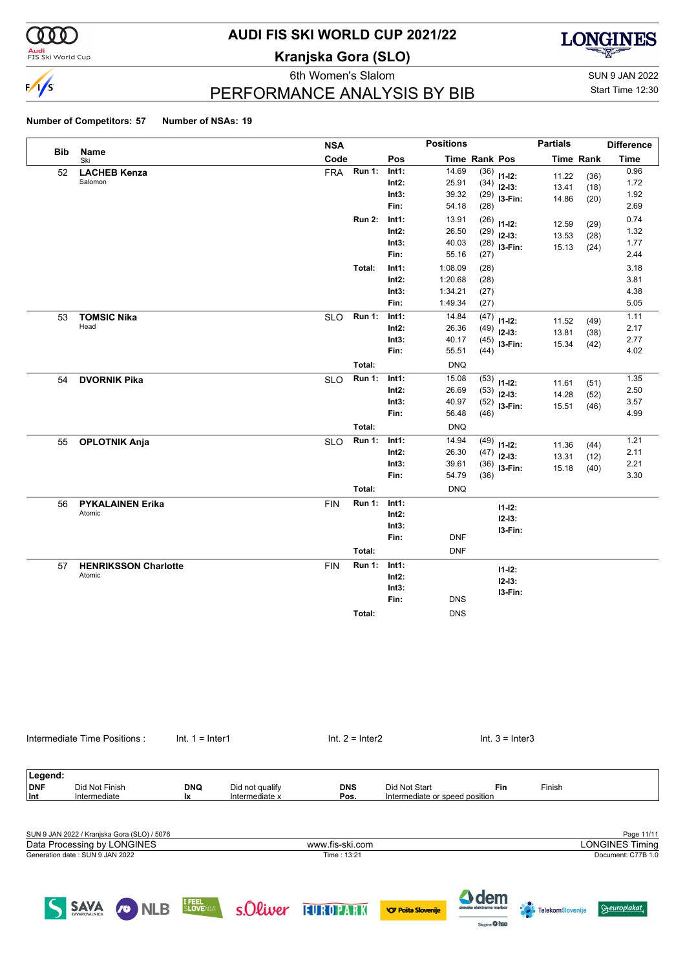

#### **Audi**<br>FIS Ski World Cup

# **AUDI FIS SKI WORLD CUP 2021/22**

**Kranjska Gora (SLO)**



6th Women's Slalom Sun 9 JAN 2022 PERFORMANCE ANALYSIS BY BIB

Start Time 12:30

#### **Number of Competitors: 57 Number of NSAs: 19**

|            |                             | <b>NSA</b> |               |          | <b>Positions</b> |               |                | <b>Partials</b> |                  | <b>Difference</b> |
|------------|-----------------------------|------------|---------------|----------|------------------|---------------|----------------|-----------------|------------------|-------------------|
| <b>Bib</b> | Name<br>Ski                 | Code       |               | Pos      |                  | Time Rank Pos |                |                 | <b>Time Rank</b> | <b>Time</b>       |
| 52         | <b>LACHEB Kenza</b>         | <b>FRA</b> | <b>Run 1:</b> | Int1:    | 14.69            | (36)          | $11-12:$       | 11.22           | (36)             | 0.96              |
|            | Salomon                     |            |               | Int2:    | 25.91            |               | $(34)$ 12-13:  | 13.41           | (18)             | 1.72              |
|            |                             |            |               | Int3:    | 39.32            | (29)          | I3-Fin:        | 14.86           | (20)             | 1.92              |
|            |                             |            |               | Fin:     | 54.18            | (28)          |                |                 |                  | 2.69              |
|            |                             |            | <b>Run 2:</b> | Int1:    | 13.91            | (26)          | $11-12:$       | 12.59           | (29)             | 0.74              |
|            |                             |            |               | Int2:    | 26.50            | (29)          | $12-13:$       | 13.53           | (28)             | 1.32              |
|            |                             |            |               | Int3:    | 40.03            |               | $(28)$ 13-Fin: | 15.13           | (24)             | 1.77              |
|            |                             |            |               | Fin:     | 55.16            | (27)          |                |                 |                  | 2.44              |
|            |                             |            | Total:        | Int1:    | 1:08.09          | (28)          |                |                 |                  | 3.18              |
|            |                             |            |               | Int2:    | 1:20.68          | (28)          |                |                 |                  | 3.81              |
|            |                             |            |               | Int3:    | 1:34.21          | (27)          |                |                 |                  | 4.38              |
|            |                             |            |               | Fin:     | 1:49.34          | (27)          |                |                 |                  | 5.05              |
| 53         | <b>TOMSIC Nika</b>          | <b>SLO</b> | <b>Run 1:</b> | Int1:    | 14.84            | (47)          | $11-12:$       | 11.52           | (49)             | 1.11              |
|            | Head                        |            |               | $Int2$ : | 26.36            | (49)          | $12-13:$       | 13.81           | (38)             | 2.17              |
|            |                             |            |               | Int3:    | 40.17            | (45)          | I3-Fin:        | 15.34           | (42)             | 2.77              |
|            |                             |            |               | Fin:     | 55.51            | (44)          |                |                 |                  | 4.02              |
|            |                             |            | Total:        |          | <b>DNQ</b>       |               |                |                 |                  |                   |
| 54         | <b>DVORNIK Pika</b>         | <b>SLO</b> | <b>Run 1:</b> | Int1:    | 15.08            |               | $(53)$ 11-12:  | 11.61           | (51)             | 1.35              |
|            |                             |            |               | Int2:    | 26.69            | (53)          | $12-13:$       | 14.28           | (52)             | 2.50              |
|            |                             |            |               | Int3:    | 40.97            | (52)          | I3-Fin:        | 15.51           | (46)             | 3.57              |
|            |                             |            |               | Fin:     | 56.48            | (46)          |                |                 |                  | 4.99              |
|            |                             |            | Total:        |          | <b>DNQ</b>       |               |                |                 |                  |                   |
| 55         | <b>OPLOTNIK Anja</b>        | <b>SLO</b> | <b>Run 1:</b> | Int1:    | 14.94            |               | $(49)$ 11-12:  | 11.36           | (44)             | 1.21              |
|            |                             |            |               | Int2:    | 26.30            | (47)          | $12-13:$       | 13.31           | (12)             | 2.11              |
|            |                             |            |               | Int3:    | 39.61            | (36)          | I3-Fin:        | 15.18           | (40)             | 2.21              |
|            |                             |            |               | Fin:     | 54.79            | (36)          |                |                 |                  | 3.30              |
|            |                             |            | Total:        |          | <b>DNQ</b>       |               |                |                 |                  |                   |
| 56         | <b>PYKALAINEN Erika</b>     | <b>FIN</b> | <b>Run 1:</b> | Int1:    |                  |               | $11 - 12$ :    |                 |                  |                   |
|            | Atomic                      |            |               | Int2:    |                  |               | $12 - 13:$     |                 |                  |                   |
|            |                             |            |               | Int3:    |                  |               | I3-Fin:        |                 |                  |                   |
|            |                             |            |               | Fin:     | <b>DNF</b>       |               |                |                 |                  |                   |
|            |                             |            | Total:        |          | <b>DNF</b>       |               |                |                 |                  |                   |
| 57         | <b>HENRIKSSON Charlotte</b> | <b>FIN</b> | <b>Run 1:</b> | Int1:    |                  |               | $11 - 12$ :    |                 |                  |                   |
|            | Atomic                      |            |               | Int2:    |                  |               | $12 - 13:$     |                 |                  |                   |
|            |                             |            |               | Int3:    |                  |               | I3-Fin:        |                 |                  |                   |
|            |                             |            |               | Fin:     | <b>DNS</b>       |               |                |                 |                  |                   |
|            |                             |            | Total:        |          | <b>DNS</b>       |               |                |                 |                  |                   |
|            |                             |            |               |          |                  |               |                |                 |                  |                   |

|         | Intermediate Time Positions : |            | $Int. 1 = Inter1$ | Int. $2 =$ Inter2 |                                | $Int. 3 = Inter3$ |        |  |  |
|---------|-------------------------------|------------|-------------------|-------------------|--------------------------------|-------------------|--------|--|--|
|         |                               |            |                   |                   |                                |                   |        |  |  |
| Legend: |                               |            |                   |                   |                                |                   |        |  |  |
| DNF     | Did Not Finish                | <b>DNQ</b> | Did not qualify   | <b>DNS</b>        | Did Not Start                  | Fin               | Finish |  |  |
| Int     | Intermediate                  | <b>Ix</b>  | Intermediate x    | Pos.              | Intermediate or speed position |                   |        |  |  |
|         |                               |            |                   |                   |                                |                   |        |  |  |
|         |                               |            |                   |                   |                                |                   |        |  |  |
|         |                               |            |                   |                   |                                |                   |        |  |  |

| SUN 9 JAN 2022 / Kranjska Gora (SLO) / 5076 |                 | Page 11/11             |
|---------------------------------------------|-----------------|------------------------|
| Data Processing by LONGINES                 | www.fis-ski.com | <b>LONGINES Timing</b> |
| Generation date : SUN 9 JAN 2022            | Time: 13:21     | Document: C77B 1.0     |
|                                             |                 |                        |
|                                             |                 |                        |
|                                             |                 |                        |





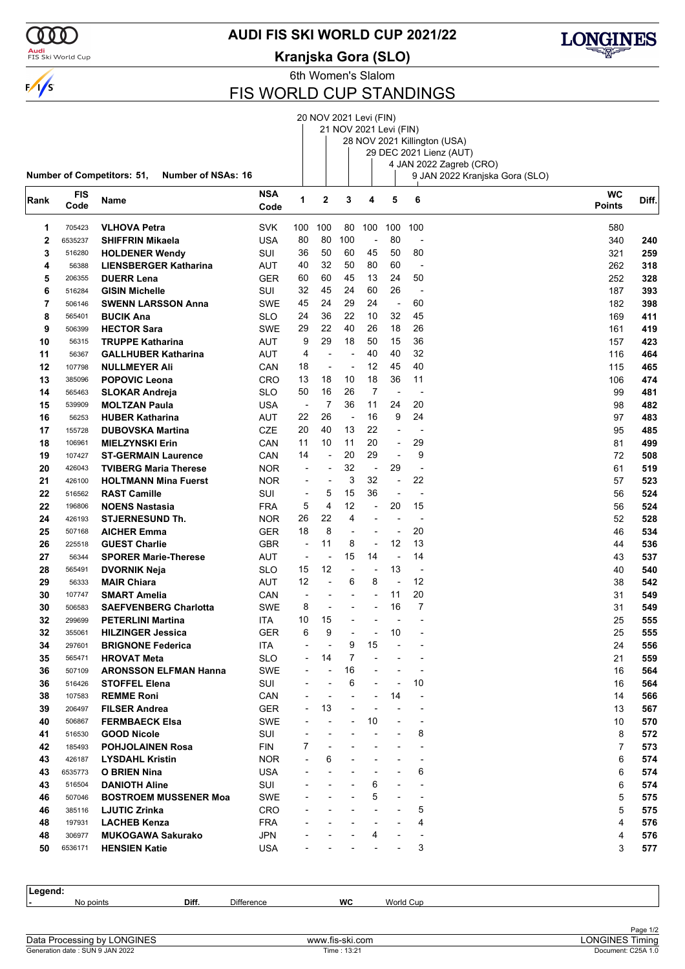

### **AUDI FIS SKI WORLD CUP 2021/22**

### **Kranjska Gora (SLO)**



6th Women's Slalom

### FIS WORLD CUP STANDINGS

|             |            |                                                                |                          |                          | 20 NOV 2021 Levi (FIN) |                          |                          |                |                          |                                |                |       |
|-------------|------------|----------------------------------------------------------------|--------------------------|--------------------------|------------------------|--------------------------|--------------------------|----------------|--------------------------|--------------------------------|----------------|-------|
|             |            |                                                                |                          |                          |                        |                          | 21 NOV 2021 Levi (FIN)   |                |                          |                                |                |       |
|             |            |                                                                |                          |                          |                        |                          |                          |                |                          | 28 NOV 2021 Killington (USA)   |                |       |
|             |            |                                                                |                          |                          |                        |                          |                          |                |                          | 29 DEC 2021 Lienz (AUT)        |                |       |
|             |            |                                                                |                          |                          |                        |                          |                          |                |                          | 4 JAN 2022 Zagreb (CRO)        |                |       |
|             |            | <b>Number of Competitors: 51,</b><br><b>Number of NSAs: 16</b> |                          |                          |                        |                          |                          |                |                          | 9 JAN 2022 Kranjska Gora (SLO) |                |       |
|             | <b>FIS</b> |                                                                | <b>NSA</b>               |                          |                        |                          |                          |                |                          |                                | <b>WC</b>      |       |
| Rank        | Code       | Name                                                           | Code                     | 1                        | $\mathbf 2$            | 3                        | 4                        | 5              | 6                        |                                | Points         | Diff. |
|             |            |                                                                |                          |                          |                        |                          |                          |                |                          |                                |                |       |
| 1           | 705423     | <b>VLHOVA Petra</b>                                            | <b>SVK</b>               | 100                      | 100                    | 80                       | 100                      | 100            | 100                      |                                | 580            |       |
| $\mathbf 2$ | 6535237    | <b>SHIFFRIN Mikaela</b>                                        | <b>USA</b>               | 80                       | 80                     | 100                      |                          | 80             |                          |                                | 340            | 240   |
| 3           | 516280     | <b>HOLDENER Wendy</b>                                          | SUI                      | 36                       | 50                     | 60                       | 45                       | 50             | 80                       |                                | 321            | 259   |
| 4           | 56388      | <b>LIENSBERGER Katharina</b>                                   | AUT                      | 40                       | 32                     | 50                       | 80                       | 60             | $\overline{\phantom{a}}$ |                                | 262            | 318   |
| 5           | 206355     | <b>DUERR Lena</b>                                              | <b>GER</b>               | 60                       | 60                     | 45                       | 13                       | 24             | 50                       |                                | 252            | 328   |
| 6           | 516284     | <b>GISIN Michelle</b>                                          | SUI                      | 32                       | 45                     | 24                       | 60                       | 26             | $\overline{\phantom{a}}$ |                                | 187            | 393   |
| 7           | 506146     | <b>SWENN LARSSON Anna</b>                                      | <b>SWE</b>               | 45                       | 24                     | 29                       | 24                       | ÷,             | 60                       |                                | 182            | 398   |
| 8           | 565401     | <b>BUCIK Ana</b>                                               | SLO                      | 24                       | 36                     | 22                       | 10                       | 32             | 45                       |                                | 169            | 411   |
| 9           | 506399     | <b>HECTOR Sara</b>                                             | <b>SWE</b>               | 29                       | 22                     | 40                       | 26                       | 18             | 26                       |                                | 161            | 419   |
| 10          | 56315      | <b>TRUPPE Katharina</b>                                        | AUT                      | 9                        | 29                     | 18                       | 50                       | 15             | 36                       |                                | 157            | 423   |
| 11          | 56367      | <b>GALLHUBER Katharina</b>                                     | AUT                      | 4                        |                        | ÷,                       | 40                       | 40             | 32                       |                                | 116            | 464   |
| 12          | 107798     | <b>NULLMEYER Ali</b>                                           | CAN                      | 18                       | $\blacksquare$         | $\overline{\phantom{a}}$ | 12                       | 45             | 40                       |                                | 115            | 465   |
| 13          | 385096     | <b>POPOVIC Leona</b>                                           | CRO                      | 13                       | 18                     | 10                       | 18                       | 36             | 11                       |                                | 106            | 474   |
| 14          | 565463     | <b>SLOKAR Andreja</b>                                          | SLO                      | 50                       | 16                     | 26                       | 7                        | L,             | $\overline{a}$           |                                | 99             | 481   |
| 15          | 539909     | <b>MOLTZAN Paula</b>                                           | USA                      | $\overline{\phantom{a}}$ | $\overline{7}$         | 36                       | 11                       | 24             | 20                       |                                | 98             | 482   |
| 16          | 56253      | <b>HUBER Katharina</b>                                         | AUT                      | 22                       | 26                     | $\overline{\phantom{a}}$ | 16                       | 9              | 24                       |                                | 97             | 483   |
| 17          | 155728     | <b>DUBOVSKA Martina</b>                                        | CZE                      | 20                       | 40                     | 13                       | 22                       | ٠              | $\overline{a}$           |                                | 95             | 485   |
| 18          | 106961     | <b>MIELZYNSKI Erin</b>                                         | CAN                      | 11                       | 10                     | 11                       | 20                       | $\overline{a}$ | 29                       |                                | 81             | 499   |
| 19          | 107427     | <b>ST-GERMAIN Laurence</b>                                     | CAN                      | 14                       | L,                     | 20                       | 29                       | $\overline{a}$ | 9                        |                                | 72             | 508   |
| 20          | 426043     | <b>TVIBERG Maria Therese</b>                                   | <b>NOR</b>               | ÷                        |                        | 32                       | $\overline{\phantom{a}}$ | 29             | ÷                        |                                | 61             | 519   |
| 21          | 426100     | <b>HOLTMANN Mina Fuerst</b>                                    | <b>NOR</b>               | $\overline{\phantom{a}}$ | Ĭ.                     | 3                        | 32                       | ÷,             | 22                       |                                | 57             | 523   |
| 22          | 516562     | <b>RAST Camille</b>                                            | SUI                      | ÷,                       | 5                      | 15                       | 36                       | $\overline{a}$ | ÷,                       |                                | 56             | 524   |
| 22          | 196806     | <b>NOENS Nastasia</b>                                          | <b>FRA</b>               | 5                        | 4                      | 12                       | $\overline{a}$           | 20             | 15                       |                                | 56             | 524   |
| 24          | 426193     | <b>STJERNESUND Th.</b>                                         | <b>NOR</b>               | 26                       | 22                     | 4                        | $\blacksquare$           | $\overline{a}$ | $\overline{\phantom{a}}$ |                                | 52             | 528   |
|             | 507168     |                                                                |                          | 18                       | 8                      | $\overline{a}$           |                          | ٠              | 20                       |                                | 46             |       |
| 25<br>26    |            | <b>AICHER Emma</b>                                             | <b>GER</b><br><b>GBR</b> | ÷,                       | 11                     |                          |                          | 12             | 13                       |                                | 44             | 534   |
|             | 225518     | <b>GUEST Charlie</b>                                           |                          |                          | Ĭ.                     | 8<br>15                  | 14                       | ÷,             | 14                       |                                |                | 536   |
| 27          | 56344      | <b>SPORER Marie-Therese</b>                                    | AUT                      | $\overline{\phantom{a}}$ |                        |                          |                          |                |                          |                                | 43             | 537   |
| 28          | 565491     | <b>DVORNIK Neja</b>                                            | SLO                      | 15                       | 12                     | $\overline{a}$           | $\overline{a}$           | 13             | $\overline{\phantom{a}}$ |                                | 40             | 540   |
| 29          | 56333      | <b>MAIR Chiara</b>                                             | AUT                      | 12                       | $\overline{a}$         | 6                        | 8                        | ÷,             | 12                       |                                | 38             | 542   |
| 30          | 107747     | <b>SMART Amelia</b>                                            | CAN                      | $\overline{\phantom{a}}$ | $\blacksquare$         | $\overline{\phantom{a}}$ | $\overline{\phantom{a}}$ | 11             | 20                       |                                | 31             | 549   |
| 30          | 506583     | <b>SAEFVENBERG Charlotta</b>                                   | <b>SWE</b>               | 8                        | L,                     |                          |                          | 16             | $\overline{7}$           |                                | 31             | 549   |
| 32          | 299699     | <b>PETERLINI Martina</b>                                       | ITA                      | 10                       | 15                     |                          |                          |                |                          |                                | 25             | 555   |
| 32          | 355061     | <b>HILZINGER Jessica</b>                                       | GER                      | 6                        | 9                      |                          |                          | 10             |                          |                                | 25             | 555   |
| 34          | 297601     | <b>BRIGNONE Federica</b>                                       | ITA                      |                          |                        | 9                        | 15                       |                |                          |                                | 24             | 556   |
| 35          | 565471     | <b>HROVAT Meta</b>                                             | <b>SLO</b>               | ٠                        | 14                     | 7                        |                          |                |                          |                                | 21             | 559   |
| 36          | 507109     | <b>ARONSSON ELFMAN Hanna</b>                                   | SWE                      | $\blacksquare$           |                        | 16                       |                          |                | $\overline{\phantom{a}}$ |                                | 16             | 564   |
| 36          | 516426     | <b>STOFFEL Elena</b>                                           | SUI                      |                          |                        | 6                        |                          |                | 10                       |                                | 16             | 564   |
| 38          | 107583     | <b>REMME Roni</b>                                              | CAN                      |                          |                        |                          |                          | 14             |                          |                                | 14             | 566   |
| 39          | 206497     | <b>FILSER Andrea</b>                                           | <b>GER</b>               | -                        | 13                     |                          |                          |                |                          |                                | 13             | 567   |
| 40          | 506867     | <b>FERMBAECK Elsa</b>                                          | <b>SWE</b>               |                          |                        |                          | 10                       |                | $\blacksquare$           |                                | 10             | 570   |
| 41          | 516530     | <b>GOOD Nicole</b>                                             | SUI                      |                          |                        |                          |                          |                | 8                        |                                | 8              | 572   |
| 42          | 185493     | <b>POHJOLAINEN Rosa</b>                                        | FIN                      | 7                        | $\overline{a}$         |                          |                          |                |                          |                                | $\overline{7}$ | 573   |
| 43          | 426187     | <b>LYSDAHL Kristin</b>                                         | NOR.                     |                          | 6                      |                          |                          |                |                          |                                | 6              | 574   |
| 43          | 6535773    | O BRIEN Nina                                                   | USA                      |                          |                        |                          |                          |                | 6                        |                                | 6              | 574   |
| 43          | 516504     | <b>DANIOTH Aline</b>                                           | SUI                      |                          |                        |                          | 6                        |                | $\blacksquare$           |                                | 6              | 574   |
| 46          | 507046     | <b>BOSTROEM MUSSENER Moa</b>                                   | <b>SWE</b>               |                          |                        |                          | 5                        |                | $\overline{a}$           |                                | 5              | 575   |
| 46          | 385116     | LJUTIC Zrinka                                                  | CRO                      |                          |                        |                          |                          |                | 5                        |                                | 5              | 575   |
| 48          | 197931     | <b>LACHEB Kenza</b>                                            | <b>FRA</b>               |                          |                        |                          |                          |                | 4                        |                                | 4              | 576   |
| 48          | 306977     | <b>MUKOGAWA Sakurako</b>                                       | JPN                      |                          |                        |                          | 4                        |                |                          |                                | 4              | 576   |
| 50          | 6536171    | <b>HENSIEN Katie</b>                                           | <b>USA</b>               |                          |                        |                          |                          |                | 3                        |                                | 3              | 577   |
|             |            |                                                                |                          |                          |                        |                          |                          |                |                          |                                |                |       |

| Legend: |                             |       |            |                 |           |                        |
|---------|-----------------------------|-------|------------|-----------------|-----------|------------------------|
|         | No points                   | Diff. | Difference | <b>WC</b>       | World Cup |                        |
|         |                             |       |            |                 |           |                        |
|         |                             |       |            |                 |           |                        |
|         |                             |       |            |                 |           | Page 1/2               |
|         | Data Processing by LONGINES |       |            | www.fis-ski.com |           | <b>LONGINES Timing</b> |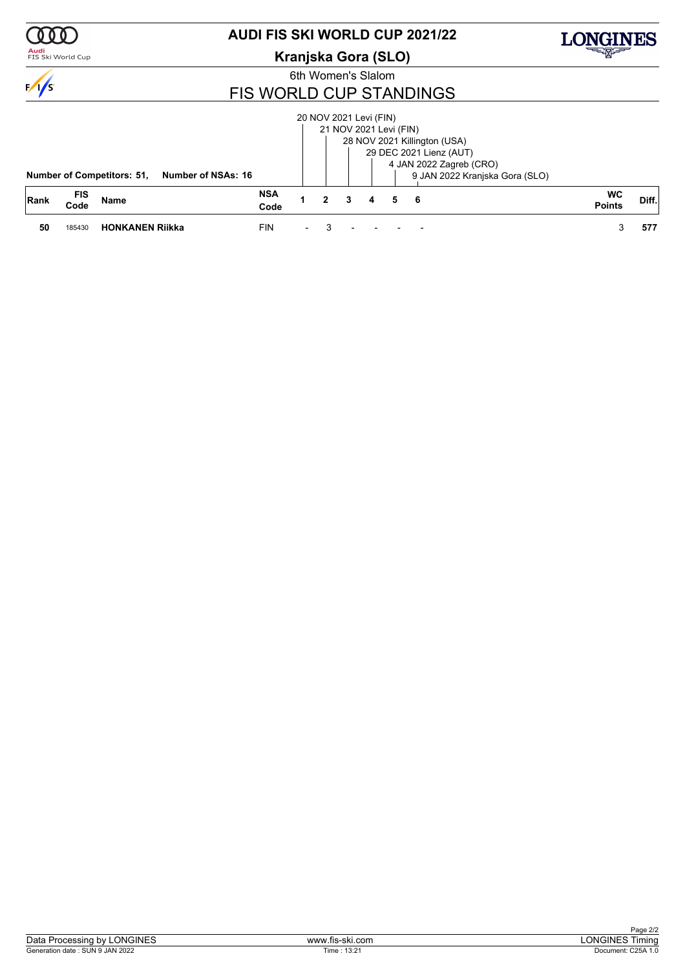

### <mark>Audi</mark><br>FIS Ski World Cup

### **AUDI FIS SKI WORLD CUP 2021/22**

### **Kranjska Gora (SLO)**



6th Women's Slalom

### FIS WORLD CUP STANDINGS

|             |                    | <b>Number of Competitors: 51,</b><br>Number of NSAs: 16 |                    |                          |   |   | 20 NOV 2021 Levi (FIN)<br>21 NOV 2021 Levi (FIN) |   | 28 NOV 2021 Killington (USA)<br>29 DEC 2021 Lienz (AUT)<br>4 JAN 2022 Zagreb (CRO)<br>9 JAN 2022 Kranjska Gora (SLO) |                            |       |
|-------------|--------------------|---------------------------------------------------------|--------------------|--------------------------|---|---|--------------------------------------------------|---|----------------------------------------------------------------------------------------------------------------------|----------------------------|-------|
| <b>Rank</b> | <b>FIS</b><br>Code | Name                                                    | <b>NSA</b><br>Code |                          | 2 | 3 | 4                                                | 5 | - 6                                                                                                                  | <b>WC</b><br><b>Points</b> | Diff. |
| 50          | 185430             | <b>HONKANEN Riikka</b>                                  | <b>FIN</b>         | $\overline{\phantom{a}}$ |   |   |                                                  |   |                                                                                                                      |                            | 577   |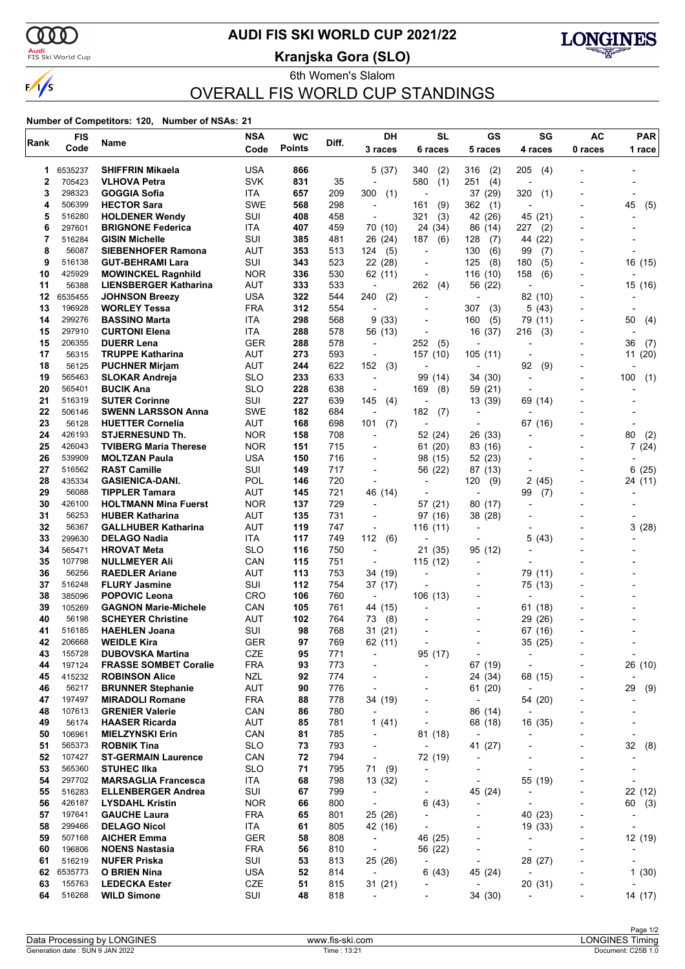

### <mark>Audi</mark><br>FIS Ski World Cup

# **AUDI FIS SKI WORLD CUP 2021/22**

**Kranjska Gora (SLO)**



6th Women's Slalom OVERALL FIS WORLD CUP STANDINGS

#### **Number of Competitors: 120, Number of NSAs: 21**

| Code<br>5 races<br>0 races<br>1 race<br>3 races<br>4 races<br>USA<br>866<br>6535237<br><b>SHIFFRIN Mikaela</b><br>5(37)<br>340<br>(2)<br>316<br>(2)<br>205<br>(4)<br>1<br><b>SVK</b><br>2<br>705423<br>831<br>35<br>580<br>(1)<br>251<br>(4)<br><b>VLHOVA Petra</b><br>L,<br>3<br>298323<br>657<br>209<br>300<br>(1)<br>320<br>GOGGIA Sofia<br>ITA<br>37 (29)<br>(1)<br>$\blacksquare$<br>506399<br><b>HECTOR Sara</b><br><b>SWE</b><br>568<br>298<br>(9)<br>362<br>45<br>4<br>161<br>(1)<br>(5)<br>$\overline{a}$<br>5<br>516280<br>SUI<br>408<br>458<br>321<br>45 (21)<br><b>HOLDENER Wendy</b><br>(3)<br>42 (26)<br>$\overline{\phantom{a}}$<br>297601<br>ITA<br>6<br><b>BRIGNONE Federica</b><br>407<br>459<br>70 (10)<br>24 (34)<br>86<br>227<br>(2)<br>(14)<br>7<br>516284<br>SUI<br>385<br>26 (24)<br><b>GISIN Michelle</b><br>481<br>187<br>(6)<br>128<br>(7)<br>44<br>(22)<br>8<br>56087<br>AUT<br>353<br>513<br>130<br>(6)<br><b>SIEBENHOFER Ramona</b><br>124<br>(5)<br>99<br>(7)<br>$\blacksquare$<br>9<br>516138<br>SUI<br>523<br>(8)<br><b>GUT-BEHRAMI Lara</b><br>343<br>22 (28)<br>125<br>180<br>(5)<br>16 (15)<br>$\overline{a}$<br>$\blacksquare$<br>10<br>425929<br><b>NOR</b><br>336<br>530<br>158<br><b>MOWINCKEL Ragnhild</b><br>62 (11)<br>116(10)<br>(6)<br>AUT<br>11<br>56388<br>333<br>533<br>262<br>56 (22)<br>15 (16)<br><b>LIENSBERGER Katharina</b><br>(4)<br>$\overline{\phantom{a}}$<br>$\overline{a}$<br>12<br>6535455<br>USA<br>322<br><b>JOHNSON Breezy</b><br>544<br>240<br>(2)<br>82 (10)<br>٠<br>$\overline{\phantom{a}}$<br>$\overline{a}$<br>13<br>196928<br><b>FRA</b><br>312<br>(43)<br><b>WORLEY Tessa</b><br>554<br>307<br>(3)<br>5<br>$\overline{\phantom{a}}$<br>14<br>299276<br>ITA<br>298<br>568<br>9(33)<br>(5)<br><b>BASSINO Marta</b><br>160<br>79<br>(11)<br>50<br>(4)<br>$\overline{a}$<br>15<br>297910<br>ITA<br>288<br><b>CURTONI Elena</b><br>578<br>56 (13)<br>16 (37)<br>216<br>(3)<br>$\overline{a}$<br>$\overline{a}$<br>15<br>206355<br><b>GER</b><br>288<br>252<br>(5)<br><b>DUERR Lena</b><br>578<br>36<br>(7)<br>$\overline{a}$<br>$\overline{a}$<br><b>AUT</b><br>17<br>56315<br>273<br>593<br>157 (10)<br><b>TRUPPE Katharina</b><br>105(11)<br>11(20)<br>$\overline{\phantom{a}}$<br>18<br>56125<br>AUT<br>244<br>622<br>152<br>(3)<br><b>PUCHNER Mirjam</b><br>92<br>(9)<br>$\overline{a}$<br>$\overline{a}$<br>-<br>19<br>565463<br><b>SLO</b><br>233<br>633<br>99 (14)<br>(1)<br><b>SLOKAR Andreja</b><br>34 (30)<br>100<br>$\overline{\phantom{a}}$<br>$\overline{\phantom{a}}$<br>20<br><b>BUCIK Ana</b><br><b>SLO</b><br>228<br>638<br>565401<br>169<br>59 (21)<br>(8)<br>$\overline{a}$<br>$\blacksquare$<br>21<br><b>SUTER Corinne</b><br>SUI<br>227<br>639<br>516319<br>145<br>(4)<br>13 (39)<br>69 (14)<br>22<br>506146<br><b>SWE</b><br>182<br>684<br><b>SWENN LARSSON Anna</b><br>182<br>(7)<br>$\overline{\phantom{a}}$<br>23<br>AUT<br>56128<br><b>HUETTER Cornelia</b><br>168<br>698<br>101<br>(7)<br>67 (16)<br>L,<br>24<br>426193<br><b>STJERNESUND Th.</b><br><b>NOR</b><br>158<br>708<br>52 (24)<br>26 (33)<br>80<br>(2)<br>$\overline{a}$<br>$\overline{a}$<br>$\blacksquare$<br>25<br>426043<br><b>NOR</b><br>151<br>715<br><b>TVIBERG Maria Therese</b><br>61 (20)<br>83 (16)<br>7(24)<br>26<br>539909<br>USA<br>150<br>716<br><b>MOLTZAN Paula</b><br>98 (15)<br>52 (23)<br>27<br>516562<br><b>RAST Camille</b><br>SUI<br>149<br>717<br>56 (22)<br>6<br>(25)<br>87 (13)<br>÷<br>28<br>POL<br>435334<br><b>GASIENICA-DANI.</b><br>720<br>146<br>120<br>(9)<br>2<br>(45)<br>24 (11)<br>$\overline{a}$<br>29<br>56088<br><b>TIPPLER Tamara</b><br><b>AUT</b><br>721<br>145<br>46 (14)<br>99<br>÷,<br>(7)<br>$\overline{a}$<br>30<br>426100<br><b>NOR</b><br>729<br><b>HOLTMANN Mina Fuerst</b><br>137<br>57 (21)<br>80<br>(17)<br>$\overline{a}$<br>31<br>56253<br>AUT<br>135<br>731<br><b>HUBER Katharina</b><br>97 (16)<br>38 (28)<br>32<br>56367<br>AUT<br>119<br>3(28)<br><b>GALLHUBER Katharina</b><br>747<br>116(11)<br>÷<br>$\overline{\phantom{a}}$<br>33<br>299630<br>112<br>5<br><b>DELAGO Nadia</b><br>ITA<br>117<br>749<br>(6)<br>(43)<br>$\overline{a}$<br>-<br>34<br>565471<br><b>SLO</b><br>116<br>21 (35)<br><b>HROVAT Meta</b><br>750<br>95 (12)<br>$\overline{\phantom{a}}$<br>35<br>CAN<br>115<br>751<br>107798<br><b>NULLMEYER Ali</b><br>115(12)<br>$\blacksquare$<br>$\overline{\phantom{a}}$<br>36<br>56256<br>AUT<br>113<br>753<br><b>RAEDLER Ariane</b><br>34 (19)<br>79 (11)<br>$\overline{\phantom{a}}$<br>SUI<br>37<br>516248<br>112<br>754<br>75 (13)<br><b>FLURY Jasmine</b><br>37 (17)<br>CRO<br>38<br>106<br>760<br>106 (13)<br><b>POPOVIC Leona</b><br>385096<br>$\overline{\phantom{a}}$<br>$\overline{\phantom{a}}$<br>39<br>105269<br><b>GAGNON Marie-Michele</b><br>CAN<br>105<br>761<br>44 (15)<br>61 (18)<br>٠<br>40<br>56198<br>AUT<br>102<br><b>SCHEYER Christine</b><br>764<br>73<br>(8)<br>29<br>(26)<br>516185<br><b>HAEHLEN Joana</b><br>SUI<br>98<br>768<br>67 (16)<br>41<br>31(21)<br>$\overline{a}$<br>42<br><b>GER</b><br>97<br>769<br>62 (11)<br>206668<br><b>WEIDLE Kira</b><br>35 (25)<br>CZE<br>155728<br><b>DUBOVSKA Martina</b><br>95<br>771<br>95 (17)<br>43<br>$\overline{\phantom{a}}$<br>$\overline{\phantom{a}}$<br>$\overline{a}$<br><b>FRA</b><br>197124<br><b>FRASSE SOMBET Coralie</b><br>93<br>773<br>67 (19)<br>26 (10)<br>44<br>$\overline{\phantom{a}}$<br>÷,<br>$\overline{a}$<br>$\overline{\phantom{0}}$<br>45<br>415232<br><b>NZL</b><br>92<br>774<br>68 (15)<br><b>ROBINSON Alice</b><br>24 (34)<br>$\overline{a}$<br>$\overline{\phantom{a}}$<br>$\overline{a}$<br>46<br>56217<br>AUT<br>90<br>776<br>29<br><b>BRUNNER Stephanie</b><br>61 (20)<br>$\overline{\phantom{a}}$<br>$\overline{\phantom{a}}$<br>197497<br><b>FRA</b><br>778<br>34 (19)<br>54 (20)<br>47<br><b>MIRADOLI Romane</b><br>88<br>$\overline{\phantom{a}}$<br>$\overline{\phantom{a}}$<br>-<br>780<br>48<br>107613<br><b>GRENIER Valerie</b><br>CAN<br>86<br>86 (14)<br>$\overline{\phantom{a}}$<br>$\overline{\phantom{a}}$<br>$\overline{a}$<br>$\overline{\phantom{a}}$<br>49<br>56174<br>AUT<br>85<br>781<br><b>HAASER Ricarda</b><br>1 $(41)$<br>68 (18)<br>16 (35)<br>$\overline{\phantom{a}}$<br>CAN<br>81<br>50<br>106961<br><b>MIELZYNSKI Erin</b><br>785<br>81 (18)<br>$\overline{\phantom{a}}$<br>$\overline{\phantom{a}}$<br>-<br>$\overline{\phantom{a}}$<br><b>ROBNIK Tina</b><br><b>SLO</b><br>793<br>41 (27)<br>32<br>(8)<br>51<br>565373<br>73<br>$\overline{\phantom{a}}$<br>$\overline{\phantom{a}}$<br>$\overline{a}$<br>٠<br>52<br>107427<br>CAN<br>72<br>794<br>72 (19)<br><b>ST-GERMAIN Laurence</b><br>$\overline{\phantom{a}}$<br>$\overline{\phantom{a}}$<br>71<br>53<br><b>SLO</b><br>795<br>565360<br><b>STUHEC IIka</b><br>71<br>(9)<br>$\overline{\phantom{a}}$<br>$\overline{\phantom{0}}$<br>$\overline{a}$<br>$\overline{\phantom{a}}$<br>$\overline{\phantom{0}}$<br>68<br>55 (19)<br>54<br>297702<br><b>MARSAGLIA Francesca</b><br>ITA<br>798<br>13 (32)<br>$\overline{\phantom{a}}$<br>$\overline{\phantom{a}}$<br>-<br>55<br>516283<br>SUI<br>67<br>799<br>22 (12)<br><b>ELLENBERGER Andrea</b><br>45 (24)<br>$\overline{\phantom{a}}$<br>$\overline{a}$<br>426187<br><b>NOR</b><br>66<br>56<br><b>LYSDAHL Kristin</b><br>800<br>6(43)<br>60 (3)<br>$\overline{\phantom{a}}$<br>$\overline{\phantom{a}}$<br>$\overline{\phantom{m}}$<br>$\overline{\phantom{0}}$<br>40 (23)<br>57<br>197641<br><b>GAUCHE Laura</b><br>FRA<br>65<br>801<br>25 (26)<br>$\overline{\phantom{a}}$<br>$\overline{a}$<br>$\overline{\phantom{a}}$<br>-<br>58<br>299466<br>ITA<br>61<br><b>DELAGO Nicol</b><br>805<br>42 (16)<br>19 (33)<br>$\overline{\phantom{a}}$<br>507168<br><b>GER</b><br>46 (25)<br>59<br><b>AICHER Emma</b><br>58<br>808<br>$\overline{\phantom{a}}$<br>$\overline{\phantom{a}}$<br>$\qquad \qquad \blacksquare$<br>$\overline{\phantom{0}}$<br>60<br>196806<br><b>NOENS Nastasia</b><br>FRA<br>56<br>810<br>56 (22)<br>$\overline{\phantom{a}}$<br>$\overline{\phantom{a}}$<br>$\overline{\phantom{a}}$<br>$\overline{\phantom{0}}$<br>61<br>516219<br>SUI<br>53<br><b>NUFER Priska</b><br>813<br>25 (26)<br>28 (27)<br>$\overline{\phantom{a}}$<br>$\overline{\phantom{a}}$<br><b>USA</b><br>52<br>62<br>6535773<br>O BRIEN Nina<br>814<br>$\overline{\phantom{a}}$<br>6(43)<br>45 (24)<br>$\overline{\phantom{a}}$<br>$\overline{\phantom{a}}$<br>63<br>155763<br>CZE<br>31(21)<br>20 (31)<br><b>LEDECKA Ester</b><br>51<br>815<br>$\overline{\phantom{a}}$<br>$\overline{\phantom{a}}$<br>$\overline{\phantom{m}}$<br>$\overline{\phantom{a}}$<br>64<br>516268<br>SUI<br>48<br>34 (30)<br>14 (17)<br><b>WILD Simone</b><br>818<br>$\overline{\phantom{a}}$<br>$\overline{a}$ | Rank | <b>FIS</b> | Name | <b>NSA</b> | <b>WC</b>     | Diff. | DH | <b>SL</b> | GS | SG | <b>AC</b> | <b>PAR</b> |
|-------------------------------------------------------------------------------------------------------------------------------------------------------------------------------------------------------------------------------------------------------------------------------------------------------------------------------------------------------------------------------------------------------------------------------------------------------------------------------------------------------------------------------------------------------------------------------------------------------------------------------------------------------------------------------------------------------------------------------------------------------------------------------------------------------------------------------------------------------------------------------------------------------------------------------------------------------------------------------------------------------------------------------------------------------------------------------------------------------------------------------------------------------------------------------------------------------------------------------------------------------------------------------------------------------------------------------------------------------------------------------------------------------------------------------------------------------------------------------------------------------------------------------------------------------------------------------------------------------------------------------------------------------------------------------------------------------------------------------------------------------------------------------------------------------------------------------------------------------------------------------------------------------------------------------------------------------------------------------------------------------------------------------------------------------------------------------------------------------------------------------------------------------------------------------------------------------------------------------------------------------------------------------------------------------------------------------------------------------------------------------------------------------------------------------------------------------------------------------------------------------------------------------------------------------------------------------------------------------------------------------------------------------------------------------------------------------------------------------------------------------------------------------------------------------------------------------------------------------------------------------------------------------------------------------------------------------------------------------------------------------------------------------------------------------------------------------------------------------------------------------------------------------------------------------------------------------------------------------------------------------------------------------------------------------------------------------------------------------------------------------------------------------------------------------------------------------------------------------------------------------------------------------------------------------------------------------------------------------------------------------------------------------------------------------------------------------------------------------------------------------------------------------------------------------------------------------------------------------------------------------------------------------------------------------------------------------------------------------------------------------------------------------------------------------------------------------------------------------------------------------------------------------------------------------------------------------------------------------------------------------------------------------------------------------------------------------------------------------------------------------------------------------------------------------------------------------------------------------------------------------------------------------------------------------------------------------------------------------------------------------------------------------------------------------------------------------------------------------------------------------------------------------------------------------------------------------------------------------------------------------------------------------------------------------------------------------------------------------------------------------------------------------------------------------------------------------------------------------------------------------------------------------------------------------------------------------------------------------------------------------------------------------------------------------------------------------------------------------------------------------------------------------------------------------------------------------------------------------------------------------------------------------------------------------------------------------------------------------------------------------------------------------------------------------------------------------------------------------------------------------------------------------------------------------------------------------------------------------------------------------------------------------------------------------------------------------------------------------------------------------------------------------------------------------------------------------------------------------------------------------------------------------------------------------------------------------------------------------------------------------------------------------------------------------------------------------------------------------------------------------------------------------------------------------------------------------------------------------------------------------------------------------------------------------------------------------------------------------------------------------------------------------------------------------------------------------------------------------------------------------------------------------------------------------------------------------------------------------------------------------------------------------------------------------------------------------------------------------------------------------------------------------------------------------------------------------------------------------------------------------------------------------------------------------------------------------------------------------------------------------------------------------------------------------------------------------------------------------------------------------------------------------------------------------------------------------------------------------------------------------------------------------------------------------------------------------------------------------------------------------------------------------------------------------------------------------------------------------------------------------------------------------------------------------------------------------------------------------------------------------------------------------------------------------------------------------------------------------------------------------------------------------------------------------------------------------------------------------------------------------------------------------------------------------------------------------------------------------------------------------------------------------------------------------------------------------------------------------------------------------------------------------------------------------------------------------------------------------------------------------------------------------------------------------------------------------------------------------------------------------------------------------------------------------------------------------------------------------------------------------------|------|------------|------|------------|---------------|-------|----|-----------|----|----|-----------|------------|
|                                                                                                                                                                                                                                                                                                                                                                                                                                                                                                                                                                                                                                                                                                                                                                                                                                                                                                                                                                                                                                                                                                                                                                                                                                                                                                                                                                                                                                                                                                                                                                                                                                                                                                                                                                                                                                                                                                                                                                                                                                                                                                                                                                                                                                                                                                                                                                                                                                                                                                                                                                                                                                                                                                                                                                                                                                                                                                                                                                                                                                                                                                                                                                                                                                                                                                                                                                                                                                                                                                                                                                                                                                                                                                                                                                                                                                                                                                                                                                                                                                                                                                                                                                                                                                                                                                                                                                                                                                                                                                                                                                                                                                                                                                                                                                                                                                                                                                                                                                                                                                                                                                                                                                                                                                                                                                                                                                                                                                                                                                                                                                                                                                                                                                                                                                                                                                                                                                                                                                                                                                                                                                                                                                                                                                                                                                                                                                                                                                                                                                                                                                                                                                                                                                                                                                                                                                                                                                                                                                                                                                                                                                                                                                                                                                                                                                                                                                                                                                                                                                                                                                                                                                                                                                                                                                                                                                                                                                                                                                                                                                                                                                                                                                                                                                                                                                                                                                                                                                                                                                                                                                                                                                                                                                                                                             |      | Code       |      |            | <b>Points</b> |       |    | 6 races   |    |    |           |            |
|                                                                                                                                                                                                                                                                                                                                                                                                                                                                                                                                                                                                                                                                                                                                                                                                                                                                                                                                                                                                                                                                                                                                                                                                                                                                                                                                                                                                                                                                                                                                                                                                                                                                                                                                                                                                                                                                                                                                                                                                                                                                                                                                                                                                                                                                                                                                                                                                                                                                                                                                                                                                                                                                                                                                                                                                                                                                                                                                                                                                                                                                                                                                                                                                                                                                                                                                                                                                                                                                                                                                                                                                                                                                                                                                                                                                                                                                                                                                                                                                                                                                                                                                                                                                                                                                                                                                                                                                                                                                                                                                                                                                                                                                                                                                                                                                                                                                                                                                                                                                                                                                                                                                                                                                                                                                                                                                                                                                                                                                                                                                                                                                                                                                                                                                                                                                                                                                                                                                                                                                                                                                                                                                                                                                                                                                                                                                                                                                                                                                                                                                                                                                                                                                                                                                                                                                                                                                                                                                                                                                                                                                                                                                                                                                                                                                                                                                                                                                                                                                                                                                                                                                                                                                                                                                                                                                                                                                                                                                                                                                                                                                                                                                                                                                                                                                                                                                                                                                                                                                                                                                                                                                                                                                                                                                                             |      |            |      |            |               |       |    |           |    |    |           |            |
|                                                                                                                                                                                                                                                                                                                                                                                                                                                                                                                                                                                                                                                                                                                                                                                                                                                                                                                                                                                                                                                                                                                                                                                                                                                                                                                                                                                                                                                                                                                                                                                                                                                                                                                                                                                                                                                                                                                                                                                                                                                                                                                                                                                                                                                                                                                                                                                                                                                                                                                                                                                                                                                                                                                                                                                                                                                                                                                                                                                                                                                                                                                                                                                                                                                                                                                                                                                                                                                                                                                                                                                                                                                                                                                                                                                                                                                                                                                                                                                                                                                                                                                                                                                                                                                                                                                                                                                                                                                                                                                                                                                                                                                                                                                                                                                                                                                                                                                                                                                                                                                                                                                                                                                                                                                                                                                                                                                                                                                                                                                                                                                                                                                                                                                                                                                                                                                                                                                                                                                                                                                                                                                                                                                                                                                                                                                                                                                                                                                                                                                                                                                                                                                                                                                                                                                                                                                                                                                                                                                                                                                                                                                                                                                                                                                                                                                                                                                                                                                                                                                                                                                                                                                                                                                                                                                                                                                                                                                                                                                                                                                                                                                                                                                                                                                                                                                                                                                                                                                                                                                                                                                                                                                                                                                                                             |      |            |      |            |               |       |    |           |    |    |           |            |
|                                                                                                                                                                                                                                                                                                                                                                                                                                                                                                                                                                                                                                                                                                                                                                                                                                                                                                                                                                                                                                                                                                                                                                                                                                                                                                                                                                                                                                                                                                                                                                                                                                                                                                                                                                                                                                                                                                                                                                                                                                                                                                                                                                                                                                                                                                                                                                                                                                                                                                                                                                                                                                                                                                                                                                                                                                                                                                                                                                                                                                                                                                                                                                                                                                                                                                                                                                                                                                                                                                                                                                                                                                                                                                                                                                                                                                                                                                                                                                                                                                                                                                                                                                                                                                                                                                                                                                                                                                                                                                                                                                                                                                                                                                                                                                                                                                                                                                                                                                                                                                                                                                                                                                                                                                                                                                                                                                                                                                                                                                                                                                                                                                                                                                                                                                                                                                                                                                                                                                                                                                                                                                                                                                                                                                                                                                                                                                                                                                                                                                                                                                                                                                                                                                                                                                                                                                                                                                                                                                                                                                                                                                                                                                                                                                                                                                                                                                                                                                                                                                                                                                                                                                                                                                                                                                                                                                                                                                                                                                                                                                                                                                                                                                                                                                                                                                                                                                                                                                                                                                                                                                                                                                                                                                                                                             |      |            |      |            |               |       |    |           |    |    |           |            |
|                                                                                                                                                                                                                                                                                                                                                                                                                                                                                                                                                                                                                                                                                                                                                                                                                                                                                                                                                                                                                                                                                                                                                                                                                                                                                                                                                                                                                                                                                                                                                                                                                                                                                                                                                                                                                                                                                                                                                                                                                                                                                                                                                                                                                                                                                                                                                                                                                                                                                                                                                                                                                                                                                                                                                                                                                                                                                                                                                                                                                                                                                                                                                                                                                                                                                                                                                                                                                                                                                                                                                                                                                                                                                                                                                                                                                                                                                                                                                                                                                                                                                                                                                                                                                                                                                                                                                                                                                                                                                                                                                                                                                                                                                                                                                                                                                                                                                                                                                                                                                                                                                                                                                                                                                                                                                                                                                                                                                                                                                                                                                                                                                                                                                                                                                                                                                                                                                                                                                                                                                                                                                                                                                                                                                                                                                                                                                                                                                                                                                                                                                                                                                                                                                                                                                                                                                                                                                                                                                                                                                                                                                                                                                                                                                                                                                                                                                                                                                                                                                                                                                                                                                                                                                                                                                                                                                                                                                                                                                                                                                                                                                                                                                                                                                                                                                                                                                                                                                                                                                                                                                                                                                                                                                                                                                             |      |            |      |            |               |       |    |           |    |    |           |            |
|                                                                                                                                                                                                                                                                                                                                                                                                                                                                                                                                                                                                                                                                                                                                                                                                                                                                                                                                                                                                                                                                                                                                                                                                                                                                                                                                                                                                                                                                                                                                                                                                                                                                                                                                                                                                                                                                                                                                                                                                                                                                                                                                                                                                                                                                                                                                                                                                                                                                                                                                                                                                                                                                                                                                                                                                                                                                                                                                                                                                                                                                                                                                                                                                                                                                                                                                                                                                                                                                                                                                                                                                                                                                                                                                                                                                                                                                                                                                                                                                                                                                                                                                                                                                                                                                                                                                                                                                                                                                                                                                                                                                                                                                                                                                                                                                                                                                                                                                                                                                                                                                                                                                                                                                                                                                                                                                                                                                                                                                                                                                                                                                                                                                                                                                                                                                                                                                                                                                                                                                                                                                                                                                                                                                                                                                                                                                                                                                                                                                                                                                                                                                                                                                                                                                                                                                                                                                                                                                                                                                                                                                                                                                                                                                                                                                                                                                                                                                                                                                                                                                                                                                                                                                                                                                                                                                                                                                                                                                                                                                                                                                                                                                                                                                                                                                                                                                                                                                                                                                                                                                                                                                                                                                                                                                                             |      |            |      |            |               |       |    |           |    |    |           |            |
|                                                                                                                                                                                                                                                                                                                                                                                                                                                                                                                                                                                                                                                                                                                                                                                                                                                                                                                                                                                                                                                                                                                                                                                                                                                                                                                                                                                                                                                                                                                                                                                                                                                                                                                                                                                                                                                                                                                                                                                                                                                                                                                                                                                                                                                                                                                                                                                                                                                                                                                                                                                                                                                                                                                                                                                                                                                                                                                                                                                                                                                                                                                                                                                                                                                                                                                                                                                                                                                                                                                                                                                                                                                                                                                                                                                                                                                                                                                                                                                                                                                                                                                                                                                                                                                                                                                                                                                                                                                                                                                                                                                                                                                                                                                                                                                                                                                                                                                                                                                                                                                                                                                                                                                                                                                                                                                                                                                                                                                                                                                                                                                                                                                                                                                                                                                                                                                                                                                                                                                                                                                                                                                                                                                                                                                                                                                                                                                                                                                                                                                                                                                                                                                                                                                                                                                                                                                                                                                                                                                                                                                                                                                                                                                                                                                                                                                                                                                                                                                                                                                                                                                                                                                                                                                                                                                                                                                                                                                                                                                                                                                                                                                                                                                                                                                                                                                                                                                                                                                                                                                                                                                                                                                                                                                                                             |      |            |      |            |               |       |    |           |    |    |           |            |
|                                                                                                                                                                                                                                                                                                                                                                                                                                                                                                                                                                                                                                                                                                                                                                                                                                                                                                                                                                                                                                                                                                                                                                                                                                                                                                                                                                                                                                                                                                                                                                                                                                                                                                                                                                                                                                                                                                                                                                                                                                                                                                                                                                                                                                                                                                                                                                                                                                                                                                                                                                                                                                                                                                                                                                                                                                                                                                                                                                                                                                                                                                                                                                                                                                                                                                                                                                                                                                                                                                                                                                                                                                                                                                                                                                                                                                                                                                                                                                                                                                                                                                                                                                                                                                                                                                                                                                                                                                                                                                                                                                                                                                                                                                                                                                                                                                                                                                                                                                                                                                                                                                                                                                                                                                                                                                                                                                                                                                                                                                                                                                                                                                                                                                                                                                                                                                                                                                                                                                                                                                                                                                                                                                                                                                                                                                                                                                                                                                                                                                                                                                                                                                                                                                                                                                                                                                                                                                                                                                                                                                                                                                                                                                                                                                                                                                                                                                                                                                                                                                                                                                                                                                                                                                                                                                                                                                                                                                                                                                                                                                                                                                                                                                                                                                                                                                                                                                                                                                                                                                                                                                                                                                                                                                                                                             |      |            |      |            |               |       |    |           |    |    |           |            |
|                                                                                                                                                                                                                                                                                                                                                                                                                                                                                                                                                                                                                                                                                                                                                                                                                                                                                                                                                                                                                                                                                                                                                                                                                                                                                                                                                                                                                                                                                                                                                                                                                                                                                                                                                                                                                                                                                                                                                                                                                                                                                                                                                                                                                                                                                                                                                                                                                                                                                                                                                                                                                                                                                                                                                                                                                                                                                                                                                                                                                                                                                                                                                                                                                                                                                                                                                                                                                                                                                                                                                                                                                                                                                                                                                                                                                                                                                                                                                                                                                                                                                                                                                                                                                                                                                                                                                                                                                                                                                                                                                                                                                                                                                                                                                                                                                                                                                                                                                                                                                                                                                                                                                                                                                                                                                                                                                                                                                                                                                                                                                                                                                                                                                                                                                                                                                                                                                                                                                                                                                                                                                                                                                                                                                                                                                                                                                                                                                                                                                                                                                                                                                                                                                                                                                                                                                                                                                                                                                                                                                                                                                                                                                                                                                                                                                                                                                                                                                                                                                                                                                                                                                                                                                                                                                                                                                                                                                                                                                                                                                                                                                                                                                                                                                                                                                                                                                                                                                                                                                                                                                                                                                                                                                                                                                             |      |            |      |            |               |       |    |           |    |    |           |            |
|                                                                                                                                                                                                                                                                                                                                                                                                                                                                                                                                                                                                                                                                                                                                                                                                                                                                                                                                                                                                                                                                                                                                                                                                                                                                                                                                                                                                                                                                                                                                                                                                                                                                                                                                                                                                                                                                                                                                                                                                                                                                                                                                                                                                                                                                                                                                                                                                                                                                                                                                                                                                                                                                                                                                                                                                                                                                                                                                                                                                                                                                                                                                                                                                                                                                                                                                                                                                                                                                                                                                                                                                                                                                                                                                                                                                                                                                                                                                                                                                                                                                                                                                                                                                                                                                                                                                                                                                                                                                                                                                                                                                                                                                                                                                                                                                                                                                                                                                                                                                                                                                                                                                                                                                                                                                                                                                                                                                                                                                                                                                                                                                                                                                                                                                                                                                                                                                                                                                                                                                                                                                                                                                                                                                                                                                                                                                                                                                                                                                                                                                                                                                                                                                                                                                                                                                                                                                                                                                                                                                                                                                                                                                                                                                                                                                                                                                                                                                                                                                                                                                                                                                                                                                                                                                                                                                                                                                                                                                                                                                                                                                                                                                                                                                                                                                                                                                                                                                                                                                                                                                                                                                                                                                                                                                                             |      |            |      |            |               |       |    |           |    |    |           |            |
|                                                                                                                                                                                                                                                                                                                                                                                                                                                                                                                                                                                                                                                                                                                                                                                                                                                                                                                                                                                                                                                                                                                                                                                                                                                                                                                                                                                                                                                                                                                                                                                                                                                                                                                                                                                                                                                                                                                                                                                                                                                                                                                                                                                                                                                                                                                                                                                                                                                                                                                                                                                                                                                                                                                                                                                                                                                                                                                                                                                                                                                                                                                                                                                                                                                                                                                                                                                                                                                                                                                                                                                                                                                                                                                                                                                                                                                                                                                                                                                                                                                                                                                                                                                                                                                                                                                                                                                                                                                                                                                                                                                                                                                                                                                                                                                                                                                                                                                                                                                                                                                                                                                                                                                                                                                                                                                                                                                                                                                                                                                                                                                                                                                                                                                                                                                                                                                                                                                                                                                                                                                                                                                                                                                                                                                                                                                                                                                                                                                                                                                                                                                                                                                                                                                                                                                                                                                                                                                                                                                                                                                                                                                                                                                                                                                                                                                                                                                                                                                                                                                                                                                                                                                                                                                                                                                                                                                                                                                                                                                                                                                                                                                                                                                                                                                                                                                                                                                                                                                                                                                                                                                                                                                                                                                                                             |      |            |      |            |               |       |    |           |    |    |           |            |
|                                                                                                                                                                                                                                                                                                                                                                                                                                                                                                                                                                                                                                                                                                                                                                                                                                                                                                                                                                                                                                                                                                                                                                                                                                                                                                                                                                                                                                                                                                                                                                                                                                                                                                                                                                                                                                                                                                                                                                                                                                                                                                                                                                                                                                                                                                                                                                                                                                                                                                                                                                                                                                                                                                                                                                                                                                                                                                                                                                                                                                                                                                                                                                                                                                                                                                                                                                                                                                                                                                                                                                                                                                                                                                                                                                                                                                                                                                                                                                                                                                                                                                                                                                                                                                                                                                                                                                                                                                                                                                                                                                                                                                                                                                                                                                                                                                                                                                                                                                                                                                                                                                                                                                                                                                                                                                                                                                                                                                                                                                                                                                                                                                                                                                                                                                                                                                                                                                                                                                                                                                                                                                                                                                                                                                                                                                                                                                                                                                                                                                                                                                                                                                                                                                                                                                                                                                                                                                                                                                                                                                                                                                                                                                                                                                                                                                                                                                                                                                                                                                                                                                                                                                                                                                                                                                                                                                                                                                                                                                                                                                                                                                                                                                                                                                                                                                                                                                                                                                                                                                                                                                                                                                                                                                                                                             |      |            |      |            |               |       |    |           |    |    |           |            |
|                                                                                                                                                                                                                                                                                                                                                                                                                                                                                                                                                                                                                                                                                                                                                                                                                                                                                                                                                                                                                                                                                                                                                                                                                                                                                                                                                                                                                                                                                                                                                                                                                                                                                                                                                                                                                                                                                                                                                                                                                                                                                                                                                                                                                                                                                                                                                                                                                                                                                                                                                                                                                                                                                                                                                                                                                                                                                                                                                                                                                                                                                                                                                                                                                                                                                                                                                                                                                                                                                                                                                                                                                                                                                                                                                                                                                                                                                                                                                                                                                                                                                                                                                                                                                                                                                                                                                                                                                                                                                                                                                                                                                                                                                                                                                                                                                                                                                                                                                                                                                                                                                                                                                                                                                                                                                                                                                                                                                                                                                                                                                                                                                                                                                                                                                                                                                                                                                                                                                                                                                                                                                                                                                                                                                                                                                                                                                                                                                                                                                                                                                                                                                                                                                                                                                                                                                                                                                                                                                                                                                                                                                                                                                                                                                                                                                                                                                                                                                                                                                                                                                                                                                                                                                                                                                                                                                                                                                                                                                                                                                                                                                                                                                                                                                                                                                                                                                                                                                                                                                                                                                                                                                                                                                                                                                             |      |            |      |            |               |       |    |           |    |    |           |            |
|                                                                                                                                                                                                                                                                                                                                                                                                                                                                                                                                                                                                                                                                                                                                                                                                                                                                                                                                                                                                                                                                                                                                                                                                                                                                                                                                                                                                                                                                                                                                                                                                                                                                                                                                                                                                                                                                                                                                                                                                                                                                                                                                                                                                                                                                                                                                                                                                                                                                                                                                                                                                                                                                                                                                                                                                                                                                                                                                                                                                                                                                                                                                                                                                                                                                                                                                                                                                                                                                                                                                                                                                                                                                                                                                                                                                                                                                                                                                                                                                                                                                                                                                                                                                                                                                                                                                                                                                                                                                                                                                                                                                                                                                                                                                                                                                                                                                                                                                                                                                                                                                                                                                                                                                                                                                                                                                                                                                                                                                                                                                                                                                                                                                                                                                                                                                                                                                                                                                                                                                                                                                                                                                                                                                                                                                                                                                                                                                                                                                                                                                                                                                                                                                                                                                                                                                                                                                                                                                                                                                                                                                                                                                                                                                                                                                                                                                                                                                                                                                                                                                                                                                                                                                                                                                                                                                                                                                                                                                                                                                                                                                                                                                                                                                                                                                                                                                                                                                                                                                                                                                                                                                                                                                                                                                                             |      |            |      |            |               |       |    |           |    |    |           |            |
|                                                                                                                                                                                                                                                                                                                                                                                                                                                                                                                                                                                                                                                                                                                                                                                                                                                                                                                                                                                                                                                                                                                                                                                                                                                                                                                                                                                                                                                                                                                                                                                                                                                                                                                                                                                                                                                                                                                                                                                                                                                                                                                                                                                                                                                                                                                                                                                                                                                                                                                                                                                                                                                                                                                                                                                                                                                                                                                                                                                                                                                                                                                                                                                                                                                                                                                                                                                                                                                                                                                                                                                                                                                                                                                                                                                                                                                                                                                                                                                                                                                                                                                                                                                                                                                                                                                                                                                                                                                                                                                                                                                                                                                                                                                                                                                                                                                                                                                                                                                                                                                                                                                                                                                                                                                                                                                                                                                                                                                                                                                                                                                                                                                                                                                                                                                                                                                                                                                                                                                                                                                                                                                                                                                                                                                                                                                                                                                                                                                                                                                                                                                                                                                                                                                                                                                                                                                                                                                                                                                                                                                                                                                                                                                                                                                                                                                                                                                                                                                                                                                                                                                                                                                                                                                                                                                                                                                                                                                                                                                                                                                                                                                                                                                                                                                                                                                                                                                                                                                                                                                                                                                                                                                                                                                                                             |      |            |      |            |               |       |    |           |    |    |           |            |
|                                                                                                                                                                                                                                                                                                                                                                                                                                                                                                                                                                                                                                                                                                                                                                                                                                                                                                                                                                                                                                                                                                                                                                                                                                                                                                                                                                                                                                                                                                                                                                                                                                                                                                                                                                                                                                                                                                                                                                                                                                                                                                                                                                                                                                                                                                                                                                                                                                                                                                                                                                                                                                                                                                                                                                                                                                                                                                                                                                                                                                                                                                                                                                                                                                                                                                                                                                                                                                                                                                                                                                                                                                                                                                                                                                                                                                                                                                                                                                                                                                                                                                                                                                                                                                                                                                                                                                                                                                                                                                                                                                                                                                                                                                                                                                                                                                                                                                                                                                                                                                                                                                                                                                                                                                                                                                                                                                                                                                                                                                                                                                                                                                                                                                                                                                                                                                                                                                                                                                                                                                                                                                                                                                                                                                                                                                                                                                                                                                                                                                                                                                                                                                                                                                                                                                                                                                                                                                                                                                                                                                                                                                                                                                                                                                                                                                                                                                                                                                                                                                                                                                                                                                                                                                                                                                                                                                                                                                                                                                                                                                                                                                                                                                                                                                                                                                                                                                                                                                                                                                                                                                                                                                                                                                                                                             |      |            |      |            |               |       |    |           |    |    |           |            |
|                                                                                                                                                                                                                                                                                                                                                                                                                                                                                                                                                                                                                                                                                                                                                                                                                                                                                                                                                                                                                                                                                                                                                                                                                                                                                                                                                                                                                                                                                                                                                                                                                                                                                                                                                                                                                                                                                                                                                                                                                                                                                                                                                                                                                                                                                                                                                                                                                                                                                                                                                                                                                                                                                                                                                                                                                                                                                                                                                                                                                                                                                                                                                                                                                                                                                                                                                                                                                                                                                                                                                                                                                                                                                                                                                                                                                                                                                                                                                                                                                                                                                                                                                                                                                                                                                                                                                                                                                                                                                                                                                                                                                                                                                                                                                                                                                                                                                                                                                                                                                                                                                                                                                                                                                                                                                                                                                                                                                                                                                                                                                                                                                                                                                                                                                                                                                                                                                                                                                                                                                                                                                                                                                                                                                                                                                                                                                                                                                                                                                                                                                                                                                                                                                                                                                                                                                                                                                                                                                                                                                                                                                                                                                                                                                                                                                                                                                                                                                                                                                                                                                                                                                                                                                                                                                                                                                                                                                                                                                                                                                                                                                                                                                                                                                                                                                                                                                                                                                                                                                                                                                                                                                                                                                                                                                             |      |            |      |            |               |       |    |           |    |    |           |            |
|                                                                                                                                                                                                                                                                                                                                                                                                                                                                                                                                                                                                                                                                                                                                                                                                                                                                                                                                                                                                                                                                                                                                                                                                                                                                                                                                                                                                                                                                                                                                                                                                                                                                                                                                                                                                                                                                                                                                                                                                                                                                                                                                                                                                                                                                                                                                                                                                                                                                                                                                                                                                                                                                                                                                                                                                                                                                                                                                                                                                                                                                                                                                                                                                                                                                                                                                                                                                                                                                                                                                                                                                                                                                                                                                                                                                                                                                                                                                                                                                                                                                                                                                                                                                                                                                                                                                                                                                                                                                                                                                                                                                                                                                                                                                                                                                                                                                                                                                                                                                                                                                                                                                                                                                                                                                                                                                                                                                                                                                                                                                                                                                                                                                                                                                                                                                                                                                                                                                                                                                                                                                                                                                                                                                                                                                                                                                                                                                                                                                                                                                                                                                                                                                                                                                                                                                                                                                                                                                                                                                                                                                                                                                                                                                                                                                                                                                                                                                                                                                                                                                                                                                                                                                                                                                                                                                                                                                                                                                                                                                                                                                                                                                                                                                                                                                                                                                                                                                                                                                                                                                                                                                                                                                                                                                                             |      |            |      |            |               |       |    |           |    |    |           |            |
|                                                                                                                                                                                                                                                                                                                                                                                                                                                                                                                                                                                                                                                                                                                                                                                                                                                                                                                                                                                                                                                                                                                                                                                                                                                                                                                                                                                                                                                                                                                                                                                                                                                                                                                                                                                                                                                                                                                                                                                                                                                                                                                                                                                                                                                                                                                                                                                                                                                                                                                                                                                                                                                                                                                                                                                                                                                                                                                                                                                                                                                                                                                                                                                                                                                                                                                                                                                                                                                                                                                                                                                                                                                                                                                                                                                                                                                                                                                                                                                                                                                                                                                                                                                                                                                                                                                                                                                                                                                                                                                                                                                                                                                                                                                                                                                                                                                                                                                                                                                                                                                                                                                                                                                                                                                                                                                                                                                                                                                                                                                                                                                                                                                                                                                                                                                                                                                                                                                                                                                                                                                                                                                                                                                                                                                                                                                                                                                                                                                                                                                                                                                                                                                                                                                                                                                                                                                                                                                                                                                                                                                                                                                                                                                                                                                                                                                                                                                                                                                                                                                                                                                                                                                                                                                                                                                                                                                                                                                                                                                                                                                                                                                                                                                                                                                                                                                                                                                                                                                                                                                                                                                                                                                                                                                                                             |      |            |      |            |               |       |    |           |    |    |           |            |
|                                                                                                                                                                                                                                                                                                                                                                                                                                                                                                                                                                                                                                                                                                                                                                                                                                                                                                                                                                                                                                                                                                                                                                                                                                                                                                                                                                                                                                                                                                                                                                                                                                                                                                                                                                                                                                                                                                                                                                                                                                                                                                                                                                                                                                                                                                                                                                                                                                                                                                                                                                                                                                                                                                                                                                                                                                                                                                                                                                                                                                                                                                                                                                                                                                                                                                                                                                                                                                                                                                                                                                                                                                                                                                                                                                                                                                                                                                                                                                                                                                                                                                                                                                                                                                                                                                                                                                                                                                                                                                                                                                                                                                                                                                                                                                                                                                                                                                                                                                                                                                                                                                                                                                                                                                                                                                                                                                                                                                                                                                                                                                                                                                                                                                                                                                                                                                                                                                                                                                                                                                                                                                                                                                                                                                                                                                                                                                                                                                                                                                                                                                                                                                                                                                                                                                                                                                                                                                                                                                                                                                                                                                                                                                                                                                                                                                                                                                                                                                                                                                                                                                                                                                                                                                                                                                                                                                                                                                                                                                                                                                                                                                                                                                                                                                                                                                                                                                                                                                                                                                                                                                                                                                                                                                                                                             |      |            |      |            |               |       |    |           |    |    |           |            |
|                                                                                                                                                                                                                                                                                                                                                                                                                                                                                                                                                                                                                                                                                                                                                                                                                                                                                                                                                                                                                                                                                                                                                                                                                                                                                                                                                                                                                                                                                                                                                                                                                                                                                                                                                                                                                                                                                                                                                                                                                                                                                                                                                                                                                                                                                                                                                                                                                                                                                                                                                                                                                                                                                                                                                                                                                                                                                                                                                                                                                                                                                                                                                                                                                                                                                                                                                                                                                                                                                                                                                                                                                                                                                                                                                                                                                                                                                                                                                                                                                                                                                                                                                                                                                                                                                                                                                                                                                                                                                                                                                                                                                                                                                                                                                                                                                                                                                                                                                                                                                                                                                                                                                                                                                                                                                                                                                                                                                                                                                                                                                                                                                                                                                                                                                                                                                                                                                                                                                                                                                                                                                                                                                                                                                                                                                                                                                                                                                                                                                                                                                                                                                                                                                                                                                                                                                                                                                                                                                                                                                                                                                                                                                                                                                                                                                                                                                                                                                                                                                                                                                                                                                                                                                                                                                                                                                                                                                                                                                                                                                                                                                                                                                                                                                                                                                                                                                                                                                                                                                                                                                                                                                                                                                                                                                             |      |            |      |            |               |       |    |           |    |    |           |            |
|                                                                                                                                                                                                                                                                                                                                                                                                                                                                                                                                                                                                                                                                                                                                                                                                                                                                                                                                                                                                                                                                                                                                                                                                                                                                                                                                                                                                                                                                                                                                                                                                                                                                                                                                                                                                                                                                                                                                                                                                                                                                                                                                                                                                                                                                                                                                                                                                                                                                                                                                                                                                                                                                                                                                                                                                                                                                                                                                                                                                                                                                                                                                                                                                                                                                                                                                                                                                                                                                                                                                                                                                                                                                                                                                                                                                                                                                                                                                                                                                                                                                                                                                                                                                                                                                                                                                                                                                                                                                                                                                                                                                                                                                                                                                                                                                                                                                                                                                                                                                                                                                                                                                                                                                                                                                                                                                                                                                                                                                                                                                                                                                                                                                                                                                                                                                                                                                                                                                                                                                                                                                                                                                                                                                                                                                                                                                                                                                                                                                                                                                                                                                                                                                                                                                                                                                                                                                                                                                                                                                                                                                                                                                                                                                                                                                                                                                                                                                                                                                                                                                                                                                                                                                                                                                                                                                                                                                                                                                                                                                                                                                                                                                                                                                                                                                                                                                                                                                                                                                                                                                                                                                                                                                                                                                                             |      |            |      |            |               |       |    |           |    |    |           |            |
|                                                                                                                                                                                                                                                                                                                                                                                                                                                                                                                                                                                                                                                                                                                                                                                                                                                                                                                                                                                                                                                                                                                                                                                                                                                                                                                                                                                                                                                                                                                                                                                                                                                                                                                                                                                                                                                                                                                                                                                                                                                                                                                                                                                                                                                                                                                                                                                                                                                                                                                                                                                                                                                                                                                                                                                                                                                                                                                                                                                                                                                                                                                                                                                                                                                                                                                                                                                                                                                                                                                                                                                                                                                                                                                                                                                                                                                                                                                                                                                                                                                                                                                                                                                                                                                                                                                                                                                                                                                                                                                                                                                                                                                                                                                                                                                                                                                                                                                                                                                                                                                                                                                                                                                                                                                                                                                                                                                                                                                                                                                                                                                                                                                                                                                                                                                                                                                                                                                                                                                                                                                                                                                                                                                                                                                                                                                                                                                                                                                                                                                                                                                                                                                                                                                                                                                                                                                                                                                                                                                                                                                                                                                                                                                                                                                                                                                                                                                                                                                                                                                                                                                                                                                                                                                                                                                                                                                                                                                                                                                                                                                                                                                                                                                                                                                                                                                                                                                                                                                                                                                                                                                                                                                                                                                                                             |      |            |      |            |               |       |    |           |    |    |           |            |
|                                                                                                                                                                                                                                                                                                                                                                                                                                                                                                                                                                                                                                                                                                                                                                                                                                                                                                                                                                                                                                                                                                                                                                                                                                                                                                                                                                                                                                                                                                                                                                                                                                                                                                                                                                                                                                                                                                                                                                                                                                                                                                                                                                                                                                                                                                                                                                                                                                                                                                                                                                                                                                                                                                                                                                                                                                                                                                                                                                                                                                                                                                                                                                                                                                                                                                                                                                                                                                                                                                                                                                                                                                                                                                                                                                                                                                                                                                                                                                                                                                                                                                                                                                                                                                                                                                                                                                                                                                                                                                                                                                                                                                                                                                                                                                                                                                                                                                                                                                                                                                                                                                                                                                                                                                                                                                                                                                                                                                                                                                                                                                                                                                                                                                                                                                                                                                                                                                                                                                                                                                                                                                                                                                                                                                                                                                                                                                                                                                                                                                                                                                                                                                                                                                                                                                                                                                                                                                                                                                                                                                                                                                                                                                                                                                                                                                                                                                                                                                                                                                                                                                                                                                                                                                                                                                                                                                                                                                                                                                                                                                                                                                                                                                                                                                                                                                                                                                                                                                                                                                                                                                                                                                                                                                                                                             |      |            |      |            |               |       |    |           |    |    |           |            |
|                                                                                                                                                                                                                                                                                                                                                                                                                                                                                                                                                                                                                                                                                                                                                                                                                                                                                                                                                                                                                                                                                                                                                                                                                                                                                                                                                                                                                                                                                                                                                                                                                                                                                                                                                                                                                                                                                                                                                                                                                                                                                                                                                                                                                                                                                                                                                                                                                                                                                                                                                                                                                                                                                                                                                                                                                                                                                                                                                                                                                                                                                                                                                                                                                                                                                                                                                                                                                                                                                                                                                                                                                                                                                                                                                                                                                                                                                                                                                                                                                                                                                                                                                                                                                                                                                                                                                                                                                                                                                                                                                                                                                                                                                                                                                                                                                                                                                                                                                                                                                                                                                                                                                                                                                                                                                                                                                                                                                                                                                                                                                                                                                                                                                                                                                                                                                                                                                                                                                                                                                                                                                                                                                                                                                                                                                                                                                                                                                                                                                                                                                                                                                                                                                                                                                                                                                                                                                                                                                                                                                                                                                                                                                                                                                                                                                                                                                                                                                                                                                                                                                                                                                                                                                                                                                                                                                                                                                                                                                                                                                                                                                                                                                                                                                                                                                                                                                                                                                                                                                                                                                                                                                                                                                                                                                             |      |            |      |            |               |       |    |           |    |    |           |            |
|                                                                                                                                                                                                                                                                                                                                                                                                                                                                                                                                                                                                                                                                                                                                                                                                                                                                                                                                                                                                                                                                                                                                                                                                                                                                                                                                                                                                                                                                                                                                                                                                                                                                                                                                                                                                                                                                                                                                                                                                                                                                                                                                                                                                                                                                                                                                                                                                                                                                                                                                                                                                                                                                                                                                                                                                                                                                                                                                                                                                                                                                                                                                                                                                                                                                                                                                                                                                                                                                                                                                                                                                                                                                                                                                                                                                                                                                                                                                                                                                                                                                                                                                                                                                                                                                                                                                                                                                                                                                                                                                                                                                                                                                                                                                                                                                                                                                                                                                                                                                                                                                                                                                                                                                                                                                                                                                                                                                                                                                                                                                                                                                                                                                                                                                                                                                                                                                                                                                                                                                                                                                                                                                                                                                                                                                                                                                                                                                                                                                                                                                                                                                                                                                                                                                                                                                                                                                                                                                                                                                                                                                                                                                                                                                                                                                                                                                                                                                                                                                                                                                                                                                                                                                                                                                                                                                                                                                                                                                                                                                                                                                                                                                                                                                                                                                                                                                                                                                                                                                                                                                                                                                                                                                                                                                                             |      |            |      |            |               |       |    |           |    |    |           |            |
|                                                                                                                                                                                                                                                                                                                                                                                                                                                                                                                                                                                                                                                                                                                                                                                                                                                                                                                                                                                                                                                                                                                                                                                                                                                                                                                                                                                                                                                                                                                                                                                                                                                                                                                                                                                                                                                                                                                                                                                                                                                                                                                                                                                                                                                                                                                                                                                                                                                                                                                                                                                                                                                                                                                                                                                                                                                                                                                                                                                                                                                                                                                                                                                                                                                                                                                                                                                                                                                                                                                                                                                                                                                                                                                                                                                                                                                                                                                                                                                                                                                                                                                                                                                                                                                                                                                                                                                                                                                                                                                                                                                                                                                                                                                                                                                                                                                                                                                                                                                                                                                                                                                                                                                                                                                                                                                                                                                                                                                                                                                                                                                                                                                                                                                                                                                                                                                                                                                                                                                                                                                                                                                                                                                                                                                                                                                                                                                                                                                                                                                                                                                                                                                                                                                                                                                                                                                                                                                                                                                                                                                                                                                                                                                                                                                                                                                                                                                                                                                                                                                                                                                                                                                                                                                                                                                                                                                                                                                                                                                                                                                                                                                                                                                                                                                                                                                                                                                                                                                                                                                                                                                                                                                                                                                                                             |      |            |      |            |               |       |    |           |    |    |           |            |
|                                                                                                                                                                                                                                                                                                                                                                                                                                                                                                                                                                                                                                                                                                                                                                                                                                                                                                                                                                                                                                                                                                                                                                                                                                                                                                                                                                                                                                                                                                                                                                                                                                                                                                                                                                                                                                                                                                                                                                                                                                                                                                                                                                                                                                                                                                                                                                                                                                                                                                                                                                                                                                                                                                                                                                                                                                                                                                                                                                                                                                                                                                                                                                                                                                                                                                                                                                                                                                                                                                                                                                                                                                                                                                                                                                                                                                                                                                                                                                                                                                                                                                                                                                                                                                                                                                                                                                                                                                                                                                                                                                                                                                                                                                                                                                                                                                                                                                                                                                                                                                                                                                                                                                                                                                                                                                                                                                                                                                                                                                                                                                                                                                                                                                                                                                                                                                                                                                                                                                                                                                                                                                                                                                                                                                                                                                                                                                                                                                                                                                                                                                                                                                                                                                                                                                                                                                                                                                                                                                                                                                                                                                                                                                                                                                                                                                                                                                                                                                                                                                                                                                                                                                                                                                                                                                                                                                                                                                                                                                                                                                                                                                                                                                                                                                                                                                                                                                                                                                                                                                                                                                                                                                                                                                                                                             |      |            |      |            |               |       |    |           |    |    |           |            |
|                                                                                                                                                                                                                                                                                                                                                                                                                                                                                                                                                                                                                                                                                                                                                                                                                                                                                                                                                                                                                                                                                                                                                                                                                                                                                                                                                                                                                                                                                                                                                                                                                                                                                                                                                                                                                                                                                                                                                                                                                                                                                                                                                                                                                                                                                                                                                                                                                                                                                                                                                                                                                                                                                                                                                                                                                                                                                                                                                                                                                                                                                                                                                                                                                                                                                                                                                                                                                                                                                                                                                                                                                                                                                                                                                                                                                                                                                                                                                                                                                                                                                                                                                                                                                                                                                                                                                                                                                                                                                                                                                                                                                                                                                                                                                                                                                                                                                                                                                                                                                                                                                                                                                                                                                                                                                                                                                                                                                                                                                                                                                                                                                                                                                                                                                                                                                                                                                                                                                                                                                                                                                                                                                                                                                                                                                                                                                                                                                                                                                                                                                                                                                                                                                                                                                                                                                                                                                                                                                                                                                                                                                                                                                                                                                                                                                                                                                                                                                                                                                                                                                                                                                                                                                                                                                                                                                                                                                                                                                                                                                                                                                                                                                                                                                                                                                                                                                                                                                                                                                                                                                                                                                                                                                                                                                             |      |            |      |            |               |       |    |           |    |    |           |            |
|                                                                                                                                                                                                                                                                                                                                                                                                                                                                                                                                                                                                                                                                                                                                                                                                                                                                                                                                                                                                                                                                                                                                                                                                                                                                                                                                                                                                                                                                                                                                                                                                                                                                                                                                                                                                                                                                                                                                                                                                                                                                                                                                                                                                                                                                                                                                                                                                                                                                                                                                                                                                                                                                                                                                                                                                                                                                                                                                                                                                                                                                                                                                                                                                                                                                                                                                                                                                                                                                                                                                                                                                                                                                                                                                                                                                                                                                                                                                                                                                                                                                                                                                                                                                                                                                                                                                                                                                                                                                                                                                                                                                                                                                                                                                                                                                                                                                                                                                                                                                                                                                                                                                                                                                                                                                                                                                                                                                                                                                                                                                                                                                                                                                                                                                                                                                                                                                                                                                                                                                                                                                                                                                                                                                                                                                                                                                                                                                                                                                                                                                                                                                                                                                                                                                                                                                                                                                                                                                                                                                                                                                                                                                                                                                                                                                                                                                                                                                                                                                                                                                                                                                                                                                                                                                                                                                                                                                                                                                                                                                                                                                                                                                                                                                                                                                                                                                                                                                                                                                                                                                                                                                                                                                                                                                                             |      |            |      |            |               |       |    |           |    |    |           |            |
|                                                                                                                                                                                                                                                                                                                                                                                                                                                                                                                                                                                                                                                                                                                                                                                                                                                                                                                                                                                                                                                                                                                                                                                                                                                                                                                                                                                                                                                                                                                                                                                                                                                                                                                                                                                                                                                                                                                                                                                                                                                                                                                                                                                                                                                                                                                                                                                                                                                                                                                                                                                                                                                                                                                                                                                                                                                                                                                                                                                                                                                                                                                                                                                                                                                                                                                                                                                                                                                                                                                                                                                                                                                                                                                                                                                                                                                                                                                                                                                                                                                                                                                                                                                                                                                                                                                                                                                                                                                                                                                                                                                                                                                                                                                                                                                                                                                                                                                                                                                                                                                                                                                                                                                                                                                                                                                                                                                                                                                                                                                                                                                                                                                                                                                                                                                                                                                                                                                                                                                                                                                                                                                                                                                                                                                                                                                                                                                                                                                                                                                                                                                                                                                                                                                                                                                                                                                                                                                                                                                                                                                                                                                                                                                                                                                                                                                                                                                                                                                                                                                                                                                                                                                                                                                                                                                                                                                                                                                                                                                                                                                                                                                                                                                                                                                                                                                                                                                                                                                                                                                                                                                                                                                                                                                                                             |      |            |      |            |               |       |    |           |    |    |           |            |
|                                                                                                                                                                                                                                                                                                                                                                                                                                                                                                                                                                                                                                                                                                                                                                                                                                                                                                                                                                                                                                                                                                                                                                                                                                                                                                                                                                                                                                                                                                                                                                                                                                                                                                                                                                                                                                                                                                                                                                                                                                                                                                                                                                                                                                                                                                                                                                                                                                                                                                                                                                                                                                                                                                                                                                                                                                                                                                                                                                                                                                                                                                                                                                                                                                                                                                                                                                                                                                                                                                                                                                                                                                                                                                                                                                                                                                                                                                                                                                                                                                                                                                                                                                                                                                                                                                                                                                                                                                                                                                                                                                                                                                                                                                                                                                                                                                                                                                                                                                                                                                                                                                                                                                                                                                                                                                                                                                                                                                                                                                                                                                                                                                                                                                                                                                                                                                                                                                                                                                                                                                                                                                                                                                                                                                                                                                                                                                                                                                                                                                                                                                                                                                                                                                                                                                                                                                                                                                                                                                                                                                                                                                                                                                                                                                                                                                                                                                                                                                                                                                                                                                                                                                                                                                                                                                                                                                                                                                                                                                                                                                                                                                                                                                                                                                                                                                                                                                                                                                                                                                                                                                                                                                                                                                                                                             |      |            |      |            |               |       |    |           |    |    |           |            |
|                                                                                                                                                                                                                                                                                                                                                                                                                                                                                                                                                                                                                                                                                                                                                                                                                                                                                                                                                                                                                                                                                                                                                                                                                                                                                                                                                                                                                                                                                                                                                                                                                                                                                                                                                                                                                                                                                                                                                                                                                                                                                                                                                                                                                                                                                                                                                                                                                                                                                                                                                                                                                                                                                                                                                                                                                                                                                                                                                                                                                                                                                                                                                                                                                                                                                                                                                                                                                                                                                                                                                                                                                                                                                                                                                                                                                                                                                                                                                                                                                                                                                                                                                                                                                                                                                                                                                                                                                                                                                                                                                                                                                                                                                                                                                                                                                                                                                                                                                                                                                                                                                                                                                                                                                                                                                                                                                                                                                                                                                                                                                                                                                                                                                                                                                                                                                                                                                                                                                                                                                                                                                                                                                                                                                                                                                                                                                                                                                                                                                                                                                                                                                                                                                                                                                                                                                                                                                                                                                                                                                                                                                                                                                                                                                                                                                                                                                                                                                                                                                                                                                                                                                                                                                                                                                                                                                                                                                                                                                                                                                                                                                                                                                                                                                                                                                                                                                                                                                                                                                                                                                                                                                                                                                                                                                             |      |            |      |            |               |       |    |           |    |    |           |            |
|                                                                                                                                                                                                                                                                                                                                                                                                                                                                                                                                                                                                                                                                                                                                                                                                                                                                                                                                                                                                                                                                                                                                                                                                                                                                                                                                                                                                                                                                                                                                                                                                                                                                                                                                                                                                                                                                                                                                                                                                                                                                                                                                                                                                                                                                                                                                                                                                                                                                                                                                                                                                                                                                                                                                                                                                                                                                                                                                                                                                                                                                                                                                                                                                                                                                                                                                                                                                                                                                                                                                                                                                                                                                                                                                                                                                                                                                                                                                                                                                                                                                                                                                                                                                                                                                                                                                                                                                                                                                                                                                                                                                                                                                                                                                                                                                                                                                                                                                                                                                                                                                                                                                                                                                                                                                                                                                                                                                                                                                                                                                                                                                                                                                                                                                                                                                                                                                                                                                                                                                                                                                                                                                                                                                                                                                                                                                                                                                                                                                                                                                                                                                                                                                                                                                                                                                                                                                                                                                                                                                                                                                                                                                                                                                                                                                                                                                                                                                                                                                                                                                                                                                                                                                                                                                                                                                                                                                                                                                                                                                                                                                                                                                                                                                                                                                                                                                                                                                                                                                                                                                                                                                                                                                                                                                                             |      |            |      |            |               |       |    |           |    |    |           |            |
|                                                                                                                                                                                                                                                                                                                                                                                                                                                                                                                                                                                                                                                                                                                                                                                                                                                                                                                                                                                                                                                                                                                                                                                                                                                                                                                                                                                                                                                                                                                                                                                                                                                                                                                                                                                                                                                                                                                                                                                                                                                                                                                                                                                                                                                                                                                                                                                                                                                                                                                                                                                                                                                                                                                                                                                                                                                                                                                                                                                                                                                                                                                                                                                                                                                                                                                                                                                                                                                                                                                                                                                                                                                                                                                                                                                                                                                                                                                                                                                                                                                                                                                                                                                                                                                                                                                                                                                                                                                                                                                                                                                                                                                                                                                                                                                                                                                                                                                                                                                                                                                                                                                                                                                                                                                                                                                                                                                                                                                                                                                                                                                                                                                                                                                                                                                                                                                                                                                                                                                                                                                                                                                                                                                                                                                                                                                                                                                                                                                                                                                                                                                                                                                                                                                                                                                                                                                                                                                                                                                                                                                                                                                                                                                                                                                                                                                                                                                                                                                                                                                                                                                                                                                                                                                                                                                                                                                                                                                                                                                                                                                                                                                                                                                                                                                                                                                                                                                                                                                                                                                                                                                                                                                                                                                                                             |      |            |      |            |               |       |    |           |    |    |           |            |
|                                                                                                                                                                                                                                                                                                                                                                                                                                                                                                                                                                                                                                                                                                                                                                                                                                                                                                                                                                                                                                                                                                                                                                                                                                                                                                                                                                                                                                                                                                                                                                                                                                                                                                                                                                                                                                                                                                                                                                                                                                                                                                                                                                                                                                                                                                                                                                                                                                                                                                                                                                                                                                                                                                                                                                                                                                                                                                                                                                                                                                                                                                                                                                                                                                                                                                                                                                                                                                                                                                                                                                                                                                                                                                                                                                                                                                                                                                                                                                                                                                                                                                                                                                                                                                                                                                                                                                                                                                                                                                                                                                                                                                                                                                                                                                                                                                                                                                                                                                                                                                                                                                                                                                                                                                                                                                                                                                                                                                                                                                                                                                                                                                                                                                                                                                                                                                                                                                                                                                                                                                                                                                                                                                                                                                                                                                                                                                                                                                                                                                                                                                                                                                                                                                                                                                                                                                                                                                                                                                                                                                                                                                                                                                                                                                                                                                                                                                                                                                                                                                                                                                                                                                                                                                                                                                                                                                                                                                                                                                                                                                                                                                                                                                                                                                                                                                                                                                                                                                                                                                                                                                                                                                                                                                                                                             |      |            |      |            |               |       |    |           |    |    |           |            |
|                                                                                                                                                                                                                                                                                                                                                                                                                                                                                                                                                                                                                                                                                                                                                                                                                                                                                                                                                                                                                                                                                                                                                                                                                                                                                                                                                                                                                                                                                                                                                                                                                                                                                                                                                                                                                                                                                                                                                                                                                                                                                                                                                                                                                                                                                                                                                                                                                                                                                                                                                                                                                                                                                                                                                                                                                                                                                                                                                                                                                                                                                                                                                                                                                                                                                                                                                                                                                                                                                                                                                                                                                                                                                                                                                                                                                                                                                                                                                                                                                                                                                                                                                                                                                                                                                                                                                                                                                                                                                                                                                                                                                                                                                                                                                                                                                                                                                                                                                                                                                                                                                                                                                                                                                                                                                                                                                                                                                                                                                                                                                                                                                                                                                                                                                                                                                                                                                                                                                                                                                                                                                                                                                                                                                                                                                                                                                                                                                                                                                                                                                                                                                                                                                                                                                                                                                                                                                                                                                                                                                                                                                                                                                                                                                                                                                                                                                                                                                                                                                                                                                                                                                                                                                                                                                                                                                                                                                                                                                                                                                                                                                                                                                                                                                                                                                                                                                                                                                                                                                                                                                                                                                                                                                                                                                             |      |            |      |            |               |       |    |           |    |    |           |            |
|                                                                                                                                                                                                                                                                                                                                                                                                                                                                                                                                                                                                                                                                                                                                                                                                                                                                                                                                                                                                                                                                                                                                                                                                                                                                                                                                                                                                                                                                                                                                                                                                                                                                                                                                                                                                                                                                                                                                                                                                                                                                                                                                                                                                                                                                                                                                                                                                                                                                                                                                                                                                                                                                                                                                                                                                                                                                                                                                                                                                                                                                                                                                                                                                                                                                                                                                                                                                                                                                                                                                                                                                                                                                                                                                                                                                                                                                                                                                                                                                                                                                                                                                                                                                                                                                                                                                                                                                                                                                                                                                                                                                                                                                                                                                                                                                                                                                                                                                                                                                                                                                                                                                                                                                                                                                                                                                                                                                                                                                                                                                                                                                                                                                                                                                                                                                                                                                                                                                                                                                                                                                                                                                                                                                                                                                                                                                                                                                                                                                                                                                                                                                                                                                                                                                                                                                                                                                                                                                                                                                                                                                                                                                                                                                                                                                                                                                                                                                                                                                                                                                                                                                                                                                                                                                                                                                                                                                                                                                                                                                                                                                                                                                                                                                                                                                                                                                                                                                                                                                                                                                                                                                                                                                                                                                                             |      |            |      |            |               |       |    |           |    |    |           |            |
|                                                                                                                                                                                                                                                                                                                                                                                                                                                                                                                                                                                                                                                                                                                                                                                                                                                                                                                                                                                                                                                                                                                                                                                                                                                                                                                                                                                                                                                                                                                                                                                                                                                                                                                                                                                                                                                                                                                                                                                                                                                                                                                                                                                                                                                                                                                                                                                                                                                                                                                                                                                                                                                                                                                                                                                                                                                                                                                                                                                                                                                                                                                                                                                                                                                                                                                                                                                                                                                                                                                                                                                                                                                                                                                                                                                                                                                                                                                                                                                                                                                                                                                                                                                                                                                                                                                                                                                                                                                                                                                                                                                                                                                                                                                                                                                                                                                                                                                                                                                                                                                                                                                                                                                                                                                                                                                                                                                                                                                                                                                                                                                                                                                                                                                                                                                                                                                                                                                                                                                                                                                                                                                                                                                                                                                                                                                                                                                                                                                                                                                                                                                                                                                                                                                                                                                                                                                                                                                                                                                                                                                                                                                                                                                                                                                                                                                                                                                                                                                                                                                                                                                                                                                                                                                                                                                                                                                                                                                                                                                                                                                                                                                                                                                                                                                                                                                                                                                                                                                                                                                                                                                                                                                                                                                                                             |      |            |      |            |               |       |    |           |    |    |           |            |
|                                                                                                                                                                                                                                                                                                                                                                                                                                                                                                                                                                                                                                                                                                                                                                                                                                                                                                                                                                                                                                                                                                                                                                                                                                                                                                                                                                                                                                                                                                                                                                                                                                                                                                                                                                                                                                                                                                                                                                                                                                                                                                                                                                                                                                                                                                                                                                                                                                                                                                                                                                                                                                                                                                                                                                                                                                                                                                                                                                                                                                                                                                                                                                                                                                                                                                                                                                                                                                                                                                                                                                                                                                                                                                                                                                                                                                                                                                                                                                                                                                                                                                                                                                                                                                                                                                                                                                                                                                                                                                                                                                                                                                                                                                                                                                                                                                                                                                                                                                                                                                                                                                                                                                                                                                                                                                                                                                                                                                                                                                                                                                                                                                                                                                                                                                                                                                                                                                                                                                                                                                                                                                                                                                                                                                                                                                                                                                                                                                                                                                                                                                                                                                                                                                                                                                                                                                                                                                                                                                                                                                                                                                                                                                                                                                                                                                                                                                                                                                                                                                                                                                                                                                                                                                                                                                                                                                                                                                                                                                                                                                                                                                                                                                                                                                                                                                                                                                                                                                                                                                                                                                                                                                                                                                                                                             |      |            |      |            |               |       |    |           |    |    |           |            |
|                                                                                                                                                                                                                                                                                                                                                                                                                                                                                                                                                                                                                                                                                                                                                                                                                                                                                                                                                                                                                                                                                                                                                                                                                                                                                                                                                                                                                                                                                                                                                                                                                                                                                                                                                                                                                                                                                                                                                                                                                                                                                                                                                                                                                                                                                                                                                                                                                                                                                                                                                                                                                                                                                                                                                                                                                                                                                                                                                                                                                                                                                                                                                                                                                                                                                                                                                                                                                                                                                                                                                                                                                                                                                                                                                                                                                                                                                                                                                                                                                                                                                                                                                                                                                                                                                                                                                                                                                                                                                                                                                                                                                                                                                                                                                                                                                                                                                                                                                                                                                                                                                                                                                                                                                                                                                                                                                                                                                                                                                                                                                                                                                                                                                                                                                                                                                                                                                                                                                                                                                                                                                                                                                                                                                                                                                                                                                                                                                                                                                                                                                                                                                                                                                                                                                                                                                                                                                                                                                                                                                                                                                                                                                                                                                                                                                                                                                                                                                                                                                                                                                                                                                                                                                                                                                                                                                                                                                                                                                                                                                                                                                                                                                                                                                                                                                                                                                                                                                                                                                                                                                                                                                                                                                                                                                             |      |            |      |            |               |       |    |           |    |    |           |            |
|                                                                                                                                                                                                                                                                                                                                                                                                                                                                                                                                                                                                                                                                                                                                                                                                                                                                                                                                                                                                                                                                                                                                                                                                                                                                                                                                                                                                                                                                                                                                                                                                                                                                                                                                                                                                                                                                                                                                                                                                                                                                                                                                                                                                                                                                                                                                                                                                                                                                                                                                                                                                                                                                                                                                                                                                                                                                                                                                                                                                                                                                                                                                                                                                                                                                                                                                                                                                                                                                                                                                                                                                                                                                                                                                                                                                                                                                                                                                                                                                                                                                                                                                                                                                                                                                                                                                                                                                                                                                                                                                                                                                                                                                                                                                                                                                                                                                                                                                                                                                                                                                                                                                                                                                                                                                                                                                                                                                                                                                                                                                                                                                                                                                                                                                                                                                                                                                                                                                                                                                                                                                                                                                                                                                                                                                                                                                                                                                                                                                                                                                                                                                                                                                                                                                                                                                                                                                                                                                                                                                                                                                                                                                                                                                                                                                                                                                                                                                                                                                                                                                                                                                                                                                                                                                                                                                                                                                                                                                                                                                                                                                                                                                                                                                                                                                                                                                                                                                                                                                                                                                                                                                                                                                                                                                                             |      |            |      |            |               |       |    |           |    |    |           |            |
|                                                                                                                                                                                                                                                                                                                                                                                                                                                                                                                                                                                                                                                                                                                                                                                                                                                                                                                                                                                                                                                                                                                                                                                                                                                                                                                                                                                                                                                                                                                                                                                                                                                                                                                                                                                                                                                                                                                                                                                                                                                                                                                                                                                                                                                                                                                                                                                                                                                                                                                                                                                                                                                                                                                                                                                                                                                                                                                                                                                                                                                                                                                                                                                                                                                                                                                                                                                                                                                                                                                                                                                                                                                                                                                                                                                                                                                                                                                                                                                                                                                                                                                                                                                                                                                                                                                                                                                                                                                                                                                                                                                                                                                                                                                                                                                                                                                                                                                                                                                                                                                                                                                                                                                                                                                                                                                                                                                                                                                                                                                                                                                                                                                                                                                                                                                                                                                                                                                                                                                                                                                                                                                                                                                                                                                                                                                                                                                                                                                                                                                                                                                                                                                                                                                                                                                                                                                                                                                                                                                                                                                                                                                                                                                                                                                                                                                                                                                                                                                                                                                                                                                                                                                                                                                                                                                                                                                                                                                                                                                                                                                                                                                                                                                                                                                                                                                                                                                                                                                                                                                                                                                                                                                                                                                                                             |      |            |      |            |               |       |    |           |    |    |           |            |
|                                                                                                                                                                                                                                                                                                                                                                                                                                                                                                                                                                                                                                                                                                                                                                                                                                                                                                                                                                                                                                                                                                                                                                                                                                                                                                                                                                                                                                                                                                                                                                                                                                                                                                                                                                                                                                                                                                                                                                                                                                                                                                                                                                                                                                                                                                                                                                                                                                                                                                                                                                                                                                                                                                                                                                                                                                                                                                                                                                                                                                                                                                                                                                                                                                                                                                                                                                                                                                                                                                                                                                                                                                                                                                                                                                                                                                                                                                                                                                                                                                                                                                                                                                                                                                                                                                                                                                                                                                                                                                                                                                                                                                                                                                                                                                                                                                                                                                                                                                                                                                                                                                                                                                                                                                                                                                                                                                                                                                                                                                                                                                                                                                                                                                                                                                                                                                                                                                                                                                                                                                                                                                                                                                                                                                                                                                                                                                                                                                                                                                                                                                                                                                                                                                                                                                                                                                                                                                                                                                                                                                                                                                                                                                                                                                                                                                                                                                                                                                                                                                                                                                                                                                                                                                                                                                                                                                                                                                                                                                                                                                                                                                                                                                                                                                                                                                                                                                                                                                                                                                                                                                                                                                                                                                                                                             |      |            |      |            |               |       |    |           |    |    |           | (9)        |
|                                                                                                                                                                                                                                                                                                                                                                                                                                                                                                                                                                                                                                                                                                                                                                                                                                                                                                                                                                                                                                                                                                                                                                                                                                                                                                                                                                                                                                                                                                                                                                                                                                                                                                                                                                                                                                                                                                                                                                                                                                                                                                                                                                                                                                                                                                                                                                                                                                                                                                                                                                                                                                                                                                                                                                                                                                                                                                                                                                                                                                                                                                                                                                                                                                                                                                                                                                                                                                                                                                                                                                                                                                                                                                                                                                                                                                                                                                                                                                                                                                                                                                                                                                                                                                                                                                                                                                                                                                                                                                                                                                                                                                                                                                                                                                                                                                                                                                                                                                                                                                                                                                                                                                                                                                                                                                                                                                                                                                                                                                                                                                                                                                                                                                                                                                                                                                                                                                                                                                                                                                                                                                                                                                                                                                                                                                                                                                                                                                                                                                                                                                                                                                                                                                                                                                                                                                                                                                                                                                                                                                                                                                                                                                                                                                                                                                                                                                                                                                                                                                                                                                                                                                                                                                                                                                                                                                                                                                                                                                                                                                                                                                                                                                                                                                                                                                                                                                                                                                                                                                                                                                                                                                                                                                                                                             |      |            |      |            |               |       |    |           |    |    |           |            |
|                                                                                                                                                                                                                                                                                                                                                                                                                                                                                                                                                                                                                                                                                                                                                                                                                                                                                                                                                                                                                                                                                                                                                                                                                                                                                                                                                                                                                                                                                                                                                                                                                                                                                                                                                                                                                                                                                                                                                                                                                                                                                                                                                                                                                                                                                                                                                                                                                                                                                                                                                                                                                                                                                                                                                                                                                                                                                                                                                                                                                                                                                                                                                                                                                                                                                                                                                                                                                                                                                                                                                                                                                                                                                                                                                                                                                                                                                                                                                                                                                                                                                                                                                                                                                                                                                                                                                                                                                                                                                                                                                                                                                                                                                                                                                                                                                                                                                                                                                                                                                                                                                                                                                                                                                                                                                                                                                                                                                                                                                                                                                                                                                                                                                                                                                                                                                                                                                                                                                                                                                                                                                                                                                                                                                                                                                                                                                                                                                                                                                                                                                                                                                                                                                                                                                                                                                                                                                                                                                                                                                                                                                                                                                                                                                                                                                                                                                                                                                                                                                                                                                                                                                                                                                                                                                                                                                                                                                                                                                                                                                                                                                                                                                                                                                                                                                                                                                                                                                                                                                                                                                                                                                                                                                                                                                             |      |            |      |            |               |       |    |           |    |    |           |            |
|                                                                                                                                                                                                                                                                                                                                                                                                                                                                                                                                                                                                                                                                                                                                                                                                                                                                                                                                                                                                                                                                                                                                                                                                                                                                                                                                                                                                                                                                                                                                                                                                                                                                                                                                                                                                                                                                                                                                                                                                                                                                                                                                                                                                                                                                                                                                                                                                                                                                                                                                                                                                                                                                                                                                                                                                                                                                                                                                                                                                                                                                                                                                                                                                                                                                                                                                                                                                                                                                                                                                                                                                                                                                                                                                                                                                                                                                                                                                                                                                                                                                                                                                                                                                                                                                                                                                                                                                                                                                                                                                                                                                                                                                                                                                                                                                                                                                                                                                                                                                                                                                                                                                                                                                                                                                                                                                                                                                                                                                                                                                                                                                                                                                                                                                                                                                                                                                                                                                                                                                                                                                                                                                                                                                                                                                                                                                                                                                                                                                                                                                                                                                                                                                                                                                                                                                                                                                                                                                                                                                                                                                                                                                                                                                                                                                                                                                                                                                                                                                                                                                                                                                                                                                                                                                                                                                                                                                                                                                                                                                                                                                                                                                                                                                                                                                                                                                                                                                                                                                                                                                                                                                                                                                                                                                                             |      |            |      |            |               |       |    |           |    |    |           |            |
|                                                                                                                                                                                                                                                                                                                                                                                                                                                                                                                                                                                                                                                                                                                                                                                                                                                                                                                                                                                                                                                                                                                                                                                                                                                                                                                                                                                                                                                                                                                                                                                                                                                                                                                                                                                                                                                                                                                                                                                                                                                                                                                                                                                                                                                                                                                                                                                                                                                                                                                                                                                                                                                                                                                                                                                                                                                                                                                                                                                                                                                                                                                                                                                                                                                                                                                                                                                                                                                                                                                                                                                                                                                                                                                                                                                                                                                                                                                                                                                                                                                                                                                                                                                                                                                                                                                                                                                                                                                                                                                                                                                                                                                                                                                                                                                                                                                                                                                                                                                                                                                                                                                                                                                                                                                                                                                                                                                                                                                                                                                                                                                                                                                                                                                                                                                                                                                                                                                                                                                                                                                                                                                                                                                                                                                                                                                                                                                                                                                                                                                                                                                                                                                                                                                                                                                                                                                                                                                                                                                                                                                                                                                                                                                                                                                                                                                                                                                                                                                                                                                                                                                                                                                                                                                                                                                                                                                                                                                                                                                                                                                                                                                                                                                                                                                                                                                                                                                                                                                                                                                                                                                                                                                                                                                                                             |      |            |      |            |               |       |    |           |    |    |           |            |
|                                                                                                                                                                                                                                                                                                                                                                                                                                                                                                                                                                                                                                                                                                                                                                                                                                                                                                                                                                                                                                                                                                                                                                                                                                                                                                                                                                                                                                                                                                                                                                                                                                                                                                                                                                                                                                                                                                                                                                                                                                                                                                                                                                                                                                                                                                                                                                                                                                                                                                                                                                                                                                                                                                                                                                                                                                                                                                                                                                                                                                                                                                                                                                                                                                                                                                                                                                                                                                                                                                                                                                                                                                                                                                                                                                                                                                                                                                                                                                                                                                                                                                                                                                                                                                                                                                                                                                                                                                                                                                                                                                                                                                                                                                                                                                                                                                                                                                                                                                                                                                                                                                                                                                                                                                                                                                                                                                                                                                                                                                                                                                                                                                                                                                                                                                                                                                                                                                                                                                                                                                                                                                                                                                                                                                                                                                                                                                                                                                                                                                                                                                                                                                                                                                                                                                                                                                                                                                                                                                                                                                                                                                                                                                                                                                                                                                                                                                                                                                                                                                                                                                                                                                                                                                                                                                                                                                                                                                                                                                                                                                                                                                                                                                                                                                                                                                                                                                                                                                                                                                                                                                                                                                                                                                                                                             |      |            |      |            |               |       |    |           |    |    |           |            |
|                                                                                                                                                                                                                                                                                                                                                                                                                                                                                                                                                                                                                                                                                                                                                                                                                                                                                                                                                                                                                                                                                                                                                                                                                                                                                                                                                                                                                                                                                                                                                                                                                                                                                                                                                                                                                                                                                                                                                                                                                                                                                                                                                                                                                                                                                                                                                                                                                                                                                                                                                                                                                                                                                                                                                                                                                                                                                                                                                                                                                                                                                                                                                                                                                                                                                                                                                                                                                                                                                                                                                                                                                                                                                                                                                                                                                                                                                                                                                                                                                                                                                                                                                                                                                                                                                                                                                                                                                                                                                                                                                                                                                                                                                                                                                                                                                                                                                                                                                                                                                                                                                                                                                                                                                                                                                                                                                                                                                                                                                                                                                                                                                                                                                                                                                                                                                                                                                                                                                                                                                                                                                                                                                                                                                                                                                                                                                                                                                                                                                                                                                                                                                                                                                                                                                                                                                                                                                                                                                                                                                                                                                                                                                                                                                                                                                                                                                                                                                                                                                                                                                                                                                                                                                                                                                                                                                                                                                                                                                                                                                                                                                                                                                                                                                                                                                                                                                                                                                                                                                                                                                                                                                                                                                                                                                             |      |            |      |            |               |       |    |           |    |    |           |            |
|                                                                                                                                                                                                                                                                                                                                                                                                                                                                                                                                                                                                                                                                                                                                                                                                                                                                                                                                                                                                                                                                                                                                                                                                                                                                                                                                                                                                                                                                                                                                                                                                                                                                                                                                                                                                                                                                                                                                                                                                                                                                                                                                                                                                                                                                                                                                                                                                                                                                                                                                                                                                                                                                                                                                                                                                                                                                                                                                                                                                                                                                                                                                                                                                                                                                                                                                                                                                                                                                                                                                                                                                                                                                                                                                                                                                                                                                                                                                                                                                                                                                                                                                                                                                                                                                                                                                                                                                                                                                                                                                                                                                                                                                                                                                                                                                                                                                                                                                                                                                                                                                                                                                                                                                                                                                                                                                                                                                                                                                                                                                                                                                                                                                                                                                                                                                                                                                                                                                                                                                                                                                                                                                                                                                                                                                                                                                                                                                                                                                                                                                                                                                                                                                                                                                                                                                                                                                                                                                                                                                                                                                                                                                                                                                                                                                                                                                                                                                                                                                                                                                                                                                                                                                                                                                                                                                                                                                                                                                                                                                                                                                                                                                                                                                                                                                                                                                                                                                                                                                                                                                                                                                                                                                                                                                                             |      |            |      |            |               |       |    |           |    |    |           |            |
|                                                                                                                                                                                                                                                                                                                                                                                                                                                                                                                                                                                                                                                                                                                                                                                                                                                                                                                                                                                                                                                                                                                                                                                                                                                                                                                                                                                                                                                                                                                                                                                                                                                                                                                                                                                                                                                                                                                                                                                                                                                                                                                                                                                                                                                                                                                                                                                                                                                                                                                                                                                                                                                                                                                                                                                                                                                                                                                                                                                                                                                                                                                                                                                                                                                                                                                                                                                                                                                                                                                                                                                                                                                                                                                                                                                                                                                                                                                                                                                                                                                                                                                                                                                                                                                                                                                                                                                                                                                                                                                                                                                                                                                                                                                                                                                                                                                                                                                                                                                                                                                                                                                                                                                                                                                                                                                                                                                                                                                                                                                                                                                                                                                                                                                                                                                                                                                                                                                                                                                                                                                                                                                                                                                                                                                                                                                                                                                                                                                                                                                                                                                                                                                                                                                                                                                                                                                                                                                                                                                                                                                                                                                                                                                                                                                                                                                                                                                                                                                                                                                                                                                                                                                                                                                                                                                                                                                                                                                                                                                                                                                                                                                                                                                                                                                                                                                                                                                                                                                                                                                                                                                                                                                                                                                                                             |      |            |      |            |               |       |    |           |    |    |           |            |
|                                                                                                                                                                                                                                                                                                                                                                                                                                                                                                                                                                                                                                                                                                                                                                                                                                                                                                                                                                                                                                                                                                                                                                                                                                                                                                                                                                                                                                                                                                                                                                                                                                                                                                                                                                                                                                                                                                                                                                                                                                                                                                                                                                                                                                                                                                                                                                                                                                                                                                                                                                                                                                                                                                                                                                                                                                                                                                                                                                                                                                                                                                                                                                                                                                                                                                                                                                                                                                                                                                                                                                                                                                                                                                                                                                                                                                                                                                                                                                                                                                                                                                                                                                                                                                                                                                                                                                                                                                                                                                                                                                                                                                                                                                                                                                                                                                                                                                                                                                                                                                                                                                                                                                                                                                                                                                                                                                                                                                                                                                                                                                                                                                                                                                                                                                                                                                                                                                                                                                                                                                                                                                                                                                                                                                                                                                                                                                                                                                                                                                                                                                                                                                                                                                                                                                                                                                                                                                                                                                                                                                                                                                                                                                                                                                                                                                                                                                                                                                                                                                                                                                                                                                                                                                                                                                                                                                                                                                                                                                                                                                                                                                                                                                                                                                                                                                                                                                                                                                                                                                                                                                                                                                                                                                                                                             |      |            |      |            |               |       |    |           |    |    |           |            |
|                                                                                                                                                                                                                                                                                                                                                                                                                                                                                                                                                                                                                                                                                                                                                                                                                                                                                                                                                                                                                                                                                                                                                                                                                                                                                                                                                                                                                                                                                                                                                                                                                                                                                                                                                                                                                                                                                                                                                                                                                                                                                                                                                                                                                                                                                                                                                                                                                                                                                                                                                                                                                                                                                                                                                                                                                                                                                                                                                                                                                                                                                                                                                                                                                                                                                                                                                                                                                                                                                                                                                                                                                                                                                                                                                                                                                                                                                                                                                                                                                                                                                                                                                                                                                                                                                                                                                                                                                                                                                                                                                                                                                                                                                                                                                                                                                                                                                                                                                                                                                                                                                                                                                                                                                                                                                                                                                                                                                                                                                                                                                                                                                                                                                                                                                                                                                                                                                                                                                                                                                                                                                                                                                                                                                                                                                                                                                                                                                                                                                                                                                                                                                                                                                                                                                                                                                                                                                                                                                                                                                                                                                                                                                                                                                                                                                                                                                                                                                                                                                                                                                                                                                                                                                                                                                                                                                                                                                                                                                                                                                                                                                                                                                                                                                                                                                                                                                                                                                                                                                                                                                                                                                                                                                                                                                             |      |            |      |            |               |       |    |           |    |    |           |            |
|                                                                                                                                                                                                                                                                                                                                                                                                                                                                                                                                                                                                                                                                                                                                                                                                                                                                                                                                                                                                                                                                                                                                                                                                                                                                                                                                                                                                                                                                                                                                                                                                                                                                                                                                                                                                                                                                                                                                                                                                                                                                                                                                                                                                                                                                                                                                                                                                                                                                                                                                                                                                                                                                                                                                                                                                                                                                                                                                                                                                                                                                                                                                                                                                                                                                                                                                                                                                                                                                                                                                                                                                                                                                                                                                                                                                                                                                                                                                                                                                                                                                                                                                                                                                                                                                                                                                                                                                                                                                                                                                                                                                                                                                                                                                                                                                                                                                                                                                                                                                                                                                                                                                                                                                                                                                                                                                                                                                                                                                                                                                                                                                                                                                                                                                                                                                                                                                                                                                                                                                                                                                                                                                                                                                                                                                                                                                                                                                                                                                                                                                                                                                                                                                                                                                                                                                                                                                                                                                                                                                                                                                                                                                                                                                                                                                                                                                                                                                                                                                                                                                                                                                                                                                                                                                                                                                                                                                                                                                                                                                                                                                                                                                                                                                                                                                                                                                                                                                                                                                                                                                                                                                                                                                                                                                                             |      |            |      |            |               |       |    |           |    |    |           |            |
|                                                                                                                                                                                                                                                                                                                                                                                                                                                                                                                                                                                                                                                                                                                                                                                                                                                                                                                                                                                                                                                                                                                                                                                                                                                                                                                                                                                                                                                                                                                                                                                                                                                                                                                                                                                                                                                                                                                                                                                                                                                                                                                                                                                                                                                                                                                                                                                                                                                                                                                                                                                                                                                                                                                                                                                                                                                                                                                                                                                                                                                                                                                                                                                                                                                                                                                                                                                                                                                                                                                                                                                                                                                                                                                                                                                                                                                                                                                                                                                                                                                                                                                                                                                                                                                                                                                                                                                                                                                                                                                                                                                                                                                                                                                                                                                                                                                                                                                                                                                                                                                                                                                                                                                                                                                                                                                                                                                                                                                                                                                                                                                                                                                                                                                                                                                                                                                                                                                                                                                                                                                                                                                                                                                                                                                                                                                                                                                                                                                                                                                                                                                                                                                                                                                                                                                                                                                                                                                                                                                                                                                                                                                                                                                                                                                                                                                                                                                                                                                                                                                                                                                                                                                                                                                                                                                                                                                                                                                                                                                                                                                                                                                                                                                                                                                                                                                                                                                                                                                                                                                                                                                                                                                                                                                                                             |      |            |      |            |               |       |    |           |    |    |           | 12 (19)    |
|                                                                                                                                                                                                                                                                                                                                                                                                                                                                                                                                                                                                                                                                                                                                                                                                                                                                                                                                                                                                                                                                                                                                                                                                                                                                                                                                                                                                                                                                                                                                                                                                                                                                                                                                                                                                                                                                                                                                                                                                                                                                                                                                                                                                                                                                                                                                                                                                                                                                                                                                                                                                                                                                                                                                                                                                                                                                                                                                                                                                                                                                                                                                                                                                                                                                                                                                                                                                                                                                                                                                                                                                                                                                                                                                                                                                                                                                                                                                                                                                                                                                                                                                                                                                                                                                                                                                                                                                                                                                                                                                                                                                                                                                                                                                                                                                                                                                                                                                                                                                                                                                                                                                                                                                                                                                                                                                                                                                                                                                                                                                                                                                                                                                                                                                                                                                                                                                                                                                                                                                                                                                                                                                                                                                                                                                                                                                                                                                                                                                                                                                                                                                                                                                                                                                                                                                                                                                                                                                                                                                                                                                                                                                                                                                                                                                                                                                                                                                                                                                                                                                                                                                                                                                                                                                                                                                                                                                                                                                                                                                                                                                                                                                                                                                                                                                                                                                                                                                                                                                                                                                                                                                                                                                                                                                                             |      |            |      |            |               |       |    |           |    |    |           |            |
|                                                                                                                                                                                                                                                                                                                                                                                                                                                                                                                                                                                                                                                                                                                                                                                                                                                                                                                                                                                                                                                                                                                                                                                                                                                                                                                                                                                                                                                                                                                                                                                                                                                                                                                                                                                                                                                                                                                                                                                                                                                                                                                                                                                                                                                                                                                                                                                                                                                                                                                                                                                                                                                                                                                                                                                                                                                                                                                                                                                                                                                                                                                                                                                                                                                                                                                                                                                                                                                                                                                                                                                                                                                                                                                                                                                                                                                                                                                                                                                                                                                                                                                                                                                                                                                                                                                                                                                                                                                                                                                                                                                                                                                                                                                                                                                                                                                                                                                                                                                                                                                                                                                                                                                                                                                                                                                                                                                                                                                                                                                                                                                                                                                                                                                                                                                                                                                                                                                                                                                                                                                                                                                                                                                                                                                                                                                                                                                                                                                                                                                                                                                                                                                                                                                                                                                                                                                                                                                                                                                                                                                                                                                                                                                                                                                                                                                                                                                                                                                                                                                                                                                                                                                                                                                                                                                                                                                                                                                                                                                                                                                                                                                                                                                                                                                                                                                                                                                                                                                                                                                                                                                                                                                                                                                                                             |      |            |      |            |               |       |    |           |    |    |           |            |
|                                                                                                                                                                                                                                                                                                                                                                                                                                                                                                                                                                                                                                                                                                                                                                                                                                                                                                                                                                                                                                                                                                                                                                                                                                                                                                                                                                                                                                                                                                                                                                                                                                                                                                                                                                                                                                                                                                                                                                                                                                                                                                                                                                                                                                                                                                                                                                                                                                                                                                                                                                                                                                                                                                                                                                                                                                                                                                                                                                                                                                                                                                                                                                                                                                                                                                                                                                                                                                                                                                                                                                                                                                                                                                                                                                                                                                                                                                                                                                                                                                                                                                                                                                                                                                                                                                                                                                                                                                                                                                                                                                                                                                                                                                                                                                                                                                                                                                                                                                                                                                                                                                                                                                                                                                                                                                                                                                                                                                                                                                                                                                                                                                                                                                                                                                                                                                                                                                                                                                                                                                                                                                                                                                                                                                                                                                                                                                                                                                                                                                                                                                                                                                                                                                                                                                                                                                                                                                                                                                                                                                                                                                                                                                                                                                                                                                                                                                                                                                                                                                                                                                                                                                                                                                                                                                                                                                                                                                                                                                                                                                                                                                                                                                                                                                                                                                                                                                                                                                                                                                                                                                                                                                                                                                                                                             |      |            |      |            |               |       |    |           |    |    |           | 1(30)      |
|                                                                                                                                                                                                                                                                                                                                                                                                                                                                                                                                                                                                                                                                                                                                                                                                                                                                                                                                                                                                                                                                                                                                                                                                                                                                                                                                                                                                                                                                                                                                                                                                                                                                                                                                                                                                                                                                                                                                                                                                                                                                                                                                                                                                                                                                                                                                                                                                                                                                                                                                                                                                                                                                                                                                                                                                                                                                                                                                                                                                                                                                                                                                                                                                                                                                                                                                                                                                                                                                                                                                                                                                                                                                                                                                                                                                                                                                                                                                                                                                                                                                                                                                                                                                                                                                                                                                                                                                                                                                                                                                                                                                                                                                                                                                                                                                                                                                                                                                                                                                                                                                                                                                                                                                                                                                                                                                                                                                                                                                                                                                                                                                                                                                                                                                                                                                                                                                                                                                                                                                                                                                                                                                                                                                                                                                                                                                                                                                                                                                                                                                                                                                                                                                                                                                                                                                                                                                                                                                                                                                                                                                                                                                                                                                                                                                                                                                                                                                                                                                                                                                                                                                                                                                                                                                                                                                                                                                                                                                                                                                                                                                                                                                                                                                                                                                                                                                                                                                                                                                                                                                                                                                                                                                                                                                                             |      |            |      |            |               |       |    |           |    |    |           |            |
|                                                                                                                                                                                                                                                                                                                                                                                                                                                                                                                                                                                                                                                                                                                                                                                                                                                                                                                                                                                                                                                                                                                                                                                                                                                                                                                                                                                                                                                                                                                                                                                                                                                                                                                                                                                                                                                                                                                                                                                                                                                                                                                                                                                                                                                                                                                                                                                                                                                                                                                                                                                                                                                                                                                                                                                                                                                                                                                                                                                                                                                                                                                                                                                                                                                                                                                                                                                                                                                                                                                                                                                                                                                                                                                                                                                                                                                                                                                                                                                                                                                                                                                                                                                                                                                                                                                                                                                                                                                                                                                                                                                                                                                                                                                                                                                                                                                                                                                                                                                                                                                                                                                                                                                                                                                                                                                                                                                                                                                                                                                                                                                                                                                                                                                                                                                                                                                                                                                                                                                                                                                                                                                                                                                                                                                                                                                                                                                                                                                                                                                                                                                                                                                                                                                                                                                                                                                                                                                                                                                                                                                                                                                                                                                                                                                                                                                                                                                                                                                                                                                                                                                                                                                                                                                                                                                                                                                                                                                                                                                                                                                                                                                                                                                                                                                                                                                                                                                                                                                                                                                                                                                                                                                                                                                                                             |      |            |      |            |               |       |    |           |    |    |           |            |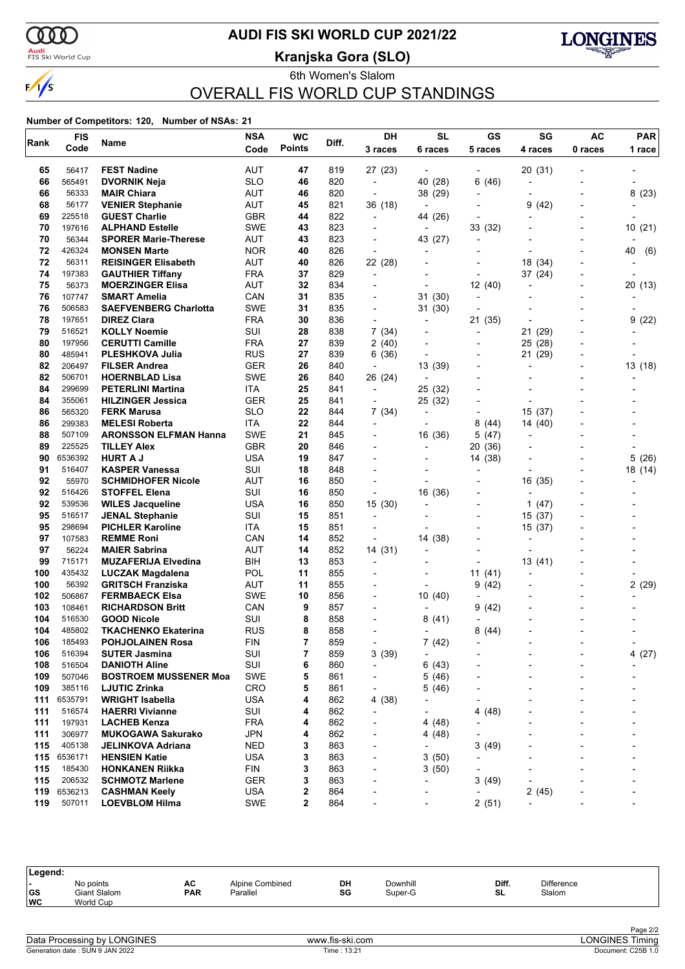

### <mark>Audi</mark><br>FIS Ski World Cup

## **AUDI FIS SKI WORLD CUP 2021/22**

**Kranjska Gora (SLO)**



6th Women's Slalom OVERALL FIS WORLD CUP STANDINGS

#### **Number of Competitors: 120, Number of NSAs: 21**

|            | <b>FIS</b>       |                                                  | <b>NSA</b> | <b>WC</b>     |            | DH                       | <b>SL</b>                | GS                       | SG                       | <b>AC</b>                | <b>PAR</b> |
|------------|------------------|--------------------------------------------------|------------|---------------|------------|--------------------------|--------------------------|--------------------------|--------------------------|--------------------------|------------|
| Rank       | Code             | Name                                             | Code       | <b>Points</b> | Diff.      | 3 races                  | 6 races                  | 5 races                  | 4 races                  | 0 races                  | 1 race     |
| 65         | 56417            | <b>FEST Nadine</b>                               | AUT        | 47            | 819        | 27 (23)                  | $\overline{\phantom{a}}$ |                          | 20 (31)                  |                          |            |
| 66         | 565491           | <b>DVORNIK Neja</b>                              | SLO        | 46            | 820        | $\overline{\phantom{a}}$ | 40 (28)                  | 6(46)                    |                          | $\overline{\phantom{a}}$ |            |
| 66         | 56333            | <b>MAIR Chiara</b>                               | AUT        | 46            | 820        | ÷,                       | 38 (29)                  | $\overline{a}$           |                          |                          | 8(23)      |
| 68         | 56177            | <b>VENIER Stephanie</b>                          | AUT        | 45            | 821        | 36 (18)                  | $\overline{\phantom{a}}$ |                          | 9<br>(42)                |                          |            |
| 69         | 225518           | <b>GUEST Charlie</b>                             | GBR        | 44            | 822        | $\overline{\phantom{a}}$ | 44 (26)                  | ÷                        |                          |                          |            |
| 70         | 197616           | <b>ALPHAND Estelle</b>                           | SWE        | 43            | 823        | $\overline{\phantom{a}}$ | $\overline{\phantom{a}}$ | 33 (32)                  |                          |                          | 10(21)     |
| 70         | 56344            | <b>SPORER Marie-Therese</b>                      | <b>AUT</b> | 43            | 823        | $\overline{\phantom{a}}$ | 43 (27)                  | $\overline{a}$           |                          |                          |            |
| 72         | 426324           | <b>MONSEN Marte</b>                              | <b>NOR</b> | 40            | 826        | $\overline{\phantom{a}}$ | $\blacksquare$           | $\overline{\phantom{a}}$ |                          |                          | 40<br>(6)  |
| 72         | 56311            | <b>REISINGER Elisabeth</b>                       | <b>AUT</b> | 40            | 826        | 22 (28)                  |                          | -                        | 18 (34)                  |                          |            |
| 74         | 197383           | <b>GAUTHIER Tiffany</b>                          | FRA        | 37            | 829        | $\overline{\phantom{a}}$ |                          |                          | 37 (24)                  |                          |            |
| 75         | 56373            | <b>MOERZINGER Elisa</b>                          | AUT        | 32            | 834        |                          |                          | 12(40)                   |                          | -                        | 20 (13)    |
| 76         | 107747           | <b>SMART Amelia</b>                              | CAN        | 31            | 835        | $\overline{\phantom{a}}$ | 31 (30)                  | $\overline{a}$           |                          |                          |            |
| 76         | 506583           | <b>SAEFVENBERG Charlotta</b>                     | SWE        | 31            | 835        | $\blacksquare$           | 31 (30)                  |                          |                          |                          |            |
| 78         | 197651           | <b>DIREZ Clara</b>                               | FRA<br>SUI | 30            | 836<br>838 | $\overline{\phantom{a}}$ | $\overline{a}$           | 21 (35)                  |                          |                          | 9<br>(22)  |
| 79<br>80   | 516521<br>197956 | <b>KOLLY Noemie</b><br><b>CERUTTI Camille</b>    | FRA        | 28<br>27      | 839        | 7 (34)<br>2 (40)         | $\overline{\phantom{a}}$ | $\overline{a}$           | 21 (29)<br>25 (28)       |                          |            |
| 80         | 485941           | <b>PLESHKOVA Julia</b>                           | RUS        | 27            | 839        | 6(36)                    | $\overline{\phantom{a}}$ | $\overline{a}$           | 21<br>(29)               |                          |            |
| 82         | 206497           | <b>FILSER Andrea</b>                             | GER        | 26            | 840        | $\overline{\phantom{a}}$ | 13 (39)                  | -                        | $\overline{a}$           |                          | 13(18)     |
| 82         | 506701           | <b>HOERNBLAD Lisa</b>                            | <b>SWE</b> | 26            | 840        | 26 (24)                  | $\overline{\phantom{a}}$ |                          |                          |                          |            |
| 84         | 299699           | <b>PETERLINI Martina</b>                         | ITA        | 25            | 841        | $\overline{\phantom{a}}$ | 25 (32)                  |                          |                          |                          |            |
| 84         | 355061           | <b>HILZINGER Jessica</b>                         | GER        | 25            | 841        | $\overline{\phantom{a}}$ | 25 (32)                  | -                        | $\overline{\phantom{a}}$ |                          |            |
| 86         | 565320           | <b>FERK Marusa</b>                               | SLO        | 22            | 844        | 7 (34)                   | $\overline{\phantom{a}}$ |                          | 15(37)                   |                          |            |
| 86         | 299383           | <b>MELESI Roberta</b>                            | ITA        | 22            | 844        | $\overline{\phantom{a}}$ | $\overline{\phantom{a}}$ | 8<br>(44)                | 14 (40)                  |                          |            |
| 88         | 507109           | <b>ARONSSON ELFMAN Hanna</b>                     | SWE        | 21            | 845        | $\overline{\phantom{a}}$ | 16 (36)                  | 5(47)                    |                          |                          |            |
| 89         | 225525           | <b>TILLEY Alex</b>                               | <b>GBR</b> | 20            | 846        |                          |                          | 20 (36)                  |                          |                          |            |
| 90         | 6536392          | <b>HURT A J</b>                                  | USA        | 19            | 847        |                          |                          | 14 (38)                  |                          |                          | 5(26)      |
| 91         | 516407           | <b>KASPER Vanessa</b>                            | SUI        | 18            | 848        |                          |                          |                          |                          |                          | 18 (14)    |
| 92         | 55970            | <b>SCHMIDHOFER Nicole</b>                        | AUT        | 16            | 850        | $\overline{\phantom{a}}$ |                          |                          | 16 (35)                  |                          |            |
| 92         | 516426           | <b>STOFFEL Elena</b>                             | SUI        | 16            | 850        | $\overline{\phantom{a}}$ | 16 (36)                  | $\overline{a}$           |                          |                          |            |
| 92         | 539536           | <b>WILES Jacqueline</b>                          | USA        | 16            | 850        | 15 (30)                  |                          | -                        | 1 $(47)$                 |                          |            |
| 95         | 516517           | <b>JENAL Stephanie</b>                           | SUI        | 15            | 851        | $\overline{\phantom{a}}$ |                          |                          | 15 (37)                  |                          |            |
| 95         | 298694           | <b>PICHLER Karoline</b>                          | ITA        | 15            | 851        | $\overline{a}$           |                          |                          | 15 (37)                  |                          |            |
| 97         | 107583           | <b>REMME Roni</b>                                | CAN        | 14            | 852        | $\overline{a}$           | 14 (38)                  | -                        |                          |                          |            |
| 97         | 56224            | <b>MAIER Sabrina</b>                             | <b>AUT</b> | 14            | 852        | 14 (31)                  | $\overline{\phantom{a}}$ |                          |                          |                          |            |
| 99         | 715171           | <b>MUZAFERIJA Elvedina</b>                       | BIH        | 13            | 853        | $\overline{\phantom{a}}$ |                          | $\overline{\phantom{a}}$ | 13 (41)                  |                          |            |
| 100        | 435432           | LUCZAK Magdalena                                 | POL        | 11            | 855        |                          |                          | 11(41)                   |                          |                          |            |
| 100<br>102 | 56392<br>506867  | <b>GRITSCH Franziska</b>                         | AUT<br>SWE | 11<br>10      | 855<br>856 | $\blacksquare$           |                          | 9(42)<br>÷               |                          | $\overline{\phantom{0}}$ | 2(29)      |
| 103        | 108461           | <b>FERMBAECK Elsa</b><br><b>RICHARDSON Britt</b> | CAN        | 9             | 857        | $\overline{\phantom{a}}$ | 10 (40)                  | 9<br>(42)                |                          |                          |            |
| 104        | 516530           | <b>GOOD Nicole</b>                               | SUI        | 8             | 858        |                          | 8(41)                    |                          |                          |                          |            |
| 104        | 485802           | <b>TKACHENKO Ekaterina</b>                       | RUS        | 8             | 858        |                          |                          | 8<br>(44)                |                          |                          |            |
| 106        | 185493           | POHJOLAINEN Rosa                                 | FIN        | 7             | 859        |                          | 7(42)                    | $\overline{\phantom{a}}$ |                          |                          |            |
| 106        | 516394           | <b>SUTER Jasmina</b>                             | SUI        | 7             | 859        | 3(39)                    | $\overline{\phantom{a}}$ |                          |                          |                          | 4(27)      |
| 108        | 516504           | <b>DANIOTH Aline</b>                             | SUI        | 6             | 860        | $\overline{\phantom{a}}$ | 6(43)                    |                          |                          |                          |            |
| 109        | 507046           | <b>BOSTROEM MUSSENER Moa</b>                     | <b>SWE</b> | 5             | 861        | $\overline{\phantom{0}}$ | 5(46)                    |                          |                          |                          |            |
| 109        | 385116           | <b>LJUTIC Zrinka</b>                             | <b>CRO</b> | 5             | 861        |                          | 5(46)                    |                          |                          | $\blacksquare$           |            |
| 111        | 6535791          | <b>WRIGHT Isabella</b>                           | <b>USA</b> | 4             | 862        | 4 (38)                   |                          |                          |                          | -                        |            |
| 111        | 516574           | <b>HAERRI Vivianne</b>                           | SUI        | 4             | 862        |                          |                          | (48)<br>4                |                          |                          |            |
| 111        | 197931           | <b>LACHEB Kenza</b>                              | <b>FRA</b> | 4             | 862        |                          | 4 (48)                   |                          |                          |                          |            |
| 111        | 306977           | <b>MUKOGAWA Sakurako</b>                         | <b>JPN</b> | 4             | 862        |                          | 4 (48)                   |                          |                          | -                        |            |
| 115        | 405138           | JELINKOVA Adriana                                | NED        | 3             | 863        |                          | $\overline{a}$           | 3<br>(49)                |                          |                          |            |
| 115        | 6536171          | <b>HENSIEN Katie</b>                             | <b>USA</b> | 3             | 863        | -                        | 3(50)                    |                          |                          |                          |            |
| 115        | 185430           | <b>HONKANEN Riikka</b>                           | FIN        | 3             | 863        | ٠                        | 3(50)                    | -                        |                          |                          |            |
| 115        | 206532           | <b>SCHMOTZ Marlene</b>                           | GER        | 3             | 863        | $\overline{a}$           |                          | 3(49)                    |                          |                          |            |
| 119        | 6536213          | <b>CASHMAN Keely</b>                             | USA        | 2             | 864        |                          |                          |                          | 2(45)                    |                          |            |
| 119        | 507011           | <b>LOEVBLOM Hilma</b>                            | <b>SWE</b> | $\mathbf 2$   | 864        |                          |                          | 2(51)                    |                          | -                        |            |

| Legend:   |                                        |                  |                             |          |                     |             |                             |
|-----------|----------------------------------------|------------------|-----------------------------|----------|---------------------|-------------|-----------------------------|
| GS<br> wc | No points<br>Giant Slalom<br>World Cup | AC<br><b>PAR</b> | Alpine Combined<br>Parallel | DH<br>SG | Downhill<br>Super-G | Diff.<br>SL | <b>Difference</b><br>Slalom |
|           |                                        |                  |                             |          |                     |             |                             |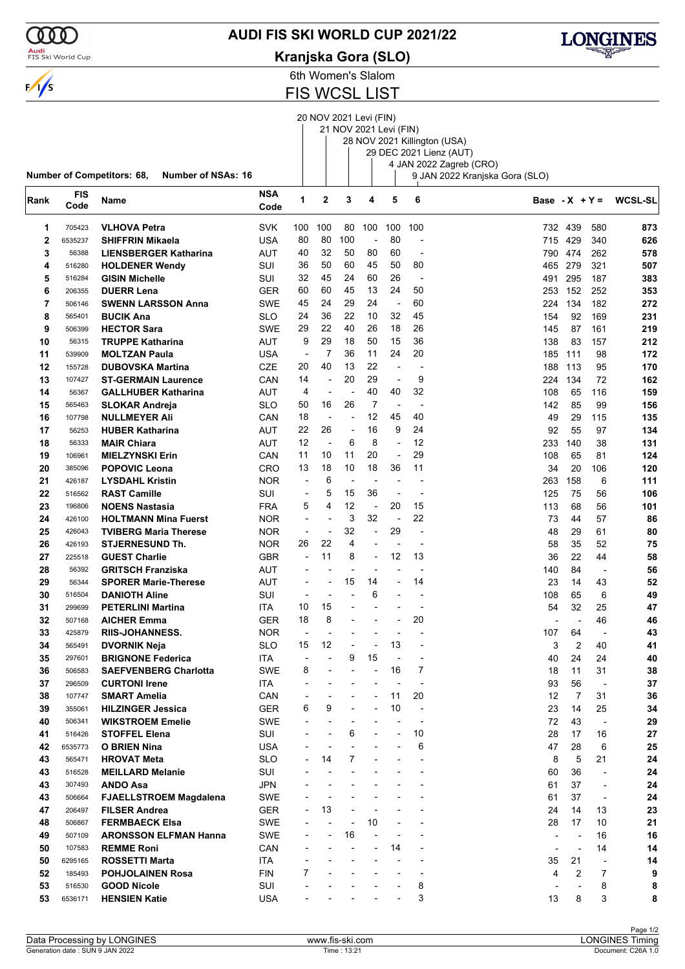### **AUDI FIS SKI WORLD CUP 2021/22**

### **Kranjska Gora (SLO)**



6th Women's Slalom

FIS WCSL LIST

20 NOV 2021 Levi (FIN)

|      |                  |                                                         |                    |                              |                |                          | 21 NOV 2021 Levi (FIN) |                          |                          | 28 NOV 2021 Killington (USA)<br>29 DEC 2021 Lienz (AUT) |                |                          |                          |                          |
|------|------------------|---------------------------------------------------------|--------------------|------------------------------|----------------|--------------------------|------------------------|--------------------------|--------------------------|---------------------------------------------------------|----------------|--------------------------|--------------------------|--------------------------|
|      |                  | Number of Competitors: 68,<br><b>Number of NSAs: 16</b> |                    |                              |                |                          |                        |                          |                          | 4 JAN 2022 Zagreb (CRO)                                 |                |                          |                          |                          |
| Rank | FIS<br>Code      | Name                                                    | <b>NSA</b><br>Code | 1                            | $\overline{2}$ | 3                        | 4                      | 5                        | 6                        | 9 JAN 2022 Kranjska Gora (SLO)                          |                |                          |                          | Base - $X + Y = WCSL-SL$ |
| 1    | 705423           | <b>VLHOVA Petra</b>                                     | <b>SVK</b>         | 100                          | 100            | 80                       | 100                    | 100                      | 100                      |                                                         | 732            | 439                      | 580                      | 873                      |
| 2    | 6535237          | <b>SHIFFRIN Mikaela</b>                                 | USA                | 80                           | 80             | 100                      | $\overline{a}$         | 80                       | $\overline{a}$           |                                                         | 715 429        |                          | 340                      | 626                      |
| 3    | 56388            | <b>LIENSBERGER Katharina</b>                            | AUT                | 40                           | 32             | 50                       | 80                     | 60                       |                          |                                                         | 790 474        |                          | 262                      | 578                      |
| 4    | 516280           | <b>HOLDENER Wendy</b>                                   | SUI                | 36                           | 50             | 60                       | 45                     | 50                       | 80                       |                                                         | 465 279        |                          | 321                      | 507                      |
| 5    | 516284           | <b>GISIN Michelle</b>                                   | SUI                | 32                           | 45             | 24                       | 60                     | 26                       | $\overline{\phantom{a}}$ |                                                         | 491            | 295                      | 187                      | 383                      |
| 6    | 206355           | <b>DUERR Lena</b>                                       | <b>GER</b>         | 60                           | 60             | 45                       | 13                     | 24                       | 50                       |                                                         | 253            | 152                      | 252                      | 353                      |
| 7    | 506146           | <b>SWENN LARSSON Anna</b>                               | <b>SWE</b>         | 45                           | 24             | 29                       | 24                     | $\overline{\phantom{a}}$ | 60                       |                                                         | 224            | 134                      | 182                      | 272                      |
| 8    | 565401           | <b>BUCIK Ana</b>                                        | <b>SLO</b>         | 24                           | 36             | 22                       | 10                     | 32                       | 45                       |                                                         | 154            | 92                       | 169                      | 231                      |
| 9    | 506399           | <b>HECTOR Sara</b>                                      | <b>SWE</b>         | 29                           | 22             | 40                       | 26                     | 18                       | 26                       |                                                         | 145            | 87                       | 161                      | 219                      |
| 10   | 56315            | <b>TRUPPE Katharina</b>                                 | AUT                | 9                            | 29             | 18                       | 50                     | 15                       | 36                       |                                                         | 138            | 83                       | 157                      | 212                      |
| 11   | 539909           | <b>MOLTZAN Paula</b>                                    | USA                | $\overline{\phantom{a}}$     | 7              | 36                       | 11                     | 24                       | 20                       |                                                         | 185            | 111                      | 98                       | 172                      |
| 12   | 155728           | <b>DUBOVSKA Martina</b>                                 | <b>CZE</b>         | 20                           | 40             | 13                       | 22                     | $\overline{a}$           | $\overline{\phantom{a}}$ |                                                         | 188            | 113                      | 95                       | 170                      |
| 13   | 107427           | <b>ST-GERMAIN Laurence</b>                              | CAN                | 14                           | $\overline{a}$ | 20                       | 29                     | ÷,                       | 9                        |                                                         | 224            | 134                      | 72                       | 162                      |
| 14   | 56367            | <b>GALLHUBER Katharina</b>                              | AUT                | 4                            | Ĭ.             | ł,                       | 40                     | 40                       | 32                       |                                                         | 108            | 65                       | 116                      | 159                      |
| 15   | 565463           | <b>SLOKAR Andreja</b>                                   | <b>SLO</b>         | 50                           | 16             | 26                       | 7                      | $\blacksquare$           | $\overline{a}$           |                                                         | 142            | 85                       | 99                       | 156                      |
| 16   | 107798           | <b>NULLMEYER Ali</b>                                    | CAN                | 18                           | Ĭ.             |                          | 12                     | 45                       | 40                       |                                                         | 49             | 29                       | 115                      | 135                      |
| 17   | 56253            | <b>HUBER Katharina</b>                                  | AUT                | 22                           | 26             | $\overline{a}$           | 16                     | 9                        | 24                       |                                                         | 92             | 55                       | 97                       | 134                      |
| 18   | 56333            | <b>MAIR Chiara</b>                                      | AUT                | 12                           | ÷,             | 6                        | 8                      | ÷,                       | 12                       |                                                         | 233            | 140                      | 38                       | 131                      |
| 19   | 106961           | <b>MIELZYNSKI Erin</b>                                  | CAN                | 11                           | 10             | 11                       | 20                     | ÷,                       | 29                       |                                                         | 108            | 65                       | 81                       | 124                      |
| 20   | 385096           | <b>POPOVIC Leona</b>                                    | <b>CRO</b>         | 13                           | 18             | 10                       | 18                     | 36                       | 11                       |                                                         | 34             | 20                       | 106                      | 120                      |
| 21   | 426187           | <b>LYSDAHL Kristin</b>                                  | <b>NOR</b>         | $\overline{a}$               | 6              | ÷,                       |                        | $\overline{\phantom{a}}$ | $\overline{a}$           |                                                         | 263            | 158                      | 6                        | 111                      |
| 22   | 516562           | <b>RAST Camille</b>                                     | SUI                | $\overline{a}$               | 5              | 15                       | 36                     | ÷                        |                          |                                                         | 125            | 75                       | 56                       | 106                      |
| 23   | 196806           | <b>NOENS Nastasia</b>                                   | <b>FRA</b>         | 5                            | 4              | 12                       | $\blacksquare$         | 20                       | 15                       |                                                         | 113            | 68                       | 56                       | 101                      |
| 24   | 426100           | <b>HOLTMANN Mina Fuerst</b>                             | <b>NOR</b>         | $\overline{\phantom{a}}$     | $\overline{a}$ | 3                        | 32                     | ÷,                       | 22                       |                                                         | 73             | 44                       | 57                       | 86                       |
| 25   | 426043           | <b>TVIBERG Maria Therese</b>                            | <b>NOR</b>         | $\overline{\phantom{a}}$     | ٠              | 32                       | $\overline{a}$         | 29                       | $\overline{a}$           |                                                         | 48             | 29                       | 61                       | 80                       |
| 26   | 426193           | <b>STJERNESUND Th.</b>                                  | <b>NOR</b>         | 26                           | 22             | 4                        | $\overline{a}$         | $\blacksquare$           | $\overline{\phantom{0}}$ |                                                         | 58             | 35                       | 52                       | 75                       |
| 27   | 225518           | <b>GUEST Charlie</b>                                    | <b>GBR</b>         | $\overline{a}$               | 11             | 8                        |                        | 12                       | 13                       |                                                         | 36             | 22                       | 44                       | 58                       |
| 28   | 56392            | <b>GRITSCH Franziska</b>                                | AUT                |                              |                | ÷,                       |                        |                          |                          |                                                         | 140            | 84                       |                          | 56                       |
| 29   | 56344            | <b>SPORER Marie-Therese</b>                             | AUT                | $\overline{\phantom{a}}$     | $\overline{a}$ | 15                       | 14                     | $\blacksquare$           | 14                       |                                                         | 23             | 14                       | 43                       | 52                       |
| 30   |                  | <b>DANIOTH Aline</b>                                    | SUI                | $\overline{\phantom{a}}$     | $\overline{a}$ |                          | 6                      | $\overline{\phantom{a}}$ | $\overline{\phantom{a}}$ |                                                         | 108            | 65                       | 6                        | 49                       |
| 31   | 516504<br>299699 |                                                         | ITA                | 10                           | 15             |                          |                        |                          |                          |                                                         | 54             | 32                       | 25                       | 47                       |
|      |                  | <b>PETERLINI Martina</b>                                |                    | 18                           | 8              | ٠                        |                        | $\overline{\phantom{a}}$ | 20                       |                                                         |                |                          |                          |                          |
| 32   | 507168           | <b>AICHER Emma</b>                                      | <b>GER</b>         |                              |                |                          |                        |                          |                          |                                                         |                |                          | 46                       | 46                       |
| 33   | 425879           | <b>RIIS-JOHANNESS.</b>                                  | <b>NOR</b>         |                              | $\overline{a}$ |                          |                        |                          |                          |                                                         | 107            | 64                       |                          | 43                       |
| 34   | 565491           | DVORNIK Neja                                            | SLO                | 15                           | 12             |                          |                        | 13                       |                          |                                                         | З              | 2                        | 40                       | 41                       |
| 35   | 297601           | <b>BRIGNONE Federica</b>                                | <b>ITA</b>         | $\overline{\phantom{a}}$     |                | 9                        | 15                     | $\overline{\phantom{a}}$ | $\overline{7}$           |                                                         | 40             | 24                       | 24                       | 40                       |
| 36   | 506583           | <b>SAEFVENBERG Charlotta</b>                            | <b>SWE</b>         | 8                            |                | ÷                        | $\overline{a}$         | 16                       |                          |                                                         | 18             | 11                       | 31                       | 38                       |
| 37   | 296509           | <b>CURTONI Irene</b>                                    | ITA                |                              |                |                          |                        | $\overline{a}$           |                          |                                                         | 93             | 56                       | $\overline{\phantom{a}}$ | 37                       |
| 38   | 107747           | <b>SMART Amelia</b>                                     | CAN                |                              |                | ٠                        |                        | 11                       | 20                       |                                                         | 12             | 7                        | 31                       | 36                       |
| 39   | 355061           | <b>HILZINGER Jessica</b>                                | <b>GER</b>         | 6                            | 9              |                          |                        | 10                       | $\overline{\phantom{a}}$ |                                                         | 23             | 14                       | 25                       | 34                       |
| 40   | 506341           | <b>WIKSTROEM Emelie</b>                                 | SWE                |                              |                |                          |                        |                          |                          |                                                         | 72             | 43                       |                          | 29                       |
| 41   | 516426           | <b>STOFFEL Elena</b>                                    | SUI                |                              |                | 6                        |                        |                          | 10                       |                                                         | 28             | 17                       | 16                       | 27                       |
| 42   | 6535773          | <b>O BRIEN Nina</b>                                     | <b>USA</b>         |                              |                | L,                       |                        |                          | 6                        |                                                         | 47             | 28                       | 6                        | 25                       |
| 43   | 565471           | <b>HROVAT Meta</b>                                      | <b>SLO</b>         |                              | 14             | 7                        |                        |                          |                          |                                                         | 8              | 5                        | 21                       | 24                       |
| 43   | 516528           | <b>MEILLARD Melanie</b>                                 | SUI                |                              |                |                          |                        |                          | $\overline{\phantom{a}}$ |                                                         | 60             | 36                       |                          | 24                       |
| 43   | 307493           | <b>ANDO Asa</b>                                         | JPN                |                              |                |                          |                        |                          |                          |                                                         | 61             | 37                       | $\overline{\phantom{a}}$ | 24                       |
| 43   | 506664           | <b>FJAELLSTROEM Magdalena</b>                           | SWE                |                              |                |                          |                        |                          |                          |                                                         | 61             | 37                       | $\overline{\phantom{a}}$ | 24                       |
| 47   | 206497           | <b>FILSER Andrea</b>                                    | <b>GER</b>         | $\qquad \qquad \blacksquare$ | 13             |                          |                        |                          |                          |                                                         | 24             | 14                       | 13                       | 23                       |
| 48   | 506867           | <b>FERMBAECK Elsa</b>                                   | SWE                |                              |                | ÷                        | 10                     |                          |                          |                                                         | 28             | 17                       | 10                       | 21                       |
| 49   | 507109           | <b>ARONSSON ELFMAN Hanna</b>                            | SWE                |                              | -              | 16                       |                        |                          |                          |                                                         |                | $\overline{\phantom{a}}$ | 16                       | 16                       |
| 50   | 107583           | <b>REMME Roni</b>                                       | CAN                |                              |                | $\overline{\phantom{a}}$ |                        | 14                       | $\overline{\phantom{a}}$ |                                                         | $\overline{a}$ | ÷                        | 14                       | 14                       |
| 50   | 6295165          | <b>ROSSETTI Marta</b>                                   | ITA                |                              |                |                          |                        |                          |                          |                                                         | 35             | 21                       |                          | 14                       |
| 52   | 185493           | <b>POHJOLAINEN Rosa</b>                                 | <b>FIN</b>         | 7                            |                |                          |                        |                          |                          |                                                         | 4              | 2                        | 7                        | 9                        |
| 53   | 516530           | <b>GOOD Nicole</b>                                      | SUI                |                              |                |                          |                        |                          | 8                        |                                                         |                |                          | 8                        | 8                        |
| 53   | 6536171          | <b>HENSIEN Katie</b>                                    | <b>USA</b>         |                              |                |                          |                        |                          | 3                        |                                                         | 13             | 8                        | 3                        | 8                        |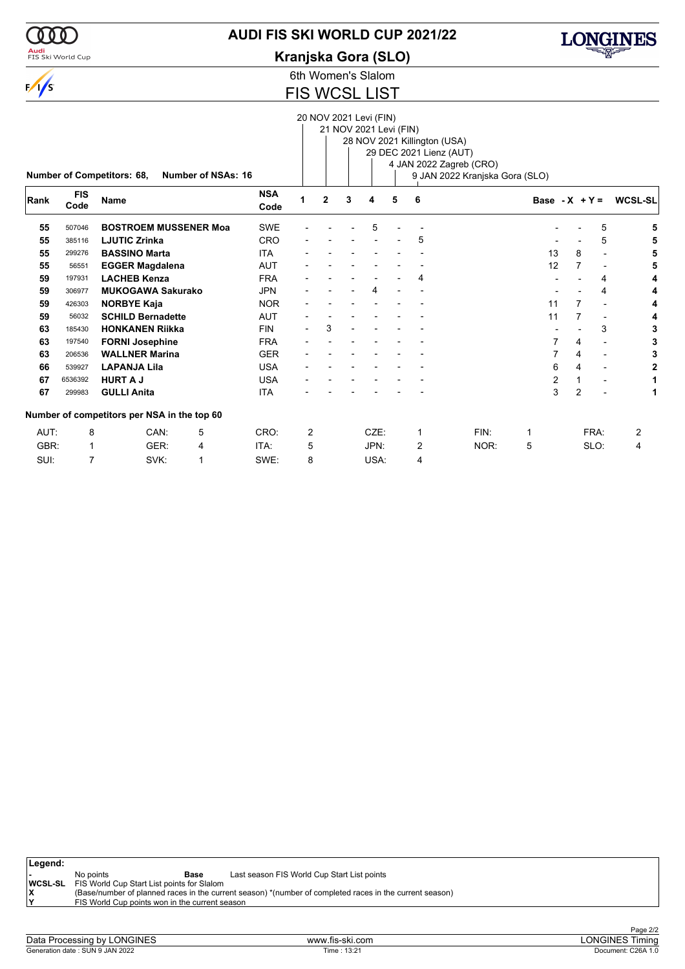

### **AUDI FIS SKI WORLD CUP 2021/22**

**Kranjska Gora (SLO)**



6th Women's Slalom

# FIS WCSL LIST

|      |            |                                             |                           |            |                |                |   | 20 NOV 2021 Levi (FIN) |   |                              |                                |                  |                |                          |                |
|------|------------|---------------------------------------------|---------------------------|------------|----------------|----------------|---|------------------------|---|------------------------------|--------------------------------|------------------|----------------|--------------------------|----------------|
|      |            |                                             |                           |            |                |                |   | 21 NOV 2021 Levi (FIN) |   |                              |                                |                  |                |                          |                |
|      |            |                                             |                           |            |                |                |   |                        |   | 28 NOV 2021 Killington (USA) |                                |                  |                |                          |                |
|      |            |                                             |                           |            |                |                |   |                        |   | 29 DEC 2021 Lienz (AUT)      |                                |                  |                |                          |                |
|      |            |                                             |                           |            |                |                |   |                        |   |                              | 4 JAN 2022 Zagreb (CRO)        |                  |                |                          |                |
|      |            | Number of Competitors: 68,                  | <b>Number of NSAs: 16</b> |            |                |                |   |                        |   |                              | 9 JAN 2022 Kranjska Gora (SLO) |                  |                |                          |                |
|      |            |                                             |                           |            |                |                |   |                        |   |                              |                                |                  |                |                          |                |
| Rank | <b>FIS</b> | <b>Name</b>                                 |                           | <b>NSA</b> | 1              | $\overline{2}$ | 3 | 4                      | 5 | 6                            |                                | Base - $X + Y =$ |                |                          | <b>WCSL-SL</b> |
|      | Code       |                                             |                           | Code       |                |                |   |                        |   |                              |                                |                  |                |                          |                |
| 55   | 507046     | <b>BOSTROEM MUSSENER Moa</b>                |                           | <b>SWE</b> |                |                |   | 5                      |   |                              |                                |                  |                | 5                        |                |
| 55   | 385116     | <b>LJUTIC Zrinka</b>                        |                           | <b>CRO</b> |                |                |   |                        |   | 5                            |                                |                  |                | 5                        |                |
| 55   | 299276     | <b>BASSINO Marta</b>                        |                           | <b>ITA</b> |                |                |   |                        |   |                              |                                | 13               | 8              | $\overline{\phantom{a}}$ |                |
| 55   | 56551      | <b>EGGER Magdalena</b>                      |                           | <b>AUT</b> |                |                |   |                        |   |                              |                                | 12               | 7              | $\overline{\phantom{a}}$ |                |
| 59   | 197931     | <b>LACHEB Kenza</b>                         |                           | <b>FRA</b> |                |                |   |                        |   | 4                            |                                |                  |                | 4                        |                |
| 59   | 306977     | <b>MUKOGAWA Sakurako</b>                    |                           | <b>JPN</b> |                |                |   | 4                      |   |                              |                                |                  |                | 4                        |                |
| 59   | 426303     | <b>NORBYE Kaja</b>                          |                           | <b>NOR</b> |                |                |   |                        |   |                              |                                | 11               |                | $\overline{\phantom{a}}$ |                |
| 59   | 56032      | <b>SCHILD Bernadette</b>                    |                           | <b>AUT</b> |                |                |   |                        |   |                              |                                | 11               | 7              | $\overline{\phantom{a}}$ |                |
| 63   | 185430     | <b>HONKANEN Riikka</b>                      |                           | <b>FIN</b> |                | 3              |   |                        |   |                              |                                |                  |                | 3                        |                |
| 63   | 197540     | <b>FORNI Josephine</b>                      |                           | <b>FRA</b> |                |                |   |                        |   |                              |                                | 7                | 4              | $\blacksquare$           |                |
| 63   | 206536     | <b>WALLNER Marina</b>                       |                           | <b>GER</b> |                |                |   |                        |   |                              |                                | 7                | 4              | $\blacksquare$           |                |
| 66   | 539927     | <b>LAPANJA Lila</b>                         |                           | <b>USA</b> |                |                |   |                        |   |                              |                                | 6                | 4              | $\blacksquare$           | 2              |
| 67   | 6536392    | <b>HURT A J</b>                             |                           | <b>USA</b> |                |                |   |                        |   |                              |                                | 2                |                | $\blacksquare$           |                |
| 67   | 299983     | <b>GULLI Anita</b>                          |                           | <b>ITA</b> |                |                |   |                        |   |                              |                                | 3                | $\overline{2}$ |                          | 1              |
|      |            | Number of competitors per NSA in the top 60 |                           |            |                |                |   |                        |   |                              |                                |                  |                |                          |                |
| AUT: | 8          | CAN:                                        | 5                         | CRO:       | $\overline{2}$ |                |   | CZE:                   |   | $\mathbf 1$                  | FIN:                           | 1                |                | FRA:                     | 2              |
| GBR: | 1          | GER:                                        | 4                         | ITA:       | 5              |                |   | JPN:                   |   | 2                            | NOR:                           | 5                |                | SLO:                     | 4              |
| SUI: | 7          | SVK:                                        | 1                         | SWE:       | 8              |                |   | USA:                   |   | 4                            |                                |                  |                |                          |                |

| Legend: |                                                           |                                                                                                         |
|---------|-----------------------------------------------------------|---------------------------------------------------------------------------------------------------------|
|         | No points<br><b>Base</b>                                  | Last season FIS World Cup Start List points                                                             |
|         | <b>WCSL-SL</b> FIS World Cup Start List points for Slalom |                                                                                                         |
|         |                                                           | (Base/number of planned races in the current season) *(number of completed races in the current season) |
|         | FIS World Cup points won in the current season            |                                                                                                         |
|         |                                                           |                                                                                                         |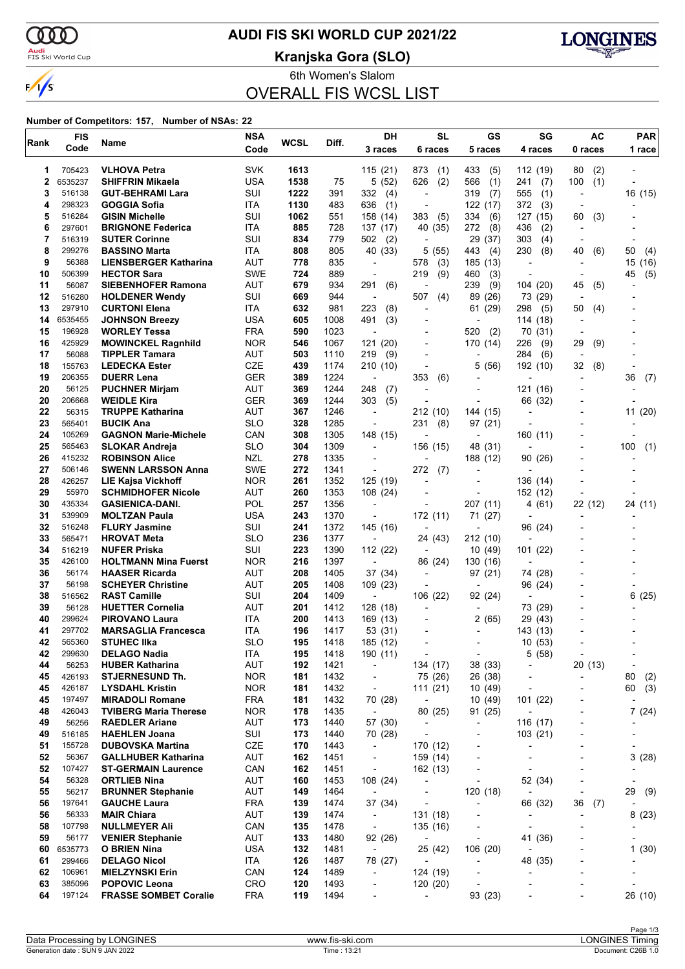

### **AUDI FIS SKI WORLD CUP 2021/22**

<mark>Audi</mark><br>FIS Ski World Cup

**Kranjska Gora (SLO)**



6th Women's Slalom OVERALL FIS WCSL LIST

#### **Number of Competitors: 157, Number of NSAs: 22**

| Rank     | <b>FIS</b>        | Name                                                | <b>NSA</b>               | <b>WCSL</b> | Diff.        | DH                                   | <b>SL</b>                                            | GS                                   | SG                                      | <b>AC</b>                                  | <b>PAR</b>               |
|----------|-------------------|-----------------------------------------------------|--------------------------|-------------|--------------|--------------------------------------|------------------------------------------------------|--------------------------------------|-----------------------------------------|--------------------------------------------|--------------------------|
|          | Code              |                                                     | Code                     |             |              | 3 races                              | 6 races                                              | 5 races                              | 4 races                                 | 0 races                                    | 1 race                   |
| 1        | 705423            | <b>VLHOVA Petra</b>                                 | <b>SVK</b>               | 1613        |              | 115(21)                              | 873<br>(1)                                           | 433<br>(5)                           | 112 (19)                                | 80<br>(2)                                  |                          |
| 2        | 6535237           | <b>SHIFFRIN Mikaela</b>                             | <b>USA</b>               | 1538        | 75           | 5(52)                                | 626<br>(2)                                           | 566<br>(1)                           | 241<br>(7)                              | (1)<br>100                                 |                          |
| 3        | 516138            | <b>GUT-BEHRAMI Lara</b>                             | SUI                      | 1222        | 391          | 332<br>(4)                           | $\overline{a}$                                       | 319<br>(7)                           | 555<br>(1)                              | $\overline{\phantom{a}}$                   | 16 (15)                  |
| 4        | 298323            | <b>GOGGIA Sofia</b>                                 | ITA                      | 1130        | 483          | 636<br>(1)                           | $\overline{\phantom{a}}$                             | 122 (17)                             | 372<br>(3)                              |                                            |                          |
| 5<br>6   | 516284<br>297601  | <b>GISIN Michelle</b><br><b>BRIGNONE Federica</b>   | SUI                      | 1062        | 551          | 158 (14)                             | 383<br>(5)                                           | 334<br>(6)                           | 127 (15)                                | 60<br>(3)                                  |                          |
| 7        | 516319            | <b>SUTER Corinne</b>                                | <b>ITA</b><br>SUI        | 885<br>834  | 728<br>779   | 137 (17)<br>502<br>(2)               | 40 (35)<br>$\overline{\phantom{a}}$                  | 272<br>(8)<br>29<br>(37)             | 436<br>(2)<br>303<br>(4)                | $\overline{\phantom{a}}$                   |                          |
| 8        | 299276            | <b>BASSINO Marta</b>                                | ITA                      | 808         | 805          | 40 (33)                              | 5 (55)                                               | 443<br>(4)                           | 230<br>(8)                              | 40<br>(6)                                  | 50<br>(4)                |
| 9        | 56388             | <b>LIENSBERGER Katharina</b>                        | AUT                      | 778         | 835          | $\overline{\phantom{a}}$             | (3)<br>578                                           | 185 (13)                             | $\overline{\phantom{a}}$                |                                            | 15<br>(16)               |
| 10       | 506399            | <b>HECTOR Sara</b>                                  | <b>SWE</b>               | 724         | 889          | $\overline{a}$                       | 219<br>(9)                                           | 460<br>(3)                           | $\overline{\phantom{a}}$                |                                            | (5)<br>45                |
| 11       | 56087             | <b>SIEBENHOFER Ramona</b>                           | <b>AUT</b>               | 679         | 934          | 291<br>(6)                           | $\overline{a}$                                       | 239<br>(9)                           | 104 (20)                                | 45<br>(5)                                  |                          |
| 12       | 516280            | <b>HOLDENER Wendy</b>                               | SUI                      | 669         | 944          | $\overline{\phantom{a}}$             | 507<br>(4)                                           | 89<br>(26)                           | 73 (29)                                 | $\overline{\phantom{a}}$                   |                          |
| 13       | 297910            | <b>CURTONI Elena</b>                                | ITA                      | 632         | 981          | 223<br>(8)                           | L,                                                   | 61 (29)                              | 298<br>(5)                              | 50<br>(4)                                  |                          |
| 14<br>15 | 6535455<br>196928 | <b>JOHNSON Breezy</b><br><b>WORLEY Tessa</b>        | <b>USA</b><br><b>FRA</b> | 605<br>590  | 1008<br>1023 | (3)<br>491                           | $\overline{a}$                                       | 520<br>(2)                           | 114 (18)<br>70 (31)                     | $\blacksquare$                             |                          |
| 16       | 425929            | <b>MOWINCKEL Ragnhild</b>                           | <b>NOR</b>               | 546         | 1067         | 121 (20)                             |                                                      | 170 (14)                             | 226<br>(9)                              | 29<br>(9)                                  |                          |
| 17       | 56088             | <b>TIPPLER Tamara</b>                               | <b>AUT</b>               | 503         | 1110         | 219<br>(9)                           | $\overline{a}$                                       | $\overline{a}$                       | 284<br>(6)                              |                                            |                          |
| 18       | 155763            | <b>LEDECKA Ester</b>                                | CZE                      | 439         | 1174         | 210 (10)                             |                                                      | 5<br>(56)                            | 192 (10)                                | 32<br>(8)                                  | $\overline{\phantom{a}}$ |
| 19       | 206355            | <b>DUERR Lena</b>                                   | <b>GER</b>               | 389         | 1224         | $\overline{\phantom{a}}$             | 353<br>(6)                                           |                                      |                                         |                                            | 36<br>(7)                |
| 20       | 56125             | <b>PUCHNER Mirjam</b>                               | <b>AUT</b>               | 369         | 1244         | 248<br>(7)                           | $\overline{\phantom{a}}$                             | $\blacksquare$                       | 121 (16)                                |                                            |                          |
| 20       | 206668            | <b>WEIDLE Kira</b>                                  | <b>GER</b>               | 369         | 1244         | 303<br>(5)                           |                                                      | $\blacksquare$                       | 66 (32)                                 |                                            |                          |
| 22<br>23 | 56315             | <b>TRUPPE Katharina</b>                             | <b>AUT</b><br><b>SLO</b> | 367         | 1246         | $\blacksquare$                       | 212 (10)                                             | 144 (15)                             | $\overline{\phantom{0}}$                |                                            | 11 (20)                  |
| 24       | 565401<br>105269  | <b>BUCIK Ana</b><br><b>GAGNON Marie-Michele</b>     | CAN                      | 328<br>308  | 1285<br>1305 | $\overline{\phantom{a}}$<br>148 (15) | 231<br>(8)                                           | 97 (21)<br>$\overline{\phantom{a}}$  | 160 (11)                                |                                            |                          |
| 25       | 565463            | <b>SLOKAR Andreja</b>                               | <b>SLO</b>               | 304         | 1309         |                                      | 156 (15)                                             | 48 (31)                              |                                         |                                            | 100<br>(1)               |
| 26       | 415232            | <b>ROBINSON Alice</b>                               | <b>NZL</b>               | 278         | 1335         | $\blacksquare$                       |                                                      | 188 (12)                             | 90(26)                                  |                                            |                          |
| 27       | 506146            | <b>SWENN LARSSON Anna</b>                           | <b>SWE</b>               | 272         | 1341         | ÷,                                   | 272<br>(7)                                           |                                      |                                         |                                            |                          |
| 28       | 426257            | LIE Kajsa Vickhoff                                  | <b>NOR</b>               | 261         | 1352         | 125 (19)                             |                                                      |                                      | 136 (14)                                |                                            |                          |
| 29       | 55970             | <b>SCHMIDHOFER Nicole</b>                           | AUT                      | 260         | 1353         | 108(24)                              |                                                      | $\overline{a}$                       | 152 (12)                                |                                            |                          |
| 30       | 435334            | <b>GASIENICA-DANI.</b>                              | <b>POL</b>               | 257         | 1356         | $\overline{\phantom{a}}$             | ٠                                                    | 207 (11)                             | 4(61)                                   | 22 (12)                                    | 24 (11)                  |
| 31<br>32 | 539909<br>516248  | <b>MOLTZAN Paula</b><br><b>FLURY Jasmine</b>        | <b>USA</b><br>SUI        | 243<br>241  | 1370<br>1372 | 145 (16)                             | 172 (11)<br>$\overline{a}$                           | 71 (27)<br>$\blacksquare$            |                                         |                                            |                          |
| 33       | 565471            | <b>HROVAT Meta</b>                                  | <b>SLO</b>               | 236         | 1377         |                                      | 24 (43)                                              | 212 (10)                             | 96 (24)                                 |                                            |                          |
| 34       | 516219            | <b>NUFER Priska</b>                                 | SUI                      | 223         | 1390         | 112 (22)                             |                                                      | 10 (49)                              | 101 (22)                                |                                            |                          |
| 35       | 426100            | <b>HOLTMANN Mina Fuerst</b>                         | <b>NOR</b>               | 216         | 1397         | $\blacksquare$                       | 86 (24)                                              | 130 (16)                             |                                         |                                            |                          |
| 36       | 56174             | <b>HAASER Ricarda</b>                               | AUT                      | 208         | 1405         | 37 (34)                              | ٠                                                    | 97 (21)                              | 74 (28)                                 |                                            |                          |
| 37       | 56198             | <b>SCHEYER Christine</b>                            | AUT                      | 205         | 1408         | 109 (23)                             |                                                      | $\overline{\phantom{a}}$             | 96 (24)                                 |                                            |                          |
| 38       | 516562            | <b>RAST Camille</b>                                 | SUI                      | 204         | 1409         | $\overline{\phantom{a}}$             | 106 (22)                                             | 92 (24)                              | $\overline{\phantom{a}}$                |                                            | 6(25)                    |
| 39       | 56128             | <b>HUETTER Cornelia</b>                             | AUT                      | 201         | 1412         | 128(18)                              |                                                      |                                      | 73 (29)                                 |                                            |                          |
| 40<br>41 | 299624<br>297702  | <b>PIROVANO Laura</b><br><b>MARSAGLIA Francesca</b> | ITA<br>ITA               | 200<br>196  | 1413<br>1417 | 169 (13)<br>53 (31)                  |                                                      | 2 (65)<br>$\overline{a}$             | 29 (43)<br>143 (13)                     |                                            |                          |
| 42       | 565360            | <b>STUHEC IIka</b>                                  | <b>SLO</b>               | 195         | 1418         | 185 (12)                             |                                                      |                                      | 10(53)                                  |                                            |                          |
| 42       | 299630            | <b>DELAGO Nadia</b>                                 | <b>ITA</b>               | 195         | 1418         | 190 (11)                             | $\overline{a}$                                       | $\overline{a}$                       | 5(58)                                   | $\overline{\phantom{a}}$                   | $\overline{a}$           |
| 44       | 56253             | <b>HUBER Katharina</b>                              | AUT                      | 192         | 1421         | $\overline{\phantom{a}}$             | 134 (17)                                             | 38 (33)                              | ٠                                       | 20 (13)                                    | $\overline{a}$           |
| 45       | 426193            | <b>STJERNESUND Th.</b>                              | <b>NOR</b>               | 181         | 1432         | $\overline{\phantom{a}}$             | 75 (26)                                              | 26 (38)                              | $\overline{a}$                          | $\overline{\phantom{a}}$                   | 80<br>(2)                |
| 45       | 426187            | <b>LYSDAHL Kristin</b>                              | <b>NOR</b>               | 181         | 1432         | $\overline{\phantom{a}}$             | 111 (21)                                             | 10 (49)                              |                                         |                                            | (3)<br>60                |
| 45       | 197497            | <b>MIRADOLI Romane</b>                              | <b>FRA</b>               | 181         | 1432         | 70 (28)                              | $\overline{\phantom{a}}$                             | 10 (49)                              | 101 (22)                                | $\overline{a}$                             |                          |
| 48       | 426043            | <b>TVIBERG Maria Therese</b>                        | <b>NOR</b>               | 178         | 1435         | $\overline{\phantom{a}}$             | 80 (25)                                              | 91 (25)                              |                                         | $\overline{a}$                             | 7(24)                    |
| 49<br>49 | 56256<br>516185   | <b>RAEDLER Ariane</b><br><b>HAEHLEN Joana</b>       | <b>AUT</b><br>SUI        | 173<br>173  | 1440<br>1440 | 57 (30)                              | $\overline{\phantom{a}}$<br>$\overline{\phantom{0}}$ | $\overline{a}$                       | 116 (17)                                | $\overline{\phantom{a}}$                   |                          |
| 51       | 155728            | <b>DUBOVSKA Martina</b>                             | CZE                      | 170         | 1443         | 70 (28)<br>$\overline{\phantom{a}}$  | 170 (12)                                             | $\overline{a}$                       | 103(21)<br>$\qquad \qquad \blacksquare$ |                                            | $\overline{\phantom{a}}$ |
| 52       | 56367             | <b>GALLHUBER Katharina</b>                          | <b>AUT</b>               | 162         | 1451         | $\overline{\phantom{0}}$             | 159 (14)                                             |                                      | $\overline{a}$                          |                                            | 3(28)                    |
| 52       | 107427            | <b>ST-GERMAIN Laurence</b>                          | CAN                      | 162         | 1451         | $\overline{\phantom{a}}$             | 162 (13)                                             | $\overline{\phantom{a}}$             | $\overline{\phantom{a}}$                |                                            |                          |
| 54       | 56328             | <b>ORTLIEB Nina</b>                                 | AUT                      | 160         | 1453         | 108 (24)                             | $\overline{a}$                                       |                                      | 52 (34)                                 | ٠                                          | $\overline{\phantom{a}}$ |
| 55       | 56217             | <b>BRUNNER Stephanie</b>                            | AUT                      | 149         | 1464         | $\overline{\phantom{a}}$             | ٠                                                    | 120 (18)                             | $\overline{a}$                          | $\overline{\phantom{a}}$                   | 29<br>(9)                |
| 56       | 197641            | <b>GAUCHE Laura</b>                                 | <b>FRA</b>               | 139         | 1474         | 37 (34)                              | $\overline{a}$                                       | $\overline{a}$                       | 66 (32)                                 | 36<br>(7)                                  |                          |
| 56       | 56333             | <b>MAIR Chiara</b>                                  | AUT                      | 139         | 1474         | $\overline{\phantom{a}}$             | 131 (18)                                             |                                      | $\overline{\phantom{a}}$                | $\overline{\phantom{a}}$                   | 8<br>(23)                |
| 58       | 107798            | <b>NULLMEYER Ali</b>                                | CAN                      | 135         | 1478         | $\overline{\phantom{a}}$             | 135 (16)                                             |                                      |                                         |                                            |                          |
| 59<br>60 | 56177<br>6535773  | <b>VENIER Stephanie</b><br><b>O BRIEN Nina</b>      | <b>AUT</b><br><b>USA</b> | 133<br>132  | 1480<br>1481 | 92 (26)<br>$\overline{\phantom{a}}$  | $\overline{\phantom{a}}$<br>25 (42)                  | $\overline{\phantom{a}}$<br>106 (20) | 41 (36)                                 | $\overline{a}$<br>$\overline{\phantom{0}}$ | 1(30)                    |
| 61       | 299466            | <b>DELAGO Nicol</b>                                 | ITA                      | 126         | 1487         | 78 (27)                              | $\blacksquare$                                       |                                      | 48 (35)                                 |                                            |                          |
| 62       | 106961            | <b>MIELZYNSKI Erin</b>                              | CAN                      | 124         | 1489         | $\overline{\phantom{a}}$             | 124 (19)                                             |                                      | $\overline{a}$                          |                                            |                          |
| 63       | 385096            | <b>POPOVIC Leona</b>                                | CRO                      | 120         | 1493         | $\overline{\phantom{a}}$             | 120 (20)                                             |                                      | ٠                                       |                                            |                          |
| 64       | 197124            | <b>FRASSE SOMBET Coralie</b>                        | <b>FRA</b>               | 119         | 1494         |                                      |                                                      | 93 (23)                              |                                         |                                            | 26 (10)                  |
|          |                   |                                                     |                          |             |              |                                      |                                                      |                                      |                                         |                                            |                          |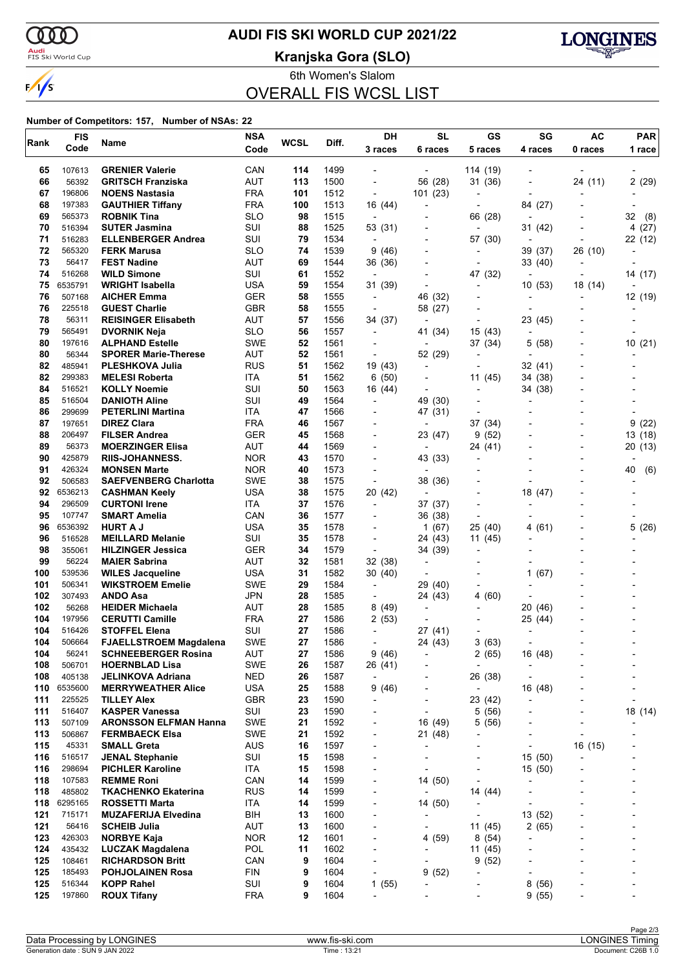

## **AUDI FIS SKI WORLD CUP 2021/22**

<mark>Audi</mark><br>FIS Ski World Cup

**Kranjska Gora (SLO)**



6th Women's Slalom OVERALL FIS WCSL LIST

#### **Number of Competitors: 157, Number of NSAs: 22**

| Rank       | <b>FIS</b>        | Name                                            | <b>NSA</b>               | <b>WCSL</b> | Diff.        | DH                                 | <b>SL</b>                           | GS                                  | SG                                  | AC                       | <b>PAR</b>               |
|------------|-------------------|-------------------------------------------------|--------------------------|-------------|--------------|------------------------------------|-------------------------------------|-------------------------------------|-------------------------------------|--------------------------|--------------------------|
|            | Code              |                                                 | Code                     |             |              | 3 races                            | 6 races                             | 5 races                             | 4 races                             | 0 races                  | 1 race                   |
| 65         | 107613            | <b>GRENIER Valerie</b>                          | CAN                      | 114         | 1499         |                                    | $\overline{\phantom{a}}$            | 114 (19)                            | $\overline{\phantom{a}}$            |                          |                          |
| 66         | 56392             | <b>GRITSCH Franziska</b>                        | AUT                      | 113         | 1500         | $\overline{\phantom{0}}$           | 56 (28)                             | 31 (36)                             | $\overline{\phantom{a}}$            | 24 (11)                  | 2(29)                    |
| 67         | 196806            | <b>NOENS Nastasia</b>                           | <b>FRA</b>               | 101         | 1512         | $\overline{\phantom{a}}$           | 101(23)                             |                                     |                                     |                          |                          |
| 68         | 197383            | <b>GAUTHIER Tiffany</b>                         | <b>FRA</b>               | 100         | 1513         | 16 (44)                            | $\overline{a}$                      | $\blacksquare$                      | 84 (27)                             |                          |                          |
| 69         | 565373            | <b>ROBNIK Tina</b>                              | <b>SLO</b>               | 98          | 1515         | $\overline{\phantom{a}}$           |                                     | 66 (28)                             | $\overline{\phantom{a}}$            |                          | 32<br>(8)                |
| 70         | 516394            | <b>SUTER Jasmina</b>                            | SUI                      | 88          | 1525         | 53 (31)                            |                                     | $\overline{\phantom{a}}$            | 31 (42)                             |                          | 4 (27)                   |
| 71         | 516283            | <b>ELLENBERGER Andrea</b>                       | SUI                      | 79          | 1534         | $\overline{\phantom{a}}$           |                                     | 57 (30)                             | $\overline{\phantom{a}}$            |                          | 22 (12)                  |
| 72         | 565320            | <b>FERK Marusa</b>                              | <b>SLO</b>               | 74          | 1539         | 9(46)                              | $\blacksquare$                      |                                     | 39 (37)                             | 26 (10)                  |                          |
| 73         | 56417             | <b>FEST Nadine</b>                              | <b>AUT</b>               | 69          | 1544         | 36 (36)                            | -                                   | $\blacksquare$                      | 33 (40)                             |                          |                          |
| 74         | 516268            | <b>WILD Simone</b>                              | SUI                      | 61          | 1552         | $\blacksquare$                     |                                     | 47 (32)                             | $\blacksquare$                      |                          | 14 (17)                  |
| 75         | 6535791           | <b>WRIGHT Isabella</b>                          | <b>USA</b>               | 59          | 1554         | 31 (39)                            | $\overline{a}$                      | $\overline{\phantom{a}}$            | 10(53)                              | 18 (14)                  | $\overline{\phantom{a}}$ |
| 76         | 507168            | <b>AICHER Emma</b>                              | <b>GER</b>               | 58          | 1555         | $\overline{\phantom{a}}$           | 46 (32)                             | $\overline{\phantom{a}}$            | $\overline{a}$                      | $\overline{\phantom{a}}$ | 12 (19)                  |
| 76         | 225518            | <b>GUEST Charlie</b>                            | <b>GBR</b>               | 58          | 1555         |                                    | 58 (27)                             |                                     | $\blacksquare$                      |                          | $\overline{\phantom{a}}$ |
| 78         | 56311             | <b>REISINGER Elisabeth</b>                      | AUT                      | 57          | 1556         | 34 (37)                            | $\overline{\phantom{a}}$            | $\overline{a}$                      | 23 (45)                             |                          |                          |
| 79         | 565491            | <b>DVORNIK Neja</b>                             | <b>SLO</b>               | 56          | 1557         | $\overline{\phantom{0}}$           | 41 (34)                             | 15 (43)                             | $\blacksquare$                      |                          |                          |
| 80         | 197616            | <b>ALPHAND Estelle</b>                          | <b>SWE</b>               | 52          | 1561         |                                    | $\overline{\phantom{a}}$            | 37 (34)                             | 5 (58)                              |                          | 10(21)                   |
| 80         | 56344             | <b>SPORER Marie-Therese</b>                     | <b>AUT</b>               | 52          | 1561         | $\overline{\phantom{a}}$           | 52 (29)                             | $\overline{a}$                      | $\overline{a}$                      |                          | -                        |
| 82         | 485941            | <b>PLESHKOVA Julia</b>                          | <b>RUS</b>               | 51          | 1562         | 19 (43)                            | $\overline{\phantom{a}}$            | $\overline{\phantom{a}}$            | 32 (41)                             |                          |                          |
| 82         | 299383            | <b>MELESI Roberta</b>                           | <b>ITA</b>               | 51          | 1562         | 6(50)                              | $\blacksquare$                      | 11 (45)                             | 34 (38)                             |                          |                          |
| 84         | 516521            | <b>KOLLY Noemie</b><br><b>DANIOTH Aline</b>     | SUI                      | 50          | 1563         | 16 (44)                            | $\overline{a}$                      | $\overline{a}$                      | 34 (38)                             |                          |                          |
| 85<br>86   | 516504<br>299699  | <b>PETERLINI Martina</b>                        | SUI<br>ITA               | 49<br>47    | 1564<br>1566 | $\overline{\phantom{0}}$           | 49 (30)                             | $\overline{\phantom{a}}$            |                                     |                          |                          |
| 87         | 197651            | <b>DIREZ Clara</b>                              | <b>FRA</b>               | 46          | 1567         |                                    | 47 (31)<br>$\overline{\phantom{a}}$ | 37 (34)                             |                                     |                          | 9<br>(22)                |
| 88         | 206497            | <b>FILSER Andrea</b>                            | GER                      | 45          | 1568         | $\blacksquare$                     | 23 (47)                             | 9<br>(52)                           |                                     |                          | 13 (18)                  |
| 89         | 56373             | <b>MOERZINGER Elisa</b>                         | <b>AUT</b>               | 44          | 1569         |                                    | $\overline{\phantom{0}}$            | 24 (41)                             |                                     |                          | 20 (13)                  |
| 90         | 425879            | <b>RIIS-JOHANNESS.</b>                          | <b>NOR</b>               | 43          | 1570         |                                    | 43 (33)                             | $\overline{a}$                      |                                     |                          |                          |
| 91         | 426324            | <b>MONSEN Marte</b>                             | <b>NOR</b>               | 40          | 1573         | $\blacksquare$                     |                                     |                                     |                                     |                          | (6)<br>40                |
| 92         | 506583            | <b>SAEFVENBERG Charlotta</b>                    | SWE                      | 38          | 1575         | $\overline{\phantom{a}}$           | 38 (36)                             |                                     |                                     |                          |                          |
| 92         | 6536213           | <b>CASHMAN Keely</b>                            | <b>USA</b>               | 38          | 1575         | 20 (42)                            | $\overline{\phantom{a}}$            | $\overline{\phantom{a}}$            | 18 (47)                             |                          |                          |
| 94         | 296509            | <b>CURTONI Irene</b>                            | <b>ITA</b>               | 37          | 1576         | $\overline{\phantom{0}}$           | 37 (37)                             | $\overline{\phantom{a}}$            | $\overline{\phantom{a}}$            |                          |                          |
| 95         | 107747            | <b>SMART Amelia</b>                             | CAN                      | 36          | 1577         |                                    | 36 (38)                             | $\overline{a}$                      |                                     |                          |                          |
| 96         | 6536392           | <b>HURT A J</b>                                 | USA                      | 35          | 1578         |                                    | 1(67)                               | 25 (40)                             | 4 (61)                              |                          | 5(26)                    |
| 96         | 516528            | <b>MEILLARD Melanie</b>                         | SUI                      | 35          | 1578         | $\overline{\phantom{a}}$           | 24 (43)                             | 11 (45)                             |                                     |                          |                          |
| 98         | 355061            | <b>HILZINGER Jessica</b>                        | GER                      | 34          | 1579         | $\overline{\phantom{a}}$           | 34 (39)                             |                                     |                                     |                          |                          |
| 99         | 56224             | <b>MAIER Sabrina</b>                            | <b>AUT</b>               | 32          | 1581         | 32 (38)                            | $\overline{\phantom{a}}$            | $\overline{\phantom{a}}$            |                                     |                          |                          |
| 100        | 539536            | <b>WILES Jacqueline</b>                         | USA                      | 31          | 1582         | 30 (40)                            | $\overline{\phantom{a}}$            | $\overline{\phantom{a}}$            | 1(67)                               |                          |                          |
| 101        | 506341            | <b>WIKSTROEM Emelie</b>                         | <b>SWE</b>               | 29          | 1584         | $\blacksquare$                     | 29 (40)                             |                                     | $\overline{\phantom{0}}$            |                          |                          |
| 102        | 307493            | <b>ANDO Asa</b>                                 | JPN                      | 28          | 1585         | $\overline{\phantom{a}}$           | 24 (43)                             | 4(60)                               | ÷                                   |                          |                          |
| 102        | 56268             | <b>HEIDER Michaela</b>                          | <b>AUT</b>               | 28          | 1585         | 8(49)                              | $\overline{a}$                      |                                     | 20 (46)                             |                          |                          |
| 104        | 197956            | <b>CERUTTI Camille</b>                          | <b>FRA</b>               | 27          | 1586         | 2(53)                              |                                     |                                     | 25 (44)                             |                          |                          |
| 104        | 516426            | <b>STOFFEL Elena</b>                            | SUI                      | 27          | 1586         | $\overline{\phantom{a}}$           | 27 (41)                             |                                     | $\overline{a}$                      |                          |                          |
| 104        | 506664            | <b>FJAELLSTROEM Magdalena</b>                   | <b>SWE</b>               | 27          | 1586         |                                    | 24 (43)                             | 3(63)                               | $\overline{\phantom{a}}$            |                          |                          |
| 104        | 56241             | <b>SCHNEEBERGER Rosina</b>                      | AUT                      | 27          | 1586         | 9(46)                              |                                     | 2(65)                               | 16 (48)                             |                          |                          |
| 108        | 506701            | <b>HOERNBLAD Lisa</b>                           | SWE                      | 26          | 1587         | 26 (41)                            |                                     | $\overline{a}$                      | $\overline{\phantom{a}}$            |                          |                          |
| 108        | 405138            | <b>JELINKOVA Adriana</b>                        | NED                      | 26          | 1587         | $\overline{\phantom{0}}$           | -                                   | 26 (38)                             | $\overline{\phantom{a}}$            |                          | -                        |
| 110<br>111 | 6535600<br>225525 | <b>MERRYWEATHER Alice</b><br><b>TILLEY Alex</b> | <b>USA</b><br><b>GBR</b> | 25<br>23    | 1588<br>1590 | 9 (46)<br>$\overline{\phantom{a}}$ | -                                   | $\overline{\phantom{a}}$<br>23 (42) | 16 (48)<br>$\overline{\phantom{a}}$ |                          | $\overline{a}$           |
| 111        | 516407            | <b>KASPER Vanessa</b>                           | SUI                      | 23          | 1590         | $\blacksquare$                     | $\overline{\phantom{a}}$            | 5(56)                               | $\overline{a}$                      |                          | 18 (14)                  |
| 113        | 507109            | <b>ARONSSON ELFMAN Hanna</b>                    | <b>SWE</b>               | 21          | 1592         | $\overline{\phantom{0}}$           | 16 (49)                             | 5(56)                               | $\qquad \qquad \blacksquare$        |                          |                          |
| 113        | 506867            | <b>FERMBAECK Elsa</b>                           | <b>SWE</b>               | 21          | 1592         | $\overline{\phantom{a}}$           | 21(48)                              | $\overline{a}$                      | -                                   |                          |                          |
| 115        | 45331             | <b>SMALL Greta</b>                              | AUS                      | 16          | 1597         |                                    | -                                   |                                     | $\overline{a}$                      | 16 (15)                  |                          |
| 116        | 516517            | <b>JENAL Stephanie</b>                          | SUI                      | 15          | 1598         |                                    |                                     |                                     | 15(50)                              |                          |                          |
| 116        | 298694            | <b>PICHLER Karoline</b>                         | ITA                      | 15          | 1598         |                                    |                                     | $\overline{a}$                      | 15 (50)                             |                          | -                        |
| 118        | 107583            | <b>REMME Roni</b>                               | CAN                      | 14          | 1599         | $\overline{\phantom{a}}$           | 14 (50)                             | $\blacksquare$                      |                                     |                          | $\overline{a}$           |
| 118        | 485802            | <b>TKACHENKO Ekaterina</b>                      | <b>RUS</b>               | 14          | 1599         | $\overline{\phantom{0}}$           | $\overline{a}$                      | 14 (44)                             | $\overline{\phantom{a}}$            |                          |                          |
| 118        | 6295165           | <b>ROSSETTI Marta</b>                           | ITA                      | 14          | 1599         | $\overline{\phantom{0}}$           | 14 (50)                             | $\overline{\phantom{a}}$            | $\overline{a}$                      |                          |                          |
| 121        | 715171            | <b>MUZAFERIJA Elvedina</b>                      | BIH                      | 13          | 1600         | $\overline{\phantom{a}}$           | $\overline{a}$                      | $\overline{a}$                      | 13 (52)                             |                          | -                        |
| 121        | 56416             | <b>SCHEIB Julia</b>                             | <b>AUT</b>               | 13          | 1600         |                                    |                                     | 11 (45)                             | 2(65)                               |                          |                          |
| 123        | 426303            | <b>NORBYE Kaja</b>                              | <b>NOR</b>               | 12          | 1601         | $\overline{\phantom{a}}$           | 4 (59)                              | 8(54)                               | $\overline{\phantom{a}}$            |                          | -                        |
| 124        | 435432            | <b>LUCZAK Magdalena</b>                         | <b>POL</b>               | 11          | 1602         | $\overline{\phantom{a}}$           | -                                   | 11 (45)                             | -                                   |                          | -                        |
| 125        | 108461            | <b>RICHARDSON Britt</b>                         | CAN                      | 9           | 1604         | $\overline{\phantom{0}}$           |                                     | 9(52)                               |                                     |                          |                          |
| 125        | 185493            | <b>POHJOLAINEN Rosa</b>                         | <b>FIN</b>               | 9           | 1604         | $\overline{a}$                     | 9(52)                               | ÷,                                  | ٠                                   |                          |                          |
| 125        | 516344            | <b>KOPP Rahel</b>                               | SUI                      | 9           | 1604         | 1(55)                              | -                                   |                                     | 8<br>(56)                           |                          | -                        |
| 125        | 197860            | <b>ROUX Tifany</b>                              | <b>FRA</b>               | 9           | 1604         | $\overline{\phantom{0}}$           |                                     |                                     | 9(55)                               |                          | -                        |
|            |                   |                                                 |                          |             |              |                                    |                                     |                                     |                                     |                          |                          |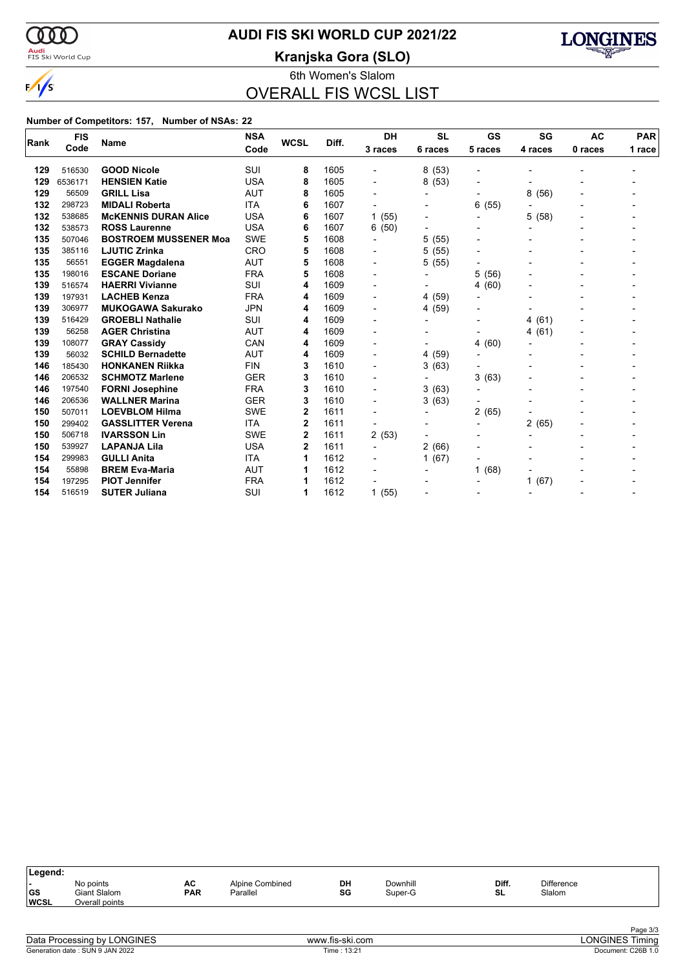

### **AUDI FIS SKI WORLD CUP 2021/22**

<mark>Audi</mark><br>FIS Ski World Cup

**Kranjska Gora (SLO)**



6th Women's Slalom

OVERALL FIS WCSL LIST

#### **Number of Competitors: 157, Number of NSAs: 22**

|      | <b>FIS</b> | <b>Name</b>                  | <b>NSA</b> | <b>WCSL</b> | Diff. | DH                       | <b>SL</b>      | GS                       | SG                       | <b>AC</b> | <b>PAR</b> |
|------|------------|------------------------------|------------|-------------|-------|--------------------------|----------------|--------------------------|--------------------------|-----------|------------|
| Rank | Code       |                              | Code       |             |       | 3 races                  | 6 races        | 5 races                  | 4 races                  | 0 races   | 1 race     |
| 129  | 516530     | <b>GOOD Nicole</b>           | <b>SUI</b> | 8           | 1605  | $\overline{\phantom{0}}$ | 8(53)          | $\overline{\phantom{a}}$ |                          |           |            |
| 129  | 6536171    | <b>HENSIEN Katie</b>         | <b>USA</b> | 8           | 1605  | $\overline{a}$           | 8(53)          | $\blacksquare$           |                          |           |            |
| 129  | 56509      | <b>GRILL Lisa</b>            | <b>AUT</b> | 8           | 1605  | $\overline{\phantom{0}}$ |                |                          | 8<br>(56)                |           |            |
| 132  | 298723     | <b>MIDALI Roberta</b>        | <b>ITA</b> | 6           | 1607  | $\overline{\phantom{a}}$ |                | 6<br>(55)                |                          |           |            |
| 132  | 538685     | <b>McKENNIS DURAN Alice</b>  | <b>USA</b> | 6           | 1607  | 1(55)                    |                | $\overline{a}$           | 5<br>(58)                |           |            |
| 132  | 538573     | <b>ROSS Laurenne</b>         | <b>USA</b> | 6           | 1607  | 6(50)                    |                |                          |                          |           |            |
| 135  | 507046     | <b>BOSTROEM MUSSENER Moa</b> | <b>SWE</b> | 5           | 1608  | $\overline{\phantom{0}}$ | 5(55)          | $\blacksquare$           |                          |           |            |
| 135  | 385116     | <b>LJUTIC Zrinka</b>         | <b>CRO</b> | 5           | 1608  |                          | 5(55)          | $\overline{a}$           |                          |           |            |
| 135  | 56551      | <b>EGGER Magdalena</b>       | <b>AUT</b> | 5           | 1608  | $\blacksquare$           | 5(55)          |                          |                          |           |            |
| 135  | 198016     | <b>ESCANE Doriane</b>        | <b>FRA</b> | 5           | 1608  | $\blacksquare$           | $\blacksquare$ | 5<br>(56)                |                          |           |            |
| 139  | 516574     | <b>HAERRI Vivianne</b>       | SUI        | 4           | 1609  | $\overline{a}$           |                | (60)<br>4                |                          |           |            |
| 139  | 197931     | <b>LACHEB Kenza</b>          | <b>FRA</b> | 4           | 1609  | $\blacksquare$           | 4 (59)         |                          |                          |           |            |
| 139  | 306977     | <b>MUKOGAWA Sakurako</b>     | <b>JPN</b> | 4           | 1609  | $\blacksquare$           | 4 (59)         | $\blacksquare$           |                          |           |            |
| 139  | 516429     | <b>GROEBLI Nathalie</b>      | <b>SUI</b> | 4           | 1609  |                          |                | -                        | (61)<br>4                |           |            |
| 139  | 56258      | <b>AGER Christina</b>        | <b>AUT</b> | 4           | 1609  |                          |                | -                        | 4(61)                    |           |            |
| 139  | 108077     | <b>GRAY Cassidy</b>          | CAN        | 4           | 1609  | $\blacksquare$           | $\blacksquare$ | (60)<br>4                |                          |           |            |
| 139  | 56032      | <b>SCHILD Bernadette</b>     | <b>AUT</b> | 4           | 1609  | $\blacksquare$           | 4 (59)         |                          |                          |           |            |
| 146  | 185430     | <b>HONKANEN Riikka</b>       | <b>FIN</b> | 3           | 1610  | $\overline{\phantom{a}}$ | 3(63)          |                          |                          |           |            |
| 146  | 206532     | <b>SCHMOTZ Marlene</b>       | <b>GER</b> | 3           | 1610  | $\blacksquare$           | $\blacksquare$ | 3<br>(63)                |                          |           |            |
| 146  | 197540     | <b>FORNI Josephine</b>       | <b>FRA</b> | 3           | 1610  |                          | 3(63)          | $\overline{a}$           |                          |           |            |
| 146  | 206536     | <b>WALLNER Marina</b>        | <b>GER</b> | 3           | 1610  |                          | 3(63)          |                          |                          |           |            |
| 150  | 507011     | <b>LOEVBLOM Hilma</b>        | <b>SWE</b> | 2           | 1611  | $\blacksquare$           | $\blacksquare$ | 2<br>(65)                |                          |           |            |
| 150  | 299402     | <b>GASSLITTER Verena</b>     | <b>ITA</b> | 2           | 1611  |                          |                | $\overline{a}$           | 2(65)                    |           |            |
| 150  | 506718     | <b>IVARSSON Lin</b>          | <b>SWE</b> | 2           | 1611  | 2(53)                    |                | $\overline{a}$           |                          |           |            |
| 150  | 539927     | <b>LAPANJA Lila</b>          | <b>USA</b> | 2           | 1611  | $\overline{\phantom{0}}$ | 2(66)          |                          |                          |           |            |
| 154  | 299983     | <b>GULLI Anita</b>           | <b>ITA</b> |             | 1612  |                          | 1(67)          |                          |                          |           |            |
| 154  | 55898      | <b>BREM Eva-Maria</b>        | <b>AUT</b> |             | 1612  |                          |                | (68)<br>1                |                          |           |            |
| 154  | 197295     | <b>PIOT Jennifer</b>         | <b>FRA</b> |             | 1612  |                          |                |                          | (67)<br>1                |           |            |
| 154  | 516519     | <b>SUTER Juliana</b>         | SUI        | 1           | 1612  | 1(55)                    |                | -                        | $\overline{\phantom{a}}$ |           |            |

| DH<br>Diff.<br><b>Difference</b><br>Downhill<br>AC<br>Alpine Combined<br>No points<br>$\overline{\phantom{a}}$<br><b>GS</b><br>SG<br><b>PAR</b><br>SL<br>Slalom<br>Giant Slalom<br>Parallel<br>Super-G | Legend:     |                |  |  |  |  |
|--------------------------------------------------------------------------------------------------------------------------------------------------------------------------------------------------------|-------------|----------------|--|--|--|--|
|                                                                                                                                                                                                        | <b>WCSL</b> | Overall points |  |  |  |  |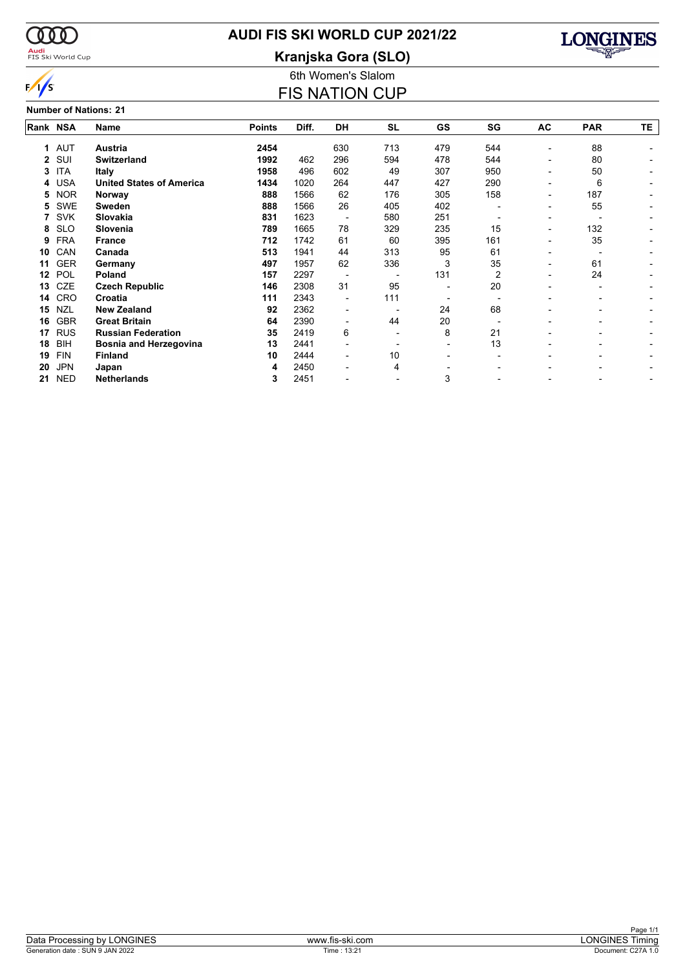

## **AUDI FIS SKI WORLD CUP 2021/22**

**Kranjska Gora (SLO)**



### $\frac{1}{s}$ **Number of Nations: 21**

# 6th Women's Slalom

| <b>FIS NATION CUP</b> |
|-----------------------|
|-----------------------|

| Rank NSA |            | Name                            | <b>Points</b> | Diff. | DH                       | <b>SL</b> | <b>GS</b> | SG  | AC                       | <b>PAR</b> | TE |
|----------|------------|---------------------------------|---------------|-------|--------------------------|-----------|-----------|-----|--------------------------|------------|----|
| 1        | <b>AUT</b> | <b>Austria</b>                  | 2454          |       | 630                      | 713       | 479       | 544 |                          | 88         |    |
| 2        | SUI        | <b>Switzerland</b>              | 1992          | 462   | 296                      | 594       | 478       | 544 |                          | 80         |    |
| 3        | <b>ITA</b> | <b>Italy</b>                    | 1958          | 496   | 602                      | 49        | 307       | 950 |                          | 50         |    |
| 4        | <b>USA</b> | <b>United States of America</b> | 1434          | 1020  | 264                      | 447       | 427       | 290 |                          | 6          |    |
| 5        | <b>NOR</b> | Norway                          | 888           | 1566  | 62                       | 176       | 305       | 158 |                          | 187        |    |
| 5        | <b>SWE</b> | <b>Sweden</b>                   | 888           | 1566  | 26                       | 405       | 402       |     |                          | 55         |    |
|          | <b>SVK</b> | Slovakia                        | 831           | 1623  | $\overline{\phantom{a}}$ | 580       | 251       |     |                          |            |    |
| 8        | <b>SLO</b> | Slovenia                        | 789           | 1665  | 78                       | 329       | 235       | 15  | $\overline{\phantom{0}}$ | 132        |    |
| 9        | <b>FRA</b> | <b>France</b>                   | 712           | 1742  | 61                       | 60        | 395       | 161 |                          | 35         |    |
| 10       | CAN        | Canada                          | 513           | 1941  | 44                       | 313       | 95        | 61  |                          |            |    |
| 11       | <b>GER</b> | Germany                         | 497           | 1957  | 62                       | 336       | 3         | 35  |                          | 61         |    |
| 12       | POL        | Poland                          | 157           | 2297  |                          |           | 131       | 2   |                          | 24         |    |
| 13       | <b>CZE</b> | <b>Czech Republic</b>           | 146           | 2308  | 31                       | 95        |           | 20  |                          |            |    |
| 14       | <b>CRO</b> | Croatia                         | 111           | 2343  | $\blacksquare$           | 111       |           |     |                          |            |    |
| 15       | <b>NZL</b> | <b>New Zealand</b>              | 92            | 2362  |                          |           | 24        | 68  |                          |            |    |
| 16       | <b>GBR</b> | <b>Great Britain</b>            | 64            | 2390  |                          | 44        | 20        |     |                          |            |    |
| 17       | <b>RUS</b> | <b>Russian Federation</b>       | 35            | 2419  | 6                        |           | 8         | 21  |                          |            |    |
| 18       | <b>BIH</b> | Bosnia and Herzegovina          | 13            | 2441  |                          |           |           | 13  |                          |            |    |
| 19       | <b>FIN</b> | <b>Finland</b>                  | 10            | 2444  | $\overline{\phantom{0}}$ | 10        |           |     |                          |            |    |
| 20       | <b>JPN</b> | Japan                           | 4             | 2450  |                          | 4         |           |     |                          |            |    |
| 21       | <b>NED</b> | <b>Netherlands</b>              | 3             | 2451  |                          |           | 3         |     |                          |            |    |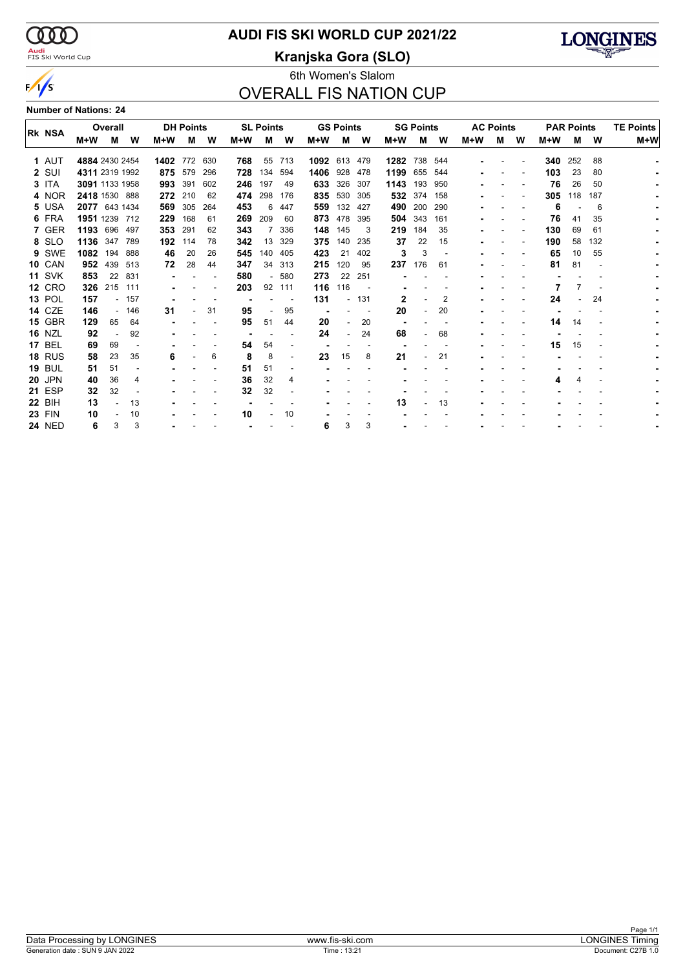$\alpha\alpha$ <mark>Audi</mark><br>FIS Ski World Cup

 $\sqrt{s}$ 

# **AUDI FIS SKI WORLD CUP 2021/22**

**Kranjska Gora (SLO)**



### 6th Women's Slalom OVERALL FIS NATION CUP

**Number of Nations: 24**

|                |                | Overall |       |       | <b>DH Points</b> |     |     | <b>SL Points</b> |     |      | <b>GS Points</b> |     |       | <b>SG Points</b> |     |       | <b>AC Points</b> |   |       | <b>PAR Points</b> |     | <b>TE Points</b> |
|----------------|----------------|---------|-------|-------|------------------|-----|-----|------------------|-----|------|------------------|-----|-------|------------------|-----|-------|------------------|---|-------|-------------------|-----|------------------|
| <b>IRK NSA</b> | M+W            | м       | w     | $M+W$ | м                | W   | M+W | м                | W   | M+W  | м                | W   | $M+W$ | м                | W   | $M+W$ | м                | W | $M+W$ | М                 | W   | M+W              |
| 1 AUT          | 4884 2430 2454 |         |       | 1402  | 772              | 630 | 768 | 55               | 713 | 1092 | 613              | 479 | 1282  | 738              | 544 |       |                  |   | 340   | 252               | 88  |                  |
| 2 SUI          | 4311 2319 1992 |         |       |       | 875 579          | 296 | 728 | 134              | 594 | 1406 | 928              | 478 | 1199  | 655              | 544 |       |                  |   | 103   | 23                | 80  |                  |
| 3 ITA          | 3091 1133 1958 |         |       | 993   | 391              | 602 | 246 | 197              | 49  | 633  | 326              | 307 | 1143  | 193              | 950 |       |                  |   | 76    | 26                | 50  |                  |
| 4 NOR          | 2418 1530 888  |         |       |       | 272 210          | 62  | 474 | 298              | 176 | 835  | 530              | 305 |       | 532 374          | 158 |       |                  |   | 305   | 118               | 187 |                  |
| 5 USA          | 2077 643 1434  |         |       | 569   | 305              | 264 | 453 | 6                | 447 | 559  | 132              | 427 | 490   | 200              | 290 |       |                  |   | 6     |                   | 6   |                  |
| 6 FRA          | 1951 1239 712  |         |       | 229   | 168              | 61  | 269 | 209              | 60  | 873  | 478              | 395 | 504   | 343              | 161 |       |                  |   | 76    | 41                | 35  |                  |
| 7 GER          | 1193 696       |         | 497   | 353   | 291              | 62  | 343 |                  | 336 | 148  | 145              | 3   | 219   | 184              | 35  |       |                  |   | 130   | 69                | 61  |                  |
| 8 SLO          | 1136           | 347     | 789   | 192   | 114              | 78  | 342 | 13               | 329 | 375  | 140              | 235 | 37    | 22               | 15  |       |                  |   | 190   | 58                | 132 |                  |
| 9 SWE          | 1082 194       |         | 888   | 46    | 20               | 26  | 545 | 140              | 405 | 423  | 21               | 402 | 3     | 3                |     |       |                  |   | 65    | 10                | 55  |                  |
| <b>10 CAN</b>  | 952            | 439     | 513   | 72    | 28               | 44  | 347 | 34               | 313 | 215  | 120              | 95  | 237   | 176              | 61  |       |                  |   | 81    | 81                |     |                  |
| <b>11 SVK</b>  | 853            | 22      | 831   |       |                  |     | 580 |                  | 580 | 273  | 22               | 251 |       |                  |     |       |                  |   |       |                   |     |                  |
| <b>12 CRO</b>  | 326            | 215     | 111   |       |                  |     | 203 | 92               | 111 | 116  | 116              |     |       |                  |     |       |                  |   |       |                   |     |                  |
| <b>13 POL</b>  | 157            |         | - 157 |       |                  |     |     |                  |     | 131  |                  | 131 | 2     |                  | 2   |       |                  |   | 24    |                   | 24  |                  |
| <b>14 CZE</b>  | 146            |         | - 146 | 31    |                  | 31  | 95  |                  | 95  |      |                  |     | 20    |                  | 20  |       |                  |   |       |                   |     |                  |
| <b>15 GBR</b>  | 129            | 65      | 64    |       |                  |     | 95  | 51               | 44  | 20   |                  | 20  |       |                  |     |       |                  |   | 14    | 14                |     |                  |
| <b>16 NZL</b>  | 92             |         | 92    |       |                  |     |     |                  |     | 24   |                  | 24  | 68    |                  | 68  |       |                  |   |       |                   |     |                  |
| <b>17 BEL</b>  | 69             | 69      |       |       |                  |     | 54  | 54               |     |      |                  |     |       |                  |     |       |                  |   | 15    | 15                |     |                  |
| <b>18 RUS</b>  | 58             | 23      | 35    | 6     |                  | 6   | 8   | 8                |     | 23   | 15               | 8   | 21    |                  | 21  |       |                  |   |       |                   |     |                  |
| <b>19 BUL</b>  | 51             | 51      |       |       |                  |     | 51  | 51               |     |      |                  |     |       |                  |     |       |                  |   |       |                   |     |                  |
| <b>20 JPN</b>  | 40             | 36      | 4     |       |                  |     | 36  | 32               | 4   |      |                  |     |       |                  |     |       |                  |   |       |                   |     |                  |
| <b>21 ESP</b>  | 32             | 32      |       |       |                  |     | 32  | 32               |     |      |                  |     |       |                  |     |       |                  |   |       |                   |     |                  |
| <b>22 BIH</b>  | 13             |         | 13    |       |                  |     |     |                  |     |      |                  |     | 13    |                  | 13  |       |                  |   |       |                   |     |                  |
| <b>23 FIN</b>  | 10             |         | 10    |       |                  |     | 10  |                  | 10  |      |                  |     |       |                  |     |       |                  |   |       |                   |     |                  |
| <b>24 NED</b>  | 6              | 3       | 3     |       |                  |     |     |                  |     | 6    | 3                | 3   |       |                  |     |       |                  |   |       |                   |     |                  |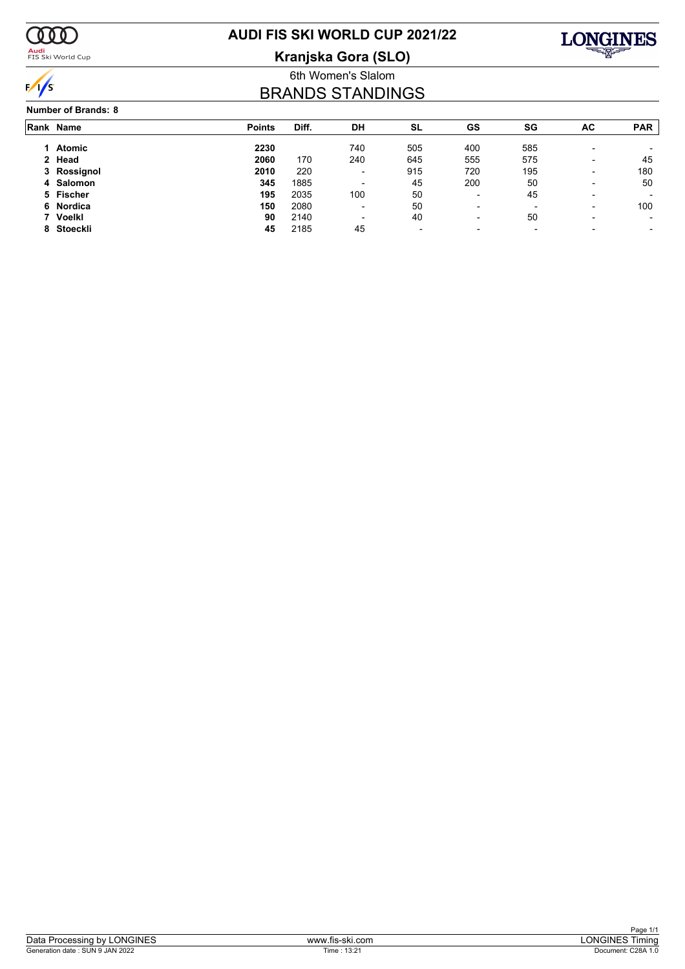

### <mark>Audi</mark><br>FIS Ski World Cup

# **AUDI FIS SKI WORLD CUP 2021/22**

**Kranjska Gora (SLO)**



### 6th Women's Slalom BRANDS STANDINGS

#### **Number of Brands: 8**

| Rank Name   | <b>Points</b> | Diff. | DH                       | <b>SL</b>                | GS                       | SG                       | AC                       | <b>PAR</b> |
|-------------|---------------|-------|--------------------------|--------------------------|--------------------------|--------------------------|--------------------------|------------|
| Atomic      | 2230          |       | 740                      | 505                      | 400                      | 585                      | $\overline{\phantom{0}}$ |            |
| 2 Head      | 2060          | 170   | 240                      | 645                      | 555                      | 575                      | $\overline{\phantom{0}}$ | 45         |
| 3 Rossignol | 2010          | 220   | -                        | 915                      | 720                      | 195                      | $\overline{\phantom{0}}$ | 180        |
| 4 Salomon   | 345           | 1885  |                          | 45                       | 200                      | 50                       | $\overline{\phantom{a}}$ | 50         |
| 5 Fischer   | 195           | 2035  | 100                      | 50                       | $\blacksquare$           | 45                       | $\overline{\phantom{0}}$ |            |
| 6 Nordica   | 150           | 2080  | $\overline{\phantom{0}}$ | 50                       | $\blacksquare$           | $\overline{\phantom{0}}$ | $\overline{\phantom{0}}$ | 100        |
| 7 Voelkl    | 90            | 2140  | $\overline{\phantom{0}}$ | 40                       | $\overline{\phantom{0}}$ | 50                       | $\overline{\phantom{0}}$ | -          |
| 8 Stoeckli  | 45            | 2185  | 45                       | $\overline{\phantom{a}}$ | $\overline{\phantom{0}}$ | $\overline{\phantom{a}}$ |                          |            |
|             |               |       |                          |                          |                          |                          |                          |            |